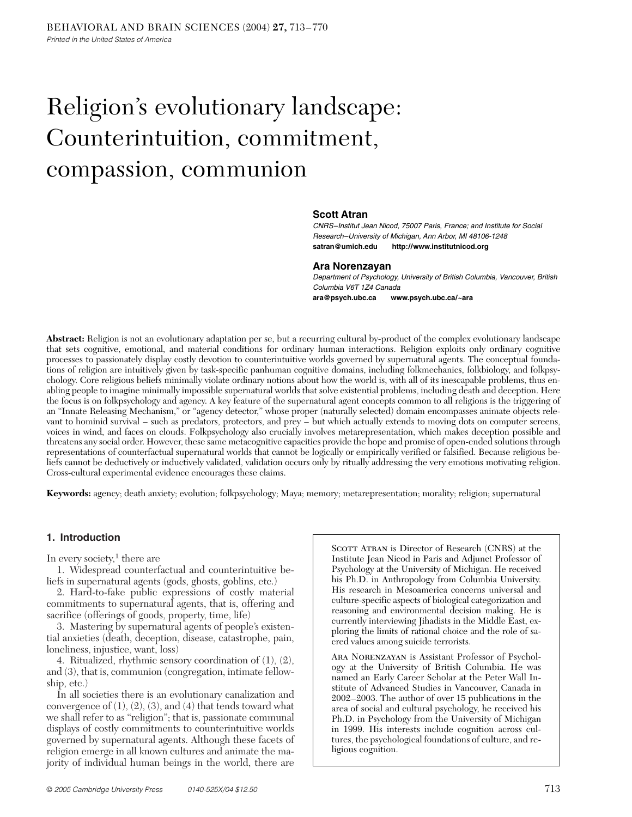# Religion's evolutionary landscape: Counterintuition, commitment, compassion, communion

## **Scott Atran**

*CNRS–Institut Jean Nicod, 75007 Paris, France; and Institute for Social Research–University of Michigan, Ann Arbor, MI 48106-1248* **satran@umich.edu http://www.institutnicod.org**

#### **Ara Norenzayan**

*Department of Psychology, University of British Columbia, Vancouver, British Columbia V6T 1Z4 Canada* **ara@psych.ubc.ca www.psych.ubc.ca/~ara**

**Abstract:** Religion is not an evolutionary adaptation per se, but a recurring cultural by-product of the complex evolutionary landscape that sets cognitive, emotional, and material conditions for ordinary human interactions. Religion exploits only ordinary cognitive processes to passionately display costly devotion to counterintuitive worlds governed by supernatural agents. The conceptual foundations of religion are intuitively given by task-specific panhuman cognitive domains, including folkmechanics, folkbiology, and folkpsychology. Core religious beliefs minimally violate ordinary notions about how the world is, with all of its inescapable problems, thus enabling people to imagine minimally impossible supernatural worlds that solve existential problems, including death and deception. Here the focus is on folkpsychology and agency. A key feature of the supernatural agent concepts common to all religions is the triggering of an "Innate Releasing Mechanism," or "agency detector," whose proper (naturally selected) domain encompasses animate objects relevant to hominid survival – such as predators, protectors, and prey – but which actually extends to moving dots on computer screens, voices in wind, and faces on clouds. Folkpsychology also crucially involves metarepresentation, which makes deception possible and threatens any social order. However, these same metacognitive capacities provide the hope and promise of open-ended solutions through representations of counterfactual supernatural worlds that cannot be logically or empirically verified or falsified. Because religious beliefs cannot be deductively or inductively validated, validation occurs only by ritually addressing the very emotions motivating religion. Cross-cultural experimental evidence encourages these claims.

**Keywords:** agency; death anxiety; evolution; folkpsychology; Maya; memory; metarepresentation; morality; religion; supernatural

## **1. Introduction**

In every society, $<sup>1</sup>$  there are</sup>

1. Widespread counterfactual and counterintuitive beliefs in supernatural agents (gods, ghosts, goblins, etc.)

2. Hard-to-fake public expressions of costly material commitments to supernatural agents, that is, offering and sacrifice (offerings of goods, property, time, life)

3. Mastering by supernatural agents of people's existential anxieties (death, deception, disease, catastrophe, pain, loneliness, injustice, want, loss)

4. Ritualized, rhythmic sensory coordination of (1), (2), and (3), that is, communion (congregation, intimate fellowship, etc.)

In all societies there is an evolutionary canalization and convergence of  $(1)$ ,  $(2)$ ,  $(3)$ , and  $(4)$  that tends toward what we shall refer to as "religion"; that is, passionate communal displays of costly commitments to counterintuitive worlds governed by supernatural agents. Although these facets of religion emerge in all known cultures and animate the majority of individual human beings in the world, there are

SCOTT ATRAN is Director of Research (CNRS) at the Institute Jean Nicod in Paris and Adjunct Professor of Psychology at the University of Michigan. He received his Ph.D. in Anthropology from Columbia University. His research in Mesoamerica concerns universal and culture-specific aspects of biological categorization and reasoning and environmental decision making. He is currently interviewing Jihadists in the Middle East, exploring the limits of rational choice and the role of sacred values among suicide terrorists.

Ara Norenzayan is Assistant Professor of Psychology at the University of British Columbia. He was named an Early Career Scholar at the Peter Wall Institute of Advanced Studies in Vancouver, Canada in 2002–2003. The author of over 15 publications in the area of social and cultural psychology, he received his Ph.D. in Psychology from the University of Michigan in 1999. His interests include cognition across cultures, the psychological foundations of culture, and religious cognition.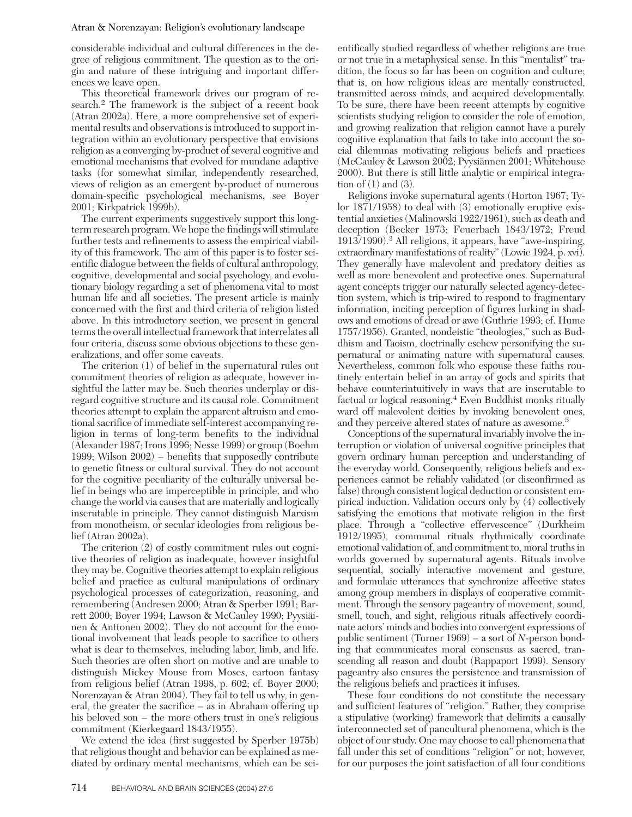considerable individual and cultural differences in the degree of religious commitment. The question as to the origin and nature of these intriguing and important differences we leave open.

This theoretical framework drives our program of research.2 The framework is the subject of a recent book (Atran 2002a). Here, a more comprehensive set of experimental results and observations is introduced to support integration within an evolutionary perspective that envisions religion as a converging by-product of several cognitive and emotional mechanisms that evolved for mundane adaptive tasks (for somewhat similar, independently researched, views of religion as an emergent by-product of numerous domain-specific psychological mechanisms, see Boyer 2001; Kirkpatrick 1999b).

The current experiments suggestively support this longterm research program. We hope the findings will stimulate further tests and refinements to assess the empirical viability of this framework. The aim of this paper is to foster scientific dialogue between the fields of cultural anthropology, cognitive, developmental and social psychology, and evolutionary biology regarding a set of phenomena vital to most human life and all societies. The present article is mainly concerned with the first and third criteria of religion listed above. In this introductory section, we present in general terms the overall intellectual framework that interrelates all four criteria, discuss some obvious objections to these generalizations, and offer some caveats.

The criterion (1) of belief in the supernatural rules out commitment theories of religion as adequate, however insightful the latter may be. Such theories underplay or disregard cognitive structure and its causal role. Commitment theories attempt to explain the apparent altruism and emotional sacrifice of immediate self-interest accompanying religion in terms of long-term benefits to the individual (Alexander 1987; Irons 1996; Nesse 1999) or group (Boehm 1999; Wilson 2002) – benefits that supposedly contribute to genetic fitness or cultural survival. They do not account for the cognitive peculiarity of the culturally universal belief in beings who are imperceptible in principle, and who change the world via causes that are materially and logically inscrutable in principle. They cannot distinguish Marxism from monotheism, or secular ideologies from religious belief (Atran 2002a).

The criterion (2) of costly commitment rules out cognitive theories of religion as inadequate, however insightful they may be. Cognitive theories attempt to explain religious belief and practice as cultural manipulations of ordinary psychological processes of categorization, reasoning, and remembering (Andresen 2000; Atran & Sperber 1991; Barrett 2000; Boyer 1994; Lawson & McCauley 1990; Pyysiäinen & Anttonen 2002). They do not account for the emotional involvement that leads people to sacrifice to others what is dear to themselves, including labor, limb, and life. Such theories are often short on motive and are unable to distinguish Mickey Mouse from Moses, cartoon fantasy from religious belief (Atran 1998, p. 602; cf. Boyer 2000; Norenzayan & Atran 2004). They fail to tell us why, in general, the greater the sacrifice – as in Abraham offering up his beloved son – the more others trust in one's religious commitment (Kierkegaard 1843/1955).

We extend the idea (first suggested by Sperber 1975b) that religious thought and behavior can be explained as mediated by ordinary mental mechanisms, which can be scientifically studied regardless of whether religions are true or not true in a metaphysical sense. In this "mentalist" tradition, the focus so far has been on cognition and culture; that is, on how religious ideas are mentally constructed, transmitted across minds, and acquired developmentally. To be sure, there have been recent attempts by cognitive scientists studying religion to consider the role of emotion, and growing realization that religion cannot have a purely cognitive explanation that fails to take into account the social dilemmas motivating religious beliefs and practices (McCauley & Lawson 2002; Pyysiännen 2001; Whitehouse 2000). But there is still little analytic or empirical integration of  $(1)$  and  $(3)$ .

Religions invoke supernatural agents (Horton 1967; Tylor 1871/1958) to deal with (3) emotionally eruptive existential anxieties (Malinowski 1922/1961), such as death and deception (Becker 1973; Feuerbach 1843/1972; Freud 1913/1990).3 All religions, it appears, have "awe-inspiring, extraordinary manifestations of reality" (Lowie 1924, p. xvi). They generally have malevolent and predatory deities as well as more benevolent and protective ones. Supernatural agent concepts trigger our naturally selected agency-detection system, which is trip-wired to respond to fragmentary information, inciting perception of figures lurking in shadows and emotions of dread or awe (Guthrie 1993; cf. Hume 1757/1956). Granted, nondeistic "theologies," such as Buddhism and Taoism, doctrinally eschew personifying the supernatural or animating nature with supernatural causes. Nevertheless, common folk who espouse these faiths routinely entertain belief in an array of gods and spirits that behave counterintuitively in ways that are inscrutable to factual or logical reasoning.<sup>4</sup> Even Buddhist monks ritually ward off malevolent deities by invoking benevolent ones, and they perceive altered states of nature as awesome.<sup>5</sup>

Conceptions of the supernatural invariably involve the interruption or violation of universal cognitive principles that govern ordinary human perception and understanding of the everyday world. Consequently, religious beliefs and experiences cannot be reliably validated (or disconfirmed as false) through consistent logical deduction or consistent empirical induction. Validation occurs only by (4) collectively satisfying the emotions that motivate religion in the first place. Through a "collective effervescence" (Durkheim 1912/1995), communal rituals rhythmically coordinate emotional validation of, and commitment to, moral truths in worlds governed by supernatural agents. Rituals involve sequential, socially interactive movement and gesture, and formulaic utterances that synchronize affective states among group members in displays of cooperative commitment. Through the sensory pageantry of movement, sound, smell, touch, and sight, religious rituals affectively coordinate actors' minds and bodies into convergent expressions of public sentiment (Turner 1969) – a sort of *N*-person bonding that communicates moral consensus as sacred, transcending all reason and doubt (Rappaport 1999). Sensory pageantry also ensures the persistence and transmission of the religious beliefs and practices it infuses.

These four conditions do not constitute the necessary and sufficient features of "religion." Rather, they comprise a stipulative (working) framework that delimits a causally interconnected set of pancultural phenomena, which is the object of our study. One may choose to call phenomena that fall under this set of conditions "religion" or not; however, for our purposes the joint satisfaction of all four conditions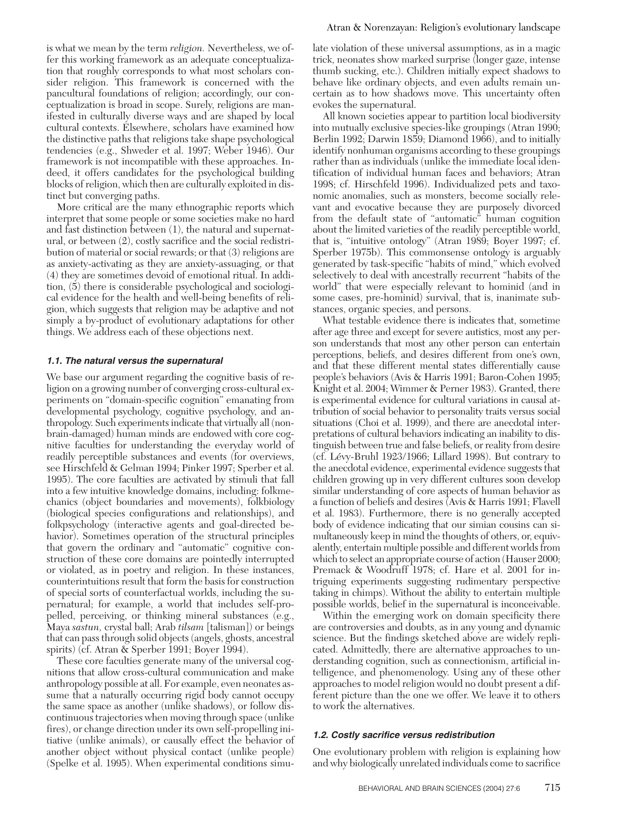ceptualization is broad in scope. Surely, religions are manifested in culturally diverse ways and are shaped by local cultural contexts. Elsewhere, scholars have examined how the distinctive paths that religions take shape psychological tendencies (e.g., Shweder et al. 1997; Weber 1946). Our framework is not incompatible with these approaches. Indeed, it offers candidates for the psychological building blocks of religion, which then are culturally exploited in distinct but converging paths.

More critical are the many ethnographic reports which interpret that some people or some societies make no hard and fast distinction between (1), the natural and supernatural, or between (2), costly sacrifice and the social redistribution of material or social rewards; or that (3) religions are as anxiety-activating as they are anxiety-assuaging, or that (4) they are sometimes devoid of emotional ritual. In addition, (5) there is considerable psychological and sociological evidence for the health and well-being benefits of religion, which suggests that religion may be adaptive and not simply a by-product of evolutionary adaptations for other things. We address each of these objections next.

## *1.1. The natural versus the supernatural*

We base our argument regarding the cognitive basis of religion on a growing number of converging cross-cultural experiments on "domain-specific cognition" emanating from developmental psychology, cognitive psychology, and anthropology. Such experiments indicate that virtually all (nonbrain-damaged) human minds are endowed with core cognitive faculties for understanding the everyday world of readily perceptible substances and events (for overviews, see Hirschfeld & Gelman 1994; Pinker 1997; Sperber et al. 1995). The core faculties are activated by stimuli that fall into a few intuitive knowledge domains, including: folkmechanics (object boundaries and movements), folkbiology (biological species configurations and relationships), and folkpsychology (interactive agents and goal-directed behavior). Sometimes operation of the structural principles that govern the ordinary and "automatic" cognitive construction of these core domains are pointedly interrupted or violated, as in poetry and religion. In these instances, counterintuitions result that form the basis for construction of special sorts of counterfactual worlds, including the supernatural; for example, a world that includes self-propelled, perceiving, or thinking mineral substances (e.g., Maya *sastun,* crystal ball; Arab *tilsam* [talisman]) or beings that can pass through solid objects (angels, ghosts, ancestral spirits) (cf. Atran & Sperber 1991; Boyer 1994).

These core faculties generate many of the universal cognitions that allow cross-cultural communication and make anthropology possible at all. For example, even neonates assume that a naturally occurring rigid body cannot occupy the same space as another (unlike shadows), or follow discontinuous trajectories when moving through space (unlike fires), or change direction under its own self-propelling initiative (unlike animals), or causally effect the behavior of another object without physical contact (unlike people) (Spelke et al. 1995). When experimental conditions simu-

late violation of these universal assumptions, as in a magic trick, neonates show marked surprise (longer gaze, intense thumb sucking, etc.). Children initially expect shadows to behave like ordinary objects, and even adults remain uncertain as to how shadows move. This uncertainty often evokes the supernatural.

All known societies appear to partition local biodiversity into mutually exclusive species-like groupings (Atran 1990; Berlin 1992; Darwin 1859; Diamond 1966), and to initially identify nonhuman organisms according to these groupings rather than as individuals (unlike the immediate local identification of individual human faces and behaviors; Atran 1998; cf. Hirschfeld 1996). Individualized pets and taxonomic anomalies, such as monsters, become socially relevant and evocative because they are purposely divorced from the default state of "automatic" human cognition about the limited varieties of the readily perceptible world, that is, "intuitive ontology" (Atran 1989; Boyer 1997; cf. Sperber 1975b). This commonsense ontology is arguably generated by task-specific "habits of mind," which evolved selectively to deal with ancestrally recurrent "habits of the world" that were especially relevant to hominid (and in some cases, pre-hominid) survival, that is, inanimate substances, organic species, and persons.

What testable evidence there is indicates that, sometime after age three and except for severe autistics, most any person understands that most any other person can entertain perceptions, beliefs, and desires different from one's own, and that these different mental states differentially cause people's behaviors (Avis & Harris 1991; Baron-Cohen 1995; Knight et al. 2004; Wimmer & Perner 1983). Granted, there is experimental evidence for cultural variations in causal attribution of social behavior to personality traits versus social situations (Choi et al. 1999), and there are anecdotal interpretations of cultural behaviors indicating an inability to distinguish between true and false beliefs, or reality from desire (cf. Lévy-Bruhl 1923/1966; Lillard 1998). But contrary to the anecdotal evidence, experimental evidence suggests that children growing up in very different cultures soon develop similar understanding of core aspects of human behavior as a function of beliefs and desires (Avis & Harris 1991; Flavell et al. 1983). Furthermore, there is no generally accepted body of evidence indicating that our simian cousins can simultaneously keep in mind the thoughts of others, or, equivalently, entertain multiple possible and different worlds from which to select an appropriate course of action (Hauser 2000; Premack & Woodruff 1978; cf. Hare et al. 2001 for intriguing experiments suggesting rudimentary perspective taking in chimps). Without the ability to entertain multiple possible worlds, belief in the supernatural is inconceivable.

Within the emerging work on domain specificity there are controversies and doubts, as in any young and dynamic science. But the findings sketched above are widely replicated. Admittedly, there are alternative approaches to understanding cognition, such as connectionism, artificial intelligence, and phenomenology. Using any of these other approaches to model religion would no doubt present a different picture than the one we offer. We leave it to others to work the alternatives.

## *1.2. Costly sacrifice versus redistribution*

One evolutionary problem with religion is explaining how and why biologically unrelated individuals come to sacrifice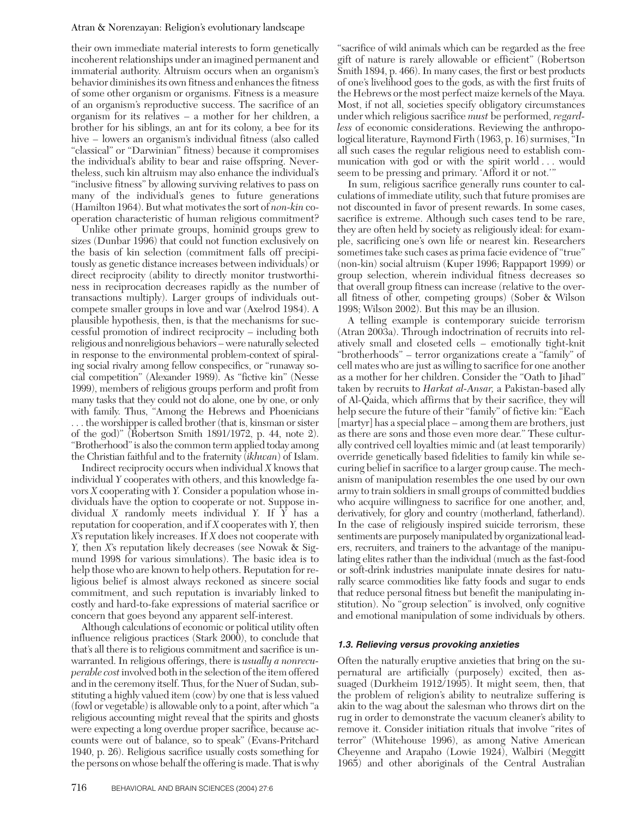their own immediate material interests to form genetically incoherent relationships under an imagined permanent and immaterial authority. Altruism occurs when an organism's behavior diminishes its own fitness and enhances the fitness of some other organism or organisms. Fitness is a measure of an organism's reproductive success. The sacrifice of an organism for its relatives – a mother for her children, a brother for his siblings, an ant for its colony, a bee for its hive – lowers an organism's individual fitness (also called "classical" or "Darwinian" fitness) because it compromises the individual's ability to bear and raise offspring. Nevertheless, such kin altruism may also enhance the individual's "inclusive fitness" by allowing surviving relatives to pass on many of the individual's genes to future generations (Hamilton 1964). But what motivates the sort of *non-kin* cooperation characteristic of human religious commitment?

Unlike other primate groups, hominid groups grew to sizes (Dunbar 1996) that could not function exclusively on the basis of kin selection (commitment falls off precipitously as genetic distance increases between individuals) or direct reciprocity (ability to directly monitor trustworthiness in reciprocation decreases rapidly as the number of transactions multiply). Larger groups of individuals outcompete smaller groups in love and war (Axelrod 1984). A plausible hypothesis, then, is that the mechanisms for successful promotion of indirect reciprocity – including both religious and nonreligious behaviors – were naturally selected in response to the environmental problem-context of spiraling social rivalry among fellow conspecifics, or "runaway social competition" (Alexander 1989). As "fictive kin" (Nesse 1999), members of religious groups perform and profit from many tasks that they could not do alone, one by one, or only with family. Thus, "Among the Hebrews and Phoenicians . . . the worshipper is called brother (that is, kinsman or sister of the god)" (Robertson Smith 1891/1972, p. 44, note 2). "Brotherhood" is also the common term applied today among the Christian faithful and to the fraternity (*ikhwan*) of Islam.

Indirect reciprocity occurs when individual *X* knows that individual *Y* cooperates with others, and this knowledge favors *X* cooperating with *Y.* Consider a population whose individuals have the option to cooperate or not. Suppose individual *X* randomly meets individual *Y.* If *Y* has a reputation for cooperation, and if *X* cooperates with *Y,* then *X*'s reputation likely increases. If *X* does not cooperate with *Y,* then *X*'s reputation likely decreases (see Nowak & Sigmund 1998 for various simulations). The basic idea is to help those who are known to help others. Reputation for religious belief is almost always reckoned as sincere social commitment, and such reputation is invariably linked to costly and hard-to-fake expressions of material sacrifice or concern that goes beyond any apparent self-interest.

Although calculations of economic or political utility often influence religious practices (Stark 2000), to conclude that that's all there is to religious commitment and sacrifice is unwarranted. In religious offerings, there is *usually a nonrecuperable cost* involved both in the selection of the item offered and in the ceremony itself. Thus, for the Nuer of Sudan, substituting a highly valued item (cow) by one that is less valued (fowl or vegetable) is allowable only to a point, after which "a religious accounting might reveal that the spirits and ghosts were expecting a long overdue proper sacrifice, because accounts were out of balance, so to speak" (Evans-Pritchard 1940, p. 26). Religious sacrifice usually costs something for the persons on whose behalf the offering is made. That is why

"sacrifice of wild animals which can be regarded as the free gift of nature is rarely allowable or efficient" (Robertson Smith 1894, p. 466). In many cases, the first or best products of one's livelihood goes to the gods, as with the first fruits of the Hebrews or the most perfect maize kernels of the Maya. Most, if not all, societies specify obligatory circumstances under which religious sacrifice *must* be performed, *regardless* of economic considerations. Reviewing the anthropological literature, Raymond Firth (1963, p. 16) surmises, "In all such cases the regular religious need to establish communication with god or with the spirit world . . . would seem to be pressing and primary. 'Afford it or not.'"

In sum, religious sacrifice generally runs counter to calculations of immediate utility, such that future promises are not discounted in favor of present rewards. In some cases, sacrifice is extreme. Although such cases tend to be rare, they are often held by society as religiously ideal: for example, sacrificing one's own life or nearest kin. Researchers sometimes take such cases as prima facie evidence of "true" (non-kin) social altruism (Kuper 1996; Rappaport 1999) or group selection, wherein individual fitness decreases so that overall group fitness can increase (relative to the overall fitness of other, competing groups) (Sober & Wilson 1998; Wilson 2002). But this may be an illusion.

A telling example is contemporary suicide terrorism (Atran 2003a). Through indoctrination of recruits into relatively small and closeted cells – emotionally tight-knit "brotherhoods" – terror organizations create a "family" of cell mates who are just as willing to sacrifice for one another as a mother for her children. Consider the "Oath to Jihad" taken by recruits to *Harkat al-Ansar,* a Pakistan-based ally of Al-Qaida, which affirms that by their sacrifice, they will help secure the future of their "family" of fictive kin: "Each [martyr] has a special place – among them are brothers, just as there are sons and those even more dear." These culturally contrived cell loyalties mimic and (at least temporarily) override genetically based fidelities to family kin while securing belief in sacrifice to a larger group cause. The mechanism of manipulation resembles the one used by our own army to train soldiers in small groups of committed buddies who acquire willingness to sacrifice for one another, and, derivatively, for glory and country (motherland, fatherland). In the case of religiously inspired suicide terrorism, these sentiments are purposely manipulated by organizational leaders, recruiters, and trainers to the advantage of the manipulating elites rather than the individual (much as the fast-food or soft-drink industries manipulate innate desires for naturally scarce commodities like fatty foods and sugar to ends that reduce personal fitness but benefit the manipulating institution). No "group selection" is involved, only cognitive and emotional manipulation of some individuals by others.

## *1.3. Relieving versus provoking anxieties*

Often the naturally eruptive anxieties that bring on the supernatural are artificially (purposely) excited, then assuaged (Durkheim 1912/1995). It might seem, then, that the problem of religion's ability to neutralize suffering is akin to the wag about the salesman who throws dirt on the rug in order to demonstrate the vacuum cleaner's ability to remove it. Consider initiation rituals that involve "rites of terror" (Whitehouse 1996), as among Native American Cheyenne and Arapaho (Lowie 1924), Walbiri (Meggitt 1965) and other aboriginals of the Central Australian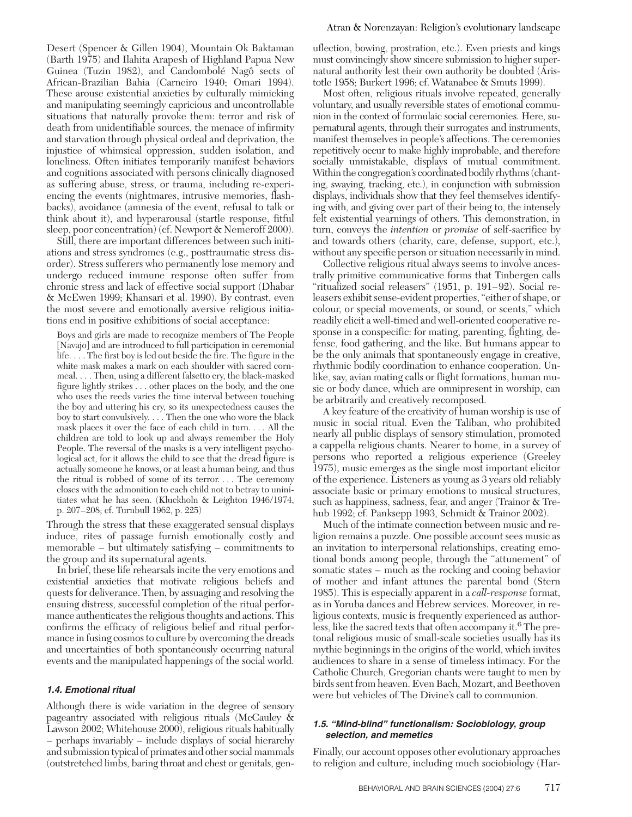Desert (Spencer & Gillen 1904), Mountain Ok Baktaman (Barth 1975) and Ilahita Arapesh of Highland Papua New Guinea (Tuzin 1982), and Candombolé Nagô sects of African-Brazilian Bahia (Carneiro 1940; Omari 1994). These arouse existential anxieties by culturally mimicking and manipulating seemingly capricious and uncontrollable situations that naturally provoke them: terror and risk of death from unidentifiable sources, the menace of infirmity and starvation through physical ordeal and deprivation, the injustice of whimsical oppression, sudden isolation, and loneliness. Often initiates temporarily manifest behaviors and cognitions associated with persons clinically diagnosed as suffering abuse, stress, or trauma, including re-experiencing the events (nightmares, intrusive memories, flashbacks), avoidance (amnesia of the event, refusal to talk or think about it), and hyperarousal (startle response, fitful sleep, poor concentration) (cf. Newport & Nemeroff 2000).

Still, there are important differences between such initiations and stress syndromes (e.g., posttraumatic stress disorder). Stress sufferers who permanently lose memory and undergo reduced immune response often suffer from chronic stress and lack of effective social support (Dhabar & McEwen 1999; Khansari et al. 1990). By contrast, even the most severe and emotionally aversive religious initiations end in positive exhibitions of social acceptance:

Boys and girls are made to recognize members of The People [Navajo] and are introduced to full participation in ceremonial life. . . . The first boy is led out beside the fire. The figure in the white mask makes a mark on each shoulder with sacred cornmeal. . . . Then, using a different falsetto cry, the black-masked figure lightly strikes . . . other places on the body, and the one who uses the reeds varies the time interval between touching the boy and uttering his cry, so its unexpectedness causes the boy to start convulsively. . . . Then the one who wore the black mask places it over the face of each child in turn. . . . All the children are told to look up and always remember the Holy People. The reversal of the masks is a very intelligent psychological act, for it allows the child to see that the dread figure is actually someone he knows, or at least a human being, and thus the ritual is robbed of some of its terror. . . . The ceremony closes with the admonition to each child not to betray to uninitiates what he has seen. (Kluckholn & Leighton 1946/1974, p. 207–208; cf. Turnbull 1962, p. 225)

Through the stress that these exaggerated sensual displays induce, rites of passage furnish emotionally costly and memorable – but ultimately satisfying – commitments to the group and its supernatural agents.

In brief, these life rehearsals incite the very emotions and existential anxieties that motivate religious beliefs and quests for deliverance. Then, by assuaging and resolving the ensuing distress, successful completion of the ritual performance authenticates the religious thoughts and actions. This confirms the efficacy of religious belief and ritual performance in fusing cosmos to culture by overcoming the dreads and uncertainties of both spontaneously occurring natural events and the manipulated happenings of the social world.

## *1.4. Emotional ritual*

Although there is wide variation in the degree of sensory pageantry associated with religious rituals (McCauley & Lawson 2002; Whitehouse 2000), religious rituals habitually – perhaps invariably – include displays of social hierarchy and submission typical of primates and other social mammals (outstretched limbs, baring throat and chest or genitals, genuflection, bowing, prostration, etc.). Even priests and kings must convincingly show sincere submission to higher supernatural authority lest their own authority be doubted (Aristotle 1958; Burkert 1996; cf. Watanabee & Smuts 1999).

Most often, religious rituals involve repeated, generally voluntary, and usually reversible states of emotional communion in the context of formulaic social ceremonies. Here, supernatural agents, through their surrogates and instruments, manifest themselves in people's affections. The ceremonies repetitively occur to make highly improbable, and therefore socially unmistakable, displays of mutual commitment. Within the congregation's coordinated bodily rhythms (chanting, swaying, tracking, etc.), in conjunction with submission displays, individuals show that they feel themselves identifying with, and giving over part of their being to, the intensely felt existential yearnings of others. This demonstration, in turn, conveys the *intention* or *promise* of self-sacrifice by and towards others (charity, care, defense, support, etc.), without any specific person or situation necessarily in mind.

Collective religious ritual always seems to involve ancestrally primitive communicative forms that Tinbergen calls "ritualized social releasers" (1951, p. 191–92). Social releasers exhibit sense-evident properties, "either of shape, or colour, or special movements, or sound, or scents," which readily elicit a well-timed and well-oriented cooperative response in a conspecific: for mating, parenting, fighting, defense, food gathering, and the like. But humans appear to be the only animals that spontaneously engage in creative, rhythmic bodily coordination to enhance cooperation. Unlike, say, avian mating calls or flight formations, human music or body dance, which are omnipresent in worship, can be arbitrarily and creatively recomposed.

A key feature of the creativity of human worship is use of music in social ritual. Even the Taliban, who prohibited nearly all public displays of sensory stimulation, promoted a cappella religious chants. Nearer to home, in a survey of persons who reported a religious experience (Greeley 1975), music emerges as the single most important elicitor of the experience. Listeners as young as 3 years old reliably associate basic or primary emotions to musical structures, such as happiness, sadness, fear, and anger (Trainor & Trehub 1992; cf. Panksepp 1993, Schmidt & Trainor 2002).

Much of the intimate connection between music and religion remains a puzzle. One possible account sees music as an invitation to interpersonal relationships, creating emotional bonds among people, through the "attunement" of somatic states – much as the rocking and cooing behavior of mother and infant attunes the parental bond (Stern 1985). This is especially apparent in a *call-response* format, as in Yoruba dances and Hebrew services. Moreover, in religious contexts, music is frequently experienced as authorless, like the sacred texts that often accompany it.<sup>6</sup> The pretonal religious music of small-scale societies usually has its mythic beginnings in the origins of the world, which invites audiences to share in a sense of timeless intimacy. For the Catholic Church, Gregorian chants were taught to men by birds sent from heaven. Even Bach, Mozart, and Beethoven were but vehicles of The Divine's call to communion.

## *1.5. "Mind-blind" functionalism: Sociobiology, group selection, and memetics*

Finally, our account opposes other evolutionary approaches to religion and culture, including much sociobiology (Har-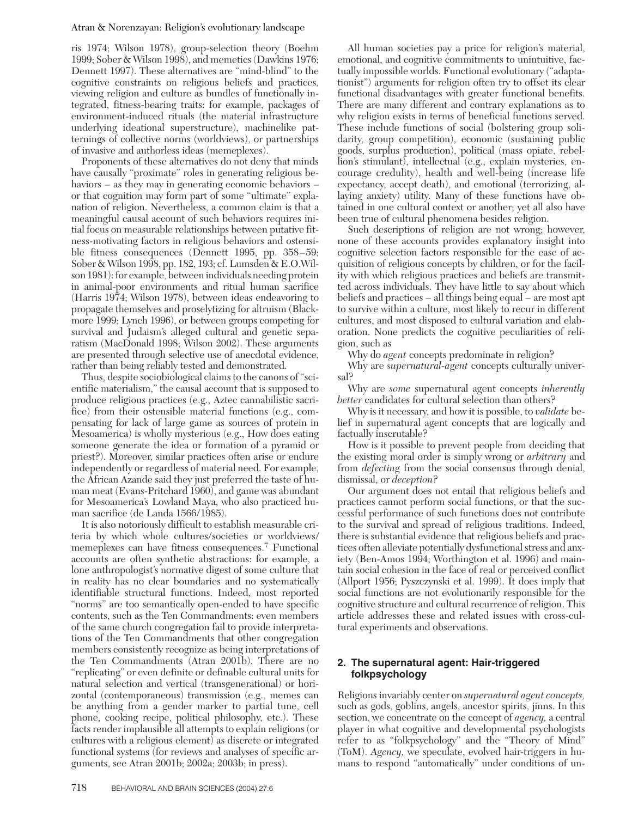ris 1974; Wilson 1978), group-selection theory (Boehm 1999; Sober & Wilson 1998), and memetics (Dawkins 1976; Dennett 1997). These alternatives are "mind-blind" to the cognitive constraints on religious beliefs and practices, viewing religion and culture as bundles of functionally integrated, fitness-bearing traits: for example, packages of environment-induced rituals (the material infrastructure underlying ideational superstructure), machinelike patternings of collective norms (worldviews), or partnerships of invasive and authorless ideas (memeplexes).

Proponents of these alternatives do not deny that minds have causally "proximate" roles in generating religious behaviors – as they may in generating economic behaviors – or that cognition may form part of some "ultimate" explanation of religion. Nevertheless, a common claim is that a meaningful causal account of such behaviors requires initial focus on measurable relationships between putative fitness-motivating factors in religious behaviors and ostensible fitness consequences (Dennett 1995, pp. 358–59; Sober & Wilson 1998, pp. 182, 193; cf. Lumsden & E.O.Wilson 1981): for example, between individuals needing protein in animal-poor environments and ritual human sacrifice (Harris 1974; Wilson 1978), between ideas endeavoring to propagate themselves and proselytizing for altruism (Blackmore 1999; Lynch 1996), or between groups competing for survival and Judaism's alleged cultural and genetic separatism (MacDonald 1998; Wilson 2002). These arguments are presented through selective use of anecdotal evidence, rather than being reliably tested and demonstrated.

Thus, despite sociobiological claims to the canons of "scientific materialism," the causal account that is supposed to produce religious practices (e.g., Aztec cannabilistic sacrifice) from their ostensible material functions (e.g., compensating for lack of large game as sources of protein in Mesoamerica) is wholly mysterious (e.g., How does eating someone generate the idea or formation of a pyramid or priest?). Moreover, similar practices often arise or endure independently or regardless of material need. For example, the African Azande said they just preferred the taste of human meat (Evans-Pritchard 1960), and game was abundant for Mesoamerica's Lowland Maya, who also practiced human sacrifice (de Landa 1566/1985).

It is also notoriously difficult to establish measurable criteria by which whole cultures/societies or worldviews/ memeplexes can have fitness consequences.<sup>7</sup> Functional accounts are often synthetic abstractions: for example, a lone anthropologist's normative digest of some culture that in reality has no clear boundaries and no systematically identifiable structural functions. Indeed, most reported "norms" are too semantically open-ended to have specific contents, such as the Ten Commandments: even members of the same church congregation fail to provide interpretations of the Ten Commandments that other congregation members consistently recognize as being interpretations of the Ten Commandments (Atran 2001b). There are no "replicating" or even definite or definable cultural units for natural selection and vertical (transgenerational) or horizontal (contemporaneous) transmission (e.g., memes can be anything from a gender marker to partial tune, cell phone, cooking recipe, political philosophy, etc.). These facts render implausible all attempts to explain religions (or cultures with a religious element) as discrete or integrated functional systems (for reviews and analyses of specific arguments, see Atran 2001b; 2002a; 2003b; in press).

All human societies pay a price for religion's material, emotional, and cognitive commitments to unintuitive, factually impossible worlds. Functional evolutionary ("adaptationist") arguments for religion often try to offset its clear functional disadvantages with greater functional benefits. There are many different and contrary explanations as to why religion exists in terms of beneficial functions served. These include functions of social (bolstering group solidarity, group competition), economic (sustaining public goods, surplus production), political (mass opiate, rebellion's stimulant), intellectual (e.g., explain mysteries, encourage credulity), health and well-being (increase life expectancy, accept death), and emotional (terrorizing, allaying anxiety) utility. Many of these functions have obtained in one cultural context or another; yet all also have been true of cultural phenomena besides religion.

Such descriptions of religion are not wrong; however, none of these accounts provides explanatory insight into cognitive selection factors responsible for the ease of acquisition of religious concepts by children, or for the facility with which religious practices and beliefs are transmitted across individuals. They have little to say about which beliefs and practices – all things being equal – are most apt to survive within a culture, most likely to recur in different cultures, and most disposed to cultural variation and elaboration. None predicts the cognitive peculiarities of religion, such as

Why do *agent* concepts predominate in religion?

Why are *supernatural-agent* concepts culturally universal?

Why are *some* supernatural agent concepts *inherently better* candidates for cultural selection than others?

Why is it necessary, and how it is possible, to *validate* belief in supernatural agent concepts that are logically and factually inscrutable?

How is it possible to prevent people from deciding that the existing moral order is simply wrong or *arbitrary* and from *defecting* from the social consensus through denial, dismissal, or *deception*?

Our argument does not entail that religious beliefs and practices cannot perform social functions, or that the successful performance of such functions does not contribute to the survival and spread of religious traditions. Indeed, there is substantial evidence that religious beliefs and practices often alleviate potentially dysfunctional stress and anxiety (Ben-Amos 1994; Worthington et al. 1996) and maintain social cohesion in the face of real or perceived conflict (Allport 1956; Pyszczynski et al. 1999). It does imply that social functions are not evolutionarily responsible for the cognitive structure and cultural recurrence of religion. This article addresses these and related issues with cross-cultural experiments and observations.

## **2. The supernatural agent: Hair-triggered folkpsychology**

Religions invariably center on *supernatural agent concepts,* such as gods, goblins, angels, ancestor spirits, jinns. In this section, we concentrate on the concept of *agency,* a central player in what cognitive and developmental psychologists refer to as "folkpsychology" and the "Theory of Mind" (ToM). *Agency,* we speculate, evolved hair-triggers in humans to respond "automatically" under conditions of un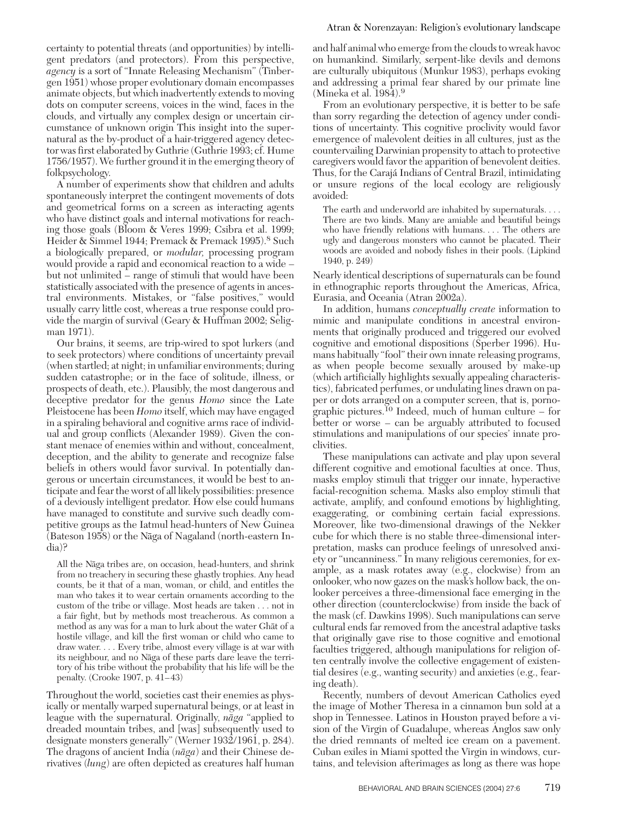certainty to potential threats (and opportunities) by intelligent predators (and protectors). From this perspective, *agency* is a sort of "Innate Releasing Mechanism" (Tinbergen 1951) whose proper evolutionary domain encompasses animate objects, but which inadvertently extends to moving dots on computer screens, voices in the wind, faces in the clouds, and virtually any complex design or uncertain circumstance of unknown origin This insight into the supernatural as the by-product of a hair-triggered agency detector was first elaborated by Guthrie (Guthrie 1993; cf. Hume 1756/1957). We further ground it in the emerging theory of folkpsychology.

A number of experiments show that children and adults spontaneously interpret the contingent movements of dots and geometrical forms on a screen as interacting agents who have distinct goals and internal motivations for reaching those goals (Bloom & Veres 1999; Csibra et al. 1999; Heider & Simmel 1944; Premack & Premack 1995).<sup>8</sup> Such a biologically prepared, or *modular,* processing program would provide a rapid and economical reaction to a wide – but not unlimited – range of stimuli that would have been statistically associated with the presence of agents in ancestral environments. Mistakes, or "false positives," would usually carry little cost, whereas a true response could provide the margin of survival (Geary & Huffman 2002; Seligman 1971).

Our brains, it seems, are trip-wired to spot lurkers (and to seek protectors) where conditions of uncertainty prevail (when startled; at night; in unfamiliar environments; during sudden catastrophe; or in the face of solitude, illness, or prospects of death, etc.). Plausibly, the most dangerous and deceptive predator for the genus *Homo* since the Late Pleistocene has been *Homo* itself, which may have engaged in a spiraling behavioral and cognitive arms race of individual and group conflicts (Alexander 1989). Given the constant menace of enemies within and without, concealment, deception, and the ability to generate and recognize false beliefs in others would favor survival. In potentially dangerous or uncertain circumstances, it would be best to anticipate and fear the worst of all likely possibilities: presence of a deviously intelligent predator. How else could humans have managed to constitute and survive such deadly competitive groups as the Iatmul head-hunters of New Guinea (Bateson 1958) or the Nāga of Nagaland (north-eastern India)?

All the Nāga tribes are, on occasion, head-hunters, and shrink from no treachery in securing these ghastly trophies. Any head counts, be it that of a man, woman, or child, and entitles the man who takes it to wear certain ornaments according to the custom of the tribe or village. Most heads are taken . . . not in a fair fight, but by methods most treacherous. As common a method as any was for a man to lurk about the water Ghat of a hostile village, and kill the first woman or child who came to draw water. . . . Every tribe, almost every village is at war with its neighbour, and no Nāga of these parts dare leave the territory of his tribe without the probability that his life will be the penalty. (Crooke 1907, p. 41–43)

Throughout the world, societies cast their enemies as physically or mentally warped supernatural beings, or at least in league with the supernatural. Originally, *nāga* "applied to dreaded mountain tribes, and [was] subsequently used to designate monsters generally" (Werner 1932/1961, p. 284). The dragons of ancient India (*naga*) and their Chinese derivatives (*lung*) are often depicted as creatures half human

and half animal who emerge from the clouds to wreak havoc on humankind. Similarly, serpent-like devils and demons are culturally ubiquitous (Munkur 1983), perhaps evoking and addressing a primal fear shared by our primate line (Mineka et al. 1984).<sup>9</sup>

From an evolutionary perspective, it is better to be safe than sorry regarding the detection of agency under conditions of uncertainty. This cognitive proclivity would favor emergence of malevolent deities in all cultures, just as the countervailing Darwinian propensity to attach to protective caregivers would favor the apparition of benevolent deities. Thus, for the Carajá Indians of Central Brazil, intimidating or unsure regions of the local ecology are religiously avoided:

The earth and underworld are inhabited by supernaturals.... There are two kinds. Many are amiable and beautiful beings who have friendly relations with humans. . . . The others are ugly and dangerous monsters who cannot be placated. Their woods are avoided and nobody fishes in their pools. (Lipkind 1940, p. 249)

Nearly identical descriptions of supernaturals can be found in ethnographic reports throughout the Americas, Africa, Eurasia, and Oceania (Atran 2002a).

In addition, humans *conceptually create* information to mimic and manipulate conditions in ancestral environments that originally produced and triggered our evolved cognitive and emotional dispositions (Sperber 1996). Humans habitually "fool" their own innate releasing programs, as when people become sexually aroused by make-up (which artificially highlights sexually appealing characteristics), fabricated perfumes, or undulating lines drawn on paper or dots arranged on a computer screen, that is, pornographic pictures.10 Indeed, much of human culture – for better or worse – can be arguably attributed to focused stimulations and manipulations of our species' innate proclivities.

These manipulations can activate and play upon several different cognitive and emotional faculties at once. Thus, masks employ stimuli that trigger our innate, hyperactive facial-recognition schema. Masks also employ stimuli that activate, amplify, and confound emotions by highlighting, exaggerating, or combining certain facial expressions. Moreover, like two-dimensional drawings of the Nekker cube for which there is no stable three-dimensional interpretation, masks can produce feelings of unresolved anxiety or "uncanniness." In many religious ceremonies, for example, as a mask rotates away (e.g., clockwise) from an onlooker, who now gazes on the mask's hollow back, the onlooker perceives a three-dimensional face emerging in the other direction (counterclockwise) from inside the back of the mask (cf. Dawkins 1998). Such manipulations can serve cultural ends far removed from the ancestral adaptive tasks that originally gave rise to those cognitive and emotional faculties triggered, although manipulations for religion often centrally involve the collective engagement of existential desires (e.g., wanting security) and anxieties (e.g., fearing death).

Recently, numbers of devout American Catholics eyed the image of Mother Theresa in a cinnamon bun sold at a shop in Tennessee. Latinos in Houston prayed before a vision of the Virgin of Guadalupe, whereas Anglos saw only the dried remnants of melted ice cream on a pavement. Cuban exiles in Miami spotted the Virgin in windows, curtains, and television afterimages as long as there was hope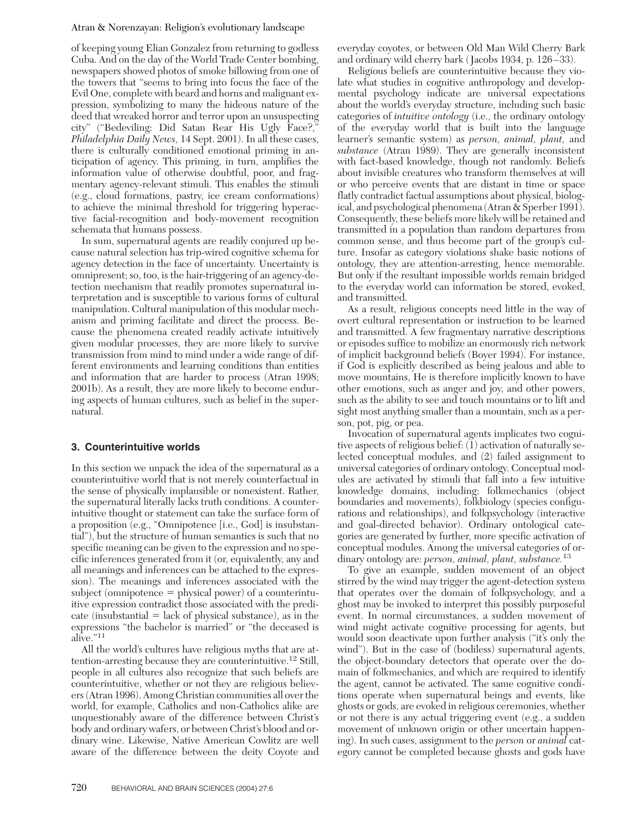of keeping young Elian Gonzalez from returning to godless Cuba. And on the day of the World Trade Center bombing, newspapers showed photos of smoke billowing from one of the towers that "seems to bring into focus the face of the Evil One, complete with beard and horns and malignant expression, symbolizing to many the hideous nature of the deed that wreaked horror and terror upon an unsuspecting city" ("Bedeviling: Did Satan Rear His Ugly Face?," *Philadelphia Daily News,* 14 Sept. 2001). In all these cases, there is culturally conditioned emotional priming in anticipation of agency. This priming, in turn, amplifies the information value of otherwise doubtful, poor, and fragmentary agency-relevant stimuli. This enables the stimuli (e.g., cloud formations, pastry, ice cream conformations) to achieve the minimal threshold for triggering hyperactive facial-recognition and body-movement recognition schemata that humans possess.

In sum, supernatural agents are readily conjured up because natural selection has trip-wired cognitive schema for agency detection in the face of uncertainty. Uncertainty is omnipresent; so, too, is the hair-triggering of an agency-detection mechanism that readily promotes supernatural interpretation and is susceptible to various forms of cultural manipulation. Cultural manipulation of this modular mechanism and priming facilitate and direct the process. Because the phenomena created readily activate intuitively given modular processes, they are more likely to survive transmission from mind to mind under a wide range of different environments and learning conditions than entities and information that are harder to process (Atran 1998; 2001b). As a result, they are more likely to become enduring aspects of human cultures, such as belief in the supernatural.

## **3. Counterintuitive worlds**

In this section we unpack the idea of the supernatural as a counterintuitive world that is not merely counterfactual in the sense of physically implausible or nonexistent. Rather, the supernatural literally lacks truth conditions. A counterintuitive thought or statement can take the surface form of a proposition (e.g., "Omnipotence [i.e., God] is insubstantial"), but the structure of human semantics is such that no specific meaning can be given to the expression and no specific inferences generated from it (or, equivalently, any and all meanings and inferences can be attached to the expression). The meanings and inferences associated with the subject (omnipotence = physical power) of a counterintuitive expression contradict those associated with the predi- $\alpha$  cate (insubstantial  $=$  lack of physical substance), as in the expressions "the bachelor is married" or "the deceased is alive."11

All the world's cultures have religious myths that are attention-arresting because they are counterintuitive.<sup>12</sup> Still, people in all cultures also recognize that such beliefs are counterintuitive, whether or not they are religious believers (Atran 1996). Among Christian communities all over the world, for example, Catholics and non-Catholics alike are unquestionably aware of the difference between Christ's body and ordinary wafers, or between Christ's blood and ordinary wine. Likewise, Native American Cowlitz are well aware of the difference between the deity Coyote and everyday coyotes, or between Old Man Wild Cherry Bark and ordinary wild cherry bark (Jacobs 1934, p. 126–33).

Religious beliefs are counterintuitive because they violate what studies in cognitive anthropology and developmental psychology indicate are universal expectations about the world's everyday structure, including such basic categories of *intuitive ontology* (i.e., the ordinary ontology of the everyday world that is built into the language learner's semantic system) as *person, animal, plant,* and *substance* (Atran 1989). They are generally inconsistent with fact-based knowledge, though not randomly. Beliefs about invisible creatures who transform themselves at will or who perceive events that are distant in time or space flatly contradict factual assumptions about physical, biological, and psychological phenomena (Atran & Sperber 1991). Consequently, these beliefs more likely will be retained and transmitted in a population than random departures from common sense, and thus become part of the group's culture. Insofar as category violations shake basic notions of ontology, they are attention-arresting, hence memorable. But only if the resultant impossible worlds remain bridged to the everyday world can information be stored, evoked, and transmitted.

As a result, religious concepts need little in the way of overt cultural representation or instruction to be learned and transmitted. A few fragmentary narrative descriptions or episodes suffice to mobilize an enormously rich network of implicit background beliefs (Boyer 1994). For instance, if God is explicitly described as being jealous and able to move mountains, He is therefore implicitly known to have other emotions, such as anger and joy, and other powers, such as the ability to see and touch mountains or to lift and sight most anything smaller than a mountain, such as a person, pot, pig, or pea.

Invocation of supernatural agents implicates two cognitive aspects of religious belief: (1) activation of naturally selected conceptual modules, and (2) failed assignment to universal categories of ordinary ontology. Conceptual modules are activated by stimuli that fall into a few intuitive knowledge domains, including: folkmechanics (object boundaries and movements), folkbiology (species configurations and relationships), and folkpsychology (interactive and goal-directed behavior). Ordinary ontological categories are generated by further, more specific activation of conceptual modules. Among the universal categories of ordinary ontology are: *person, animal, plant, substance.*<sup>13</sup>

To give an example, sudden movement of an object stirred by the wind may trigger the agent-detection system that operates over the domain of folkpsychology, and a ghost may be invoked to interpret this possibly purposeful event. In normal circumstances, a sudden movement of wind might activate cognitive processing for agents, but would soon deactivate upon further analysis ("it's only the wind"). But in the case of (bodiless) supernatural agents, the object-boundary detectors that operate over the domain of folkmechanics, and which are required to identify the agent, cannot be activated. The same cognitive conditions operate when supernatural beings and events, like ghosts or gods, are evoked in religious ceremonies, whether or not there is any actual triggering event (e.g., a sudden movement of unknown origin or other uncertain happening). In such cases, assignment to the *person* or *animal* category cannot be completed because ghosts and gods have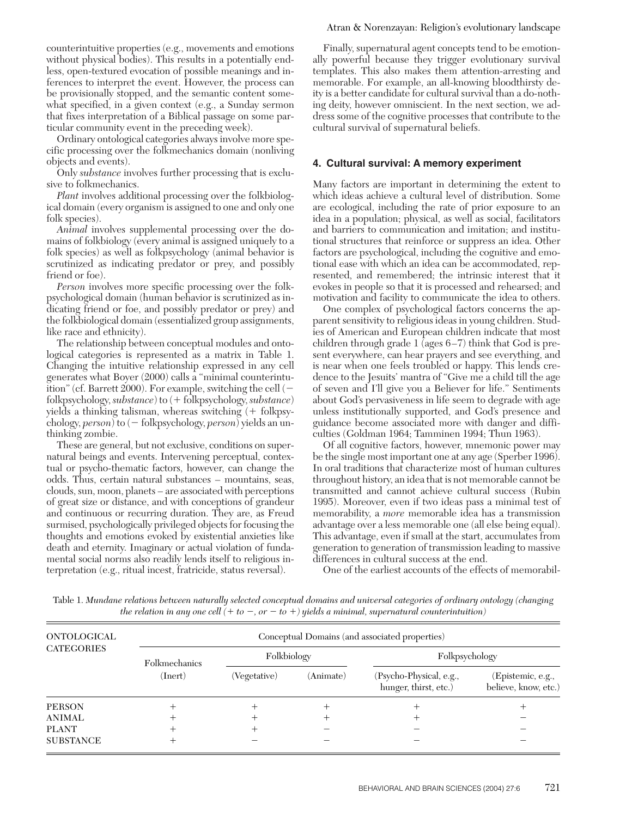counterintuitive properties (e.g., movements and emotions without physical bodies). This results in a potentially endless, open-textured evocation of possible meanings and inferences to interpret the event. However, the process can be provisionally stopped, and the semantic content somewhat specified, in a given context (e.g., a Sunday sermon that fixes interpretation of a Biblical passage on some particular community event in the preceding week).

Ordinary ontological categories always involve more specific processing over the folkmechanics domain (nonliving objects and events).

Only *substance* involves further processing that is exclusive to folkmechanics.

*Plant* involves additional processing over the folkbiological domain (every organism is assigned to one and only one folk species).

*Animal* involves supplemental processing over the domains of folkbiology (every animal is assigned uniquely to a folk species) as well as folkpsychology (animal behavior is scrutinized as indicating predator or prey, and possibly friend or foe).

*Person* involves more specific processing over the folkpsychological domain (human behavior is scrutinized as indicating friend or foe, and possibly predator or prey) and the folkbiological domain (essentialized group assignments, like race and ethnicity).

The relationship between conceptual modules and ontological categories is represented as a matrix in Table 1. Changing the intuitive relationship expressed in any cell generates what Boyer (2000) calls a "minimal counterintuition" (cf. Barrett 2000). For example, switching the cell ( folkpsychology, *substance*) to ( folkpsychology, *substance*) yields a thinking talisman, whereas switching  $(+)$  folkpsychology, *person*) to (  $-$  folkpsychology, *person*) yields an unthinking zombie.

These are general, but not exclusive, conditions on supernatural beings and events. Intervening perceptual, contextual or psycho-thematic factors, however, can change the odds. Thus, certain natural substances – mountains, seas, clouds, sun, moon, planets – are associated with perceptions of great size or distance, and with conceptions of grandeur and continuous or recurring duration. They are, as Freud surmised, psychologically privileged objects for focusing the thoughts and emotions evoked by existential anxieties like death and eternity. Imaginary or actual violation of fundamental social norms also readily lends itself to religious interpretation (e.g., ritual incest, fratricide, status reversal).

#### Atran & Norenzayan: Religion's evolutionary landscape

Finally, supernatural agent concepts tend to be emotionally powerful because they trigger evolutionary survival templates. This also makes them attention-arresting and memorable. For example, an all-knowing bloodthirsty deity is a better candidate for cultural survival than a do-nothing deity, however omniscient. In the next section, we address some of the cognitive processes that contribute to the cultural survival of supernatural beliefs.

## **4. Cultural survival: A memory experiment**

Many factors are important in determining the extent to which ideas achieve a cultural level of distribution. Some are ecological, including the rate of prior exposure to an idea in a population; physical, as well as social, facilitators and barriers to communication and imitation; and institutional structures that reinforce or suppress an idea. Other factors are psychological, including the cognitive and emotional ease with which an idea can be accommodated, represented, and remembered; the intrinsic interest that it evokes in people so that it is processed and rehearsed; and motivation and facility to communicate the idea to others.

One complex of psychological factors concerns the apparent sensitivity to religious ideas in young children. Studies of American and European children indicate that most children through grade 1 (ages 6–7) think that God is present everywhere, can hear prayers and see everything, and is near when one feels troubled or happy. This lends credence to the Jesuits' mantra of "Give me a child till the age of seven and I'll give you a Believer for life." Sentiments about God's pervasiveness in life seem to degrade with age unless institutionally supported, and God's presence and guidance become associated more with danger and difficulties (Goldman 1964; Tamminen 1994; Thun 1963).

Of all cognitive factors, however, mnemonic power may be the single most important one at any age (Sperber 1996). In oral traditions that characterize most of human cultures throughout history, an idea that is not memorable cannot be transmitted and cannot achieve cultural success (Rubin 1995). Moreover, even if two ideas pass a minimal test of memorability, a *more* memorable idea has a transmission advantage over a less memorable one (all else being equal). This advantage, even if small at the start, accumulates from generation to generation of transmission leading to massive differences in cultural success at the end.

One of the earliest accounts of the effects of memorabil-

Table 1. *Mundane relations between naturally selected conceptual domains and universal categories of ordinary ontology (changing the relation in any one cell*  $(+ to -, or - to +)$  yields a minimal, supernatural counterintuition)

| ONTOLOGICAL<br><b>CATEGORIES</b> | Conceptual Domains (and associated properties) |              |          |                                                  |                                           |  |  |
|----------------------------------|------------------------------------------------|--------------|----------|--------------------------------------------------|-------------------------------------------|--|--|
|                                  | Folkmechanics<br>(Inert)                       | Folkbiology  |          | Folkpsychology                                   |                                           |  |  |
|                                  |                                                | (Vegetative) | Animate) | (Psycho-Physical, e.g.,<br>hunger, thirst, etc.) | (Epistemic, e.g.,<br>believe, know, etc.) |  |  |
| <b>PERSON</b>                    |                                                |              |          |                                                  |                                           |  |  |
| <b>ANIMAL</b>                    |                                                |              |          |                                                  |                                           |  |  |
| <b>PLANT</b>                     | $^+$                                           |              |          |                                                  |                                           |  |  |
| <b>SUBSTANCE</b>                 |                                                |              |          |                                                  |                                           |  |  |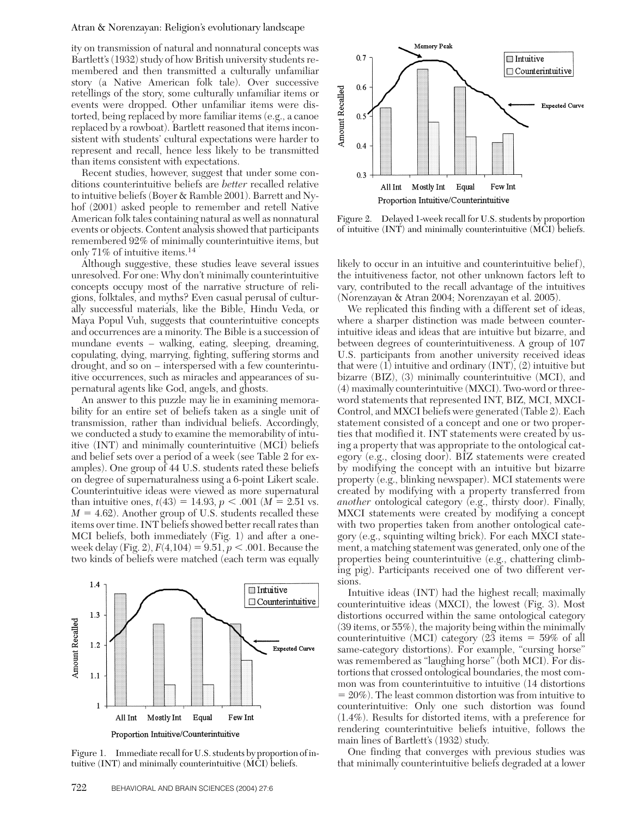ity on transmission of natural and nonnatural concepts was Bartlett's (1932) study of how British university students remembered and then transmitted a culturally unfamiliar story (a Native American folk tale). Over successive retellings of the story, some culturally unfamiliar items or events were dropped. Other unfamiliar items were distorted, being replaced by more familiar items (e.g., a canoe replaced by a rowboat). Bartlett reasoned that items inconsistent with students' cultural expectations were harder to represent and recall, hence less likely to be transmitted than items consistent with expectations.

Recent studies, however, suggest that under some conditions counterintuitive beliefs are *better* recalled relative to intuitive beliefs (Boyer & Ramble 2001). Barrett and Nyhof (2001) asked people to remember and retell Native American folk tales containing natural as well as nonnatural events or objects. Content analysis showed that participants remembered 92% of minimally counterintuitive items, but only  $71\%$  of intuitive items.<sup>14</sup>

Although suggestive, these studies leave several issues unresolved. For one: Why don't minimally counterintuitive concepts occupy most of the narrative structure of religions, folktales, and myths? Even casual perusal of culturally successful materials, like the Bible, Hindu Veda, or Maya Popul Vuh, suggests that counterintuitive concepts and occurrences are a minority. The Bible is a succession of mundane events – walking, eating, sleeping, dreaming, copulating, dying, marrying, fighting, suffering storms and drought, and so on – interspersed with a few counterintuitive occurrences, such as miracles and appearances of supernatural agents like God, angels, and ghosts.

An answer to this puzzle may lie in examining memorability for an entire set of beliefs taken as a single unit of transmission, rather than individual beliefs. Accordingly, we conducted a study to examine the memorability of intuitive (INT) and minimally counterintuitive (MCI) beliefs and belief sets over a period of a week (see Table 2 for examples). One group of 44 U.S. students rated these beliefs on degree of supernaturalness using a 6-point Likert scale. Counterintuitive ideas were viewed as more supernatural than intuitive ones,  $t(43) = 14.93$ ,  $p < .001$  ( $M = 2.51$  vs.  $M = 4.62$ ). Another group of U.S. students recalled these items over time. INT beliefs showed better recall rates than MCI beliefs, both immediately (Fig. 1) and after a oneweek delay (Fig. 2),  $F(4,104) = 9.51, p < .001$ . Because the two kinds of beliefs were matched (each term was equally



Figure 1. Immediate recall for U.S. students by proportion of intuitive (INT) and minimally counterintuitive (MCI) beliefs.



Figure 2. Delayed 1-week recall for U.S. students by proportion of intuitive (INT) and minimally counterintuitive (MCI) beliefs.

likely to occur in an intuitive and counterintuitive belief), the intuitiveness factor, not other unknown factors left to vary, contributed to the recall advantage of the intuitives (Norenzayan & Atran 2004; Norenzayan et al. 2005).

We replicated this finding with a different set of ideas, where a sharper distinction was made between counterintuitive ideas and ideas that are intuitive but bizarre, and between degrees of counterintuitiveness. A group of 107 U.S. participants from another university received ideas that were (1) intuitive and ordinary (INT), (2) intuitive but bizarre (BIZ), (3) minimally counterintuitive (MCI), and (4) maximally counterintuitive (MXCI). Two-word or threeword statements that represented INT, BIZ, MCI, MXCI-Control, and MXCI beliefs were generated (Table 2). Each statement consisted of a concept and one or two properties that modified it. INT statements were created by using a property that was appropriate to the ontological category (e.g., closing door). BIZ statements were created by modifying the concept with an intuitive but bizarre property (e.g., blinking newspaper). MCI statements were created by modifying with a property transferred from *another* ontological category (e.g., thirsty door). Finally, MXCI statements were created by modifying a concept with two properties taken from another ontological category (e.g., squinting wilting brick). For each MXCI statement, a matching statement was generated, only one of the properties being counterintuitive (e.g., chattering climbing pig). Participants received one of two different versions.

Intuitive ideas (INT) had the highest recall; maximally counterintuitive ideas (MXCI), the lowest (Fig. 3). Most distortions occurred within the same ontological category (39 items, or 55%), the majority being within the minimally counterintuitive  $(MCI)$  category  $(23 \text{ items} = 59\% \text{ of all})$ same-category distortions). For example, "cursing horse" was remembered as "laughing horse" (both MCI). For distortions that crossed ontological boundaries, the most common was from counterintuitive to intuitive (14 distortions - 20%). The least common distortion was from intuitive to counterintuitive: Only one such distortion was found (1.4%). Results for distorted items, with a preference for rendering counterintuitive beliefs intuitive, follows the main lines of Bartlett's (1932) study.

One finding that converges with previous studies was that minimally counterintuitive beliefs degraded at a lower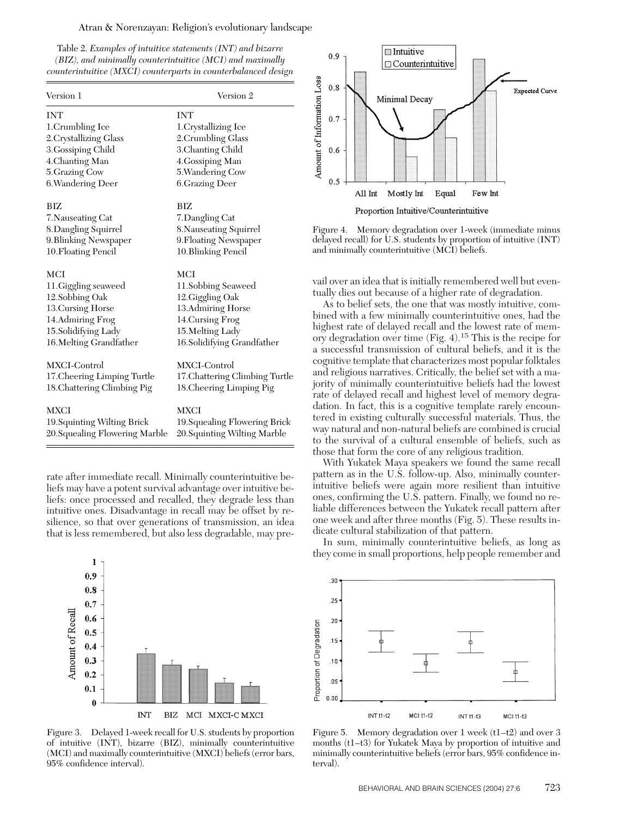Table 2. *Examples of intuitive statements (INT) and bizarre (BIZ), and minimally counterintuitive (MCI) and maximally counterintuitive (MXCI) counterparts in counterbalanced design*

| Version 1                      | Version 2                      |  |  |
|--------------------------------|--------------------------------|--|--|
| <b>INT</b>                     | <b>INT</b>                     |  |  |
| 1.Crumbling Ice                | 1. Crystallizing Ice           |  |  |
| 2. Crystallizing Glass         | 2.Crumbling Glass              |  |  |
| 3. Gossiping Child             | 3. Chanting Child              |  |  |
| 4.Chanting Man                 | 4. Gossiping Man               |  |  |
| 5. Grazing Cow                 | 5. Wandering Cow               |  |  |
| 6. Wandering Deer              | 6. Grazing Deer                |  |  |
| BIZ                            | BIZ                            |  |  |
| 7. Nauseating Cat              | 7.Dangling Cat                 |  |  |
| 8. Dangling Squirrel           | 8. Nauseating Squirrel         |  |  |
| 9. Blinking Newspaper          | 9. Floating Newspaper          |  |  |
| 10. Floating Pencil            | 10. Blinking Pencil            |  |  |
| MCI                            | MCI                            |  |  |
| 11. Giggling seaweed           | 11.Sobbing Seaweed             |  |  |
| 12.Sobbing Oak                 | 12. Giggling Oak               |  |  |
| 13. Cursing Horse              | 13. Admiring Horse             |  |  |
| 14. Admiring Frog              | 14. Cursing Frog               |  |  |
| 15.Solidifying Lady            | 15. Melting Lady               |  |  |
| 16. Melting Grandfather        | 16.Solidifying Grandfather     |  |  |
| MXCI-Control                   | MXCI-Control                   |  |  |
| 17. Cheering Limping Turtle    | 17. Chattering Climbing Turtle |  |  |
| 18. Chattering Climbing Pig    | 18. Cheering Limping Pig       |  |  |
| MXCI                           | <b>MXCI</b>                    |  |  |
| 19. Squinting Wilting Brick    | 19. Squealing Flowering Brick  |  |  |
| 20. Squealing Flowering Marble | 20. Squinting Wilting Marble   |  |  |

rate after immediate recall. Minimally counterintuitive beliefs may have a potent survival advantage over intuitive beliefs: once processed and recalled, they degrade less than intuitive ones. Disadvantage in recall may be offset by resilience, so that over generations of transmission, an idea that is less remembered, but also less degradable, may pre-



Figure 3. Delayed 1-week recall for U.S. students by proportion of intuitive (INT), bizarre (BIZ), minimally counterintuitive (MCI) and maximally counterintuitive (MXCI) beliefs (error bars, 95% confidence interval).



Figure 4. Memory degradation over 1-week (immediate minus delayed recall) for U.S. students by proportion of intuitive (INT) and minimally counterintuitive (MCI) beliefs.

vail over an idea that is initially remembered well but eventually dies out because of a higher rate of degradation.

As to belief sets, the one that was mostly intuitive, combined with a few minimally counterintuitive ones, had the highest rate of delayed recall and the lowest rate of memory degradation over time (Fig. 4).<sup>15</sup> This is the recipe for a successful transmission of cultural beliefs, and it is the cognitive template that characterizes most popular folktales and religious narratives. Critically, the belief set with a majority of minimally counterintuitive beliefs had the lowest rate of delayed recall and highest level of memory degradation. In fact, this is a cognitive template rarely encountered in existing culturally successful materials. Thus, the way natural and non-natural beliefs are combined is crucial to the survival of a cultural ensemble of beliefs, such as those that form the core of any religious tradition.

With Yukatek Maya speakers we found the same recall pattern as in the U.S. follow-up. Also, minimally counterintuitive beliefs were again more resilient than intuitive ones, confirming the U.S. pattern. Finally, we found no reliable differences between the Yukatek recall pattern after one week and after three months (Fig. 5). These results indicate cultural stabilization of that pattern.

In sum, minimally counterintuitive beliefs, as long as they come in small proportions, help people remember and



Figure 5. Memory degradation over 1 week (t1–t2) and over 3 months (t1–t3) for Yukatek Maya by proportion of intuitive and minimally counterintuitive beliefs (error bars, 95% confidence interval).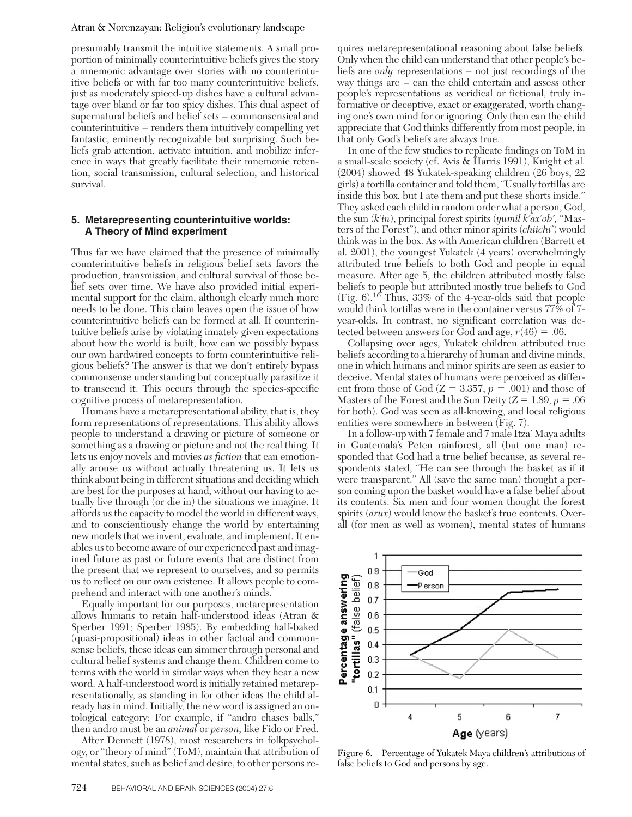presumably transmit the intuitive statements. A small proportion of minimally counterintuitive beliefs gives the story a mnemonic advantage over stories with no counterintuitive beliefs or with far too many counterintuitive beliefs, just as moderately spiced-up dishes have a cultural advantage over bland or far too spicy dishes. This dual aspect of supernatural beliefs and belief sets – commonsensical and counterintuitive – renders them intuitively compelling yet fantastic, eminently recognizable but surprising. Such beliefs grab attention, activate intuition, and mobilize inference in ways that greatly facilitate their mnemonic retention, social transmission, cultural selection, and historical survival.

## **5. Metarepresenting counterintuitive worlds: A Theory of Mind experiment**

Thus far we have claimed that the presence of minimally counterintuitive beliefs in religious belief sets favors the production, transmission, and cultural survival of those belief sets over time. We have also provided initial experimental support for the claim, although clearly much more needs to be done. This claim leaves open the issue of how counterintuitive beliefs can be formed at all. If counterintuitive beliefs arise by violating innately given expectations about how the world is built, how can we possibly bypass our own hardwired concepts to form counterintuitive religious beliefs? The answer is that we don't entirely bypass commonsense understanding but conceptually parasitize it to transcend it. This occurs through the species-specific cognitive process of metarepresentation.

Humans have a metarepresentational ability, that is, they form representations of representations. This ability allows people to understand a drawing or picture of someone or something as a drawing or picture and not the real thing. It lets us enjoy novels and movies *as fiction* that can emotionally arouse us without actually threatening us. It lets us think about being in different situations and deciding which are best for the purposes at hand, without our having to actually live through (or die in) the situations we imagine. It affords us the capacity to model the world in different ways, and to conscientiously change the world by entertaining new models that we invent, evaluate, and implement. It enables us to become aware of our experienced past and imagined future as past or future events that are distinct from the present that we represent to ourselves, and so permits us to reflect on our own existence. It allows people to comprehend and interact with one another's minds.

Equally important for our purposes, metarepresentation allows humans to retain half-understood ideas (Atran & Sperber 1991; Sperber 1985). By embedding half-baked (quasi-propositional) ideas in other factual and commonsense beliefs, these ideas can simmer through personal and cultural belief systems and change them. Children come to terms with the world in similar ways when they hear a new word. A half-understood word is initially retained metarepresentationally, as standing in for other ideas the child already has in mind. Initially, the new word is assigned an ontological category: For example, if "andro chases balls," then andro must be an *animal* or *person,* like Fido or Fred.

After Dennett (1978), most researchers in folkpsychology, or "theory of mind" (ToM), maintain that attribution of mental states, such as belief and desire, to other persons re-

quires metarepresentational reasoning about false beliefs. Only when the child can understand that other people's beliefs are *only* representations – not just recordings of the way things are – can the child entertain and assess other people's representations as veridical or fictional, truly informative or deceptive, exact or exaggerated, worth changing one's own mind for or ignoring. Only then can the child appreciate that God thinks differently from most people, in that only God's beliefs are always true.

In one of the few studies to replicate findings on ToM in a small-scale society (cf. Avis & Harris 1991), Knight et al. (2004) showed 48 Yukatek-speaking children (26 boys, 22 girls) a tortilla container and told them, "Usually tortillas are inside this box, but I ate them and put these shorts inside." They asked each child in random order what a person, God, the sun (*k'in*), principal forest spirits (*yumil k'ax'ob',* "Masters of the Forest"), and other minor spirits (*chiichi'*) would think was in the box. As with American children (Barrett et al. 2001), the youngest Yukatek (4 years) overwhelmingly attributed true beliefs to both God and people in equal measure. After age 5, the children attributed mostly false beliefs to people but attributed mostly true beliefs to God (Fig. 6).<sup>16</sup> Thus, 33% of the 4-year-olds said that people would think tortillas were in the container versus  $77\%$  of 7year-olds. In contrast, no significant correlation was detected between answers for God and age,  $r(46) = .06$ .

Collapsing over ages, Yukatek children attributed true beliefs according to a hierarchy of human and divine minds, one in which humans and minor spirits are seen as easier to deceive. Mental states of humans were perceived as different from those of God ( $Z = 3.357$ ,  $p = .001$ ) and those of Masters of the Forest and the Sun Deity ( $Z = 1.89, p = .06$ for both). God was seen as all-knowing, and local religious entities were somewhere in between (Fig. 7).

In a follow-up with 7 female and 7 male Itza' Maya adults in Guatemala's Peten rainforest, all (but one man) responded that God had a true belief because, as several respondents stated, "He can see through the basket as if it were transparent." All (save the same man) thought a person coming upon the basket would have a false belief about its contents. Six men and four women thought the forest spirits (*arux*) would know the basket's true contents. Overall (for men as well as women), mental states of humans



Figure 6. Percentage of Yukatek Maya children's attributions of false beliefs to God and persons by age.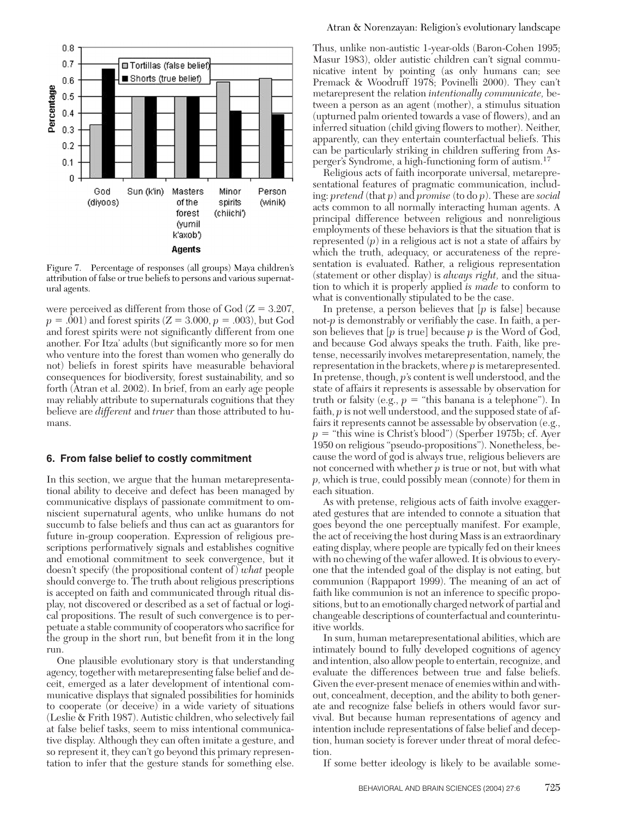

Figure 7. Percentage of responses (all groups) Maya children's attribution of false or true beliefs to persons and various supernatural agents.

were perceived as different from those of  $God (Z = 3.207,$  $p = .001$ ) and forest spirits ( $Z = 3.000, p = .003$ ), but God and forest spirits were not significantly different from one another. For Itza' adults (but significantly more so for men who venture into the forest than women who generally do not) beliefs in forest spirits have measurable behavioral consequences for biodiversity, forest sustainability, and so forth (Atran et al. 2002). In brief, from an early age people may reliably attribute to supernaturals cognitions that they believe are *different* and *truer* than those attributed to humans.

## **6. From false belief to costly commitment**

In this section, we argue that the human metarepresentational ability to deceive and defect has been managed by communicative displays of passionate commitment to omniscient supernatural agents, who unlike humans do not succumb to false beliefs and thus can act as guarantors for future in-group cooperation. Expression of religious prescriptions performatively signals and establishes cognitive and emotional commitment to seek convergence, but it doesn't specify (the propositional content of) *what* people should converge to. The truth about religious prescriptions is accepted on faith and communicated through ritual display, not discovered or described as a set of factual or logical propositions. The result of such convergence is to perpetuate a stable community of cooperators who sacrifice for the group in the short run, but benefit from it in the long run.

One plausible evolutionary story is that understanding agency, together with metarepresenting false belief and deceit, emerged as a later development of intentional communicative displays that signaled possibilities for hominids to cooperate (or deceive) in a wide variety of situations (Leslie & Frith 1987). Autistic children, who selectively fail at false belief tasks, seem to miss intentional communicative display. Although they can often imitate a gesture, and so represent it, they can't go beyond this primary representation to infer that the gesture stands for something else.

Thus, unlike non-autistic 1-year-olds (Baron-Cohen 1995; Masur 1983), older autistic children can't signal communicative intent by pointing (as only humans can; see Premack & Woodruff 1978; Povinelli 2000). They can't metarepresent the relation *intentionally communicate,* between a person as an agent (mother), a stimulus situation (upturned palm oriented towards a vase of flowers), and an inferred situation (child giving flowers to mother). Neither, apparently, can they entertain counterfactual beliefs. This can be particularly striking in children suffering from Asperger's Syndrome, a high-functioning form of autism.<sup>17</sup>

Religious acts of faith incorporate universal, metarepresentational features of pragmatic communication, including: *pretend* (that *p*) and *promise* (to do *p*). These are *social* acts common to all normally interacting human agents. A principal difference between religious and nonreligious employments of these behaviors is that the situation that is represented  $(p)$  in a religious act is not a state of affairs by which the truth, adequacy, or accurateness of the representation is evaluated. Rather, a religious representation (statement or other display) is *always right,* and the situation to which it is properly applied *is made* to conform to what is conventionally stipulated to be the case.

In pretense, a person believes that [*p* is false] because not-*p* is demonstrably or verifiably the case. In faith, a person believes that  $[p]$  is true] because  $p$  is the Word of God, and because God always speaks the truth. Faith, like pretense, necessarily involves metarepresentation, namely, the representation in the brackets, where *p* is metarepresented. In pretense, though, *p*'s content is well understood, and the state of affairs it represents is assessable by observation for truth or falsity (e.g.,  $p =$  "this banana is a telephone"). In faith, *p* is not well understood, and the supposed state of affairs it represents cannot be assessable by observation (e.g.,  $p =$  "this wine is Christ's blood") (Sperber 1975b; cf. Ayer 1950 on religious "pseudo-propositions"). Nonetheless, because the word of god is always true, religious believers are not concerned with whether *p* is true or not, but with what *p,* which is true, could possibly mean (connote) for them in each situation.

As with pretense, religious acts of faith involve exaggerated gestures that are intended to connote a situation that goes beyond the one perceptually manifest. For example, the act of receiving the host during Mass is an extraordinary eating display, where people are typically fed on their knees with no chewing of the wafer allowed. It is obvious to everyone that the intended goal of the display is not eating, but communion (Rappaport 1999). The meaning of an act of faith like communion is not an inference to specific propositions, but to an emotionally charged network of partial and changeable descriptions of counterfactual and counterintuitive worlds.

In sum, human metarepresentational abilities, which are intimately bound to fully developed cognitions of agency and intention, also allow people to entertain, recognize, and evaluate the differences between true and false beliefs. Given the ever-present menace of enemies within and without, concealment, deception, and the ability to both generate and recognize false beliefs in others would favor survival. But because human representations of agency and intention include representations of false belief and deception, human society is forever under threat of moral defection.

If some better ideology is likely to be available some-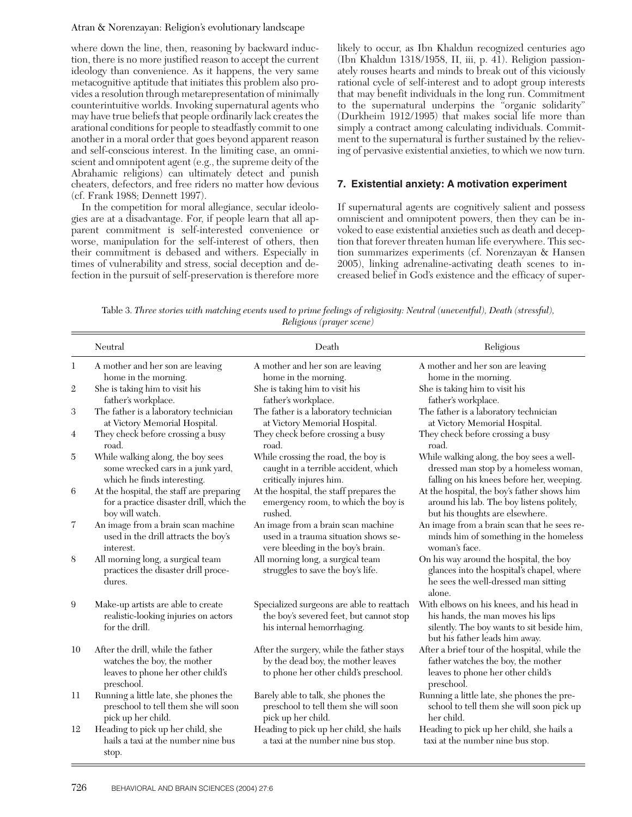where down the line, then, reasoning by backward induction, there is no more justified reason to accept the current ideology than convenience. As it happens, the very same metacognitive aptitude that initiates this problem also provides a resolution through metarepresentation of minimally counterintuitive worlds. Invoking supernatural agents who may have true beliefs that people ordinarily lack creates the arational conditions for people to steadfastly commit to one another in a moral order that goes beyond apparent reason and self-conscious interest. In the limiting case, an omniscient and omnipotent agent (e.g., the supreme deity of the Abrahamic religions) can ultimately detect and punish cheaters, defectors, and free riders no matter how devious (cf. Frank 1988; Dennett 1997).

In the competition for moral allegiance, secular ideologies are at a disadvantage. For, if people learn that all apparent commitment is self-interested convenience or worse, manipulation for the self-interest of others, then their commitment is debased and withers. Especially in times of vulnerability and stress, social deception and defection in the pursuit of self-preservation is therefore more likely to occur, as Ibn Khaldun recognized centuries ago (Ibn Khaldun 1318/1958, II, iii, p. 41). Religion passionately rouses hearts and minds to break out of this viciously rational cycle of self-interest and to adopt group interests that may benefit individuals in the long run. Commitment to the supernatural underpins the "organic solidarity" (Durkheim 1912/1995) that makes social life more than simply a contract among calculating individuals. Commitment to the supernatural is further sustained by the relieving of pervasive existential anxieties, to which we now turn.

## **7. Existential anxiety: A motivation experiment**

If supernatural agents are cognitively salient and possess omniscient and omnipotent powers, then they can be invoked to ease existential anxieties such as death and deception that forever threaten human life everywhere. This section summarizes experiments (cf. Norenzayan & Hansen 2005), linking adrenaline-activating death scenes to increased belief in God's existence and the efficacy of super-

Table 3. *Three stories with matching events used to prime feelings of religiosity: Neutral (uneventful), Death (stressful), Religious (prayer scene)*

|                  | Neutral                                                                                                             | Death                                                                                                                    | Religious                                                                                                                                                      |
|------------------|---------------------------------------------------------------------------------------------------------------------|--------------------------------------------------------------------------------------------------------------------------|----------------------------------------------------------------------------------------------------------------------------------------------------------------|
| 1                | A mother and her son are leaving                                                                                    | A mother and her son are leaving                                                                                         | A mother and her son are leaving                                                                                                                               |
|                  | home in the morning.                                                                                                | home in the morning.                                                                                                     | home in the morning.                                                                                                                                           |
| $\boldsymbol{2}$ | She is taking him to visit his                                                                                      | She is taking him to visit his                                                                                           | She is taking him to visit his                                                                                                                                 |
|                  | father's workplace.                                                                                                 | father's workplace.                                                                                                      | father's workplace.                                                                                                                                            |
| 3                | The father is a laboratory technician                                                                               | The father is a laboratory technician                                                                                    | The father is a laboratory technician                                                                                                                          |
|                  | at Victory Memorial Hospital.                                                                                       | at Victory Memorial Hospital.                                                                                            | at Victory Memorial Hospital.                                                                                                                                  |
| 4                | They check before crossing a busy                                                                                   | They check before crossing a busy                                                                                        | They check before crossing a busy                                                                                                                              |
|                  | road.                                                                                                               | road.                                                                                                                    | road.                                                                                                                                                          |
| 5                | While walking along, the boy sees                                                                                   | While crossing the road, the boy is                                                                                      | While walking along, the boy sees a well-                                                                                                                      |
|                  | some wrecked cars in a junk yard,                                                                                   | caught in a terrible accident, which                                                                                     | dressed man stop by a homeless woman,                                                                                                                          |
|                  | which he finds interesting.                                                                                         | critically injures him.                                                                                                  | falling on his knees before her, weeping.                                                                                                                      |
| 6                | At the hospital, the staff are preparing                                                                            | At the hospital, the staff prepares the                                                                                  | At the hospital, the boy's father shows him                                                                                                                    |
|                  | for a practice disaster drill, which the                                                                            | emergency room, to which the boy is                                                                                      | around his lab. The boy listens politely,                                                                                                                      |
|                  | boy will watch.                                                                                                     | rushed.                                                                                                                  | but his thoughts are elsewhere.                                                                                                                                |
| 7                | An image from a brain scan machine                                                                                  | An image from a brain scan machine                                                                                       | An image from a brain scan that he sees re-                                                                                                                    |
|                  | used in the drill attracts the boy's                                                                                | used in a trauma situation shows se-                                                                                     | minds him of something in the homeless                                                                                                                         |
|                  | interest.                                                                                                           | vere bleeding in the boy's brain.                                                                                        | woman's face.                                                                                                                                                  |
| 8                | All morning long, a surgical team<br>practices the disaster drill proce-<br>dures.                                  | All morning long, a surgical team<br>struggles to save the boy's life.                                                   | On his way around the hospital, the boy<br>glances into the hospital's chapel, where<br>he sees the well-dressed man sitting<br>alone.                         |
| 9                | Make-up artists are able to create<br>realistic-looking injuries on actors<br>for the drill.                        | Specialized surgeons are able to reattach<br>the boy's severed feet, but cannot stop<br>his internal hemorrhaging.       | With elbows on his knees, and his head in<br>his hands, the man moves his lips<br>silently. The boy wants to sit beside him,<br>but his father leads him away. |
| 10               | After the drill, while the father<br>watches the boy, the mother<br>leaves to phone her other child's<br>preschool. | After the surgery, while the father stays<br>by the dead boy, the mother leaves<br>to phone her other child's preschool. | After a brief tour of the hospital, while the<br>father watches the boy, the mother<br>leaves to phone her other child's<br>preschool.                         |
| 11               | Running a little late, she phones the                                                                               | Barely able to talk, she phones the                                                                                      | Running a little late, she phones the pre-                                                                                                                     |
|                  | preschool to tell them she will soon                                                                                | preschool to tell them she will soon                                                                                     | school to tell them she will soon pick up                                                                                                                      |
|                  | pick up her child.                                                                                                  | pick up her child.                                                                                                       | her child.                                                                                                                                                     |
| 12               | Heading to pick up her child, she<br>hails a taxi at the number nine bus<br>stop.                                   | Heading to pick up her child, she hails<br>a taxi at the number nine bus stop.                                           | Heading to pick up her child, she hails a<br>taxi at the number nine bus stop.                                                                                 |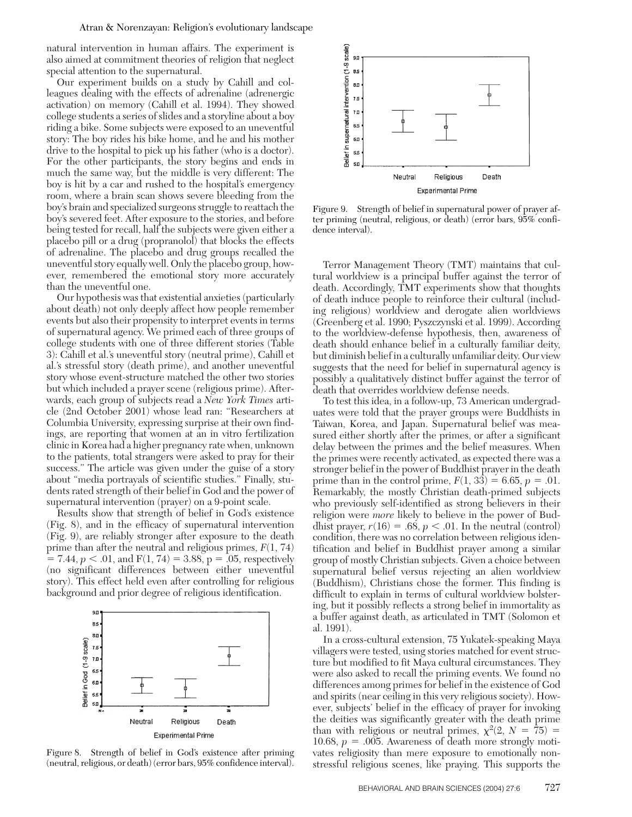natural intervention in human affairs. The experiment is also aimed at commitment theories of religion that neglect special attention to the supernatural.

Our experiment builds on a study by Cahill and colleagues dealing with the effects of adrenaline (adrenergic activation) on memory (Cahill et al. 1994). They showed college students a series of slides and a storyline about a boy riding a bike. Some subjects were exposed to an uneventful story: The boy rides his bike home, and he and his mother drive to the hospital to pick up his father (who is a doctor). For the other participants, the story begins and ends in much the same way, but the middle is very different: The boy is hit by a car and rushed to the hospital's emergency room, where a brain scan shows severe bleeding from the boy's brain and specialized surgeons struggle to reattach the boy's severed feet. After exposure to the stories, and before being tested for recall, half the subjects were given either a placebo pill or a drug (propranolol) that blocks the effects of adrenaline. The placebo and drug groups recalled the uneventful story equally well. Only the placebo group, however, remembered the emotional story more accurately than the uneventful one.

Our hypothesis was that existential anxieties (particularly about death) not only deeply affect how people remember events but also their propensity to interpret events in terms of supernatural agency. We primed each of three groups of college students with one of three different stories (Table 3): Cahill et al.'s uneventful story (neutral prime), Cahill et al.'s stressful story (death prime), and another uneventful story whose event-structure matched the other two stories but which included a prayer scene (religious prime). Afterwards, each group of subjects read a *New York Times* article (2nd October 2001) whose lead ran: "Researchers at Columbia University, expressing surprise at their own findings, are reporting that women at an in vitro fertilization clinic in Korea had a higher pregnancy rate when, unknown to the patients, total strangers were asked to pray for their success." The article was given under the guise of a story about "media portrayals of scientific studies." Finally, students rated strength of their belief in God and the power of supernatural intervention (prayer) on a 9-point scale.

Results show that strength of belief in God's existence (Fig. 8), and in the efficacy of supernatural intervention (Fig. 9), are reliably stronger after exposure to the death prime than after the neutral and religious primes, *F*(1, 74)  $= 7.44, p < .01, \text{ and } F(1, 74) = 3.88, p = .05,$  respectively (no significant differences between either uneventful story). This effect held even after controlling for religious background and prior degree of religious identification.



Figure 8. Strength of belief in God's existence after priming (neutral, religious, or death) (error bars, 95% confidence interval).



Figure 9. Strength of belief in supernatural power of prayer after priming (neutral, religious, or death) (error bars, 95% confidence interval).

Terror Management Theory (TMT) maintains that cultural worldview is a principal buffer against the terror of death. Accordingly, TMT experiments show that thoughts of death induce people to reinforce their cultural (including religious) worldview and derogate alien worldviews (Greenberg et al. 1990; Pyszczynski et al. 1999). According to the worldview-defense hypothesis, then, awareness of death should enhance belief in a culturally familiar deity, but diminish belief in a culturally unfamiliar deity. Our view suggests that the need for belief in supernatural agency is possibly a qualitatively distinct buffer against the terror of death that overrides worldview defense needs.

To test this idea, in a follow-up, 73 American undergraduates were told that the prayer groups were Buddhists in Taiwan, Korea, and Japan. Supernatural belief was measured either shortly after the primes, or after a significant delay between the primes and the belief measures. When the primes were recently activated, as expected there was a stronger belief in the power of Buddhist prayer in the death prime than in the control prime,  $F(1, 33) = 6.65, p = .01$ . Remarkably, the mostly Christian death-primed subjects who previously self-identified as strong believers in their religion were *more* likely to believe in the power of Buddhist prayer,  $r(16) = .68$ ,  $p < .01$ . In the neutral (control) condition, there was no correlation between religious identification and belief in Buddhist prayer among a similar group of mostly Christian subjects. Given a choice between supernatural belief versus rejecting an alien worldview (Buddhism), Christians chose the former. This finding is difficult to explain in terms of cultural worldview bolstering, but it possibly reflects a strong belief in immortality as a buffer against death, as articulated in TMT (Solomon et al. 1991).

In a cross-cultural extension, 75 Yukatek-speaking Maya villagers were tested, using stories matched for event structure but modified to fit Maya cultural circumstances. They were also asked to recall the priming events. We found no differences among primes for belief in the existence of God and spirits (near ceiling in this very religious society). However, subjects' belief in the efficacy of prayer for invoking the deities was significantly greater with the death prime than with religious or neutral primes,  $\chi^2(2, N = 75)$ 10.68,  $p = 0.005$ . Awareness of death more strongly motivates religiosity than mere exposure to emotionally nonstressful religious scenes, like praying. This supports the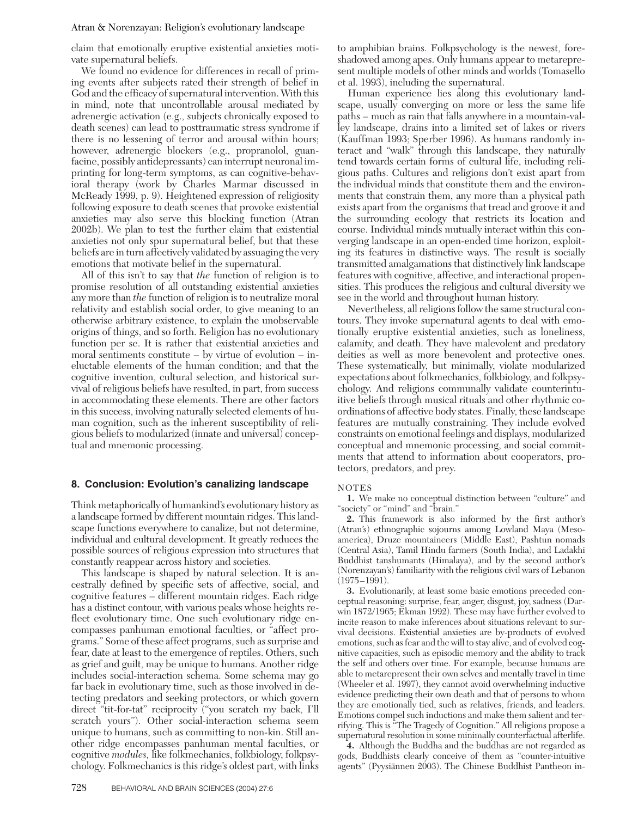claim that emotionally eruptive existential anxieties motivate supernatural beliefs.

We found no evidence for differences in recall of priming events after subjects rated their strength of belief in God and the efficacy of supernatural intervention. With this in mind, note that uncontrollable arousal mediated by adrenergic activation (e.g., subjects chronically exposed to death scenes) can lead to posttraumatic stress syndrome if there is no lessening of terror and arousal within hours; however, adrenergic blockers (e.g., propranolol, guanfacine, possibly antidepressants) can interrupt neuronal imprinting for long-term symptoms, as can cognitive-behavioral therapy (work by Charles Marmar discussed in McReady 1999, p. 9). Heightened expression of religiosity following exposure to death scenes that provoke existential anxieties may also serve this blocking function (Atran 2002b). We plan to test the further claim that existential anxieties not only spur supernatural belief, but that these beliefs are in turn affectively validated by assuaging the very emotions that motivate belief in the supernatural.

All of this isn't to say that *the* function of religion is to promise resolution of all outstanding existential anxieties any more than *the* function of religion is to neutralize moral relativity and establish social order, to give meaning to an otherwise arbitrary existence, to explain the unobservable origins of things, and so forth. Religion has no evolutionary function per se. It is rather that existential anxieties and moral sentiments constitute – by virtue of evolution – ineluctable elements of the human condition; and that the cognitive invention, cultural selection, and historical survival of religious beliefs have resulted, in part, from success in accommodating these elements. There are other factors in this success, involving naturally selected elements of human cognition, such as the inherent susceptibility of religious beliefs to modularized (innate and universal) conceptual and mnemonic processing.

## **8. Conclusion: Evolution's canalizing landscape**

Think metaphorically of humankind's evolutionary history as a landscape formed by different mountain ridges. This landscape functions everywhere to canalize, but not determine, individual and cultural development. It greatly reduces the possible sources of religious expression into structures that constantly reappear across history and societies.

This landscape is shaped by natural selection. It is ancestrally defined by specific sets of affective, social, and cognitive features – different mountain ridges. Each ridge has a distinct contour, with various peaks whose heights reflect evolutionary time. One such evolutionary ridge encompasses panhuman emotional faculties, or "affect programs." Some of these affect programs, such as surprise and fear, date at least to the emergence of reptiles. Others, such as grief and guilt, may be unique to humans. Another ridge includes social-interaction schema. Some schema may go far back in evolutionary time, such as those involved in detecting predators and seeking protectors, or which govern direct "tit-for-tat" reciprocity ("you scratch my back, I'll scratch yours"). Other social-interaction schema seem unique to humans, such as committing to non-kin. Still another ridge encompasses panhuman mental faculties, or cognitive *modules,* like folkmechanics, folkbiology, folkpsychology. Folkmechanics is this ridge's oldest part, with links

Human experience lies along this evolutionary landscape, usually converging on more or less the same life paths – much as rain that falls anywhere in a mountain-valley landscape, drains into a limited set of lakes or rivers (Kauffman 1993; Sperber 1996). As humans randomly interact and "walk" through this landscape, they naturally tend towards certain forms of cultural life, including religious paths. Cultures and religions don't exist apart from the individual minds that constitute them and the environments that constrain them, any more than a physical path exists apart from the organisms that tread and groove it and the surrounding ecology that restricts its location and course. Individual minds mutually interact within this converging landscape in an open-ended time horizon, exploiting its features in distinctive ways. The result is socially transmitted amalgamations that distinctively link landscape features with cognitive, affective, and interactional propensities. This produces the religious and cultural diversity we see in the world and throughout human history.

Nevertheless, all religions follow the same structural contours. They invoke supernatural agents to deal with emotionally eruptive existential anxieties, such as loneliness, calamity, and death. They have malevolent and predatory deities as well as more benevolent and protective ones. These systematically, but minimally, violate modularized expectations about folkmechanics, folkbiology, and folkpsychology. And religions communally validate counterintuitive beliefs through musical rituals and other rhythmic coordinations of affective body states. Finally, these landscape features are mutually constraining. They include evolved constraints on emotional feelings and displays, modularized conceptual and mnemonic processing, and social commitments that attend to information about cooperators, protectors, predators, and prey.

## NOTES

**1.** We make no conceptual distinction between "culture" and "society" or "mind" and "brain."

**2.** This framework is also informed by the first author's (Atran's) ethnographic sojourns among Lowland Maya (Mesoamerica), Druze mountaineers (Middle East), Pashtun nomads (Central Asia), Tamil Hindu farmers (South India), and Ladakhi Buddhist tanshumants (Himalaya), and by the second author's (Norenzayan's) familiarity with the religious civil wars of Lebanon (1975–1991).

**3.** Evolutionarily, at least some basic emotions preceded conceptual reasoning: surprise, fear, anger, disgust, joy, sadness (Darwin 1872/1965; Ekman 1992). These may have further evolved to incite reason to make inferences about situations relevant to survival decisions. Existential anxieties are by-products of evolved emotions, such as fear and the will to stay alive, and of evolved cognitive capacities, such as episodic memory and the ability to track the self and others over time. For example, because humans are able to metarepresent their own selves and mentally travel in time (Wheeler et al. 1997), they cannot avoid overwhelming inductive evidence predicting their own death and that of persons to whom they are emotionally tied, such as relatives, friends, and leaders. Emotions compel such inductions and make them salient and terrifying. This is "The Tragedy of Cognition." All religions propose a supernatural resolution in some minimally counterfactual afterlife.

**4.** Although the Buddha and the buddhas are not regarded as gods, Buddhists clearly conceive of them as "counter-intuitive agents" (Pyysiännen 2003). The Chinese Buddhist Pantheon in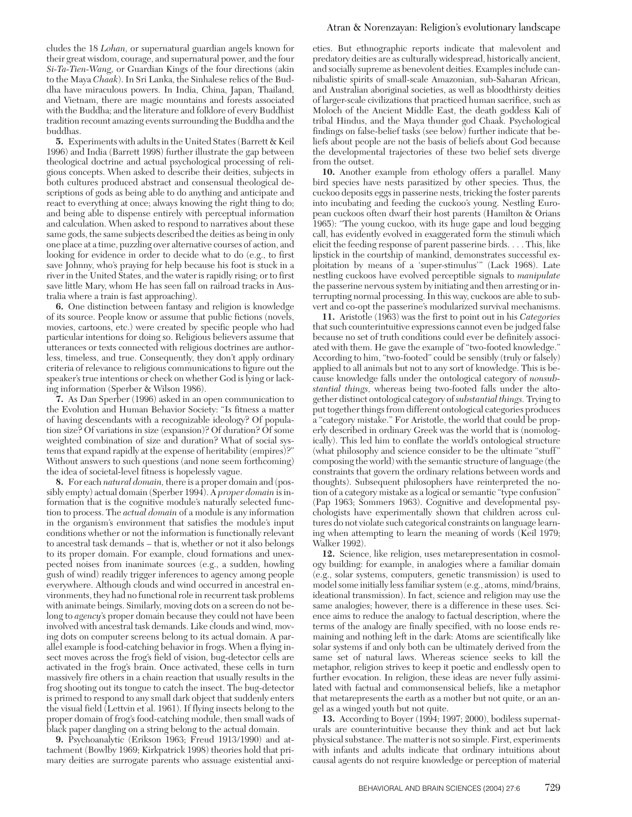cludes the 18 *Lohan,* or supernatural guardian angels known for their great wisdom, courage, and supernatural power, and the four *Si-Ta-Tien-Wang,* or Guardian Kings of the four directions (akin to the Maya *Chaak*). In Sri Lanka, the Sinhalese relics of the Buddha have miraculous powers. In India, China, Japan, Thailand, and Vietnam, there are magic mountains and forests associated with the Buddha; and the literature and folklore of every Buddhist tradition recount amazing events surrounding the Buddha and the buddhas.

**5.** Experiments with adults in the United States (Barrett & Keil 1996) and India (Barrett 1998) further illustrate the gap between theological doctrine and actual psychological processing of religious concepts. When asked to describe their deities, subjects in both cultures produced abstract and consensual theological descriptions of gods as being able to do anything and anticipate and react to everything at once; always knowing the right thing to do; and being able to dispense entirely with perceptual information and calculation. When asked to respond to narratives about these same gods, the same subjects described the deities as being in only one place at a time, puzzling over alternative courses of action, and looking for evidence in order to decide what to do (e.g., to first save Johnny, who's praying for help because his foot is stuck in a river in the United States, and the water is rapidly rising; or to first save little Mary, whom He has seen fall on railroad tracks in Australia where a train is fast approaching).

**6.** One distinction between fantasy and religion is knowledge of its source. People know or assume that public fictions (novels, movies, cartoons, etc.) were created by specific people who had particular intentions for doing so. Religious believers assume that utterances or texts connected with religious doctrines are authorless, timeless, and true. Consequently, they don't apply ordinary criteria of relevance to religious communications to figure out the speaker's true intentions or check on whether God is lying or lacking information (Sperber & Wilson 1986).

**7.** As Dan Sperber (1996) asked in an open communication to the Evolution and Human Behavior Society: "Is fitness a matter of having descendants with a recognizable ideology? Of population size? Of variations in size (expansion)? Of duration? Of some weighted combination of size and duration? What of social systems that expand rapidly at the expense of heritability (empires)?" Without answers to such questions (and none seem forthcoming) the idea of societal-level fitness is hopelessly vague.

**8.** For each *natural domain,* there is a proper domain and (possibly empty) actual domain (Sperber 1994). A *proper domain* is information that is the cognitive module's naturally selected function to process. The *actual domain* of a module is any information in the organism's environment that satisfies the module's input conditions whether or not the information is functionally relevant to ancestral task demands – that is, whether or not it also belongs to its proper domain. For example, cloud formations and unexpected noises from inanimate sources (e.g., a sudden, howling gush of wind) readily trigger inferences to agency among people everywhere. Although clouds and wind occurred in ancestral environments, they had no functional role in recurrent task problems with animate beings. Similarly, moving dots on a screen do not belong to *agency*'s proper domain because they could not have been involved with ancestral task demands. Like clouds and wind, moving dots on computer screens belong to its actual domain. A parallel example is food-catching behavior in frogs. When a flying insect moves across the frog's field of vision, bug-detector cells are activated in the frog's brain. Once activated, these cells in turn massively fire others in a chain reaction that usually results in the frog shooting out its tongue to catch the insect. The bug-detector is primed to respond to any small dark object that suddenly enters the visual field (Lettvin et al. 1961). If flying insects belong to the proper domain of frog's food-catching module, then small wads of black paper dangling on a string belong to the actual domain.

**9.** Psychoanalytic (Erikson 1963; Freud 1913/1990) and attachment (Bowlby 1969; Kirkpatrick 1998) theories hold that primary deities are surrogate parents who assuage existential anxi-

## Atran & Norenzayan: Religion's evolutionary landscape

eties. But ethnographic reports indicate that malevolent and predatory deities are as culturally widespread, historically ancient, and socially supreme as benevolent deities. Examples include cannibalistic spirits of small-scale Amazonian, sub-Saharan African, and Australian aboriginal societies, as well as bloodthirsty deities of larger-scale civilizations that practiced human sacrifice, such as Moloch of the Ancient Middle East, the death goddess Kali of tribal Hindus, and the Maya thunder god Chaak. Psychological findings on false-belief tasks (see below) further indicate that beliefs about people are not the basis of beliefs about God because the developmental trajectories of these two belief sets diverge from the outset.

**10.** Another example from ethology offers a parallel. Many bird species have nests parasitized by other species. Thus, the cuckoo deposits eggs in passerine nests, tricking the foster parents into incubating and feeding the cuckoo's young. Nestling European cuckoos often dwarf their host parents (Hamilton & Orians 1965): "The young cuckoo, with its huge gape and loud begging call, has evidently evolved in exaggerated form the stimuli which elicit the feeding response of parent passerine birds. . . . This, like lipstick in the courtship of mankind, demonstrates successful exploitation by means of a 'super-stimulus'" (Lack 1968). Late nestling cuckoos have evolved perceptible signals to *manipulate* the passerine nervous system by initiating and then arresting or interrupting normal processing. In this way, cuckoos are able to subvert and co-opt the passerine's modularized survival mechanisms.

**11.** Aristotle (1963) was the first to point out in his *Categories* that such counterintuitive expressions cannot even be judged false because no set of truth conditions could ever be definitely associated with them. He gave the example of "two-footed knowledge." According to him, "two-footed" could be sensibly (truly or falsely) applied to all animals but not to any sort of knowledge. This is because knowledge falls under the ontological category of *nonsubstantial things,* whereas being two-footed falls under the altogether distinct ontological category of *substantial things.* Trying to put together things from different ontological categories produces a "category mistake." For Aristotle, the world that could be properly described in ordinary Greek was the world that is (nomologically). This led him to conflate the world's ontological structure (what philosophy and science consider to be the ultimate "stuff" composing the world) with the semantic structure of language (the constraints that govern the ordinary relations between words and thoughts). Subsequent philosophers have reinterpreted the notion of a category mistake as a logical or semantic "type confusion" (Pap 1963; Sommers 1963). Cognitive and developmental psychologists have experimentally shown that children across cultures do not violate such categorical constraints on language learning when attempting to learn the meaning of words (Keil 1979; Walker 1992).

**12.** Science, like religion, uses metarepresentation in cosmology building: for example, in analogies where a familiar domain (e.g., solar systems, computers, genetic transmission) is used to model some initially less familiar system (e.g., atoms, mind/brains, ideational transmission). In fact, science and religion may use the same analogies; however, there is a difference in these uses. Science aims to reduce the analogy to factual description, where the terms of the analogy are finally specified, with no loose ends remaining and nothing left in the dark: Atoms are scientifically like solar systems if and only both can be ultimately derived from the same set of natural laws. Whereas science seeks to kill the metaphor, religion strives to keep it poetic and endlessly open to further evocation. In religion, these ideas are never fully assimilated with factual and commonsensical beliefs, like a metaphor that metarepresents the earth as a mother but not quite, or an angel as a winged youth but not quite.

**13.** According to Boyer (1994; 1997; 2000), bodiless supernaturals are counterintuitive because they think and act but lack physical substance. The matter is not so simple. First, experiments with infants and adults indicate that ordinary intuitions about causal agents do not require knowledge or perception of material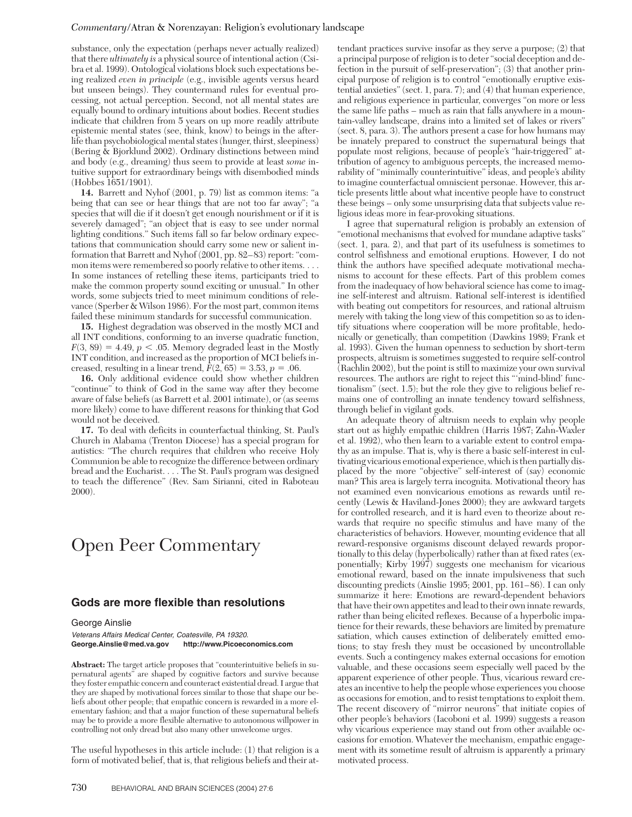substance, only the expectation (perhaps never actually realized) that there *ultimately is* a physical source of intentional action (Csibra et al. 1999). Ontological violations block such expectations being realized *even in principle* (e.g., invisible agents versus heard but unseen beings). They countermand rules for eventual processing, not actual perception. Second, not all mental states are equally bound to ordinary intuitions about bodies. Recent studies indicate that children from 5 years on up more readily attribute epistemic mental states (see, think, know) to beings in the afterlife than psychobiological mental states (hunger, thirst, sleepiness) (Bering & Bjorklund 2002). Ordinary distinctions between mind and body (e.g., dreaming) thus seem to provide at least *some* intuitive support for extraordinary beings with disembodied minds (Hobbes 1651/1901).

**14.** Barrett and Nyhof (2001, p. 79) list as common items: "a being that can see or hear things that are not too far away"; "a species that will die if it doesn't get enough nourishment or if it is severely damaged"; "an object that is easy to see under normal lighting conditions." Such items fall so far below ordinary expectations that communication should carry some new or salient information that Barrett and Nyhof (2001, pp. 82–83) report: "common items were remembered so poorly relative to other items.... In some instances of retelling these items, participants tried to make the common property sound exciting or unusual." In other words, some subjects tried to meet minimum conditions of relevance (Sperber & Wilson 1986). For the most part, common items failed these minimum standards for successful communication.

**15.** Highest degradation was observed in the mostly MCI and all INT conditions, conforming to an inverse quadratic function,  $F(3, 89) = 4.49, p < .05$ . Memory degraded least in the Mostly INT condition, and increased as the proportion of MCI beliefs increased, resulting in a linear trend,  $F(2, 65) = 3.53, p = .06$ .

**16.** Only additional evidence could show whether children "continue" to think of God in the same way after they become aware of false beliefs (as Barrett et al. 2001 intimate), or (as seems more likely) come to have different reasons for thinking that God would not be deceived.

**17.** To deal with deficits in counterfactual thinking, St. Paul's Church in Alabama (Trenton Diocese) has a special program for autistics: "The church requires that children who receive Holy Communion be able to recognize the difference between ordinary bread and the Eucharist. . . . The St. Paul's program was designed to teach the difference" (Rev. Sam Sirianni, cited in Raboteau 2000).

## Open Peer Commentary

## **Gods are more flexible than resolutions**

George Ainslie *Veterans Affairs Medical Center, Coatesville, PA 19320.* **George.Ainslie@med.va.gov http://www.Picoeconomics.com**

**Abstract:** The target article proposes that "counterintuitive beliefs in supernatural agents" are shaped by cognitive factors and survive because they foster empathic concern and counteract existential dread. I argue that they are shaped by motivational forces similar to those that shape our beliefs about other people; that empathic concern is rewarded in a more elementary fashion; and that a major function of these supernatural beliefs may be to provide a more flexible alternative to autonomous willpower in controlling not only dread but also many other unwelcome urges.

The useful hypotheses in this article include: (1) that religion is a form of motivated belief, that is, that religious beliefs and their attendant practices survive insofar as they serve a purpose; (2) that a principal purpose of religion is to deter "social deception and defection in the pursuit of self-preservation"; (3) that another principal purpose of religion is to control "emotionally eruptive existential anxieties" (sect. 1, para. 7); and (4) that human experience, and religious experience in particular, converges "on more or less the same life paths – much as rain that falls anywhere in a mountain-valley landscape, drains into a limited set of lakes or rivers" (sect. 8, para. 3). The authors present a case for how humans may be innately prepared to construct the supernatural beings that populate most religions, because of people's "hair-triggered" attribution of agency to ambiguous percepts, the increased memorability of "minimally counterintuitive" ideas, and people's ability to imagine counterfactual omniscient personae. However, this article presents little about what incentive people have to construct these beings – only some unsurprising data that subjects value religious ideas more in fear-provoking situations.

I agree that supernatural religion is probably an extension of "emotional mechanisms that evolved for mundane adaptive tasks" (sect. 1, para. 2), and that part of its usefulness is sometimes to control selfishness and emotional eruptions. However, I do not think the authors have specified adequate motivational mechanisms to account for these effects. Part of this problem comes from the inadequacy of how behavioral science has come to imagine self-interest and altruism. Rational self-interest is identified with beating out competitors for resources, and rational altruism merely with taking the long view of this competition so as to identify situations where cooperation will be more profitable, hedonically or genetically, than competition (Dawkins 1989; Frank et al. 1993). Given the human openness to seduction by short-term prospects, altruism is sometimes suggested to require self-control (Rachlin 2002), but the point is still to maximize your own survival resources. The authors are right to reject this "'mind-blind' functionalism" (sect. 1.5); but the role they give to religious belief remains one of controlling an innate tendency toward selfishness, through belief in vigilant gods.

An adequate theory of altruism needs to explain why people start out as highly empathic children (Harris 1987; Zahn-Waxler et al. 1992), who then learn to a variable extent to control empathy as an impulse. That is, why is there a basic self-interest in cultivating vicarious emotional experience, which is then partially displaced by the more "objective" self-interest of (say) economic man? This area is largely terra incognita. Motivational theory has not examined even nonvicarious emotions as rewards until recently (Lewis & Haviland-Jones 2000); they are awkward targets for controlled research, and it is hard even to theorize about rewards that require no specific stimulus and have many of the characteristics of behaviors. However, mounting evidence that all reward-responsive organisms discount delayed rewards proportionally to this delay (hyperbolically) rather than at fixed rates (exponentially; Kirby 1997) suggests one mechanism for vicarious emotional reward, based on the innate impulsiveness that such discounting predicts (Ainslie 1995; 2001, pp. 161–86). I can only summarize it here: Emotions are reward-dependent behaviors that have their own appetites and lead to their own innate rewards, rather than being elicited reflexes. Because of a hyperbolic impatience for their rewards, these behaviors are limited by premature satiation, which causes extinction of deliberately emitted emotions; to stay fresh they must be occasioned by uncontrollable events. Such a contingency makes external occasions for emotion valuable, and these occasions seem especially well paced by the apparent experience of other people. Thus, vicarious reward creates an incentive to help the people whose experiences you choose as occasions for emotion, and to resist temptations to exploit them. The recent discovery of "mirror neurons" that initiate copies of other people's behaviors (Iacoboni et al. 1999) suggests a reason why vicarious experience may stand out from other available occasions for emotion. Whatever the mechanism, empathic engagement with its sometime result of altruism is apparently a primary motivated process.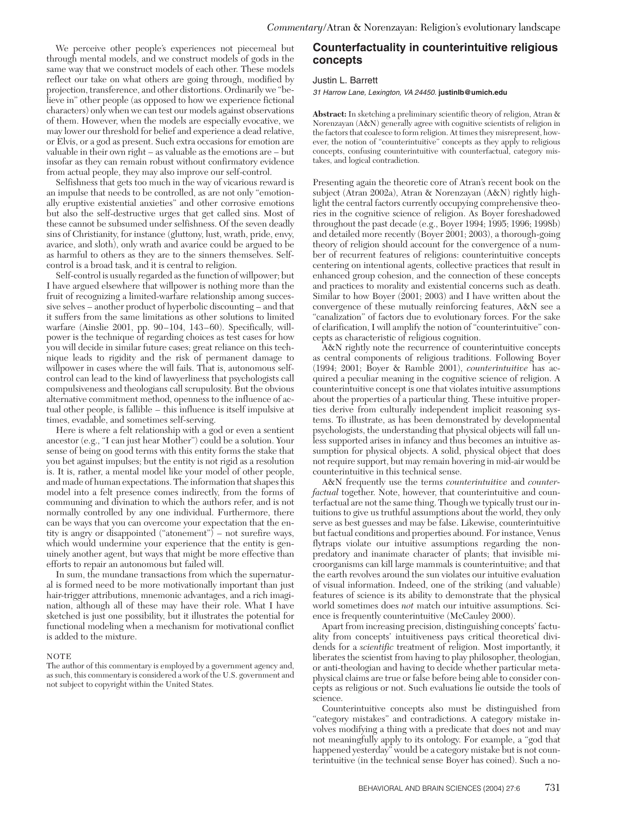We perceive other people's experiences not piecemeal but through mental models, and we construct models of gods in the same way that we construct models of each other. These models reflect our take on what others are going through, modified by projection, transference, and other distortions. Ordinarily we "believe in" other people (as opposed to how we experience fictional characters) only when we can test our models against observations of them. However, when the models are especially evocative, we may lower our threshold for belief and experience a dead relative, or Elvis, or a god as present. Such extra occasions for emotion are valuable in their own right – as valuable as the emotions are – but insofar as they can remain robust without confirmatory evidence from actual people, they may also improve our self-control.

Selfishness that gets too much in the way of vicarious reward is an impulse that needs to be controlled, as are not only "emotionally eruptive existential anxieties" and other corrosive emotions but also the self-destructive urges that get called sins. Most of these cannot be subsumed under selfishness. Of the seven deadly sins of Christianity, for instance (gluttony, lust, wrath, pride, envy, avarice, and sloth), only wrath and avarice could be argued to be as harmful to others as they are to the sinners themselves. Selfcontrol is a broad task, and it is central to religion.

Self-control is usually regarded as the function of willpower; but I have argued elsewhere that willpower is nothing more than the fruit of recognizing a limited-warfare relationship among successive selves – another product of hyperbolic discounting – and that it suffers from the same limitations as other solutions to limited warfare (Ainslie 2001, pp. 90–104, 143–60). Specifically, willpower is the technique of regarding choices as test cases for how you will decide in similar future cases; great reliance on this technique leads to rigidity and the risk of permanent damage to willpower in cases where the will fails. That is, autonomous selfcontrol can lead to the kind of lawyerliness that psychologists call compulsiveness and theologians call scrupulosity. But the obvious alternative commitment method, openness to the influence of actual other people, is fallible – this influence is itself impulsive at times, evadable, and sometimes self-serving.

Here is where a felt relationship with a god or even a sentient ancestor (e.g., "I can just hear Mother") could be a solution. Your sense of being on good terms with this entity forms the stake that you bet against impulses; but the entity is not rigid as a resolution is. It is, rather, a mental model like your model of other people, and made of human expectations. The information that shapes this model into a felt presence comes indirectly, from the forms of communing and divination to which the authors refer, and is not normally controlled by any one individual. Furthermore, there can be ways that you can overcome your expectation that the entity is angry or disappointed ("atonement") – not surefire ways, which would undermine your experience that the entity is genuinely another agent, but ways that might be more effective than efforts to repair an autonomous but failed will.

In sum, the mundane transactions from which the supernatural is formed need to be more motivationally important than just hair-trigger attributions, mnemonic advantages, and a rich imagination, although all of these may have their role. What I have sketched is just one possibility, but it illustrates the potential for functional modeling when a mechanism for motivational conflict is added to the mixture.

#### **NOTE**

The author of this commentary is employed by a government agency and, as such, this commentary is considered a work of the U.S. government and not subject to copyright within the United States.

## **Counterfactuality in counterintuitive religious concepts**

#### Justin L. Barrett

*31 Harrow Lane, Lexington, VA 24450.* **justinlb@umich.edu**

**Abstract:** In sketching a preliminary scientific theory of religion, Atran & Norenzayan (A&N) generally agree with cognitive scientists of religion in the factors that coalesce to form religion. At times they misrepresent, however, the notion of "counterintuitive" concepts as they apply to religious concepts, confusing counterintuitive with counterfactual, category mistakes, and logical contradiction.

Presenting again the theoretic core of Atran's recent book on the subject (Atran 2002a), Atran & Norenzayan (A&N) rightly highlight the central factors currently occupying comprehensive theories in the cognitive science of religion. As Boyer foreshadowed throughout the past decade (e.g., Boyer 1994; 1995; 1996; 1998b) and detailed more recently (Boyer 2001; 2003), a thorough-going theory of religion should account for the convergence of a number of recurrent features of religions: counterintuitive concepts centering on intentional agents, collective practices that result in enhanced group cohesion, and the connection of these concepts and practices to morality and existential concerns such as death. Similar to how Boyer (2001; 2003) and I have written about the convergence of these mutually reinforcing features, A&N see a "canalization" of factors due to evolutionary forces. For the sake of clarification, I will amplify the notion of "counterintuitive" concepts as characteristic of religious cognition.

A&N rightly note the recurrence of counterintuitive concepts as central components of religious traditions. Following Boyer (1994; 2001; Boyer & Ramble 2001), *counterintuitive* has acquired a peculiar meaning in the cognitive science of religion. A counterintuitive concept is one that violates intuitive assumptions about the properties of a particular thing. These intuitive properties derive from culturally independent implicit reasoning systems. To illustrate, as has been demonstrated by developmental psychologists, the understanding that physical objects will fall unless supported arises in infancy and thus becomes an intuitive assumption for physical objects. A solid, physical object that does not require support, but may remain hovering in mid-air would be counterintuitive in this technical sense.

A&N frequently use the terms *counterintuitive* and *counterfactual* together. Note, however, that counterintuitive and counterfactual are not the same thing. Though we typically trust our intuitions to give us truthful assumptions about the world, they only serve as best guesses and may be false. Likewise, counterintuitive but factual conditions and properties abound. For instance, Venus flytraps violate our intuitive assumptions regarding the nonpredatory and inanimate character of plants; that invisible microorganisms can kill large mammals is counterintuitive; and that the earth revolves around the sun violates our intuitive evaluation of visual information. Indeed, one of the striking (and valuable) features of science is its ability to demonstrate that the physical world sometimes does *not* match our intuitive assumptions. Science is frequently counterintuitive (McCauley 2000).

Apart from increasing precision, distinguishing concepts' factuality from concepts' intuitiveness pays critical theoretical dividends for a *scientific* treatment of religion. Most importantly, it liberates the scientist from having to play philosopher, theologian, or anti-theologian and having to decide whether particular metaphysical claims are true or false before being able to consider concepts as religious or not. Such evaluations lie outside the tools of science.

Counterintuitive concepts also must be distinguished from "category mistakes" and contradictions. A category mistake involves modifying a thing with a predicate that does not and may not meaningfully apply to its ontology. For example, a "god that happened yesterday" would be a category mistake but is not counterintuitive (in the technical sense Boyer has coined). Such a no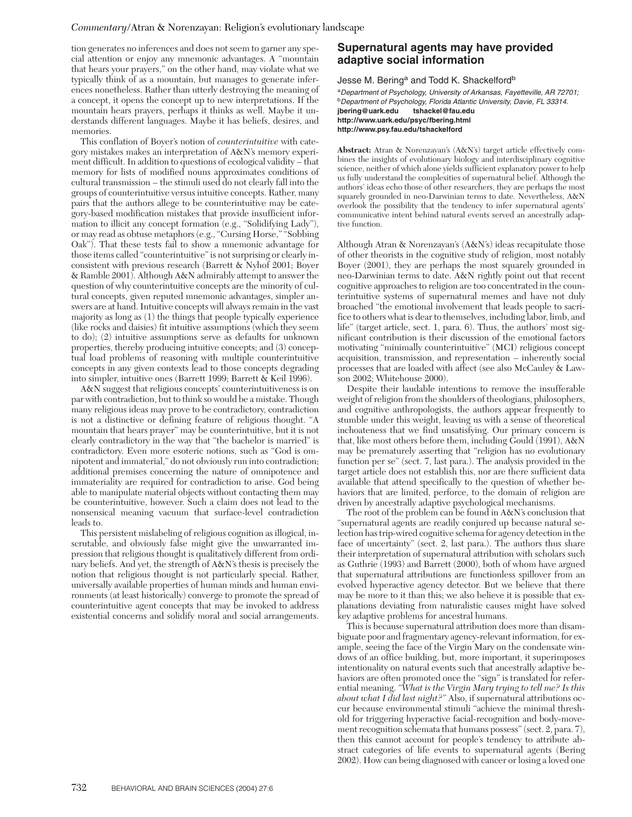tion generates no inferences and does not seem to garner any special attention or enjoy any mnemonic advantages. A "mountain that hears your prayers," on the other hand, may violate what we typically think of as a mountain, but manages to generate inferences nonetheless. Rather than utterly destroying the meaning of a concept, it opens the concept up to new interpretations. If the mountain hears prayers, perhaps it thinks as well. Maybe it understands different languages. Maybe it has beliefs, desires, and memories.

This conflation of Boyer's notion of *counterintuitive* with category mistakes makes an interpretation of A&N's memory experiment difficult. In addition to questions of ecological validity – that memory for lists of modified nouns approximates conditions of cultural transmission – the stimuli used do not clearly fall into the groups of counterintuitive versus intuitive concepts. Rather, many pairs that the authors allege to be counterintuitive may be category-based modification mistakes that provide insufficient information to illicit any concept formation (e.g., "Solidifying Lady"), or may read as obtuse metaphors (e.g., "Cursing Horse," "Sobbing Oak"). That these tests fail to show a mnemonic advantage for those items called "counterintuitive" is not surprising or clearly inconsistent with previous research (Barrett & Nyhof 2001; Boyer & Ramble 2001). Although A&N admirably attempt to answer the question of why counterintuitive concepts are the minority of cultural concepts, given reputed mnemonic advantages, simpler answers are at hand. Intuitive concepts will always remain in the vast majority as long as (1) the things that people typically experience (like rocks and daisies) fit intuitive assumptions (which they seem to do); (2) intuitive assumptions serve as defaults for unknown properties, thereby producing intuitive concepts; and (3) conceptual load problems of reasoning with multiple counterintuitive concepts in any given contexts lead to those concepts degrading into simpler, intuitive ones (Barrett 1999; Barrett & Keil 1996).

A&N suggest that religious concepts' counterintuitiveness is on par with contradiction, but to think so would be a mistake. Though many religious ideas may prove to be contradictory, contradiction is not a distinctive or defining feature of religious thought. "A mountain that hears prayer" may be counterintuitive, but it is not clearly contradictory in the way that "the bachelor is married" is contradictory. Even more esoteric notions, such as "God is omnipotent and immaterial," do not obviously run into contradiction; additional premises concerning the nature of omnipotence and immateriality are required for contradiction to arise. God being able to manipulate material objects without contacting them may be counterintuitive, however. Such a claim does not lead to the nonsensical meaning vacuum that surface-level contradiction leads to.

This persistent mislabeling of religious cognition as illogical, inscrutable, and obviously false might give the unwarranted impression that religious thought is qualitatively different from ordinary beliefs. And yet, the strength of A&N's thesis is precisely the notion that religious thought is not particularly special. Rather, universally available properties of human minds and human environments (at least historically) converge to promote the spread of counterintuitive agent concepts that may be invoked to address existential concerns and solidify moral and social arrangements.

## **Supernatural agents may have provided adaptive social information**

Jesse M. Bering<sup>a</sup> and Todd K. Shackelford<sup>b</sup>

<sup>a</sup>*Department of Psychology, University of Arkansas, Fayetteville, AR 72701;* <sup>b</sup>*Department of Psychology, Florida Atlantic University, Davie, FL 33314.* **jbering@uark.edu tshackel@fau.edu http://www.uark.edu/psyc/fbering.html http://www.psy.fau.edu/tshackelford**

**Abstract:** Atran & Norenzayan's (A&N's) target article effectively combines the insights of evolutionary biology and interdisciplinary cognitive science, neither of which alone yields sufficient explanatory power to help us fully understand the complexities of supernatural belief. Although the authors' ideas echo those of other researchers, they are perhaps the most squarely grounded in neo-Darwinian terms to date. Nevertheless, A&N overlook the possibility that the tendency to infer supernatural agents' communicative intent behind natural events served an ancestrally adaptive function.

Although Atran & Norenzayan's (A&N's) ideas recapitulate those of other theorists in the cognitive study of religion, most notably Boyer (2001), they are perhaps the most squarely grounded in neo-Darwinian terms to date. A&N rightly point out that recent cognitive approaches to religion are too concentrated in the counterintuitive systems of supernatural memes and have not duly broached "the emotional involvement that leads people to sacrifice to others what is dear to themselves, including labor, limb, and life" (target article, sect. 1, para. 6). Thus, the authors' most significant contribution is their discussion of the emotional factors motivating "minimally counterintuitive" (MCI) religious concept acquisition, transmission, and representation – inherently social processes that are loaded with affect (see also McCauley & Lawson 2002; Whitehouse 2000).

Despite their laudable intentions to remove the insufferable weight of religion from the shoulders of theologians, philosophers, and cognitive anthropologists, the authors appear frequently to stumble under this weight, leaving us with a sense of theoretical inchoateness that we find unsatisfying. Our primary concern is that, like most others before them, including Gould (1991), A&N may be prematurely asserting that "religion has no evolutionary function per se" (sect. 7, last para.). The analysis provided in the target article does not establish this, nor are there sufficient data available that attend specifically to the question of whether behaviors that are limited, perforce, to the domain of religion are driven by ancestrally adaptive psychological mechanisms.

The root of the problem can be found in A&N's conclusion that "supernatural agents are readily conjured up because natural selection has trip-wired cognitive schema for agency detection in the face of uncertainty" (sect. 2, last para.). The authors thus share their interpretation of supernatural attribution with scholars such as Guthrie (1993) and Barrett (2000), both of whom have argued that supernatural attributions are functionless spillover from an evolved hyperactive agency detector. But we believe that there may be more to it than this; we also believe it is possible that explanations deviating from naturalistic causes might have solved key adaptive problems for ancestral humans.

This is because supernatural attribution does more than disambiguate poor and fragmentary agency-relevant information, for example, seeing the face of the Virgin Mary on the condensate windows of an office building, but, more important, it superimposes intentionality on natural events such that ancestrally adaptive behaviors are often promoted once the "sign" is translated for referential meaning. *"What is the Virgin Mary trying to tell me? Is this about what I did last night?"* Also, if supernatural attributions occur because environmental stimuli "achieve the minimal threshold for triggering hyperactive facial-recognition and body-movement recognition schemata that humans possess" (sect. 2, para. 7), then this cannot account for people's tendency to attribute abstract categories of life events to supernatural agents (Bering 2002). How can being diagnosed with cancer or losing a loved one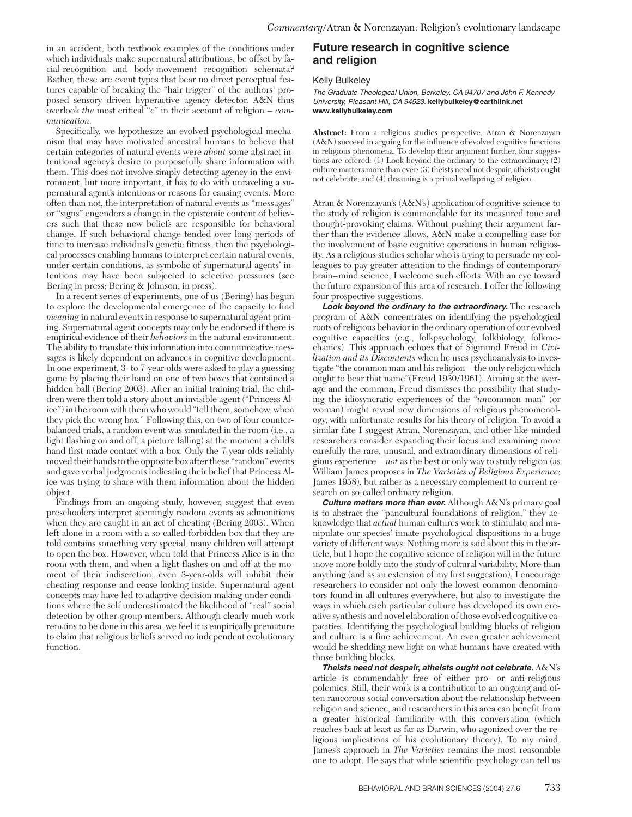in an accident, both textbook examples of the conditions under which individuals make supernatural attributions, be offset by facial-recognition and body-movement recognition schemata? Rather, these are event types that bear no direct perceptual features capable of breaking the "hair trigger" of the authors' proposed sensory driven hyperactive agency detector. A&N thus overlook *the* most critical "c" in their account of religion – *communication.*

Specifically, we hypothesize an evolved psychological mechanism that may have motivated ancestral humans to believe that certain categories of natural events were *about* some abstract intentional agency's desire to purposefully share information with them. This does not involve simply detecting agency in the environment, but more important, it has to do with unraveling a supernatural agent's intentions or reasons for causing events. More often than not, the interpretation of natural events as "messages" or "signs" engenders a change in the epistemic content of believers such that these new beliefs are responsible for behavioral change. If such behavioral change tended over long periods of time to increase individual's genetic fitness, then the psychological processes enabling humans to interpret certain natural events, under certain conditions, as symbolic of supernatural agents' intentions may have been subjected to selective pressures (see Bering in press; Bering & Johnson, in press).

In a recent series of experiments, one of us (Bering) has begun to explore the developmental emergence of the capacity to find *meaning* in natural events in response to supernatural agent priming. Supernatural agent concepts may only be endorsed if there is empirical evidence of their *behaviors* in the natural environment. The ability to translate this information into communicative messages is likely dependent on advances in cognitive development. In one experiment, 3- to 7-year-olds were asked to play a guessing game by placing their hand on one of two boxes that contained a hidden ball (Bering 2003). After an initial training trial, the children were then told a story about an invisible agent ("Princess Alice") in the room with them who would "tell them, somehow, when they pick the wrong box." Following this, on two of four counterbalanced trials, a random event was simulated in the room (i.e., a light flashing on and off, a picture falling) at the moment a child's hand first made contact with a box. Only the 7-year-olds reliably moved their hands to the opposite box after these "random" events and gave verbal judgments indicating their belief that Princess Alice was trying to share with them information about the hidden object.

Findings from an ongoing study, however, suggest that even preschoolers interpret seemingly random events as admonitions when they are caught in an act of cheating (Bering 2003). When left alone in a room with a so-called forbidden box that they are told contains something very special, many children will attempt to open the box. However, when told that Princess Alice is in the room with them, and when a light flashes on and off at the moment of their indiscretion, even 3-year-olds will inhibit their cheating response and cease looking inside. Supernatural agent concepts may have led to adaptive decision making under conditions where the self underestimated the likelihood of "real" social detection by other group members. Although clearly much work remains to be done in this area, we feel it is empirically premature to claim that religious beliefs served no independent evolutionary function.

## **Future research in cognitive science and religion**

#### Kelly Bulkeley

*The Graduate Theological Union, Berkeley, CA 94707 and John F. Kennedy University, Pleasant Hill, CA 94523.* **kellybulkeley@earthlink.net www.kellybulkeley.com**

**Abstract:** From a religious studies perspective, Atran & Norenzayan (A&N) succeed in arguing for the influence of evolved cognitive functions in religious phenomena. To develop their argument further, four suggestions are offered: (1) Look beyond the ordinary to the extraordinary; (2) culture matters more than ever; (3) theists need not despair, atheists ought not celebrate; and (4) dreaming is a primal wellspring of religion.

Atran & Norenzayan's (A&N's) application of cognitive science to the study of religion is commendable for its measured tone and thought-provoking claims. Without pushing their argument farther than the evidence allows, A&N make a compelling case for the involvement of basic cognitive operations in human religiosity. As a religious studies scholar who is trying to persuade my colleagues to pay greater attention to the findings of contemporary brain–mind science, I welcome such efforts. With an eye toward the future expansion of this area of research, I offer the following four prospective suggestions.

*Look beyond the ordinary to the extraordinary.* The research program of A&N concentrates on identifying the psychological roots of religious behavior in the ordinary operation of our evolved cognitive capacities (e.g., folkpsychology, folkbiology, folkmechanics). This approach echoes that of Sigmund Freud in *Civilization and its Discontents* when he uses psychoanalysis to investigate "the common man and his religion – the only religion which ought to bear that name"(Freud 1930/1961). Aiming at the average and the common, Freud dismisses the possibility that studying the idiosyncratic experiences of the "*un*common man" (or woman) might reveal new dimensions of religious phenomenology, with unfortunate results for his theory of religion. To avoid a similar fate I suggest Atran, Norenzayan, and other like-minded researchers consider expanding their focus and examining more carefully the rare, unusual, and extraordinary dimensions of religious experience – *not* as the best or only way to study religion (as William James proposes in *The Varieties of Religious Experience;* James 1958), but rather as a necessary complement to current research on so-called ordinary religion.

*Culture matters more than ever.* Although A&N's primary goal is to abstract the "pancultural foundations of religion," they acknowledge that *actual* human cultures work to stimulate and manipulate our species' innate psychological dispositions in a huge variety of different ways. Nothing more is said about this in the article, but I hope the cognitive science of religion will in the future move more boldly into the study of cultural variability. More than anything (and as an extension of my first suggestion), I encourage researchers to consider not only the lowest common denominators found in all cultures everywhere, but also to investigate the ways in which each particular culture has developed its own creative synthesis and novel elaboration of those evolved cognitive capacities. Identifying the psychological building blocks of religion and culture is a fine achievement. An even greater achievement would be shedding new light on what humans have created with those building blocks.

*Theists need not despair, atheists ought not celebrate.* A&N's article is commendably free of either pro- or anti-religious polemics. Still, their work is a contribution to an ongoing and often rancorous social conversation about the relationship between religion and science, and researchers in this area can benefit from a greater historical familiarity with this conversation (which reaches back at least as far as Darwin, who agonized over the religious implications of his evolutionary theory). To my mind, James's approach in *The Varieties* remains the most reasonable one to adopt. He says that while scientific psychology can tell us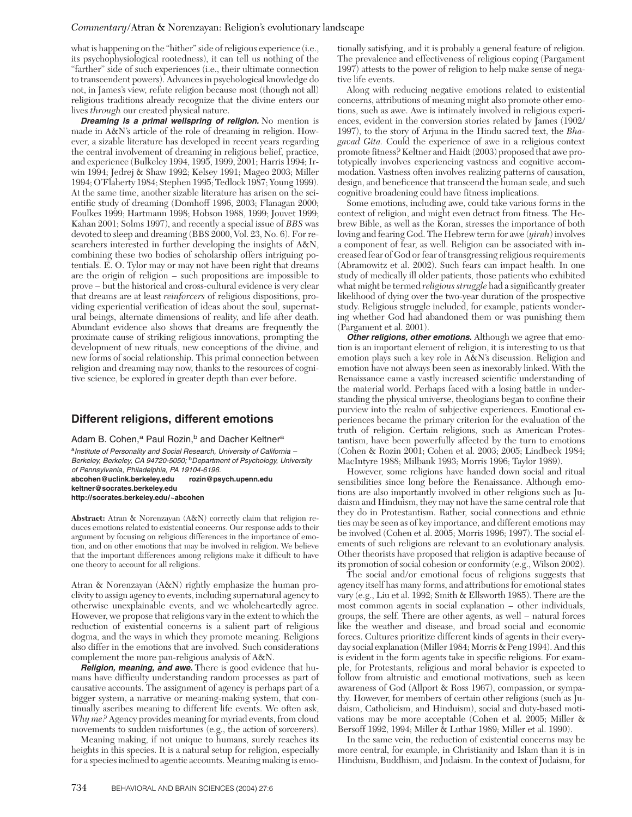what is happening on the "hither" side of religious experience (i.e., its psychophysiological rootedness), it can tell us nothing of the "farther" side of such experiences (i.e., their ultimate connection to transcendent powers). Advances in psychological knowledge do not, in James's view, refute religion because most (though not all) religious traditions already recognize that the divine enters our lives *through* our created physical nature.

*Dreaming is a primal wellspring of religion.* No mention is made in A&N's article of the role of dreaming in religion. However, a sizable literature has developed in recent years regarding the central involvement of dreaming in religious belief, practice, and experience (Bulkeley 1994, 1995, 1999, 2001; Harris 1994; Irwin 1994; Jedrej & Shaw 1992; Kelsey 1991; Mageo 2003; Miller 1994; O'Flaherty 1984; Stephen 1995; Tedlock 1987; Young 1999). At the same time, another sizable literature has arisen on the scientific study of dreaming (Domhoff 1996, 2003; Flanagan 2000; Foulkes 1999; Hartmann 1998; Hobson 1988, 1999; Jouvet 1999; Kahan 2001; Solms 1997), and recently a special issue of *BBS* was devoted to sleep and dreaming (BBS 2000, Vol. 23, No. 6). For researchers interested in further developing the insights of A&N, combining these two bodies of scholarship offers intriguing potentials. E. O. Tylor may or may not have been right that dreams are the origin of religion – such propositions are impossible to prove – but the historical and cross-cultural evidence is very clear that dreams are at least *reinforcers* of religious dispositions, providing experiential verification of ideas about the soul, supernatural beings, alternate dimensions of reality, and life after death. Abundant evidence also shows that dreams are frequently the proximate cause of striking religious innovations, prompting the development of new rituals, new conceptions of the divine, and new forms of social relationship. This primal connection between religion and dreaming may now, thanks to the resources of cognitive science, be explored in greater depth than ever before.

## **Different religions, different emotions**

**http://socrates.berkeley.edu/~abcohen**

Adam B. Cohen,<sup>a</sup> Paul Rozin,<sup>b</sup> and Dacher Keltner<sup>a</sup>

<sup>a</sup>*Institute of Personality and Social Research, University of California – Berkeley, Berkeley, CA 94720-5050;* b*Department of Psychology, University of Pennsylvania, Philadelphia, PA 19104-6196.* **abcohen@uclink.berkeley.edu rozin@psych.upenn.edu keltner@socrates.berkeley.edu**

**Abstract:** Atran & Norenzayan (A&N) correctly claim that religion reduces emotions related to existential concerns. Our response adds to their argument by focusing on religious differences in the importance of emotion, and on other emotions that may be involved in religion. We believe that the important differences among religions make it difficult to have one theory to account for all religions.

Atran & Norenzayan (A&N) rightly emphasize the human proclivity to assign agency to events, including supernatural agency to otherwise unexplainable events, and we wholeheartedly agree. However, we propose that religions vary in the extent to which the reduction of existential concerns is a salient part of religious dogma, and the ways in which they promote meaning. Religions also differ in the emotions that are involved. Such considerations complement the more pan-religious analysis of A&N.

*Religion, meaning, and awe.* There is good evidence that humans have difficulty understanding random processes as part of causative accounts. The assignment of agency is perhaps part of a bigger system, a narrative or meaning-making system, that continually ascribes meaning to different life events. We often ask, *Why me?* Agency provides meaning for myriad events, from cloud movements to sudden misfortunes (e.g., the action of sorcerers).

Meaning making, if not unique to humans, surely reaches its heights in this species. It is a natural setup for religion, especially for a species inclined to agentic accounts. Meaning making is emotionally satisfying, and it is probably a general feature of religion. The prevalence and effectiveness of religious coping (Pargament 1997) attests to the power of religion to help make sense of negative life events.

Along with reducing negative emotions related to existential concerns, attributions of meaning might also promote other emotions, such as awe. Awe is intimately involved in religious experiences, evident in the conversion stories related by James (1902/ 1997), to the story of Arjuna in the Hindu sacred text, the *Bhagavad Gita.* Could the experience of awe in a religious context promote fitness? Keltner and Haidt (2003) proposed that awe prototypically involves experiencing vastness and cognitive accommodation. Vastness often involves realizing patterns of causation, design, and beneficence that transcend the human scale, and such cognitive broadening could have fitness implications.

Some emotions, including awe, could take various forms in the context of religion, and might even detract from fitness. The Hebrew Bible, as well as the Koran, stresses the importance of both loving and fearing God. The Hebrew term for awe (*yirah*) involves a component of fear, as well. Religion can be associated with increased fear of God or fear of transgressing religious requirements (Abramowitz et al. 2002). Such fears can impact health. In one study of medically ill older patients, those patients who exhibited what might be termed *religious struggle* had a significantly greater likelihood of dying over the two-year duration of the prospective study. Religious struggle included, for example, patients wondering whether God had abandoned them or was punishing them (Pargament et al. 2001).

*Other religions, other emotions.* Although we agree that emotion is an important element of religion, it is interesting to us that emotion plays such a key role in A&N's discussion. Religion and emotion have not always been seen as inexorably linked. With the Renaissance came a vastly increased scientific understanding of the material world. Perhaps faced with a losing battle in understanding the physical universe, theologians began to confine their purview into the realm of subjective experiences. Emotional experiences became the primary criterion for the evaluation of the truth of religion. Certain religions, such as American Protestantism, have been powerfully affected by the turn to emotions (Cohen & Rozin 2001; Cohen et al. 2003; 2005; Lindbeck 1984; MacIntyre 1988; Milbank 1993; Morris 1996; Taylor 1989).

However, some religions have handed down social and ritual sensibilities since long before the Renaissance. Although emotions are also importantly involved in other religions such as Judaism and Hinduism, they may not have the same central role that they do in Protestantism. Rather, social connections and ethnic ties may be seen as of key importance, and different emotions may be involved (Cohen et al. 2005; Morris 1996; 1997). The social elements of such religions are relevant to an evolutionary analysis. Other theorists have proposed that religion is adaptive because of its promotion of social cohesion or conformity (e.g., Wilson 2002).

The social and/or emotional focus of religions suggests that agency itself has many forms, and attributions for emotional states vary (e.g., Liu et al. 1992; Smith & Ellsworth 1985). There are the most common agents in social explanation – other individuals, groups, the self. There are other agents, as well – natural forces like the weather and disease, and broad social and economic forces. Cultures prioritize different kinds of agents in their everyday social explanation (Miller 1984; Morris & Peng 1994). And this is evident in the form agents take in specific religions. For example, for Protestants, religious and moral behavior is expected to follow from altruistic and emotional motivations, such as keen awareness of God (Allport & Ross 1967), compassion, or sympathy. However, for members of certain other religions (such as Judaism, Catholicism, and Hinduism), social and duty-based motivations may be more acceptable (Cohen et al. 2005; Miller & Bersoff 1992, 1994; Miller & Luthar 1989; Miller et al. 1990).

In the same vein, the reduction of existential concerns may be more central, for example, in Christianity and Islam than it is in Hinduism, Buddhism, and Judaism. In the context of Judaism, for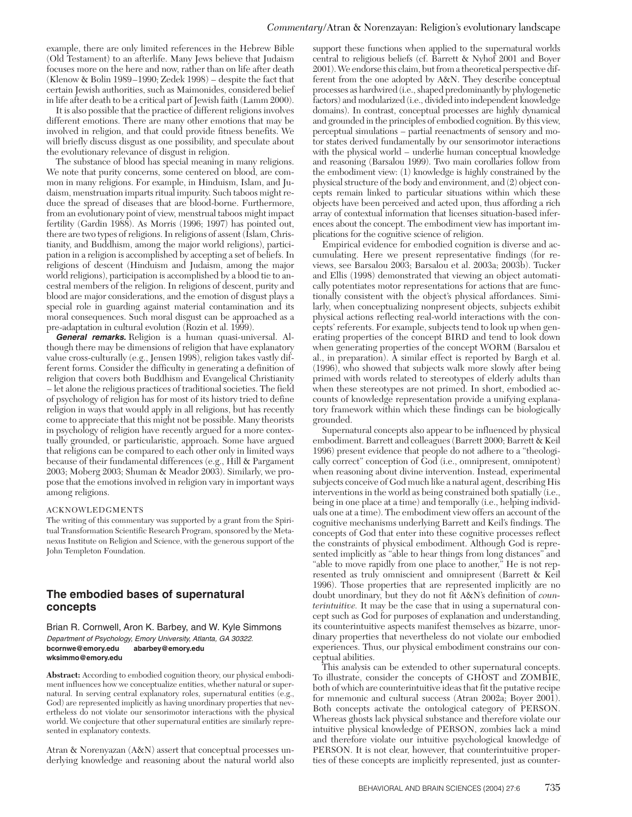example, there are only limited references in the Hebrew Bible (Old Testament) to an afterlife. Many Jews believe that Judaism focuses more on the here and now, rather than on life after death (Klenow & Bolin 1989–1990; Zedek 1998) – despite the fact that certain Jewish authorities, such as Maimonides, considered belief in life after death to be a critical part of Jewish faith (Lamm 2000).

It is also possible that the practice of different religions involves different emotions. There are many other emotions that may be involved in religion, and that could provide fitness benefits. We will briefly discuss disgust as one possibility, and speculate about the evolutionary relevance of disgust in religion.

The substance of blood has special meaning in many religions. We note that purity concerns, some centered on blood, are common in many religions. For example, in Hinduism, Islam, and Judaism, menstruation imparts ritual impurity. Such taboos might reduce the spread of diseases that are blood-borne. Furthermore, from an evolutionary point of view, menstrual taboos might impact fertility (Gardin 1988). As Morris (1996; 1997) has pointed out, there are two types of religions. In religions of assent (Islam, Christianity, and Buddhism, among the major world religions), participation in a religion is accomplished by accepting a set of beliefs. In religions of descent (Hinduism and Judaism, among the major world religions), participation is accomplished by a blood tie to ancestral members of the religion. In religions of descent, purity and blood are major considerations, and the emotion of disgust plays a special role in guarding against material contamination and its moral consequences. Such moral disgust can be approached as a pre-adaptation in cultural evolution (Rozin et al. 1999).

*General remarks.* Religion is a human quasi-universal. Although there may be dimensions of religion that have explanatory value cross-culturally (e.g., Jensen 1998), religion takes vastly different forms. Consider the difficulty in generating a definition of religion that covers both Buddhism and Evangelical Christianity – let alone the religious practices of traditional societies. The field of psychology of religion has for most of its history tried to define religion in ways that would apply in all religions, but has recently come to appreciate that this might not be possible. Many theorists in psychology of religion have recently argued for a more contextually grounded, or particularistic, approach. Some have argued that religions can be compared to each other only in limited ways because of their fundamental differences (e.g., Hill & Pargament 2003; Moberg 2003; Shuman & Meador 2003). Similarly, we propose that the emotions involved in religion vary in important ways among religions.

## ACKNOWLEDGMENTS

The writing of this commentary was supported by a grant from the Spiritual Transformation Scientific Research Program, sponsored by the Metanexus Institute on Religion and Science, with the generous support of the John Templeton Foundation.

## **The embodied bases of supernatural concepts**

Brian R. Cornwell, Aron K. Barbey, and W. Kyle Simmons *Department of Psychology, Emory University, Atlanta, GA 30322.* bcornwe@emory.edu **wksimmo@emory.edu**

**Abstract:** According to embodied cognition theory, our physical embodiment influences how we conceptualize entities, whether natural or supernatural. In serving central explanatory roles, supernatural entities (e.g., God) are represented implicitly as having unordinary properties that nevertheless do not violate our sensorimotor interactions with the physical world. We conjecture that other supernatural entities are similarly represented in explanatory contexts.

Atran & Norenyazan (A&N) assert that conceptual processes underlying knowledge and reasoning about the natural world also support these functions when applied to the supernatural worlds central to religious beliefs (cf. Barrett & Nyhof 2001 and Boyer 2001). We endorse this claim, but from a theoretical perspective different from the one adopted by A&N. They describe conceptual processes as hardwired (i.e., shaped predominantly by phylogenetic factors) and modularized (i.e., divided into independent knowledge domains). In contrast, conceptual processes are highly dynamical and grounded in the principles of embodied cognition. By this view, perceptual simulations – partial reenactments of sensory and motor states derived fundamentally by our sensorimotor interactions with the physical world – underlie human conceptual knowledge and reasoning (Barsalou 1999). Two main corollaries follow from the embodiment view: (1) knowledge is highly constrained by the physical structure of the body and environment, and (2) object concepts remain linked to particular situations within which these objects have been perceived and acted upon, thus affording a rich array of contextual information that licenses situation-based inferences about the concept. The embodiment view has important implications for the cognitive science of religion.

Empirical evidence for embodied cognition is diverse and accumulating. Here we present representative findings (for reviews, see Barsalou 2003; Barsalou et al. 2003a; 2003b). Tucker and Ellis (1998) demonstrated that viewing an object automatically potentiates motor representations for actions that are functionally consistent with the object's physical affordances. Similarly, when conceptualizing nonpresent objects, subjects exhibit physical actions reflecting real-world interactions with the concepts' referents. For example, subjects tend to look up when generating properties of the concept BIRD and tend to look down when generating properties of the concept WORM (Barsalou et al., in preparation). A similar effect is reported by Bargh et al. (1996), who showed that subjects walk more slowly after being primed with words related to stereotypes of elderly adults than when these stereotypes are not primed. In short, embodied accounts of knowledge representation provide a unifying explanatory framework within which these findings can be biologically grounded.

Supernatural concepts also appear to be influenced by physical embodiment. Barrett and colleagues (Barrett 2000; Barrett & Keil 1996) present evidence that people do not adhere to a "theologically correct" conception of God (i.e., omnipresent, omnipotent) when reasoning about divine intervention. Instead, experimental subjects conceive of God much like a natural agent, describing His interventions in the world as being constrained both spatially (i.e., being in one place at a time) and temporally (i.e., helping individuals one at a time). The embodiment view offers an account of the cognitive mechanisms underlying Barrett and Keil's findings. The concepts of God that enter into these cognitive processes reflect the constraints of physical embodiment. Although God is represented implicitly as "able to hear things from long distances" and "able to move rapidly from one place to another," He is not represented as truly omniscient and omnipresent (Barrett & Keil 1996). Those properties that are represented implicitly are no doubt unordinary, but they do not fit A&N's definition of *counterintuitive.* It may be the case that in using a supernatural concept such as God for purposes of explanation and understanding, its counterintuitive aspects manifest themselves as bizarre, unordinary properties that nevertheless do not violate our embodied experiences. Thus, our physical embodiment constrains our conceptual abilities.

This analysis can be extended to other supernatural concepts. To illustrate, consider the concepts of GHOST and ZOMBIE, both of which are counterintuitive ideas that fit the putative recipe for mnemonic and cultural success (Atran 2002a; Boyer 2001). Both concepts activate the ontological category of PERSON. Whereas ghosts lack physical substance and therefore violate our intuitive physical knowledge of PERSON, zombies lack a mind and therefore violate our intuitive psychological knowledge of PERSON. It is not clear, however, that counterintuitive properties of these concepts are implicitly represented, just as counter-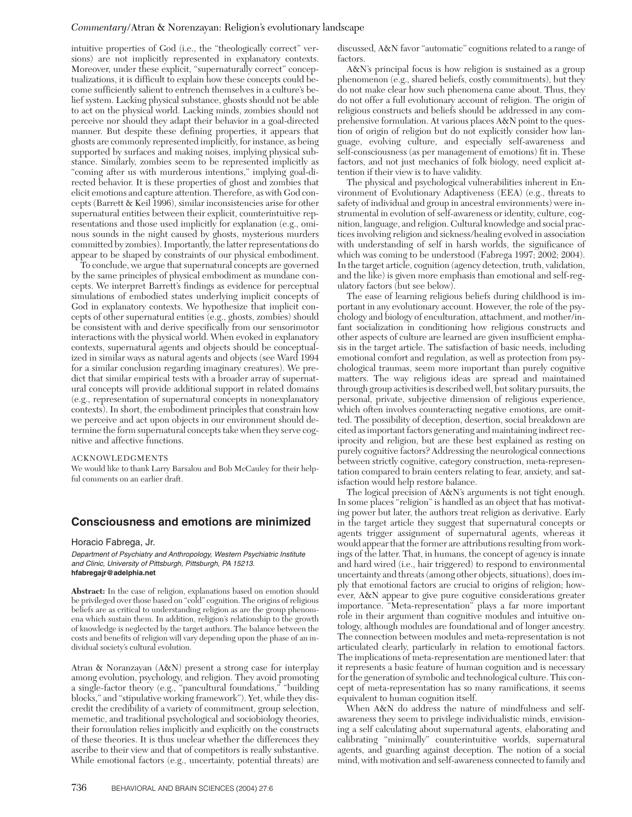intuitive properties of God (i.e., the "theologically correct" versions) are not implicitly represented in explanatory contexts. Moreover, under these explicit, "supernaturally correct" conceptualizations, it is difficult to explain how these concepts could become sufficiently salient to entrench themselves in a culture's belief system. Lacking physical substance, ghosts should not be able to act on the physical world. Lacking minds, zombies should not perceive nor should they adapt their behavior in a goal-directed manner. But despite these defining properties, it appears that ghosts are commonly represented implicitly, for instance, as being supported by surfaces and making noises, implying physical substance. Similarly, zombies seem to be represented implicitly as "coming after us with murderous intentions," implying goal-directed behavior. It is these properties of ghost and zombies that elicit emotions and capture attention. Therefore, as with God concepts (Barrett & Keil 1996), similar inconsistencies arise for other supernatural entities between their explicit, counterintuitive representations and those used implicitly for explanation (e.g., ominous sounds in the night caused by ghosts, mysterious murders committed by zombies). Importantly, the latter representations do appear to be shaped by constraints of our physical embodiment.

To conclude, we argue that supernatural concepts are governed by the same principles of physical embodiment as mundane concepts. We interpret Barrett's findings as evidence for perceptual simulations of embodied states underlying implicit concepts of God in explanatory contexts. We hypothesize that implicit concepts of other supernatural entities (e.g., ghosts, zombies) should be consistent with and derive specifically from our sensorimotor interactions with the physical world. When evoked in explanatory contexts, supernatural agents and objects should be conceptualized in similar ways as natural agents and objects (see Ward 1994 for a similar conclusion regarding imaginary creatures). We predict that similar empirical tests with a broader array of supernatural concepts will provide additional support in related domains (e.g., representation of supernatural concepts in nonexplanatory contexts). In short, the embodiment principles that constrain how we perceive and act upon objects in our environment should determine the form supernatural concepts take when they serve cognitive and affective functions.

#### ACKNOWLEDGMENTS

We would like to thank Larry Barsalou and Bob McCauley for their helpful comments on an earlier draft.

## **Consciousness and emotions are minimized**

#### Horacio Fabrega, Jr.

*Department of Psychiatry and Anthropology, Western Psychiatric Institute and Clinic, University of Pittsburgh, Pittsburgh, PA 15213.* **hfabregajr@adelphia.net**

**Abstract:** In the case of religion, explanations based on emotion should be privileged over those based on "cold" cognition. The origins of religious beliefs are as critical to understanding religion as are the group phenomena which sustain them. In addition, religion's relationship to the growth of knowledge is neglected by the target authors. The balance between the costs and benefits of religion will vary depending upon the phase of an individual society's cultural evolution.

Atran & Noranzayan (A&N) present a strong case for interplay among evolution, psychology, and religion. They avoid promoting a single-factor theory (e.g., "pancultural foundations," "building blocks," and "stipulative working framework"). Yet, while they discredit the credibility of a variety of commitment, group selection, memetic, and traditional psychological and sociobiology theories, their formulation relies implicitly and explicitly on the constructs of these theories. It is thus unclear whether the differences they ascribe to their view and that of competitors is really substantive. While emotional factors (e.g., uncertainty, potential threats) are

discussed, A&N favor "automatic" cognitions related to a range of factors.

A&N's principal focus is how religion is sustained as a group phenomenon (e.g., shared beliefs, costly commitments), but they do not make clear how such phenomena came about. Thus, they do not offer a full evolutionary account of religion. The origin of religious constructs and beliefs should be addressed in any comprehensive formulation. At various places A&N point to the question of origin of religion but do not explicitly consider how language, evolving culture, and especially self-awareness and self-consciousness (as per management of emotions) fit in. These factors, and not just mechanics of folk biology, need explicit attention if their view is to have validity.

The physical and psychological vulnerabilities inherent in Environment of Evolutionary Adaptiveness (EEA) (e.g., threats to safety of individual and group in ancestral environments) were instrumental in evolution of self-awareness or identity, culture, cognition, language, and religion. Cultural knowledge and social practices involving religion and sickness/healing evolved in association with understanding of self in harsh worlds, the significance of which was coming to be understood (Fabrega 1997; 2002; 2004). In the target article, cognition (agency detection, truth, validation, and the like) is given more emphasis than emotional and self-regulatory factors (but see below).

The ease of learning religious beliefs during childhood is important in any evolutionary account. However, the role of the psychology and biology of enculturation, attachment, and mother/infant socialization in conditioning how religious constructs and other aspects of culture are learned are given insufficient emphasis in the target article. The satisfaction of basic needs, including emotional comfort and regulation, as well as protection from psychological traumas, seem more important than purely cognitive matters. The way religious ideas are spread and maintained through group activities is described well, but solitary pursuits, the personal, private, subjective dimension of religious experience, which often involves counteracting negative emotions, are omitted. The possibility of deception, desertion, social breakdown are cited as important factors generating and maintaining indirect reciprocity and religion, but are these best explained as resting on purely cognitive factors? Addressing the neurological connections between strictly cognitive, category construction, meta-representation compared to brain centers relating to fear, anxiety, and satisfaction would help restore balance.

The logical precision of A&N's arguments is not tight enough. In some places "religion" is handled as an object that has motivating power but later, the authors treat religion as derivative. Early in the target article they suggest that supernatural concepts or agents trigger assignment of supernatural agents, whereas it would appear that the former are attributions resulting from workings of the latter. That, in humans, the concept of agency is innate and hard wired (i.e., hair triggered) to respond to environmental uncertainty and threats (among other objects, situations), does imply that emotional factors are crucial to origins of religion; however, A&N appear to give pure cognitive considerations greater importance. "Meta-representation" plays a far more important role in their argument than cognitive modules and intuitive ontology, although modules are foundational and of longer ancestry. The connection between modules and meta-representation is not articulated clearly, particularly in relation to emotional factors. The implications of meta-representation are mentioned later: that it represents a basic feature of human cognition and is necessary for the generation of symbolic and technological culture. This concept of meta-representation has so many ramifications, it seems equivalent to human cognition itself.

When A&N do address the nature of mindfulness and selfawareness they seem to privilege individualistic minds, envisioning a self calculating about supernatural agents, elaborating and calibrating "minimally" counterintuitive worlds, supernatural agents, and guarding against deception. The notion of a social mind, with motivation and self-awareness connected to family and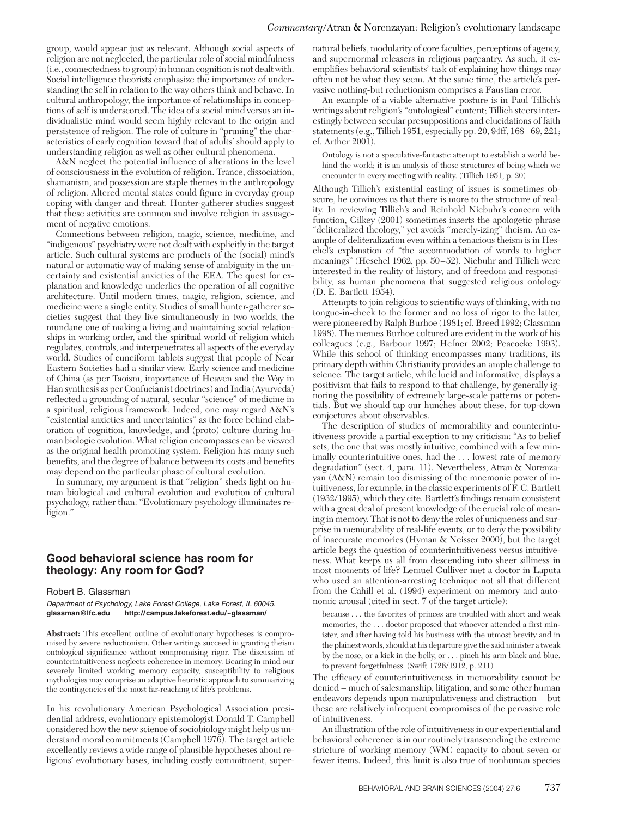group, would appear just as relevant. Although social aspects of religion are not neglected, the particular role of social mindfulness (i.e., connectedness to group) in human cognition is not dealt with. Social intelligence theorists emphasize the importance of understanding the self in relation to the way others think and behave. In cultural anthropology, the importance of relationships in conceptions of self is underscored. The idea of a social mind versus an individualistic mind would seem highly relevant to the origin and persistence of religion. The role of culture in "pruning" the characteristics of early cognition toward that of adults' should apply to understanding religion as well as other cultural phenomena.

A&N neglect the potential influence of alterations in the level of consciousness in the evolution of religion. Trance, dissociation, shamanism, and possession are staple themes in the anthropology of religion. Altered mental states could figure in everyday group coping with danger and threat. Hunter-gatherer studies suggest that these activities are common and involve religion in assuagement of negative emotions.

Connections between religion, magic, science, medicine, and "indigenous" psychiatry were not dealt with explicitly in the target article. Such cultural systems are products of the (social) mind's natural or automatic way of making sense of ambiguity in the uncertainty and existential anxieties of the EEA. The quest for explanation and knowledge underlies the operation of all cognitive architecture. Until modern times, magic, religion, science, and medicine were a single entity. Studies of small hunter-gatherer societies suggest that they live simultaneously in two worlds, the mundane one of making a living and maintaining social relationships in working order, and the spiritual world of religion which regulates, controls, and interpenetrates all aspects of the everyday world. Studies of cuneiform tablets suggest that people of Near Eastern Societies had a similar view. Early science and medicine of China (as per Taoism, importance of Heaven and the Way in Han synthesis as per Confucianist doctrines) and India (Ayurveda) reflected a grounding of natural, secular "science" of medicine in a spiritual, religious framework. Indeed, one may regard A&N's "existential anxieties and uncertainties" as the force behind elaboration of cognition, knowledge, and (proto) culture during human biologic evolution. What religion encompasses can be viewed as the original health promoting system. Religion has many such benefits, and the degree of balance between its costs and benefits may depend on the particular phase of cultural evolution.

In summary, my argument is that "religion" sheds light on human biological and cultural evolution and evolution of cultural psychology, rather than: "Evolutionary psychology illuminates religion."

## **Good behavioral science has room for theology: Any room for God?**

Robert B. Glassman

*Department of Psychology, Lake Forest College, Lake Forest, IL 60045.* **glassman@lfc.edu http://campus.lakeforest.edu/~glassman/**

**Abstract:** This excellent outline of evolutionary hypotheses is compromised by severe reductionism. Other writings succeed in granting theism ontological significance without compromising rigor. The discussion of counterintuitiveness neglects coherence in memory. Bearing in mind our severely limited working memory capacity, susceptibility to religious mythologies may comprise an adaptive heuristic approach to summarizing the contingencies of the most far-reaching of life's problems.

In his revolutionary American Psychological Association presidential address, evolutionary epistemologist Donald T. Campbell considered how the new science of sociobiology might help us understand moral commitments (Campbell 1976). The target article excellently reviews a wide range of plausible hypotheses about religions' evolutionary bases, including costly commitment, super-

natural beliefs, modularity of core faculties, perceptions of agency, and supernormal releasers in religious pageantry. As such, it exemplifies behavioral scientists' task of explaining how things may often not be what they seem. At the same time, the article's pervasive nothing-but reductionism comprises a Faustian error.

An example of a viable alternative posture is in Paul Tillich's writings about religion's "ontological" content; Tillich steers interestingly between secular presuppositions and elucidations of faith statements (e.g., Tillich 1951, especially pp. 20, 94ff, 168–69, 221; cf. Arther 2001).

Ontology is not a speculative-fantastic attempt to establish a world behind the world; it is an analysis of those structures of being which we encounter in every meeting with reality. (Tillich 1951, p. 20)

Although Tillich's existential casting of issues is sometimes obscure, he convinces us that there is more to the structure of reality. In reviewing Tillich's and Reinhold Niebuhr's concern with function, Gilkey (2001) sometimes inserts the apologetic phrase "deliteralized theology," yet avoids "merely-izing" theism. An example of deliteralization even within a tenacious theism is in Heschel's explanation of "the accommodation of words to higher meanings" (Heschel 1962, pp. 50–52). Niebuhr and Tillich were interested in the reality of history, and of freedom and responsibility, as human phenomena that suggested religious ontology (D. E. Bartlett 1954).

Attempts to join religious to scientific ways of thinking, with no tongue-in-cheek to the former and no loss of rigor to the latter, were pioneered by Ralph Burhoe (1981; cf. Breed 1992; Glassman 1998). The memes Burhoe cultured are evident in the work of his colleagues (e.g., Barbour 1997; Hefner 2002; Peacocke 1993). While this school of thinking encompasses many traditions, its primary depth within Christianity provides an ample challenge to science. The target article, while lucid and informative, displays a positivism that fails to respond to that challenge, by generally ignoring the possibility of extremely large-scale patterns or potentials. But we should tap our hunches about these, for top-down conjectures about observables.

The description of studies of memorability and counterintuitiveness provide a partial exception to my criticism: "As to belief sets, the one that was mostly intuitive, combined with a few minimally counterintuitive ones, had the . . . lowest rate of memory degradation" (sect. 4, para. 11). Nevertheless, Atran & Norenzayan (A&N) remain too dismissing of the mnemonic power of intuitiveness, for example, in the classic experiments of F. C. Bartlett (1932/1995), which they cite. Bartlett's findings remain consistent with a great deal of present knowledge of the crucial role of meaning in memory. That is not to deny the roles of uniqueness and surprise in memorability of real-life events, or to deny the possibility of inaccurate memories (Hyman & Neisser 2000), but the target article begs the question of counterintuitiveness versus intuitiveness. What keeps us all from descending into sheer silliness in most moments of life? Lemuel Gulliver met a doctor in Laputa who used an attention-arresting technique not all that different from the Cahill et al. (1994) experiment on memory and autonomic arousal (cited in sect. 7 of the target article):

because . . . the favorites of princes are troubled with short and weak memories, the . . . doctor proposed that whoever attended a first minister, and after having told his business with the utmost brevity and in the plainest words, should at his departure give the said minister a tweak by the nose, or a kick in the belly, or . . . pinch his arm black and blue, to prevent forgetfulness. (Swift 1726/1912, p. 211)

The efficacy of counterintuitiveness in memorability cannot be denied – much of salesmanship, litigation, and some other human endeavors depends upon manipulativeness and distraction – but these are relatively infrequent compromises of the pervasive role of intuitiveness.

An illustration of the role of intuitiveness in our experiential and behavioral coherence is in our routinely transcending the extreme stricture of working memory (WM) capacity to about seven or fewer items. Indeed, this limit is also true of nonhuman species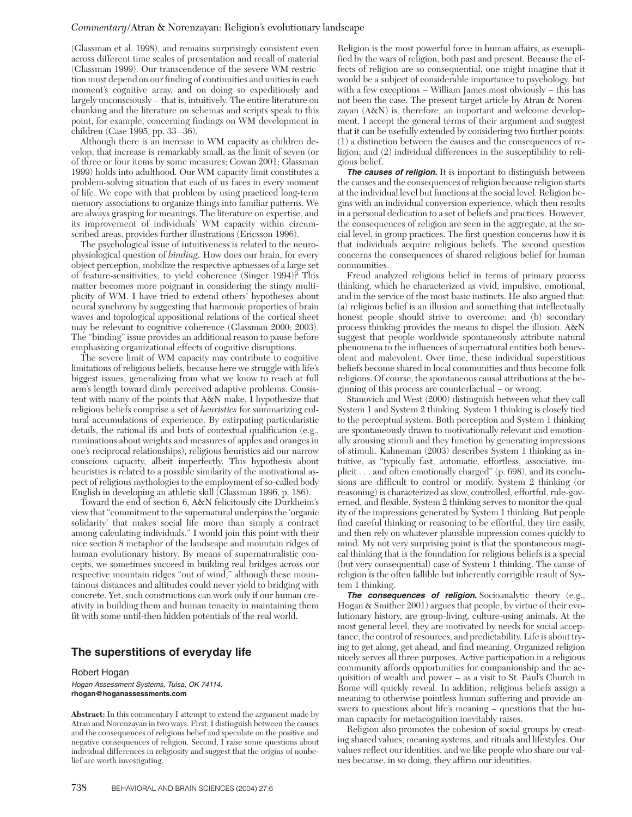(Glassman et al. 1998), and remains surprisingly consistent even across different time scales of presentation and recall of material (Glassman 1999). Our transcendence of the severe WM restriction must depend on our finding of continuities and unities in each moment's cognitive array, and on doing so expeditiously and largely unconsciously – that is, intuitively. The entire literature on chunking and the literature on schemas and scripts speak to this point, for example, concerning findings on WM development in children (Case 1995, pp. 33–36).

Although there is an increase in WM capacity as children develop, that increase is remarkably small, as the limit of seven (or of three or four items by some measures; Cowan 2001; Glassman 1999) holds into adulthood. Our WM capacity limit constitutes a problem-solving situation that each of us faces in every moment of life. We cope with that problem by using practiced long-term memory associations to organize things into familiar patterns. We are always grasping for meanings. The literature on expertise, and its improvement of individuals' WM capacity within circumscribed areas, provides further illustrations (Ericsson 1996).

The psychological issue of intuitiveness is related to the neurophysiological question of *binding.* How does our brain, for every object perception, mobilize the respective aptnesses of a large set of feature-sensitivities, to yield coherence (Singer 1994)? This matter becomes more poignant in considering the stingy multiplicity of WM. I have tried to extend others' hypotheses about neural synchrony by suggesting that harmonic properties of brain waves and topological appositional relations of the cortical sheet may be relevant to cognitive coherence (Glassman 2000; 2003). The "binding" issue provides an additional reason to pause before emphasizing organizational effects of cognitive disruptions.

The severe limit of WM capacity may contribute to cognitive limitations of religious beliefs, because here we struggle with life's biggest issues, generalizing from what we know to reach at full arm's length toward dimly perceived adaptive problems. Consistent with many of the points that A&N make, I hypothesize that religious beliefs comprise a set of *heuristics* for summarizing cultural accumulations of experience. By extirpating particularistic details, the rational ifs and buts of contextual qualification (e.g., ruminations about weights and measures of apples and oranges in one's reciprocal relationships), religious heuristics aid our narrow conscious capacity, albeit imperfectly. This hypothesis about heuristics is related to a possible similarity of the motivational aspect of religious mythologies to the employment of so-called body English in developing an athletic skill (Glassman 1996, p. 186).

Toward the end of section 6, A&N felicitously cite Durkheim's view that "commitment to the supernatural underpins the 'organic solidarity' that makes social life more than simply a contract among calculating individuals." I would join this point with their nice section 8 metaphor of the landscape and mountain ridges of human evolutionary history. By means of supernaturalistic concepts, we sometimes succeed in building real bridges across our respective mountain ridges "out of wind," although these mountainous distances and altitudes could never yield to bridging with concrete. Yet, such constructions can work only if our human creativity in building them and human tenacity in maintaining them fit with some until-then hidden potentials of the real world.

## **The superstitions of everyday life**

Robert Hogan *Hogan Assessment Systems, Tulsa, OK 74114.* **rhogan@hoganassessments.com**

**Abstract:** In this commentary I attempt to extend the argument made by Atran and Norenzayan in two ways. First, I distinguish between the causes and the consequences of religious belief and speculate on the positive and negative consequences of religion. Second, I raise some questions about individual differences in religiosity and suggest that the origins of nonbelief are worth investigating.

Religion is the most powerful force in human affairs, as exemplified by the wars of religion, both past and present. Because the effects of religion are so consequential, one might imagine that it would be a subject of considerable importance to psychology, but with a few exceptions – William James most obviously – this has not been the case. The present target article by Atran & Norenzayan (A&N) is, therefore, an important and welcome development. I accept the general terms of their argument and suggest that it can be usefully extended by considering two further points: (1) a distinction between the causes and the consequences of religion; and (2) individual differences in the susceptibility to religious belief.

*The causes of religion.* It is important to distinguish between the causes and the consequences of religion because religion starts at the individual level but functions at the social level. Religion begins with an individual conversion experience, which then results in a personal dedication to a set of beliefs and practices. However, the consequences of religion are seen in the aggregate, at the social level, in group practices. The first question concerns how it is that individuals acquire religious beliefs. The second question concerns the consequences of shared religious belief for human communities.

Freud analyzed religious belief in terms of primary process thinking, which he characterized as vivid, impulsive, emotional, and in the service of the most basic instincts. He also argued that: (a) religious belief is an illusion and something that intellectually honest people should strive to overcome; and (b) secondary process thinking provides the means to dispel the illusion. A&N suggest that people worldwide spontaneously attribute natural phenomena to the influences of supernatural entities both benevolent and malevolent. Over time, these individual superstitious beliefs become shared in local communities and thus become folk religions. Of course, the spontaneous causal attributions at the beginning of this process are counterfactual – or wrong.

Stanovich and West (2000) distinguish between what they call System 1 and System 2 thinking. System 1 thinking is closely tied to the perceptual system. Both perception and System 1 thinking are spontaneously drawn to motivationally relevant and emotionally arousing stimuli and they function by generating impressions of stimuli. Kahneman (2003) describes System 1 thinking as intuitive, as "typically fast, automatic, effortless, associative, implicit . . . and often emotionally charged" (p. 698), and its conclusions are difficult to control or modify. System 2 thinking (or reasoning) is characterized as slow, controlled, effortful, rule-governed, and flexible. System 2 thinking serves to monitor the quality of the impressions generated by System 1 thinking. But people find careful thinking or reasoning to be effortful, they tire easily, and then rely on whatever plausible impression comes quickly to mind. My not very surprising point is that the spontaneous magical thinking that is the foundation for religious beliefs is a special (but very consequential) case of System 1 thinking. The cause of religion is the often fallible but inherently corrigible result of System 1 thinking.

*The consequences of religion.* Socioanalytic theory (e.g., Hogan & Smither 2001) argues that people, by virtue of their evolutionary history, are group-living, culture-using animals. At the most general level, they are motivated by needs for social acceptance, the control of resources, and predictability. Life is about trying to get along, get ahead, and find meaning. Organized religion nicely serves all three purposes. Active participation in a religious community affords opportunities for companionship and the acquisition of wealth and power – as a visit to St. Paul's Church in Rome will quickly reveal. In addition, religious beliefs assign a meaning to otherwise pointless human suffering and provide answers to questions about life's meaning – questions that the human capacity for metacognition inevitably raises.

Religion also promotes the cohesion of social groups by creating shared values, meaning systems, and rituals and lifestyles. Our values reflect our identities, and we like people who share our values because, in so doing, they affirm our identities.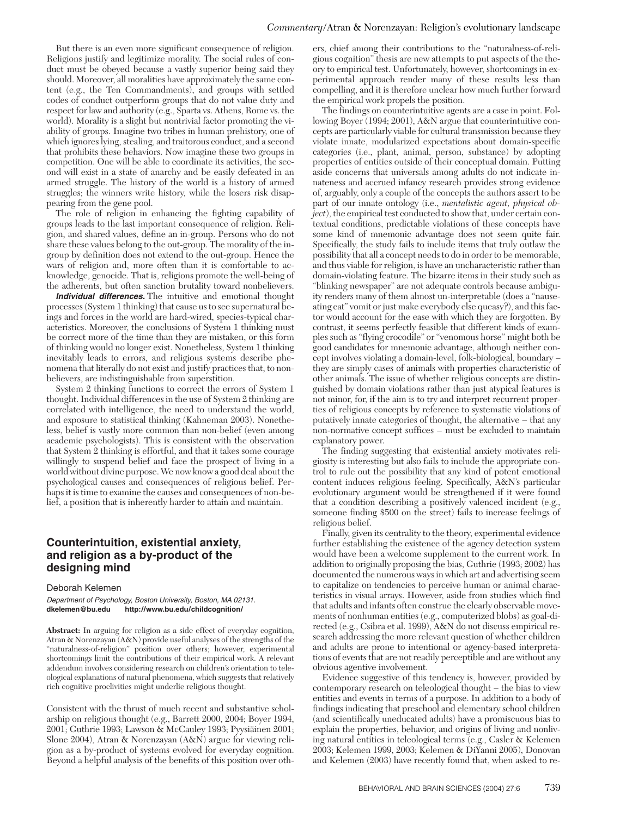But there is an even more significant consequence of religion. Religions justify and legitimize morality. The social rules of conduct must be obeyed because a vastly superior being said they should. Moreover, all moralities have approximately the same content (e.g., the Ten Commandments), and groups with settled codes of conduct outperform groups that do not value duty and respect for law and authority (e.g., Sparta vs. Athens, Rome vs. the world). Morality is a slight but nontrivial factor promoting the viability of groups. Imagine two tribes in human prehistory, one of which ignores lying, stealing, and traitorous conduct, and a second that prohibits these behaviors. Now imagine these two groups in competition. One will be able to coordinate its activities, the second will exist in a state of anarchy and be easily defeated in an armed struggle. The history of the world is a history of armed struggles; the winners write history, while the losers risk disappearing from the gene pool.

The role of religion in enhancing the fighting capability of groups leads to the last important consequence of religion. Religion, and shared values, define an in-group. Persons who do not share these values belong to the out-group. The morality of the ingroup by definition does not extend to the out-group. Hence the wars of religion and, more often than it is comfortable to acknowledge, genocide. That is, religions promote the well-being of the adherents, but often sanction brutality toward nonbelievers.

*Individual differences.* The intuitive and emotional thought processes (System 1 thinking) that cause us to see supernatural beings and forces in the world are hard-wired, species-typical characteristics. Moreover, the conclusions of System 1 thinking must be correct more of the time than they are mistaken, or this form of thinking would no longer exist. Nonetheless, System 1 thinking inevitably leads to errors, and religious systems describe phenomena that literally do not exist and justify practices that, to nonbelievers, are indistinguishable from superstition.

System 2 thinking functions to correct the errors of System 1 thought. Individual differences in the use of System 2 thinking are correlated with intelligence, the need to understand the world, and exposure to statistical thinking (Kahneman 2003). Nonetheless, belief is vastly more common than non-belief (even among academic psychologists). This is consistent with the observation that System 2 thinking is effortful, and that it takes some courage willingly to suspend belief and face the prospect of living in a world without divine purpose. We now know a good deal about the psychological causes and consequences of religious belief. Perhaps it is time to examine the causes and consequences of non-belief, a position that is inherently harder to attain and maintain.

## **Counterintuition, existential anxiety, and religion as a by-product of the designing mind**

#### Deborah Kelemen

*Department of Psychology, Boston University, Boston, MA 02131.* **dkelemen@bu.edu http://www.bu.edu/childcognition/**

**Abstract:** In arguing for religion as a side effect of everyday cognition, Atran & Norenzayan (A&N) provide useful analyses of the strengths of the "naturalness-of-religion" position over others; however, experimental shortcomings limit the contributions of their empirical work. A relevant addendum involves considering research on children's orientation to teleological explanations of natural phenomena, which suggests that relatively rich cognitive proclivities might underlie religious thought.

Consistent with the thrust of much recent and substantive scholarship on religious thought (e.g., Barrett 2000, 2004; Boyer 1994, 2001; Guthrie 1993; Lawson & McCauley 1993; Pyysiäinen 2001; Slone 2004), Atran & Norenzayan (A&N) argue for viewing religion as a by-product of systems evolved for everyday cognition. Beyond a helpful analysis of the benefits of this position over oth-

ers, chief among their contributions to the "naturalness-of-religious cognition" thesis are new attempts to put aspects of the theory to empirical test. Unfortunately, however, shortcomings in experimental approach render many of these results less than compelling, and it is therefore unclear how much further forward the empirical work propels the position.

The findings on counterintuitive agents are a case in point. Following Boyer (1994; 2001), A&N argue that counterintuitive concepts are particularly viable for cultural transmission because they violate innate, modularized expectations about domain-specific categories (i.e., plant, animal, person, substance) by adopting properties of entities outside of their conceptual domain. Putting aside concerns that universals among adults do not indicate innateness and accrued infancy research provides strong evidence of, arguably, only a couple of the concepts the authors assert to be part of our innate ontology (i.e., *mentalistic agent, physical object*), the empirical test conducted to show that, under certain contextual conditions, predictable violations of these concepts have some kind of mnemonic advantage does not seem quite fair. Specifically, the study fails to include items that truly outlaw the possibility that all a concept needs to do in order to be memorable, and thus viable for religion, is have an uncharacteristic rather than domain-violating feature. The bizarre items in their study such as "blinking newspaper" are not adequate controls because ambiguity renders many of them almost un-interpretable (does a "nauseating cat" vomit or just make everybody else queasy?), and this factor would account for the ease with which they are forgotten. By contrast, it seems perfectly feasible that different kinds of examples such as "flying crocodile" or "venomous horse" might both be good candidates for mnemonic advantage, although neither concept involves violating a domain-level, folk-biological, boundary – they are simply cases of animals with properties characteristic of other animals. The issue of whether religious concepts are distinguished by domain violations rather than just atypical features is not minor, for, if the aim is to try and interpret recurrent properties of religious concepts by reference to systematic violations of putatively innate categories of thought, the alternative – that any non-normative concept suffices – must be excluded to maintain explanatory power.

The finding suggesting that existential anxiety motivates religiosity is interesting but also fails to include the appropriate control to rule out the possibility that any kind of potent emotional content induces religious feeling. Specifically, A&N's particular evolutionary argument would be strengthened if it were found that a condition describing a positively valenced incident (e.g., someone finding \$500 on the street) fails to increase feelings of religious belief.

Finally, given its centrality to the theory, experimental evidence further establishing the existence of the agency detection system would have been a welcome supplement to the current work. In addition to originally proposing the bias, Guthrie (1993; 2002) has documented the numerous ways in which art and advertising seem to capitalize on tendencies to perceive human or animal characteristics in visual arrays. However, aside from studies which find that adults and infants often construe the clearly observable movements of nonhuman entities (e.g., computerized blobs) as goal-directed (e.g., Csibra et al. 1999), A&N do not discuss empirical research addressing the more relevant question of whether children and adults are prone to intentional or agency-based interpretations of events that are not readily perceptible and are without any obvious agentive involvement.

Evidence suggestive of this tendency is, however, provided by contemporary research on teleological thought – the bias to view entities and events in terms of a purpose. In addition to a body of findings indicating that preschool and elementary school children (and scientifically uneducated adults) have a promiscuous bias to explain the properties, behavior, and origins of living and nonliving natural entities in teleological terms (e.g., Casler & Kelemen 2003; Kelemen 1999, 2003; Kelemen & DiYanni 2005), Donovan and Kelemen (2003) have recently found that, when asked to re-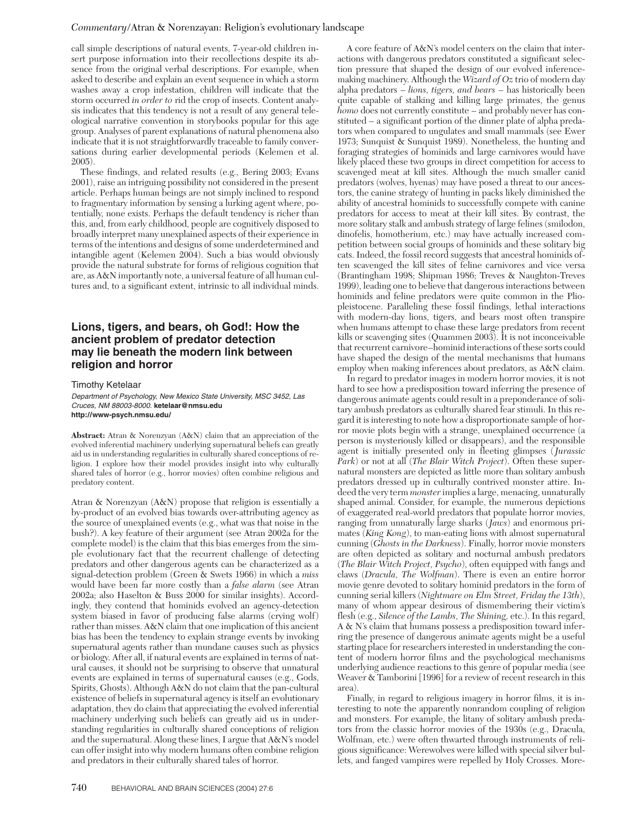call simple descriptions of natural events, 7-year-old children insert purpose information into their recollections despite its absence from the original verbal descriptions. For example, when asked to describe and explain an event sequence in which a storm washes away a crop infestation, children will indicate that the storm occurred *in order to* rid the crop of insects. Content analysis indicates that this tendency is not a result of any general teleological narrative convention in storybooks popular for this age group. Analyses of parent explanations of natural phenomena also indicate that it is not straightforwardly traceable to family conversations during earlier developmental periods (Kelemen et al. 2005).

These findings, and related results (e.g., Bering 2003; Evans 2001), raise an intriguing possibility not considered in the present article. Perhaps human beings are not simply inclined to respond to fragmentary information by sensing a lurking agent where, potentially, none exists. Perhaps the default tendency is richer than this, and, from early childhood, people are cognitively disposed to broadly interpret many unexplained aspects of their experience in terms of the intentions and designs of some underdetermined and intangible agent (Kelemen 2004). Such a bias would obviously provide the natural substrate for forms of religious cognition that are, as A&N importantly note, a universal feature of all human cultures and, to a significant extent, intrinsic to all individual minds.

## **Lions, tigers, and bears, oh God!: How the ancient problem of predator detection may lie beneath the modern link between religion and horror**

#### Timothy Ketelaar

*Department of Psychology, New Mexico State University, MSC 3452, Las Cruces, NM 88003-8000.* **ketelaar@nmsu.edu http://www-psych.nmsu.edu/**

**Abstract:** Atran & Norenzyan (A&N) claim that an appreciation of the evolved inferential machinery underlying supernatural beliefs can greatly aid us in understanding regularities in culturally shared conceptions of religion. I explore how their model provides insight into why culturally shared tales of horror (e.g., horror movies) often combine religious and predatory content.

Atran & Norenzyan (A&N) propose that religion is essentially a by-product of an evolved bias towards over-attributing agency as the source of unexplained events (e.g., what was that noise in the bush?). A key feature of their argument (see Atran 2002a for the complete model) is the claim that this bias emerges from the simple evolutionary fact that the recurrent challenge of detecting predators and other dangerous agents can be characterized as a signal-detection problem (Green & Swets 1966) in which a *miss* would have been far more costly than a *false alarm* (see Atran 2002a; also Haselton & Buss 2000 for similar insights). Accordingly, they contend that hominids evolved an agency-detection system biased in favor of producing false alarms (crying wolf) rather than misses. A&N claim that one implication of this ancient bias has been the tendency to explain strange events by invoking supernatural agents rather than mundane causes such as physics or biology. After all, if natural events are explained in terms of natural causes, it should not be surprising to observe that unnatural events are explained in terms of supernatural causes (e.g., Gods, Spirits, Ghosts). Although A&N do not claim that the pan-cultural existence of beliefs in supernatural agency is itself an evolutionary adaptation, they do claim that appreciating the evolved inferential machinery underlying such beliefs can greatly aid us in understanding regularities in culturally shared conceptions of religion and the supernatural. Along these lines, I argue that A&N's model can offer insight into why modern humans often combine religion and predators in their culturally shared tales of horror.

A core feature of A&N's model centers on the claim that interactions with dangerous predators constituted a significant selection pressure that shaped the design of our evolved inferencemaking machinery. Although the *Wizard of Oz* trio of modern day alpha predators – *lions, tigers, and bears* – has historically been quite capable of stalking and killing large primates, the genus *homo* does not currently constitute – and probably never has constituted – a significant portion of the dinner plate of alpha predators when compared to ungulates and small mammals (see Ewer 1973; Sunquist & Sunquist 1989). Nonetheless, the hunting and foraging strategies of hominids and large carnivores would have likely placed these two groups in direct competition for access to scavenged meat at kill sites. Although the much smaller canid predators (wolves, hyenas) may have posed a threat to our ancestors, the canine strategy of hunting in packs likely diminished the ability of ancestral hominids to successfully compete with canine predators for access to meat at their kill sites. By contrast, the more solitary stalk and ambush strategy of large felines (smilodon, dinofelis, homotherium, etc.) may have actually increased competition between social groups of hominids and these solitary big cats. Indeed, the fossil record suggests that ancestral hominids often scavenged the kill sites of feline carnivores and vice versa (Brantingham 1998; Shipman 1986; Treves & Naughton-Treves 1999), leading one to believe that dangerous interactions between hominids and feline predators were quite common in the Pliopleistocene. Paralleling these fossil findings, lethal interactions with modern-day lions, tigers, and bears most often transpire when humans attempt to chase these large predators from recent kills or scavenging sites (Quammen 2003). It is not inconceivable that recurrent carnivore–hominid interactions of these sorts could have shaped the design of the mental mechanisms that humans employ when making inferences about predators, as A&N claim.

In regard to predator images in modern horror movies, it is not hard to see how a predisposition toward inferring the presence of dangerous animate agents could result in a preponderance of solitary ambush predators as culturally shared fear stimuli. In this regard it is interesting to note how a disproportionate sample of horror movie plots begin with a strange, unexplained occurrence (a person is mysteriously killed or disappears), and the responsible agent is initially presented only in fleeting glimpses (*Jurassic Park*) or not at all (*The Blair Witch Project*). Often these supernatural monsters are depicted as little more than solitary ambush predators dressed up in culturally contrived monster attire. Indeed the very term *monster* implies a large, menacing, unnaturally shaped animal. Consider, for example, the numerous depictions of exaggerated real-world predators that populate horror movies, ranging from unnaturally large sharks (*Jaws*) and enormous primates (*King Kong*), to man-eating lions with almost supernatural cunning (*Ghosts in the Darkness*). Finally, horror movie monsters are often depicted as solitary and nocturnal ambush predators (*The Blair Witch Project, Psycho*), often equipped with fangs and claws (*Dracula, The Wolfman*). There is even an entire horror movie genre devoted to solitary hominid predators in the form of cunning serial killers (*Nightmare on Elm Street, Friday the 13th*), many of whom appear desirous of dismembering their victim's flesh (e.g., *Silence of the Lambs, The Shining,* etc.). In this regard, A & N's claim that humans possess a predisposition toward inferring the presence of dangerous animate agents might be a useful starting place for researchers interested in understanding the content of modern horror films and the psychological mechanisms underlying audience reactions to this genre of popular media (see Weaver & Tamborini [1996] for a review of recent research in this area).

Finally, in regard to religious imagery in horror films, it is interesting to note the apparently nonrandom coupling of religion and monsters. For example, the litany of solitary ambush predators from the classic horror movies of the 1930s (e.g., Dracula, Wolfman, etc.) were often thwarted through instruments of religious significance: Werewolves were killed with special silver bullets, and fanged vampires were repelled by Holy Crosses. More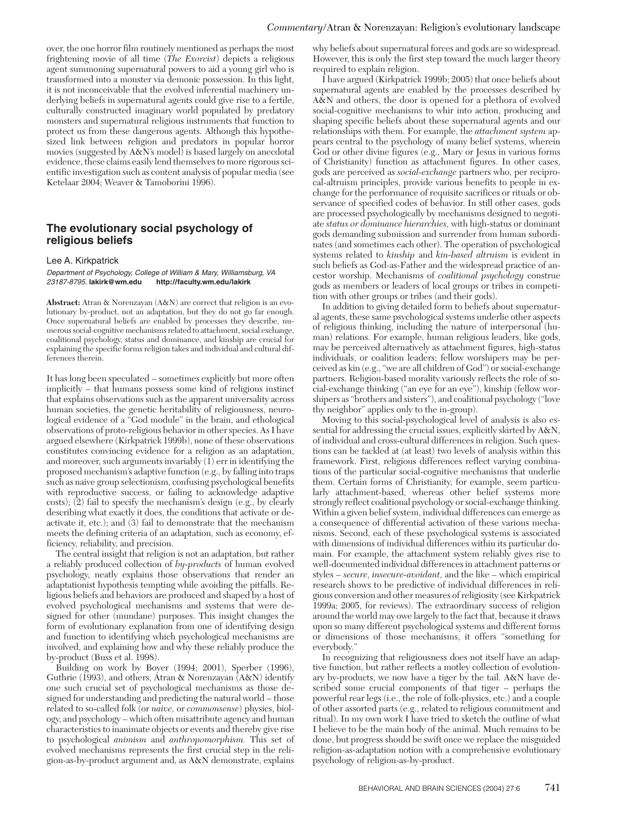over, the one horror film routinely mentioned as perhaps the most frightening movie of all time (*The Exorcist*) depicts a religious agent summoning supernatural powers to aid a young girl who is transformed into a monster via demonic possession. In this light, it is not inconceivable that the evolved inferential machinery underlying beliefs in supernatural agents could give rise to a fertile, culturally constructed imaginary world populated by predatory monsters and supernatural religious instruments that function to protect us from these dangerous agents. Although this hypothesized link between religion and predators in popular horror movies (suggested by A&N's model) is based largely on anecdotal evidence, these claims easily lend themselves to more rigorous scientific investigation such as content analysis of popular media (see Ketelaar 2004; Weaver & Tamoborini 1996).

## **The evolutionary social psychology of religious beliefs**

#### Lee A. Kirkpatrick

*Department of Psychology, College of William & Mary, Williamsburg, VA 23187-8795.* **lakirk@wm.edu http://faculty.wm.edu/lakirk**

**Abstract:** Atran & Norenzayan (A&N) are correct that religion is an evolutionary by-product, not an adaptation, but they do not go far enough. Once supernatural beliefs are enabled by processes they describe, numerous social-cognitive mechanisms related to attachment, social exchange, coalitional psychology, status and dominance, and kinship are crucial for explaining the specific forms religion takes and individual and cultural differences therein.

It has long been speculated – sometimes explicitly but more often implicitly – that humans possess some kind of religious instinct that explains observations such as the apparent universality across human societies, the genetic heritability of religiousness, neurological evidence of a "God module" in the brain, and ethological observations of proto-religious behavior in other species. As I have argued elsewhere (Kirkpatrick 1999b), none of these observations constitutes convincing evidence for a religion as an adaptation, and moreover, such arguments invariably  $(1)$  err in identifying the proposed mechanism's adaptive function (e.g., by falling into traps such as naive group selectionism, confusing psychological benefits with reproductive success, or failing to acknowledge adaptive costs); (2) fail to specify the mechanism's design (e.g., by clearly describing what exactly it does, the conditions that activate or deactivate it, etc.); and (3) fail to demonstrate that the mechanism meets the defining criteria of an adaptation, such as economy, efficiency, reliability, and precision.

The central insight that religion is not an adaptation, but rather a reliably produced collection of *by-products* of human evolved psychology, neatly explains those observations that render an adaptationist hypothesis tempting while avoiding the pitfalls. Religious beliefs and behaviors are produced and shaped by a host of evolved psychological mechanisms and systems that were designed for other (mundane) purposes. This insight changes the form of evolutionary explanation from one of identifying design and function to identifying which psychological mechanisms are involved, and explaining how and why these reliably produce the by-product (Buss et al. 1998).

Building on work by Boyer (1994; 2001), Sperber (1996), Guthrie (1993), and others, Atran & Norenzayan (A&N) identify one such crucial set of psychological mechanisms as those designed for understanding and predicting the natural world – those related to so-called folk (or *naive,* or *commonsense*) physics, biology, and psychology – which often misattribute agency and human characteristics to inanimate objects or events and thereby give rise to psychological *animism* and *anthropomorphism.* This set of evolved mechanisms represents the first crucial step in the religion-as-by-product argument and, as A&N demonstrate, explains

why beliefs about supernatural forces and gods are so widespread. However, this is only the first step toward the much larger theory required to explain religion.

I have argued (Kirkpatrick 1999b; 2005) that once beliefs about supernatural agents are enabled by the processes described by A&N and others, the door is opened for a plethora of evolved social-cognitive mechanisms to whir into action, producing and shaping specific beliefs about these supernatural agents and our relationships with them. For example, the *attachment system* appears central to the psychology of many belief systems, wherein God or other divine figures (e.g., Mary or Jesus in various forms of Christianity) function as attachment figures. In other cases, gods are perceived as *social-exchange* partners who, per reciprocal-altruism principles, provide various benefits to people in exchange for the performance of requisite sacrifices or rituals or observance of specified codes of behavior. In still other cases, gods are processed psychologically by mechanisms designed to negotiate *status or dominance hierarchies,* with high-status or dominant gods demanding submission and surrender from human subordinates (and sometimes each other). The operation of psychological systems related to *kinship* and *kin-based altruism* is evident in such beliefs as God-as-Father and the widespread practice of ancestor worship. Mechanisms of *coalitional psychology* construe gods as members or leaders of local groups or tribes in competition with other groups or tribes (and their gods).

In addition to giving detailed form to beliefs about supernatural agents, these same psychological systems underlie other aspects of religious thinking, including the nature of interpersonal (human) relations. For example, human religious leaders, like gods, may be perceived alternatively as attachment figures, high-status individuals, or coalition leaders; fellow worshipers may be perceived as kin (e.g., "we are all children of God") or social-exchange partners. Religion-based morality variously reflects the role of social-exchange thinking ("an eye for an eye"), kinship (fellow worshipers as "brothers and sisters"), and coalitional psychology ("love thy neighbor" applies only to the in-group).

Moving to this social-psychological level of analysis is also essential for addressing the crucial issues, explicitly skirted by A&N, of individual and cross-cultural differences in religion. Such questions can be tackled at (at least) two levels of analysis within this framework. First, religious differences reflect varying combinations of the particular social-cognitive mechanisms that underlie them. Certain forms of Christianity, for example, seem particularly attachment-based, whereas other belief systems more strongly reflect coalitional psychology or social-exchange thinking. Within a given belief system, individual differences can emerge as a consequence of differential activation of these various mechanisms. Second, each of these psychological systems is associated with dimensions of individual differences within its particular domain. For example, the attachment system reliably gives rise to well-documented individual differences in attachment patterns or styles – *secure, insecure-avoidant,* and the like – which empirical research shows to be predictive of individual differences in religious conversion and other measures of religiosity (see Kirkpatrick 1999a; 2005, for reviews). The extraordinary success of religion around the world may owe largely to the fact that, because it draws upon so many different psychological systems and different forms or dimensions of those mechanisms, it offers "something for everybody."

In recognizing that religiousness does not itself have an adaptive function, but rather reflects a motley collection of evolutionary by-products, we now have a tiger by the tail. A&N have described some crucial components of that tiger – perhaps the powerful rear legs (i.e., the role of folk-physics, etc.) and a couple of other assorted parts (e.g., related to religious commitment and ritual). In my own work I have tried to sketch the outline of what I believe to be the main body of the animal. Much remains to be done, but progress should be swift once we replace the misguided religion-as-adaptation notion with a comprehensive evolutionary psychology of religion-as-by-product.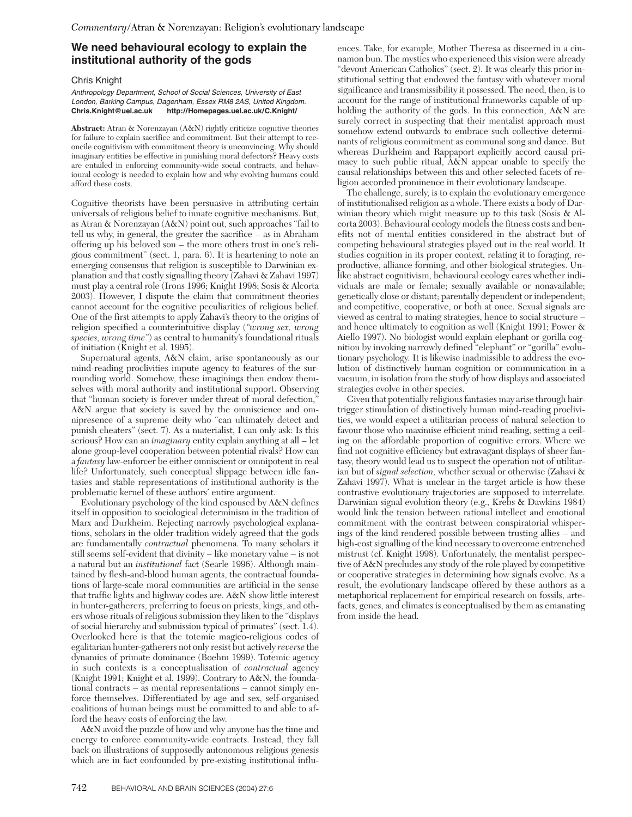## **We need behavioural ecology to explain the institutional authority of the gods**

#### Chris Knight

*Anthropology Department, School of Social Sciences, University of East London, Barking Campus, Dagenham, Essex RM8 2AS, United Kingdom.* **Chris.Knight@uel.ac.uk http://Homepages.uel.ac.uk/C.Knight/**

**Abstract:** Atran & Norenzayan (A&N) rightly criticize cognitive theories for failure to explain sacrifice and commitment. But their attempt to reconcile cognitivism with commitment theory is unconvincing. Why should imaginary entities be effective in punishing moral defectors? Heavy costs are entailed in enforcing community-wide social contracts, and behavioural ecology is needed to explain how and why evolving humans could afford these costs.

Cognitive theorists have been persuasive in attributing certain universals of religious belief to innate cognitive mechanisms. But, as Atran & Norenzayan (A&N) point out, such approaches "fail to tell us why, in general, the greater the sacrifice – as in Abraham offering up his beloved son – the more others trust in one's religious commitment" (sect. 1, para. 6). It is heartening to note an emerging consensus that religion is susceptible to Darwinian explanation and that costly signalling theory (Zahavi & Zahavi 1997) must play a central role (Irons 1996; Knight 1998; Sosis & Alcorta 2003). However, I dispute the claim that commitment theories cannot account for the cognitive peculiarities of religious belief. One of the first attempts to apply Zahavi's theory to the origins of religion specified a counterintuitive display (*"wrong sex, wrong species, wrong time"*) as central to humanity's foundational rituals of initiation (Knight et al. 1995).

Supernatural agents, A&N claim, arise spontaneously as our mind-reading proclivities impute agency to features of the surrounding world. Somehow, these imaginings then endow themselves with moral authority and institutional support. Observing that "human society is forever under threat of moral defection," A&N argue that society is saved by the omniscience and omnipresence of a supreme deity who "can ultimately detect and punish cheaters" (sect. 7). As a materialist, I can only ask: Is this serious? How can an *imaginary* entity explain anything at all – let alone group-level cooperation between potential rivals? How can a *fantasy* law-enforcer be either omniscient or omnipotent in real life? Unfortunately, such conceptual slippage between idle fantasies and stable representations of institutional authority is the problematic kernel of these authors' entire argument.

Evolutionary psychology of the kind espoused by A&N defines itself in opposition to sociological determinism in the tradition of Marx and Durkheim. Rejecting narrowly psychological explanations, scholars in the older tradition widely agreed that the gods are fundamentally *contractual* phenomena. To many scholars it still seems self-evident that divinity – like monetary value – is not a natural but an *institutional* fact (Searle 1996). Although maintained by flesh-and-blood human agents, the contractual foundations of large-scale moral communities are artificial in the sense that traffic lights and highway codes are. A&N show little interest in hunter-gatherers, preferring to focus on priests, kings, and others whose rituals of religious submission they liken to the "displays of social hierarchy and submission typical of primates" (sect. 1.4). Overlooked here is that the totemic magico-religious codes of egalitarian hunter-gatherers not only resist but actively *reverse* the dynamics of primate dominance (Boehm 1999). Totemic agency in such contexts is a conceptualisation of *contractual* agency (Knight 1991; Knight et al. 1999). Contrary to A&N, the foundational contracts – as mental representations – cannot simply enforce themselves. Differentiated by age and sex, self-organised coalitions of human beings must be committed to and able to afford the heavy costs of enforcing the law.

A&N avoid the puzzle of how and why anyone has the time and energy to enforce community-wide contracts. Instead, they fall back on illustrations of supposedly autonomous religious genesis which are in fact confounded by pre-existing institutional influ-

742 BEHAVIORAL AND BRAIN SCIENCES (2004) 27:6

ences. Take, for example, Mother Theresa as discerned in a cinnamon bun. The mystics who experienced this vision were already "devout American Catholics" (sect. 2). It was clearly this prior institutional setting that endowed the fantasy with whatever moral significance and transmissibility it possessed. The need, then, is to account for the range of institutional frameworks capable of upholding the authority of the gods. In this connection, A&N are surely correct in suspecting that their mentalist approach must somehow extend outwards to embrace such collective determinants of religious commitment as communal song and dance. But whereas Durkheim and Rappaport explicitly accord causal primacy to such public ritual, A&N appear unable to specify the causal relationships between this and other selected facets of religion accorded prominence in their evolutionary landscape.

The challenge, surely, is to explain the evolutionary emergence of institutionalised religion as a whole. There exists a body of Darwinian theory which might measure up to this task (Sosis & Alcorta 2003). Behavioural ecology models the fitness costs and benefits not of mental entities considered in the abstract but of competing behavioural strategies played out in the real world. It studies cognition in its proper context, relating it to foraging, reproductive, alliance forming, and other biological strategies. Unlike abstract cognitivism, behavioural ecology cares whether individuals are male or female; sexually available or nonavailable; genetically close or distant; parentally dependent or independent; and competitive, cooperative, or both at once. Sexual signals are viewed as central to mating strategies, hence to social structure – and hence ultimately to cognition as well (Knight 1991; Power & Aiello 1997). No biologist would explain elephant or gorilla cognition by invoking narrowly defined "elephant" or "gorilla" evolutionary psychology. It is likewise inadmissible to address the evolution of distinctively human cognition or communication in a vacuum, in isolation from the study of how displays and associated strategies evolve in other species.

Given that potentially religious fantasies may arise through hairtrigger stimulation of distinctively human mind-reading proclivities, we would expect a utilitarian process of natural selection to favour those who maximise efficient mind reading, setting a ceiling on the affordable proportion of cognitive errors. Where we find not cognitive efficiency but extravagant displays of sheer fantasy, theory would lead us to suspect the operation not of utilitarian but of *signal selection,* whether sexual or otherwise (Zahavi & Zahavi 1997). What is unclear in the target article is how these contrastive evolutionary trajectories are supposed to interrelate. Darwinian signal evolution theory (e.g., Krebs & Dawkins 1984) would link the tension between rational intellect and emotional commitment with the contrast between conspiratorial whisperings of the kind rendered possible between trusting allies – and high-cost signalling of the kind necessary to overcome entrenched mistrust (cf. Knight 1998). Unfortunately, the mentalist perspective of A&N precludes any study of the role played by competitive or cooperative strategies in determining how signals evolve. As a result, the evolutionary landscape offered by these authors as a metaphorical replacement for empirical research on fossils, artefacts, genes, and climates is conceptualised by them as emanating from inside the head.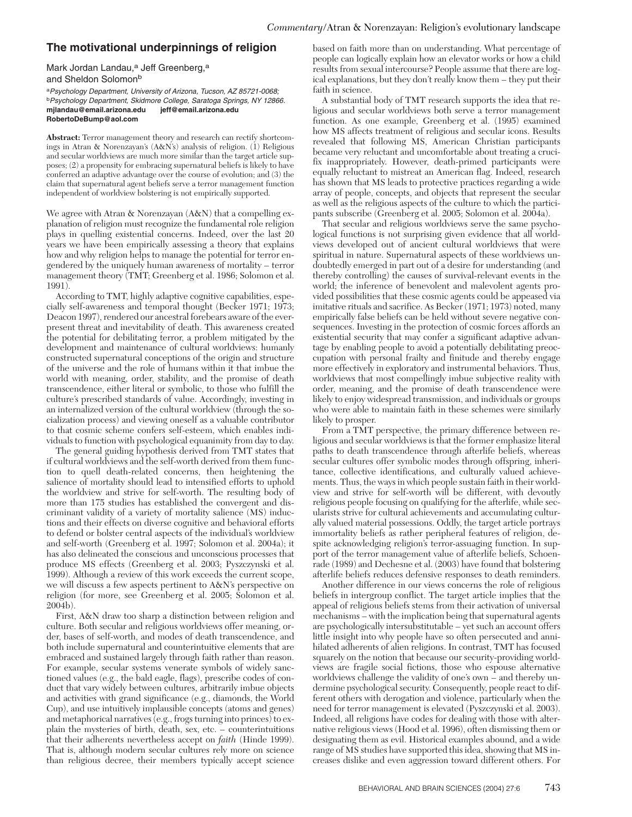## **The motivational underpinnings of religion**

Mark Jordan Landau,<sup>a</sup> Jeff Greenberg,<sup>a</sup> and Sheldon Solomon<sup>b</sup>

<sup>a</sup>*Psychology Department, University of Arizona, Tucson, AZ 85721-0068;* <sup>b</sup>*Psychology Department, Skidmore College, Saratoga Springs, NY 12866.* **mjlandau@email.arizona.edu jeff@email.arizona.edu RobertoDeBump@aol.com**

**Abstract:** Terror management theory and research can rectify shortcomings in Atran & Norenzayan's (A&N's) analysis of religion. (1) Religious and secular worldviews are much more similar than the target article supposes; (2) a propensity for embracing supernatural beliefs is likely to have conferred an adaptive advantage over the course of evolution; and (3) the claim that supernatural agent beliefs serve a terror management function independent of worldview bolstering is not empirically supported.

We agree with Atran & Norenzayan (A&N) that a compelling explanation of religion must recognize the fundamental role religion plays in quelling existential concerns. Indeed, over the last 20 years we have been empirically assessing a theory that explains how and why religion helps to manage the potential for terror engendered by the uniquely human awareness of mortality – terror management theory (TMT; Greenberg et al. 1986; Solomon et al. 1991).

According to TMT, highly adaptive cognitive capabilities, especially self-awareness and temporal thought (Becker 1971; 1973; Deacon 1997), rendered our ancestral forebears aware of the everpresent threat and inevitability of death. This awareness created the potential for debilitating terror, a problem mitigated by the development and maintenance of cultural worldviews: humanly constructed supernatural conceptions of the origin and structure of the universe and the role of humans within it that imbue the world with meaning, order, stability, and the promise of death transcendence, either literal or symbolic, to those who fulfill the culture's prescribed standards of value. Accordingly, investing in an internalized version of the cultural worldview (through the socialization process) and viewing oneself as a valuable contributor to that cosmic scheme confers self-esteem, which enables individuals to function with psychological equanimity from day to day.

The general guiding hypothesis derived from TMT states that if cultural worldviews and the self-worth derived from them function to quell death-related concerns, then heightening the salience of mortality should lead to intensified efforts to uphold the worldview and strive for self-worth. The resulting body of more than 175 studies has established the convergent and discriminant validity of a variety of mortality salience (MS) inductions and their effects on diverse cognitive and behavioral efforts to defend or bolster central aspects of the individual's worldview and self-worth (Greenberg et al. 1997; Solomon et al. 2004a); it has also delineated the conscious and unconscious processes that produce MS effects (Greenberg et al. 2003; Pyszczynski et al. 1999). Although a review of this work exceeds the current scope, we will discuss a few aspects pertinent to A&N's perspective on religion (for more, see Greenberg et al. 2005; Solomon et al. 2004b).

First, A&N draw too sharp a distinction between religion and culture. Both secular and religious worldviews offer meaning, order, bases of self-worth, and modes of death transcendence, and both include supernatural and counterintuitive elements that are embraced and sustained largely through faith rather than reason. For example, secular systems venerate symbols of widely sanctioned values (e.g., the bald eagle, flags), prescribe codes of conduct that vary widely between cultures, arbitrarily imbue objects and activities with grand significance (e.g., diamonds, the World Cup), and use intuitively implausible concepts (atoms and genes) and metaphorical narratives (e.g., frogs turning into princes) to explain the mysteries of birth, death, sex, etc. – counterintuitions that their adherents nevertheless accept on *faith* (Hinde 1999). That is, although modern secular cultures rely more on science than religious decree, their members typically accept science

based on faith more than on understanding. What percentage of people can logically explain how an elevator works or how a child results from sexual intercourse? People assume that there are logical explanations, but they don't really know them – they put their faith in science.

A substantial body of TMT research supports the idea that religious and secular worldviews both serve a terror management function. As one example, Greenberg et al. (1995) examined how MS affects treatment of religious and secular icons. Results revealed that following MS, American Christian participants became very reluctant and uncomfortable about treating a crucifix inappropriately. However, death-primed participants were equally reluctant to mistreat an American flag. Indeed, research has shown that MS leads to protective practices regarding a wide array of people, concepts, and objects that represent the secular as well as the religious aspects of the culture to which the participants subscribe (Greenberg et al. 2005; Solomon et al. 2004a).

That secular and religious worldviews serve the same psychological functions is not surprising given evidence that all worldviews developed out of ancient cultural worldviews that were spiritual in nature. Supernatural aspects of these worldviews undoubtedly emerged in part out of a desire for understanding (and thereby controlling) the causes of survival-relevant events in the world; the inference of benevolent and malevolent agents provided possibilities that these cosmic agents could be appeased via imitative rituals and sacrifice. As Becker (1971; 1973) noted, many empirically false beliefs can be held without severe negative consequences. Investing in the protection of cosmic forces affords an existential security that may confer a significant adaptive advantage by enabling people to avoid a potentially debilitating preoccupation with personal frailty and finitude and thereby engage more effectively in exploratory and instrumental behaviors. Thus, worldviews that most compellingly imbue subjective reality with order, meaning, and the promise of death transcendence were likely to enjoy widespread transmission, and individuals or groups who were able to maintain faith in these schemes were similarly likely to prosper.

From a TMT perspective, the primary difference between religious and secular worldviews is that the former emphasize literal paths to death transcendence through afterlife beliefs, whereas secular cultures offer symbolic modes through offspring, inheritance, collective identifications, and culturally valued achievements. Thus, the ways in which people sustain faith in their worldview and strive for self-worth will be different, with devoutly religious people focusing on qualifying for the afterlife, while secularists strive for cultural achievements and accumulating culturally valued material possessions. Oddly, the target article portrays immortality beliefs as rather peripheral features of religion, despite acknowledging religion's terror-assuaging function. In support of the terror management value of afterlife beliefs, Schoenrade (1989) and Dechesne et al. (2003) have found that bolstering afterlife beliefs reduces defensive responses to death reminders.

Another difference in our views concerns the role of religious beliefs in intergroup conflict. The target article implies that the appeal of religious beliefs stems from their activation of universal mechanisms – with the implication being that supernatural agents are psychologically intersubstitutable – yet such an account offers little insight into why people have so often persecuted and annihilated adherents of alien religions. In contrast, TMT has focused squarely on the notion that because our security-providing worldviews are fragile social fictions, those who espouse alternative worldviews challenge the validity of one's own – and thereby undermine psychological security. Consequently, people react to different others with derogation and violence, particularly when the need for terror management is elevated (Pyszczynski et al. 2003). Indeed, all religions have codes for dealing with those with alternative religious views (Hood et al. 1996), often dismissing them or designating them as evil. Historical examples abound, and a wide range of MS studies have supported this idea, showing that MS increases dislike and even aggression toward different others. For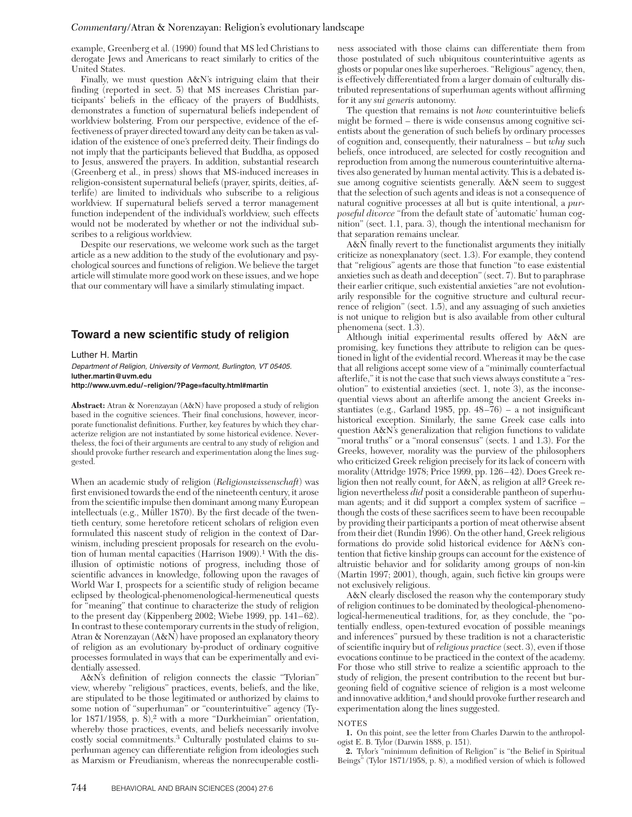example, Greenberg et al. (1990) found that MS led Christians to derogate Jews and Americans to react similarly to critics of the United States.

Finally, we must question A&N's intriguing claim that their finding (reported in sect. 5) that MS increases Christian participants' beliefs in the efficacy of the prayers of Buddhists, demonstrates a function of supernatural beliefs independent of worldview bolstering. From our perspective, evidence of the effectiveness of prayer directed toward any deity can be taken as validation of the existence of one's preferred deity. Their findings do not imply that the participants believed that Buddha, as opposed to Jesus, answered the prayers. In addition, substantial research (Greenberg et al., in press) shows that MS-induced increases in religion-consistent supernatural beliefs (prayer, spirits, deities, afterlife) are limited to individuals who subscribe to a religious worldview. If supernatural beliefs served a terror management function independent of the individual's worldview, such effects would not be moderated by whether or not the individual subscribes to a religious worldview.

Despite our reservations, we welcome work such as the target article as a new addition to the study of the evolutionary and psychological sources and functions of religion. We believe the target article will stimulate more good work on these issues, and we hope that our commentary will have a similarly stimulating impact.

## **Toward a new scientific study of religion**

Luther H. Martin *Department of Religion, University of Vermont, Burlington, VT 05405.* **luther.martin@uvm.edu http://www.uvm.edu/~religion/?Page=faculty.html#martin**

**Abstract:** Atran & Norenzayan (A&N) have proposed a study of religion based in the cognitive sciences. Their final conclusions, however, incorporate functionalist definitions. Further, key features by which they characterize religion are not instantiated by some historical evidence. Nevertheless, the foci of their arguments are central to any study of religion and should provoke further research and experimentation along the lines suggested.

When an academic study of religion (*Religionswissenschaft*) was first envisioned towards the end of the nineteenth century, it arose from the scientific impulse then dominant among many European intellectuals (e.g., Müller 1870). By the first decade of the twentieth century, some heretofore reticent scholars of religion even formulated this nascent study of religion in the context of Darwinism, including prescient proposals for research on the evolution of human mental capacities (Harrison 1909).<sup>1</sup> With the disillusion of optimistic notions of progress, including those of scientific advances in knowledge, following upon the ravages of World War I, prospects for a scientific study of religion became eclipsed by theological-phenomenological-hermeneutical quests for "meaning" that continue to characterize the study of religion to the present day (Kippenberg 2002; Wiebe 1999, pp. 141–62). In contrast to these contemporary currents in the study of religion, Atran & Norenzayan (A&N) have proposed an explanatory theory of religion as an evolutionary by-product of ordinary cognitive processes formulated in ways that can be experimentally and evidentially assessed.

A&N's definition of religion connects the classic "Tylorian" view, whereby "religious" practices, events, beliefs, and the like, are stipulated to be those legitimated or authorized by claims to some notion of "superhuman" or "counterintuitive" agency (Tylor 1871/1958, p.  $\bar{8}$ ,<sup>2</sup> with a more "Durkheimian" orientation, whereby those practices, events, and beliefs necessarily involve costly social commitments.<sup>3</sup> Culturally postulated claims to superhuman agency can differentiate religion from ideologies such as Marxism or Freudianism, whereas the nonrecuperable costliness associated with those claims can differentiate them from those postulated of such ubiquitous counterintuitive agents as ghosts or popular ones like superheroes. "Religious" agency, then, is effectively differentiated from a larger domain of culturally distributed representations of superhuman agents without affirming for it any *sui generis* autonomy.

The question that remains is not *how* counterintuitive beliefs might be formed – there is wide consensus among cognitive scientists about the generation of such beliefs by ordinary processes of cognition and, consequently, their naturalness – but *why* such beliefs, once introduced, are selected for costly recognition and reproduction from among the numerous counterintuitive alternatives also generated by human mental activity. This is a debated issue among cognitive scientists generally. A&N seem to suggest that the selection of such agents and ideas is not a consequence of natural cognitive processes at all but is quite intentional, a *purposeful divorce* "from the default state of 'automatic' human cognition" (sect. 1.1, para. 3), though the intentional mechanism for that separation remains unclear.

A&N finally revert to the functionalist arguments they initially criticize as nonexplanatory (sect. 1.3). For example, they contend that "religious" agents are those that function "to ease existential anxieties such as death and deception" (sect. 7). But to paraphrase their earlier critique, such existential anxieties "are not evolutionarily responsible for the cognitive structure and cultural recurrence of religion" (sect. 1.5), and any assuaging of such anxieties is not unique to religion but is also available from other cultural phenomena (sect. 1.3).

Although initial experimental results offered by A&N are promising, key functions they attribute to religion can be questioned in light of the evidential record. Whereas it may be the case that all religions accept some view of a "minimally counterfactual afterlife," it is not the case that such views always constitute a "resolution" to existential anxieties (sect. 1, note 3), as the inconsequential views about an afterlife among the ancient Greeks instantiates (e.g., Garland 1985, pp. 48–76) – a not insignificant historical exception. Similarly, the same Greek case calls into question A&N's generalization that religion functions to validate "moral truths" or a "moral consensus" (sects. 1 and 1.3). For the Greeks, however, morality was the purview of the philosophers who criticized Greek religion precisely for its lack of concern with morality (Attridge 1978; Price 1999, pp. 126–42). Does Greek religion then not really count, for A&N, as religion at all? Greek religion nevertheless *did* posit a considerable pantheon of superhuman agents; and it did support a complex system of sacrifice – though the costs of these sacrifices seem to have been recoupable by providing their participants a portion of meat otherwise absent from their diet (Rundin 1996). On the other hand, Greek religious formations do provide solid historical evidence for A&N's contention that fictive kinship groups can account for the existence of altruistic behavior and for solidarity among groups of non-kin (Martin 1997; 2001), though, again, such fictive kin groups were not exclusively religious.

A&N clearly disclosed the reason why the contemporary study of religion continues to be dominated by theological-phenomenological-hermeneutical traditions, for, as they conclude, the "potentially endless, open-textured evocation of possible meanings and inferences" pursued by these tradition is not a characteristic of scientific inquiry but of *religious practice* (sect. 3), even if those evocations continue to be practiced in the context of the academy. For those who still strive to realize a scientific approach to the study of religion, the present contribution to the recent but burgeoning field of cognitive science of religion is a most welcome and innovative addition,<sup>4</sup> and should provoke further research and experimentation along the lines suggested.

#### **NOTES**

**1.** On this point, see the letter from Charles Darwin to the anthropologist E. B. Tylor (Darwin 1888, p. 151).

**2.** Tylor's "minimum definition of Religion" is "the Belief in Spiritual Beings" (Tylor 1871/1958, p. 8), a modified version of which is followed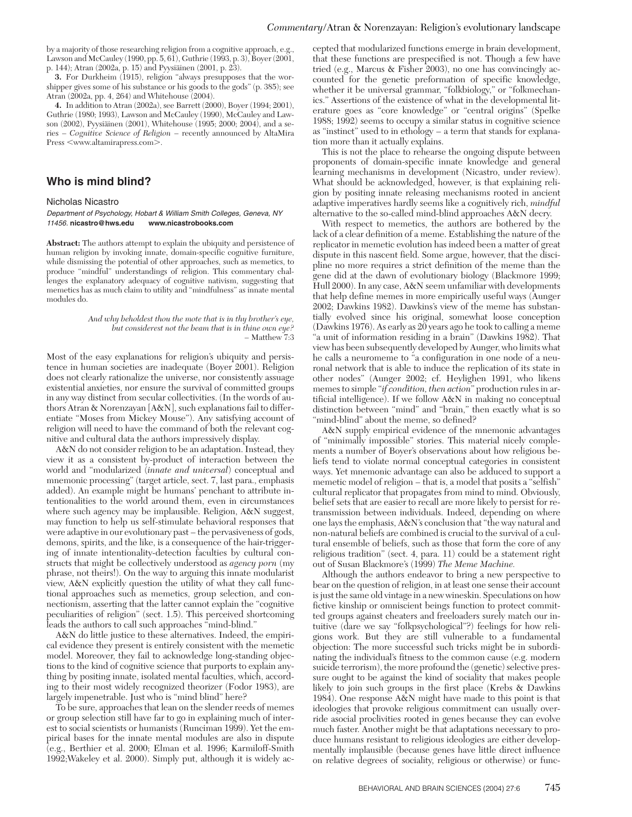by a majority of those researching religion from a cognitive approach, e.g., Lawson and McCauley (1990, pp. 5, 61), Guthrie (1993, p. 3), Boyer (2001, p. 144); Atran (2002a, p. 15) and Pyysiäinen (2001, p. 23).

**3.** For Durkheim (1915), religion "always presupposes that the worshipper gives some of his substance or his goods to the gods" (p. 385); see Atran (2002a, pp. 4, 264) and Whitehouse (2004).

**4.** In addition to Atran (2002a), see Barrett (2000), Boyer (1994; 2001), Guthrie (1980; 1993), Lawson and McCauley (1990), McCauley and Lawson (2002), Pyysiäinen (2001), Whitehouse (1995; 2000; 2004), and a series – *Cognitive Science of Religion* – recently announced by AltaMira Press <www.altamirapress.com>.

## **Who is mind blind?**

#### Nicholas Nicastro

*Department of Psychology, Hobart & William Smith Colleges, Geneva, NY 11456.* **nicastro@hws.edu www.nicastrobooks.com**

**Abstract:** The authors attempt to explain the ubiquity and persistence of human religion by invoking innate, domain-specific cognitive furniture, while dismissing the potential of other approaches, such as memetics, to produce "mindful" understandings of religion. This commentary challenges the explanatory adequacy of cognitive nativism, suggesting that memetics has as much claim to utility and "mindfulness" as innate mental modules do.

> *And why beholdest thou the mote that is in thy brother's eye, but considerest not the beam that is in thine own eye?* – Matthew 7:3

Most of the easy explanations for religion's ubiquity and persistence in human societies are inadequate (Boyer 2001). Religion does not clearly rationalize the universe, nor consistently assuage existential anxieties, nor ensure the survival of committed groups in any way distinct from secular collectivities. (In the words of authors Atran & Norenzayan [A&N], such explanations fail to differentiate "Moses from Mickey Mouse"). Any satisfying account of religion will need to have the command of both the relevant cognitive and cultural data the authors impressively display.

A&N do not consider religion to be an adaptation. Instead, they view it as a consistent by-product of interaction between the world and "modularized (*innate and universal*) conceptual and mnemonic processing" (target article, sect. 7, last para., emphasis added). An example might be humans' penchant to attribute intentionalities to the world around them, even in circumstances where such agency may be implausible. Religion, A&N suggest, may function to help us self-stimulate behavioral responses that were adaptive in our evolutionary past – the pervasiveness of gods, demons, spirits, and the like, is a consequence of the hair-triggering of innate intentionality-detection faculties by cultural constructs that might be collectively understood as *agency porn* (my phrase, not theirs!). On the way to arguing this innate modularist view, A&N explicitly question the utility of what they call functional approaches such as memetics, group selection, and connectionism, asserting that the latter cannot explain the "cognitive peculiarities of religion" (sect. 1.5). This perceived shortcoming leads the authors to call such approaches "mind-blind."

A&N do little justice to these alternatives. Indeed, the empirical evidence they present is entirely consistent with the memetic model. Moreover, they fail to acknowledge long-standing objections to the kind of cognitive science that purports to explain anything by positing innate, isolated mental faculties, which, according to their most widely recognized theorizer (Fodor 1983), are largely impenetrable. Just who is "mind blind" here?

To be sure, approaches that lean on the slender reeds of memes or group selection still have far to go in explaining much of interest to social scientists or humanists (Runciman 1999). Yet the empirical bases for the innate mental modules are also in dispute (e.g., Berthier et al. 2000; Elman et al. 1996; Karmiloff-Smith 1992;Wakeley et al. 2000). Simply put, although it is widely ac-

cepted that modularized functions emerge in brain development, that these functions are prespecified is not. Though a few have tried (e.g., Marcus & Fisher 2003), no one has convincingly accounted for the genetic preformation of specific knowledge, whether it be universal grammar, "folkbiology," or "folkmechanics." Assertions of the existence of what in the developmental literature goes as "core knowledge" or "central origins" (Spelke 1988; 1992) seems to occupy a similar status in cognitive science as "instinct" used to in ethology – a term that stands for explanation more than it actually explains.

This is not the place to rehearse the ongoing dispute between proponents of domain-specific innate knowledge and general learning mechanisms in development (Nicastro, under review). What should be acknowledged, however, is that explaining religion by positing innate releasing mechanisms rooted in ancient adaptive imperatives hardly seems like a cognitively rich, *mindful* alternative to the so-called mind-blind approaches A&N decry.

With respect to memetics, the authors are bothered by the lack of a clear definition of a meme. Establishing the nature of the replicator in memetic evolution has indeed been a matter of great dispute in this nascent field. Some argue, however, that the discipline no more requires a strict definition of the meme than the gene did at the dawn of evolutionary biology (Blackmore 1999; Hull 2000). In any case, A&N seem unfamiliar with developments that help define memes in more empirically useful ways (Aunger 2002; Dawkins 1982). Dawkins's view of the meme has substantially evolved since his original, somewhat loose conception (Dawkins 1976). As early as 20 years ago he took to calling a meme "a unit of information residing in a brain" (Dawkins 1982). That view has been subsequently developed by Aunger, who limits what he calls a neuromeme to "a configuration in one node of a neuronal network that is able to induce the replication of its state in other nodes" (Aunger 2002; cf. Heylighen 1991, who likens memes to simple "*if condition, then action*" production rules in artificial intelligence). If we follow A&N in making no conceptual distinction between "mind" and "brain," then exactly what is so "mind-blind" about the meme, so defined?

A&N supply empirical evidence of the mnemonic advantages of "minimally impossible" stories. This material nicely complements a number of Boyer's observations about how religious beliefs tend to violate normal conceptual categories in consistent ways. Yet mnemonic advantage can also be adduced to support a memetic model of religion – that is, a model that posits a "selfish" cultural replicator that propagates from mind to mind. Obviously, belief sets that are easier to recall are more likely to persist for retransmission between individuals. Indeed, depending on where one lays the emphasis, A&N's conclusion that "the way natural and non-natural beliefs are combined is crucial to the survival of a cultural ensemble of beliefs, such as those that form the core of any religious tradition" (sect. 4, para. 11) could be a statement right out of Susan Blackmore's (1999) *The Meme Machine.*

Although the authors endeavor to bring a new perspective to bear on the question of religion, in at least one sense their account is just the same old vintage in a new wineskin. Speculations on how fictive kinship or omniscient beings function to protect committed groups against cheaters and freeloaders surely match our intuitive (dare we say "folkpsychological"?) feelings for how religions work. But they are still vulnerable to a fundamental objection: The more successful such tricks might be in subordinating the individual's fitness to the common cause (e.g. modern suicide terrorism), the more profound the (genetic) selective pressure ought to be against the kind of sociality that makes people likely to join such groups in the first place (Krebs & Dawkins 1984). One response A&N might have made to this point is that ideologies that provoke religious commitment can usually override asocial proclivities rooted in genes because they can evolve much faster. Another might be that adaptations necessary to produce humans resistant to religious ideologies are either developmentally implausible (because genes have little direct influence on relative degrees of sociality, religious or otherwise) or func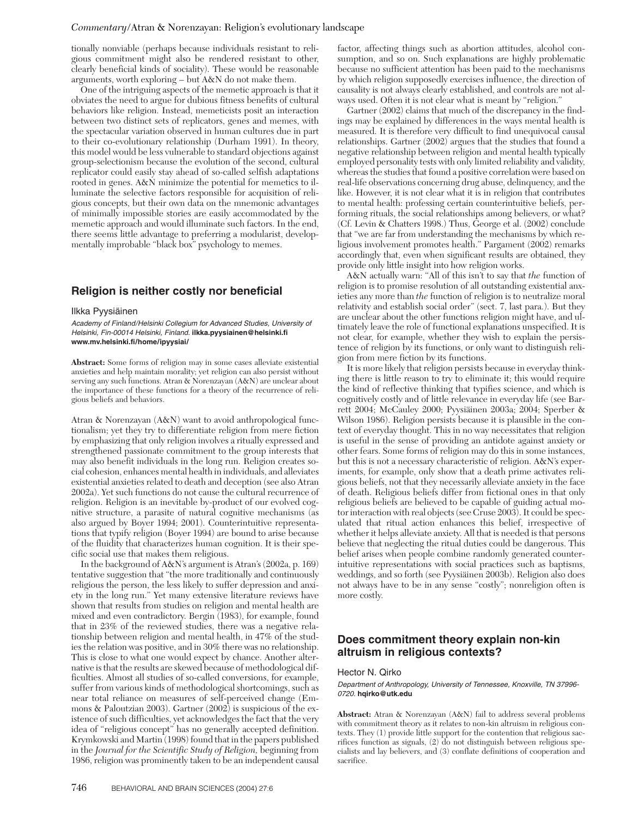tionally nonviable (perhaps because individuals resistant to religious commitment might also be rendered resistant to other, clearly beneficial kinds of sociality). These would be reasonable arguments, worth exploring – but A&N do not make them.

One of the intriguing aspects of the memetic approach is that it obviates the need to argue for dubious fitness benefits of cultural behaviors like religion. Instead, memeticists posit an interaction between two distinct sets of replicators, genes and memes, with the spectacular variation observed in human cultures due in part to their co-evolutionary relationship (Durham 1991). In theory, this model would be less vulnerable to standard objections against group-selectionism because the evolution of the second, cultural replicator could easily stay ahead of so-called selfish adaptations rooted in genes. A&N minimize the potential for memetics to illuminate the selective factors responsible for acquisition of religious concepts, but their own data on the mnemonic advantages of minimally impossible stories are easily accommodated by the memetic approach and would illuminate such factors. In the end, there seems little advantage to preferring a modularist, developmentally improbable "black box" psychology to memes.

## **Religion is neither costly nor beneficial**

#### Ilkka Pyysiäinen

*Academy of Finland/Helsinki Collegium for Advanced Studies, University of Helsinki, Fin-00014 Helsinki, Finland.* **ilkka.pyysiainen@helsinki.fi www.mv.helsinki.fi/home/ipyysiai/**

**Abstract:** Some forms of religion may in some cases alleviate existential anxieties and help maintain morality; yet religion can also persist without serving any such functions. Atran & Norenzayan (A&N) are unclear about the importance of these functions for a theory of the recurrence of religious beliefs and behaviors.

Atran & Norenzayan (A&N) want to avoid anthropological functionalism; yet they try to differentiate religion from mere fiction by emphasizing that only religion involves a ritually expressed and strengthened passionate commitment to the group interests that may also benefit individuals in the long run. Religion creates social cohesion, enhances mental health in individuals, and alleviates existential anxieties related to death and deception (see also Atran 2002a). Yet such functions do not cause the cultural recurrence of religion. Religion is an inevitable by-product of our evolved cognitive structure, a parasite of natural cognitive mechanisms (as also argued by Boyer 1994; 2001). Counterintuitive representations that typify religion (Boyer 1994) are bound to arise because of the fluidity that characterizes human cognition. It is their specific social use that makes them religious.

In the background of A&N's argument is Atran's (2002a, p. 169) tentative suggestion that "the more traditionally and continuously religious the person, the less likely to suffer depression and anxiety in the long run." Yet many extensive literature reviews have shown that results from studies on religion and mental health are mixed and even contradictory. Bergin (1983), for example, found that in 23% of the reviewed studies, there was a negative relationship between religion and mental health, in 47% of the studies the relation was positive, and in 30% there was no relationship. This is close to what one would expect by chance. Another alternative is that the results are skewed because of methodological difficulties. Almost all studies of so-called conversions, for example, suffer from various kinds of methodological shortcomings, such as near total reliance on measures of self-perceived change (Emmons & Paloutzian 2003). Gartner  $(2002)$  is suspicious of the existence of such difficulties, yet acknowledges the fact that the very idea of "religious concept" has no generally accepted definition. Krymkowski and Martin (1998) found that in the papers published in the *Journal for the Scientific Study of Religion,* beginning from 1986, religion was prominently taken to be an independent causal

factor, affecting things such as abortion attitudes, alcohol consumption, and so on. Such explanations are highly problematic because no sufficient attention has been paid to the mechanisms by which religion supposedly exercises influence, the direction of causality is not always clearly established, and controls are not always used. Often it is not clear what is meant by "religion."

Gartner (2002) claims that much of the discrepancy in the findings may be explained by differences in the ways mental health is measured. It is therefore very difficult to find unequivocal causal relationships. Gartner (2002) argues that the studies that found a negative relationship between religion and mental health typically employed personality tests with only limited reliability and validity, whereas the studies that found a positive correlation were based on real-life observations concerning drug abuse, delinquency, and the like. However, it is not clear what it is in religion that contributes to mental health: professing certain counterintuitive beliefs, performing rituals, the social relationships among believers, or what? (Cf. Levin & Chatters 1998.) Thus, George et al. (2002) conclude that "we are far from understanding the mechanisms by which religious involvement promotes health." Pargament (2002) remarks accordingly that, even when significant results are obtained, they provide only little insight into how religion works.

A&N actually warn: "All of this isn't to say that *the* function of religion is to promise resolution of all outstanding existential anxieties any more than *the* function of religion is to neutralize moral relativity and establish social order" (sect. 7, last para.). But they are unclear about the other functions religion might have, and ultimately leave the role of functional explanations unspecified. It is not clear, for example, whether they wish to explain the persistence of religion by its functions, or only want to distinguish religion from mere fiction by its functions.

It is more likely that religion persists because in everyday thinking there is little reason to try to eliminate it; this would require the kind of reflective thinking that typifies science, and which is cognitively costly and of little relevance in everyday life (see Barrett 2004; McCauley 2000; Pyysiäinen 2003a; 2004; Sperber & Wilson 1986). Religion persists because it is plausible in the context of everyday thought. This in no way necessitates that religion is useful in the sense of providing an antidote against anxiety or other fears. Some forms of religion may do this in some instances, but this is not a necessary characteristic of religion. A&N's experiments, for example, only show that a death prime activates religious beliefs, not that they necessarily alleviate anxiety in the face of death. Religious beliefs differ from fictional ones in that only religious beliefs are believed to be capable of guiding actual motor interaction with real objects (see Cruse 2003). It could be speculated that ritual action enhances this belief, irrespective of whether it helps alleviate anxiety. All that is needed is that persons believe that neglecting the ritual duties could be dangerous. This belief arises when people combine randomly generated counterintuitive representations with social practices such as baptisms, weddings, and so forth (see Pyysiäinen 2003b). Religion also does not always have to be in any sense "costly"; nonreligion often is more costly.

## **Does commitment theory explain non-kin altruism in religious contexts?**

#### Hector N. Qirko

*Department of Anthropology, University of Tennessee, Knoxville, TN 37996- 0720.* **hqirko@utk.edu**

**Abstract:** Atran & Norenzayan (A&N) fail to address several problems with commitment theory as it relates to non-kin altruism in religious contexts. They (1) provide little support for the contention that religious sacrifices function as signals, (2) do not distinguish between religious specialists and lay believers, and (3) conflate definitions of cooperation and sacrifice.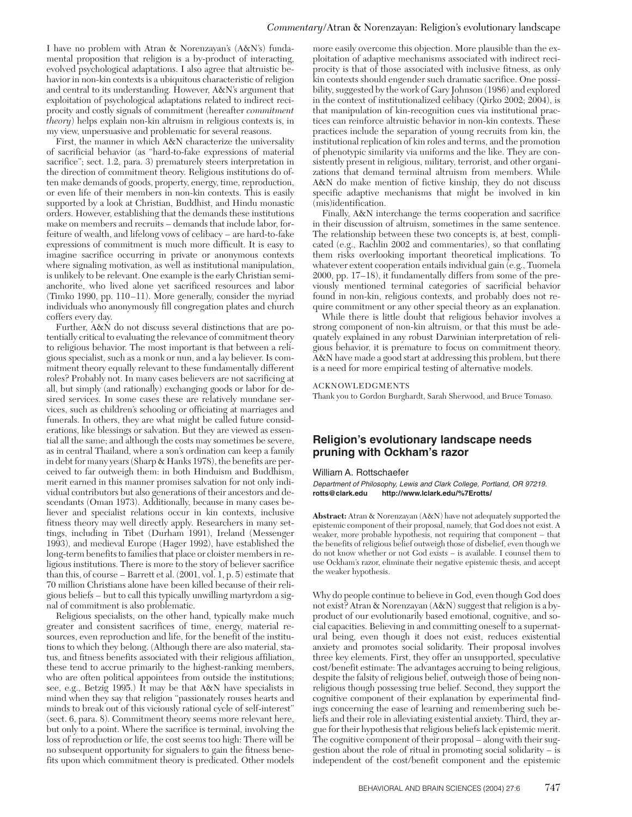I have no problem with Atran & Norenzayan's (A&N's) fundamental proposition that religion is a by-product of interacting, evolved psychological adaptations. I also agree that altruistic behavior in non-kin contexts is a ubiquitous characteristic of religion and central to its understanding. However, A&N's argument that exploitation of psychological adaptations related to indirect reciprocity and costly signals of commitment (hereafter *commitment theory*) helps explain non-kin altruism in religious contexts is, in my view, unpersuasive and problematic for several reasons.

First, the manner in which A&N characterize the universality of sacrificial behavior (as "hard-to-fake expressions of material sacrifice"; sect. 1.2, para. 3) prematurely steers interpretation in the direction of commitment theory. Religious institutions do often make demands of goods, property, energy, time, reproduction, or even life of their members in non-kin contexts. This is easily supported by a look at Christian, Buddhist, and Hindu monastic orders. However, establishing that the demands these institutions make on members and recruits – demands that include labor, forfeiture of wealth, and lifelong vows of celibacy – are hard-to-fake expressions of commitment is much more difficult. It is easy to imagine sacrifice occurring in private or anonymous contexts where signaling motivation, as well as institutional manipulation, is unlikely to be relevant. One example is the early Christian semianchorite, who lived alone yet sacrificed resources and labor (Timko 1990, pp. 110–11). More generally, consider the myriad individuals who anonymously fill congregation plates and church coffers every day.

Further, A&N do not discuss several distinctions that are potentially critical to evaluating the relevance of commitment theory to religious behavior. The most important is that between a religious specialist, such as a monk or nun, and a lay believer. Is commitment theory equally relevant to these fundamentally different roles? Probably not. In many cases believers are not sacrificing at all, but simply (and rationally) exchanging goods or labor for desired services. In some cases these are relatively mundane services, such as children's schooling or officiating at marriages and funerals. In others, they are what might be called future considerations, like blessings or salvation. But they are viewed as essential all the same; and although the costs may sometimes be severe, as in central Thailand, where a son's ordination can keep a family in debt for many years (Sharp & Hanks 1978), the benefits are perceived to far outweigh them: in both Hinduism and Buddhism, merit earned in this manner promises salvation for not only individual contributors but also generations of their ancestors and descendants (Oman 1973). Additionally, because in many cases believer and specialist relations occur in kin contexts, inclusive fitness theory may well directly apply. Researchers in many settings, including in Tibet (Durham 1991), Ireland (Messenger 1993), and medieval Europe (Hager 1992), have established the long-term benefits to families that place or cloister members in religious institutions. There is more to the story of believer sacrifice than this, of course – Barrett et al. (2001, vol. 1, p. 5) estimate that 70 million Christians alone have been killed because of their religious beliefs – but to call this typically unwilling martyrdom a signal of commitment is also problematic.

Religious specialists, on the other hand, typically make much greater and consistent sacrifices of time, energy, material resources, even reproduction and life, for the benefit of the institutions to which they belong. (Although there are also material, status, and fitness benefits associated with their religious affiliation, these tend to accrue primarily to the highest-ranking members, who are often political appointees from outside the institutions; see, e.g., Betzig 1995.) It may be that A&N have specialists in mind when they say that religion "passionately rouses hearts and minds to break out of this viciously rational cycle of self-interest" (sect. 6, para. 8). Commitment theory seems more relevant here, but only to a point. Where the sacrifice is terminal, involving the loss of reproduction or life, the cost seems too high: There will be no subsequent opportunity for signalers to gain the fitness benefits upon which commitment theory is predicated. Other models

more easily overcome this objection. More plausible than the exploitation of adaptive mechanisms associated with indirect reciprocity is that of those associated with inclusive fitness, as only kin contexts should engender such dramatic sacrifice. One possibility, suggested by the work of Gary Johnson (1986) and explored in the context of institutionalized celibacy (Qirko 2002; 2004), is that manipulation of kin-recognition cues via institutional practices can reinforce altruistic behavior in non-kin contexts. These practices include the separation of young recruits from kin, the institutional replication of kin roles and terms, and the promotion of phenotypic similarity via uniforms and the like. They are consistently present in religious, military, terrorist, and other organizations that demand terminal altruism from members. While A&N do make mention of fictive kinship, they do not discuss specific adaptive mechanisms that might be involved in kin (mis)identification.

Finally, A&N interchange the terms cooperation and sacrifice in their discussion of altruism, sometimes in the same sentence. The relationship between these two concepts is, at best, complicated (e.g., Rachlin 2002 and commentaries), so that conflating them risks overlooking important theoretical implications. To whatever extent cooperation entails individual gain (e.g., Tuomela 2000, pp. 17–18), it fundamentally differs from some of the previously mentioned terminal categories of sacrificial behavior found in non-kin, religious contexts, and probably does not require commitment or any other special theory as an explanation.

While there is little doubt that religious behavior involves a strong component of non-kin altruism, or that this must be adequately explained in any robust Darwinian interpretation of religious behavior, it is premature to focus on commitment theory. A&N have made a good start at addressing this problem, but there is a need for more empirical testing of alternative models.

#### ACKNOWLEDGMENTS

Thank you to Gordon Burghardt, Sarah Sherwood, and Bruce Tomaso.

## **Religion's evolutionary landscape needs pruning with Ockham's razor**

#### William A. Rottschaefer

*Department of Philosophy, Lewis and Clark College, Portland, OR 97219.* **rotts@clark.edu http://www.lclark.edu/%7Erotts/**

**Abstract:** Atran & Norenzayan (A&N) have not adequately supported the epistemic component of their proposal, namely, that God does not exist. A weaker, more probable hypothesis, not requiring that component – that the benefits of religious belief outweigh those of disbelief, even though we do not know whether or not God exists – is available. I counsel them to use Ockham's razor, eliminate their negative epistemic thesis, and accept the weaker hypothesis.

Why do people continue to believe in God, even though God does not exist? Atran & Norenzayan (A&N) suggest that religion is a byproduct of our evolutionarily based emotional, cognitive, and social capacities. Believing in and committing oneself to a supernatural being, even though it does not exist, reduces existential anxiety and promotes social solidarity. Their proposal involves three key elements. First, they offer an unsupported, speculative cost/benefit estimate: The advantages accruing to being religious, despite the falsity of religious belief, outweigh those of being nonreligious though possessing true belief. Second, they support the cognitive component of their explanation by experimental findings concerning the ease of learning and remembering such beliefs and their role in alleviating existential anxiety. Third, they argue for their hypothesis that religious beliefs lack epistemic merit. The cognitive component of their proposal – along with their suggestion about the role of ritual in promoting social solidarity – is independent of the cost/benefit component and the epistemic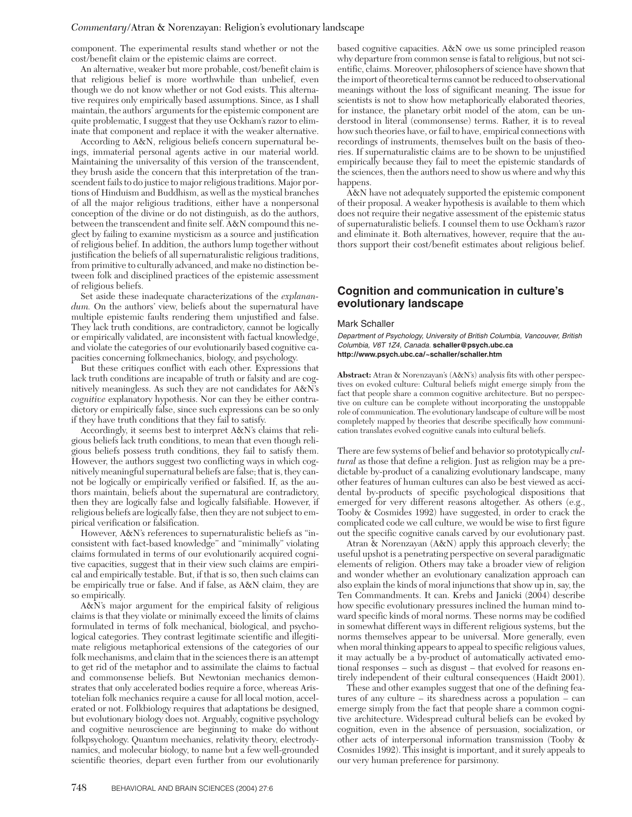component. The experimental results stand whether or not the cost/benefit claim or the epistemic claims are correct.

An alternative, weaker but more probable, cost/benefit claim is that religious belief is more worthwhile than unbelief, even though we do not know whether or not God exists. This alternative requires only empirically based assumptions. Since, as I shall maintain, the authors' arguments for the epistemic component are quite problematic, I suggest that they use Ockham's razor to eliminate that component and replace it with the weaker alternative.

According to A&N, religious beliefs concern supernatural beings, immaterial personal agents active in our material world. Maintaining the universality of this version of the transcendent, they brush aside the concern that this interpretation of the transcendent fails to do justice to major religious traditions. Major portions of Hinduism and Buddhism, as well as the mystical branches of all the major religious traditions, either have a nonpersonal conception of the divine or do not distinguish, as do the authors, between the transcendent and finite self. A&N compound this neglect by failing to examine mysticism as a source and justification of religious belief. In addition, the authors lump together without justification the beliefs of all supernaturalistic religious traditions, from primitive to culturally advanced, and make no distinction between folk and disciplined practices of the epistemic assessment of religious beliefs.

Set aside these inadequate characterizations of the *explanandum.* On the authors' view, beliefs about the supernatural have multiple epistemic faults rendering them unjustified and false. They lack truth conditions, are contradictory, cannot be logically or empirically validated, are inconsistent with factual knowledge, and violate the categories of our evolutionarily based cognitive capacities concerning folkmechanics, biology, and psychology.

But these critiques conflict with each other. Expressions that lack truth conditions are incapable of truth or falsity and are cognitively meaningless. As such they are not candidates for A&N's *cognitive* explanatory hypothesis. Nor can they be either contradictory or empirically false, since such expressions can be so only if they have truth conditions that they fail to satisfy.

Accordingly, it seems best to interpret A&N's claims that religious beliefs lack truth conditions, to mean that even though religious beliefs possess truth conditions, they fail to satisfy them. However, the authors suggest two conflicting ways in which cognitively meaningful supernatural beliefs are false; that is, they cannot be logically or empirically verified or falsified. If, as the authors maintain, beliefs about the supernatural are contradictory, then they are logically false and logically falsifiable. However, if religious beliefs are logically false, then they are not subject to empirical verification or falsification.

However, A&N's references to supernaturalistic beliefs as "inconsistent with fact-based knowledge" and "minimally" violating claims formulated in terms of our evolutionarily acquired cognitive capacities, suggest that in their view such claims are empirical and empirically testable. But, if that is so, then such claims can be empirically true or false. And if false, as A&N claim, they are so empirically.

A&N's major argument for the empirical falsity of religious claims is that they violate or minimally exceed the limits of claims formulated in terms of folk mechanical, biological, and psychological categories. They contrast legitimate scientific and illegitimate religious metaphorical extensions of the categories of our folk mechanisms, and claim that in the sciences there is an attempt to get rid of the metaphor and to assimilate the claims to factual and commonsense beliefs. But Newtonian mechanics demonstrates that only accelerated bodies require a force, whereas Aristotelian folk mechanics require a cause for all local motion, accelerated or not. Folkbiology requires that adaptations be designed, but evolutionary biology does not. Arguably, cognitive psychology and cognitive neuroscience are beginning to make do without folkpsychology. Quantum mechanics, relativity theory, electrodynamics, and molecular biology, to name but a few well-grounded scientific theories, depart even further from our evolutionarily based cognitive capacities. A&N owe us some principled reason why departure from common sense is fatal to religious, but not scientific, claims. Moreover, philosophers of science have shown that the import of theoretical terms cannot be reduced to observational meanings without the loss of significant meaning. The issue for scientists is not to show how metaphorically elaborated theories, for instance, the planetary orbit model of the atom, can be understood in literal (commonsense) terms. Rather, it is to reveal how such theories have, or fail to have, empirical connections with recordings of instruments, themselves built on the basis of theories. If supernaturalistic claims are to be shown to be unjustified empirically because they fail to meet the epistemic standards of the sciences, then the authors need to show us where and why this happens.

A&N have not adequately supported the epistemic component of their proposal. A weaker hypothesis is available to them which does not require their negative assessment of the epistemic status of supernaturalistic beliefs. I counsel them to use Ockham's razor and eliminate it. Both alternatives, however, require that the authors support their cost/benefit estimates about religious belief.

## **Cognition and communication in culture's evolutionary landscape**

#### Mark Schaller

*Department of Psychology, University of British Columbia, Vancouver, British Columbia, V6T 1Z4, Canada.* **schaller@psych.ubc.ca http://www.psych.ubc.ca/~schaller/schaller.htm**

**Abstract:** Atran & Norenzayan's (A&N's) analysis fits with other perspectives on evoked culture: Cultural beliefs might emerge simply from the fact that people share a common cognitive architecture. But no perspective on culture can be complete without incorporating the unstoppable role of communication. The evolutionary landscape of culture will be most completely mapped by theories that describe specifically how communication translates evolved cognitive canals into cultural beliefs.

There are few systems of belief and behavior so prototypically *cultural* as those that define a religion. Just as religion may be a predictable by-product of a canalizing evolutionary landscape, many other features of human cultures can also be best viewed as accidental by-products of specific psychological dispositions that emerged for very different reasons altogether. As others (e.g., Tooby & Cosmides 1992) have suggested, in order to crack the complicated code we call culture, we would be wise to first figure out the specific cognitive canals carved by our evolutionary past.

Atran & Norenzayan (A&N) apply this approach cleverly; the useful upshot is a penetrating perspective on several paradigmatic elements of religion. Others may take a broader view of religion and wonder whether an evolutionary canalization approach can also explain the kinds of moral injunctions that show up in, say, the Ten Commandments. It can. Krebs and Janicki (2004) describe how specific evolutionary pressures inclined the human mind toward specific kinds of moral norms. These norms may be codified in somewhat different ways in different religious systems, but the norms themselves appear to be universal. More generally, even when moral thinking appears to appeal to specific religious values, it may actually be a by-product of automatically activated emotional responses – such as disgust – that evolved for reasons entirely independent of their cultural consequences (Haidt 2001).

These and other examples suggest that one of the defining features of any culture – its sharedness across a population – can emerge simply from the fact that people share a common cognitive architecture. Widespread cultural beliefs can be evoked by cognition, even in the absence of persuasion, socialization, or other acts of interpersonal information transmission (Tooby & Cosmides 1992). This insight is important, and it surely appeals to our very human preference for parsimony.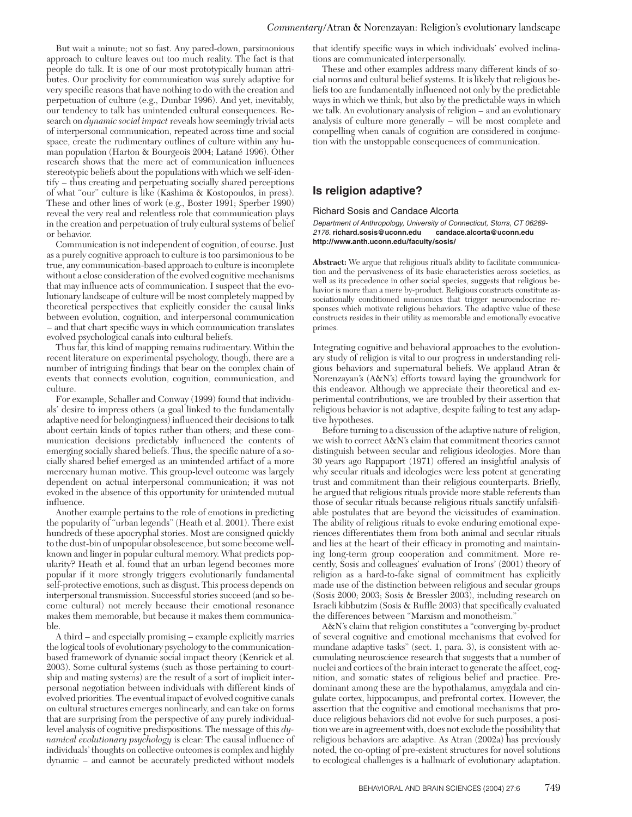But wait a minute; not so fast. Any pared-down, parsimonious approach to culture leaves out too much reality. The fact is that people do talk. It is one of our most prototypically human attributes. Our proclivity for communication was surely adaptive for very specific reasons that have nothing to do with the creation and perpetuation of culture (e.g., Dunbar 1996). And yet, inevitably, our tendency to talk has unintended cultural consequences. Research on *dynamic social impact* reveals how seemingly trivial acts of interpersonal communication, repeated across time and social space, create the rudimentary outlines of culture within any human population (Harton & Bourgeois 2004; Latané 1996). Other research shows that the mere act of communication influences stereotypic beliefs about the populations with which we self-identify – thus creating and perpetuating socially shared perceptions of what "our" culture is like (Kashima & Kostopoulos, in press). These and other lines of work (e.g., Boster 1991; Sperber 1990) reveal the very real and relentless role that communication plays in the creation and perpetuation of truly cultural systems of belief or behavior.

Communication is not independent of cognition, of course. Just as a purely cognitive approach to culture is too parsimonious to be true, any communication-based approach to culture is incomplete without a close consideration of the evolved cognitive mechanisms that may influence acts of communication. I suspect that the evolutionary landscape of culture will be most completely mapped by theoretical perspectives that explicitly consider the causal links between evolution, cognition, and interpersonal communication – and that chart specific ways in which communication translates evolved psychological canals into cultural beliefs.

Thus far, this kind of mapping remains rudimentary. Within the recent literature on experimental psychology, though, there are a number of intriguing findings that bear on the complex chain of events that connects evolution, cognition, communication, and culture.

For example, Schaller and Conway (1999) found that individuals' desire to impress others (a goal linked to the fundamentally adaptive need for belongingness) influenced their decisions to talk about certain kinds of topics rather than others; and these communication decisions predictably influenced the contents of emerging socially shared beliefs. Thus, the specific nature of a socially shared belief emerged as an unintended artifact of a more mercenary human motive. This group-level outcome was largely dependent on actual interpersonal communication; it was not evoked in the absence of this opportunity for unintended mutual influence.

Another example pertains to the role of emotions in predicting the popularity of "urban legends" (Heath et al. 2001). There exist hundreds of these apocryphal stories. Most are consigned quickly to the dust-bin of unpopular obsolescence, but some become wellknown and linger in popular cultural memory. What predicts popularity? Heath et al. found that an urban legend becomes more popular if it more strongly triggers evolutionarily fundamental self-protective emotions, such as disgust. This process depends on interpersonal transmission. Successful stories succeed (and so become cultural) not merely because their emotional resonance makes them memorable, but because it makes them communicable.

A third – and especially promising – example explicitly marries the logical tools of evolutionary psychology to the communicationbased framework of dynamic social impact theory (Kenrick et al. 2003). Some cultural systems (such as those pertaining to courtship and mating systems) are the result of a sort of implicit interpersonal negotiation between individuals with different kinds of evolved priorities. The eventual impact of evolved cognitive canals on cultural structures emerges nonlinearly, and can take on forms that are surprising from the perspective of any purely individuallevel analysis of cognitive predispositions. The message of this *dynamical evolutionary psychology* is clear: The causal influence of individuals' thoughts on collective outcomes is complex and highly dynamic – and cannot be accurately predicted without models

that identify specific ways in which individuals' evolved inclinations are communicated interpersonally.

These and other examples address many different kinds of social norms and cultural belief systems. It is likely that religious beliefs too are fundamentally influenced not only by the predictable ways in which we think, but also by the predictable ways in which we talk. An evolutionary analysis of religion – and an evolutionary analysis of culture more generally – will be most complete and compelling when canals of cognition are considered in conjunction with the unstoppable consequences of communication.

## **Is religion adaptive?**

#### Richard Sosis and Candace Alcorta

*Department of Anthropology, University of Connecticut, Storrs, CT 06269- 2176.* **richard.sosis@uconn.edu candace.alcorta@uconn.edu http://www.anth.uconn.edu/faculty/sosis/**

**Abstract:** We argue that religious ritual's ability to facilitate communication and the pervasiveness of its basic characteristics across societies, as well as its precedence in other social species, suggests that religious behavior is more than a mere by-product. Religious constructs constitute associationally conditioned mnemonics that trigger neuroendocrine responses which motivate religious behaviors. The adaptive value of these constructs resides in their utility as memorable and emotionally evocative primes.

Integrating cognitive and behavioral approaches to the evolutionary study of religion is vital to our progress in understanding religious behaviors and supernatural beliefs. We applaud Atran & Norenzayan's (A&N's) efforts toward laying the groundwork for this endeavor. Although we appreciate their theoretical and experimental contributions, we are troubled by their assertion that religious behavior is not adaptive, despite failing to test any adaptive hypotheses.

Before turning to a discussion of the adaptive nature of religion, we wish to correct A&N's claim that commitment theories cannot distinguish between secular and religious ideologies. More than 30 years ago Rappaport (1971) offered an insightful analysis of why secular rituals and ideologies were less potent at generating trust and commitment than their religious counterparts. Briefly, he argued that religious rituals provide more stable referents than those of secular rituals because religious rituals sanctify unfalsifiable postulates that are beyond the vicissitudes of examination. The ability of religious rituals to evoke enduring emotional experiences differentiates them from both animal and secular rituals and lies at the heart of their efficacy in promoting and maintaining long-term group cooperation and commitment. More recently, Sosis and colleagues' evaluation of Irons' (2001) theory of religion as a hard-to-fake signal of commitment has explicitly made use of the distinction between religious and secular groups (Sosis 2000; 2003; Sosis & Bressler 2003), including research on Israeli kibbutzim (Sosis & Ruffle 2003) that specifically evaluated the differences between "Marxism and monotheism."

A&N's claim that religion constitutes a "converging by-product of several cognitive and emotional mechanisms that evolved for mundane adaptive tasks" (sect. 1, para. 3), is consistent with accumulating neuroscience research that suggests that a number of nuclei and cortices of the brain interact to generate the affect, cognition, and somatic states of religious belief and practice. Predominant among these are the hypothalamus, amygdala and cingulate cortex, hippocampus, and prefrontal cortex. However, the assertion that the cognitive and emotional mechanisms that produce religious behaviors did not evolve for such purposes, a position we are in agreement with, does not exclude the possibility that religious behaviors are adaptive. As Atran (2002a) has previously noted, the co-opting of pre-existent structures for novel solutions to ecological challenges is a hallmark of evolutionary adaptation.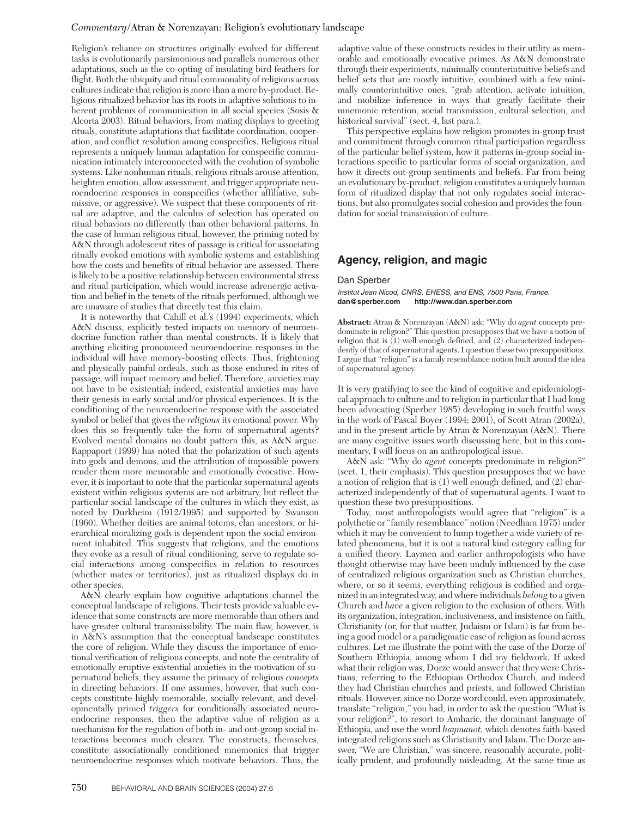Religion's reliance on structures originally evolved for different tasks is evolutionarily parsimonious and parallels numerous other adaptations, such as the co-opting of insulating bird feathers for flight. Both the ubiquity and ritual commonality of religions across cultures indicate that religion is more than a mere by-product. Religious ritualized behavior has its roots in adaptive solutions to inherent problems of communication in all social species (Sosis & Alcorta 2003). Ritual behaviors, from mating displays to greeting rituals, constitute adaptations that facilitate coordination, cooperation, and conflict resolution among conspecifics. Religious ritual represents a uniquely human adaptation for conspecific communication intimately interconnected with the evolution of symbolic systems. Like nonhuman rituals, religious rituals arouse attention, heighten emotion, allow assessment, and trigger appropriate neuroendocrine responses in conspecifics (whether affiliative, submissive, or aggressive). We suspect that these components of ritual are adaptive, and the calculus of selection has operated on ritual behaviors no differently than other behavioral patterns. In the case of human religious ritual, however, the priming noted by A&N through adolescent rites of passage is critical for associating ritually evoked emotions with symbolic systems and establishing how the costs and benefits of ritual behavior are assessed. There is likely to be a positive relationship between environmental stress and ritual participation, which would increase adrenergic activation and belief in the tenets of the rituals performed, although we are unaware of studies that directly test this claim.

It is noteworthy that Cahill et al.'s (1994) experiments, which A&N discuss, explicitly tested impacts on memory of neuroendocrine function rather than mental constructs. It is likely that anything eliciting pronounced neuroendocrine responses in the individual will have memory-boosting effects. Thus, frightening and physically painful ordeals, such as those endured in rites of passage, will impact memory and belief. Therefore, anxieties may not have to be existential; indeed, existential anxieties may have their genesis in early social and/or physical experiences. It is the conditioning of the neuroendocrine response with the associated symbol or belief that gives the *religious* its emotional power. Why does this so frequently take the form of supernatural agents? Evolved mental domains no doubt pattern this, as A&N argue. Rappaport (1999) has noted that the polarization of such agents into gods and demons, and the attribution of impossible powers render them more memorable and emotionally evocative. However, it is important to note that the particular supernatural agents existent within religious systems are not arbitrary, but reflect the particular social landscape of the cultures in which they exist, as noted by Durkheim (1912/1995) and supported by Swanson (1960). Whether deities are animal totems, clan ancestors, or hierarchical moralizing gods is dependent upon the social environment inhabited. This suggests that religions, and the emotions they evoke as a result of ritual conditioning, serve to regulate social interactions among conspecifics in relation to resources (whether mates or territories), just as ritualized displays do in other species.

A&N clearly explain how cognitive adaptations channel the conceptual landscape of religions. Their tests provide valuable evidence that some constructs are more memorable than others and have greater cultural transmissibility. The main flaw, however, is in A&N's assumption that the conceptual landscape constitutes the core of religion. While they discuss the importance of emotional verification of religious concepts, and note the centrality of emotionally eruptive existential anxieties in the motivation of supernatural beliefs, they assume the primacy of religious *concepts* in directing behaviors. If one assumes, however, that such concepts constitute highly memorable, socially relevant, and developmentally primed *triggers* for conditionally associated neuroendocrine responses, then the adaptive value of religion as a mechanism for the regulation of both in- and out-group social interactions becomes much clearer. The constructs, themselves, constitute associationally conditioned mnemonics that trigger neuroendocrine responses which motivate behaviors. Thus, the adaptive value of these constructs resides in their utility as memorable and emotionally evocative primes. As A&N demonstrate through their experiments, minimally counterintuitive beliefs and belief sets that are mostly intuitive, combined with a few minimally counterintuitive ones, "grab attention, activate intuition, and mobilize inference in ways that greatly facilitate their mnemonic retention, social transmission, cultural selection, and historical survival" (sect. 4, last para.).

This perspective explains how religion promotes in-group trust and commitment through common ritual participation regardless of the particular belief system, how it patterns in-group social interactions specific to particular forms of social organization, and how it directs out-group sentiments and beliefs. Far from being an evolutionary by-product, religion constitutes a uniquely human form of ritualized display that not only regulates social interactions, but also promulgates social cohesion and provides the foundation for social transmission of culture.

## **Agency, religion, and magic**

#### Dan Sperber

*Institut Jean Nicod, CNRS, EHESS, and ENS, 7500 Paris, France.* **dan@sperber.com http://www.dan.sperber.com**

**Abstract:** Atran & Norenzayan (A&N) ask: "Why do *agent* concepts predominate in religion?" This question presupposes that we have a notion of religion that is (1) well enough defined, and (2) characterized independently of that of supernatural agents. I question these two presuppositions. I argue that "religion" is a family resemblance notion built around the idea of supernatural agency.

It is very gratifying to see the kind of cognitive and epidemiological approach to culture and to religion in particular that I had long been advocating (Sperber 1985) developing in such fruitful ways in the work of Pascal Boyer (1994; 2001), of Scott Atran (2002a), and in the present article by Atran & Norenzayan (A&N). There are many cognitive issues worth discussing here, but in this commentary, I will focus on an anthropological issue.

A&N ask: "Why do *agent* concepts predominate in religion?" (sect. 1, their emphasis). This question presupposes that we have a notion of religion that is (1) well enough defined, and (2) characterized independently of that of supernatural agents. I want to question these two presuppositions.

Today, most anthropologists would agree that "religion" is a polythetic or "family resemblance" notion (Needham 1975) under which it may be convenient to lump together a wide variety of related phenomena, but it is not a natural kind category calling for a unified theory. Laymen and earlier anthropologists who have thought otherwise may have been unduly influenced by the case of centralized religious organization such as Christian churches, where, or so it seems, everything religious is codified and organized in an integrated way, and where individuals *belong* to a given Church and *have* a given religion to the exclusion of others. With its organization, integration, inclusiveness, and insistence on faith, Christianity (or, for that matter, Judaism or Islam) is far from being a good model or a paradigmatic case of religion as found across cultures. Let me illustrate the point with the case of the Dorze of Southern Ethiopia, among whom I did my fieldwork. If asked what their religion was, Dorze would answer that they were Christians, referring to the Ethiopian Orthodox Church, and indeed they had Christian churches and priests, and followed Christian rituals. However, since no Dorze word could, even approximately, translate "religion," you had, in order to ask the question "What is your religion?", to resort to Amharic, the dominant language of Ethiopia, and use the word *haymanot,* which denotes faith-based integrated religions such as Christianity and Islam. The Dorze answer, "We are Christian," was sincere, reasonably accurate, politically prudent, and profoundly misleading. At the same time as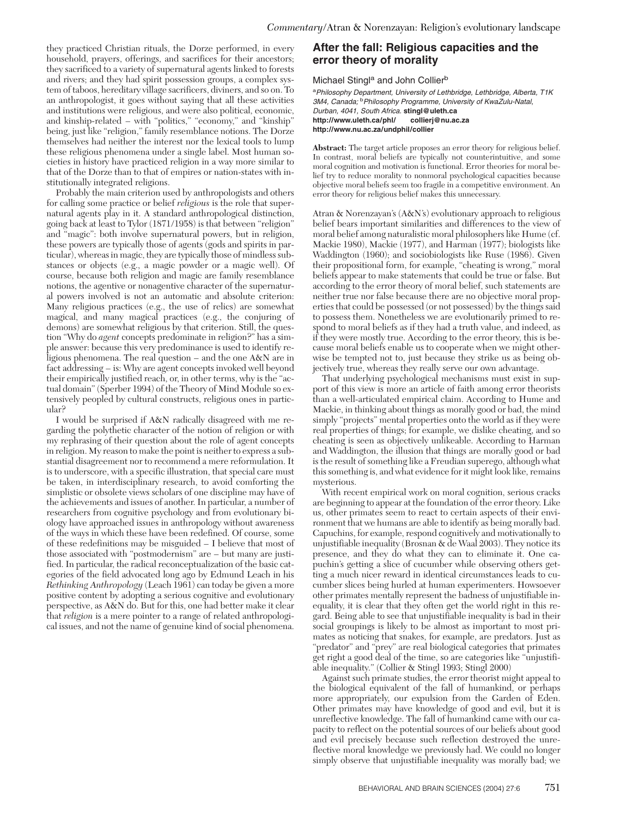they practiced Christian rituals, the Dorze performed, in every household, prayers, offerings, and sacrifices for their ancestors; they sacrificed to a variety of supernatural agents linked to forests and rivers; and they had spirit possession groups, a complex system of taboos, hereditary village sacrificers, diviners, and so on. To an anthropologist, it goes without saying that all these activities and institutions were religious, and were also political, economic, and kinship-related – with "politics," "economy," and "kinship" being, just like "religion," family resemblance notions. The Dorze themselves had neither the interest nor the lexical tools to lump these religious phenomena under a single label. Most human societies in history have practiced religion in a way more similar to that of the Dorze than to that of empires or nation-states with institutionally integrated religions.

Probably the main criterion used by anthropologists and others for calling some practice or belief *religious* is the role that supernatural agents play in it. A standard anthropological distinction, going back at least to Tylor (1871/1958) is that between "religion" and "magic": both involve supernatural powers, but in religion, these powers are typically those of agents (gods and spirits in particular), whereas in magic, they are typically those of mindless substances or objects (e.g., a magic powder or a magic well). Of course, because both religion and magic are family resemblance notions, the agentive or nonagentive character of the supernatural powers involved is not an automatic and absolute criterion: Many religious practices (e.g., the use of relics) are somewhat magical, and many magical practices (e.g., the conjuring of demons) are somewhat religious by that criterion. Still, the question "Why do *agent* concepts predominate in religion?" has a simple answer: because this very predominance is used to identify religious phenomena. The real question – and the one A&N are in fact addressing – is: Why are agent concepts invoked well beyond their empirically justified reach, or, in other terms, why is the "actual domain" (Sperber 1994) of the Theory of Mind Module so extensively peopled by cultural constructs, religious ones in particular?

I would be surprised if A&N radically disagreed with me regarding the polythetic character of the notion of religion or with my rephrasing of their question about the role of agent concepts in religion. My reason to make the point is neither to express a substantial disagreement nor to recommend a mere reformulation. It is to underscore, with a specific illustration, that special care must be taken, in interdisciplinary research, to avoid comforting the simplistic or obsolete views scholars of one discipline may have of the achievements and issues of another. In particular, a number of researchers from cognitive psychology and from evolutionary biology have approached issues in anthropology without awareness of the ways in which these have been redefined. Of course, some of these redefinitions may be misguided – I believe that most of those associated with "postmodernism" are – but many are justified. In particular, the radical reconceptualization of the basic categories of the field advocated long ago by Edmund Leach in his *Rethinking Anthropology* (Leach 1961) can today be given a more positive content by adopting a serious cognitive and evolutionary perspective, as A&N do. But for this, one had better make it clear that *religion* is a mere pointer to a range of related anthropological issues, and not the name of genuine kind of social phenomena.

## **After the fall: Religious capacities and the error theory of morality**

Michael Stingl<sup>a</sup> and John Collier<sup>b</sup>

<sup>a</sup>*Philosophy Department, University of Lethbridge, Lethbridge, Alberta, T1K 3M4, Canada;* b*Philosophy Programme, University of KwaZulu-Natal, Durban, 4041, South Africa.* **stingl@uleth.ca http://www.uleth.ca/phl/ collierj@nu.ac.za http://www.nu.ac.za/undphil/collier**

**Abstract:** The target article proposes an error theory for religious belief. In contrast, moral beliefs are typically not counterintuitive, and some moral cognition and motivation is functional. Error theories for moral belief try to reduce morality to nonmoral psychological capacities because objective moral beliefs seem too fragile in a competitive environment. An error theory for religious belief makes this unnecessary.

Atran & Norenzayan's (A&N's) evolutionary approach to religious belief bears important similarities and differences to the view of moral belief among naturalistic moral philosophers like Hume (cf. Mackie 1980), Mackie (1977), and Harman (1977); biologists like Waddington (1960); and sociobiologists like Ruse (1986). Given their propositional form, for example, "cheating is wrong," moral beliefs appear to make statements that could be true or false. But according to the error theory of moral belief, such statements are neither true nor false because there are no objective moral properties that could be possessed (or not possessed) by the things said to possess them. Nonetheless we are evolutionarily primed to respond to moral beliefs as if they had a truth value, and indeed, as if they were mostly true. According to the error theory, this is because moral beliefs enable us to cooperate when we might otherwise be tempted not to, just because they strike us as being objectively true, whereas they really serve our own advantage.

That underlying psychological mechanisms must exist in support of this view is more an article of faith among error theorists than a well-articulated empirical claim. According to Hume and Mackie, in thinking about things as morally good or bad, the mind simply "projects" mental properties onto the world as if they were real properties of things; for example, we dislike cheating, and so cheating is seen as objectively unlikeable. According to Harman and Waddington, the illusion that things are morally good or bad is the result of something like a Freudian superego, although what this something is, and what evidence for it might look like, remains mysterious.

With recent empirical work on moral cognition, serious cracks are beginning to appear at the foundation of the error theory. Like us, other primates seem to react to certain aspects of their environment that we humans are able to identify as being morally bad. Capuchins, for example, respond cognitively and motivationally to unjustifiable inequality (Brosnan & de Waal 2003). They notice its presence, and they do what they can to eliminate it. One capuchin's getting a slice of cucumber while observing others getting a much nicer reward in identical circumstances leads to cucumber slices being hurled at human experimenters. Howsoever other primates mentally represent the badness of unjustifiable inequality, it is clear that they often get the world right in this regard. Being able to see that unjustifiable inequality is bad in their social groupings is likely to be almost as important to most primates as noticing that snakes, for example, are predators. Just as "predator" and "prey" are real biological categories that primates get right a good deal of the time, so are categories like "unjustifiable inequality." (Collier & Stingl 1993; Stingl 2000)

Against such primate studies, the error theorist might appeal to the biological equivalent of the fall of humankind, or perhaps more appropriately, our expulsion from the Garden of Eden. Other primates may have knowledge of good and evil, but it is unreflective knowledge. The fall of humankind came with our capacity to reflect on the potential sources of our beliefs about good and evil precisely because such reflection destroyed the unreflective moral knowledge we previously had. We could no longer simply observe that unjustifiable inequality was morally bad; we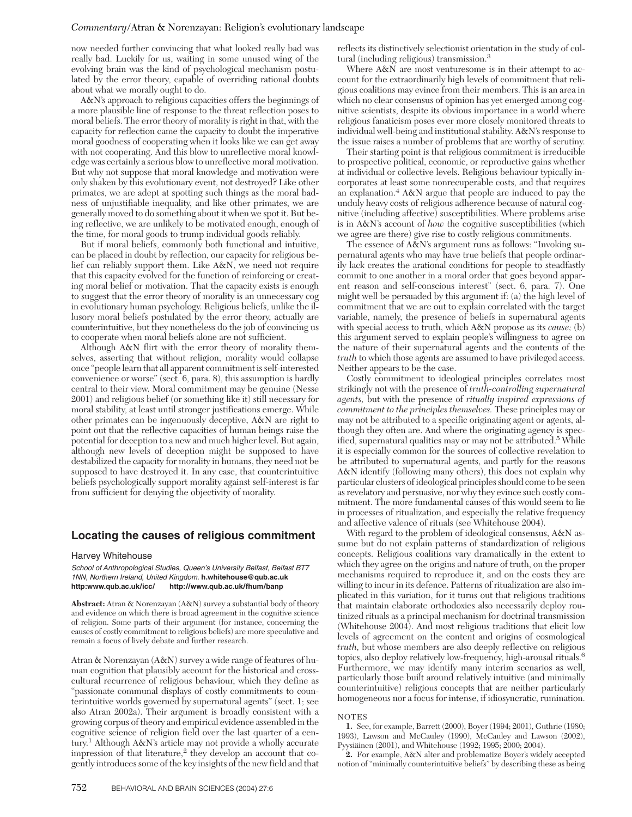now needed further convincing that what looked really bad was really bad. Luckily for us, waiting in some unused wing of the evolving brain was the kind of psychological mechanism postulated by the error theory, capable of overriding rational doubts about what we morally ought to do.

A&N's approach to religious capacities offers the beginnings of a more plausible line of response to the threat reflection poses to moral beliefs. The error theory of morality is right in that, with the capacity for reflection came the capacity to doubt the imperative moral goodness of cooperating when it looks like we can get away with not cooperating. And this blow to unreflective moral knowledge was certainly a serious blow to unreflective moral motivation. But why not suppose that moral knowledge and motivation were only shaken by this evolutionary event, not destroyed? Like other primates, we are adept at spotting such things as the moral badness of unjustifiable inequality, and like other primates, we are generally moved to do something about it when we spot it. But being reflective, we are unlikely to be motivated enough, enough of the time, for moral goods to trump individual goods reliably.

But if moral beliefs, commonly both functional and intuitive, can be placed in doubt by reflection, our capacity for religious belief can reliably support them. Like A&N, we need not require that this capacity evolved for the function of reinforcing or creating moral belief or motivation. That the capacity exists is enough to suggest that the error theory of morality is an unnecessary cog in evolutionary human psychology. Religious beliefs, unlike the illusory moral beliefs postulated by the error theory, actually are counterintuitive, but they nonetheless do the job of convincing us to cooperate when moral beliefs alone are not sufficient.

Although A&N flirt with the error theory of morality themselves, asserting that without religion, morality would collapse once "people learn that all apparent commitment is self-interested convenience or worse" (sect. 6, para. 8), this assumption is hardly central to their view. Moral commitment may be genuine (Nesse 2001) and religious belief (or something like it) still necessary for moral stability, at least until stronger justifications emerge. While other primates can be ingenuously deceptive, A&N are right to point out that the reflective capacities of human beings raise the potential for deception to a new and much higher level. But again, although new levels of deception might be supposed to have destabilized the capacity for morality in humans, they need not be supposed to have destroyed it. In any case, that counterintuitive beliefs psychologically support morality against self-interest is far from sufficient for denying the objectivity of morality.

## **Locating the causes of religious commitment**

#### Harvey Whitehouse

*School of Anthropological Studies, Queen's University Belfast, Belfast BT7 1NN, Northern Ireland, United Kingdom.* **h.whitehouse@qub.ac.uk http:www.qub.ac.uk/icc/ http://www.qub.ac.uk/fhum/banp**

**Abstract:** Atran & Norenzayan (A&N) survey a substantial body of theory and evidence on which there is broad agreement in the cognitive science of religion. Some parts of their argument (for instance, concerning the causes of costly commitment to religious beliefs) are more speculative and remain a focus of lively debate and further research.

Atran & Norenzayan (A&N) survey a wide range of features of human cognition that plausibly account for the historical and crosscultural recurrence of religious behaviour, which they define as "passionate communal displays of costly commitments to counterintuitive worlds governed by supernatural agents" (sect. 1; see also Atran 2002a). Their argument is broadly consistent with a growing corpus of theory and empirical evidence assembled in the cognitive science of religion field over the last quarter of a century.<sup>1</sup> Although A&N's article may not provide a wholly accurate impression of that literature, $2$  they develop an account that cogently introduces some of the key insights of the new field and that reflects its distinctively selectionist orientation in the study of cultural (including religious) transmission.3

Where A&N are most venturesome is in their attempt to account for the extraordinarily high levels of commitment that religious coalitions may evince from their members. This is an area in which no clear consensus of opinion has yet emerged among cognitive scientists, despite its obvious importance in a world where religious fanaticism poses ever more closely monitored threats to individual well-being and institutional stability. A&N's response to the issue raises a number of problems that are worthy of scrutiny.

Their starting point is that religious commitment is irreducible to prospective political, economic, or reproductive gains whether at individual or collective levels. Religious behaviour typically incorporates at least some nonrecuperable costs, and that requires an explanation.4 A&N argue that people are induced to pay the unduly heavy costs of religious adherence because of natural cognitive (including affective) susceptibilities. Where problems arise is in A&N's account of *how* the cognitive susceptibilities (which we agree are there) give rise to costly religious commitments.

The essence of A&N's argument runs as follows: "Invoking supernatural agents who may have true beliefs that people ordinarily lack creates the arational conditions for people to steadfastly commit to one another in a moral order that goes beyond apparent reason and self-conscious interest" (sect. 6, para. 7). One might well be persuaded by this argument if: (a) the high level of commitment that we are out to explain correlated with the target variable, namely, the presence of beliefs in supernatural agents with special access to truth, which A&N propose as its *cause;* (b) this argument served to explain people's willingness to agree on the nature of their supernatural agents and the contents of the *truth* to which those agents are assumed to have privileged access. Neither appears to be the case.

Costly commitment to ideological principles correlates most strikingly not with the presence of *truth-controlling supernatural agents,* but with the presence of *ritually inspired expressions of commitment to the principles themselves.* These principles may or may not be attributed to a specific originating agent or agents, although they often are. And where the originating agency is specified, supernatural qualities may or may not be attributed.<sup>5</sup> While it is especially common for the sources of collective revelation to be attributed to supernatural agents, and partly for the reasons A&N identify (following many others), this does not explain why particular clusters of ideological principles should come to be seen as revelatory and persuasive, nor why they evince such costly commitment. The more fundamental causes of this would seem to lie in processes of ritualization, and especially the relative frequency and affective valence of rituals (see Whitehouse 2004).

With regard to the problem of ideological consensus, A&N assume but do not explain patterns of standardization of religious concepts. Religious coalitions vary dramatically in the extent to which they agree on the origins and nature of truth, on the proper mechanisms required to reproduce it, and on the costs they are willing to incur in its defence. Patterns of ritualization are also implicated in this variation, for it turns out that religious traditions that maintain elaborate orthodoxies also necessarily deploy routinized rituals as a principal mechanism for doctrinal transmission (Whitehouse 2004). And most religious traditions that elicit low levels of agreement on the content and origins of cosmological *truth,* but whose members are also deeply reflective on religious topics, also deploy relatively low-frequency, high-arousal rituals.6 Furthermore, we may identify many interim scenarios as well, particularly those built around relatively intuitive (and minimally counterintuitive) religious concepts that are neither particularly homogeneous nor a focus for intense, if idiosyncratic, rumination.

#### NOTES

**1.** See, for example, Barrett (2000), Boyer (1994; 2001), Guthrie (1980; 1993), Lawson and McCauley (1990), McCauley and Lawson (2002), Pyysiäinen (2001), and Whitehouse (1992; 1995; 2000; 2004).

**2.** For example, A&N alter and problematize Boyer's widely accepted notion of "minimally counterintuitive beliefs" by describing these as being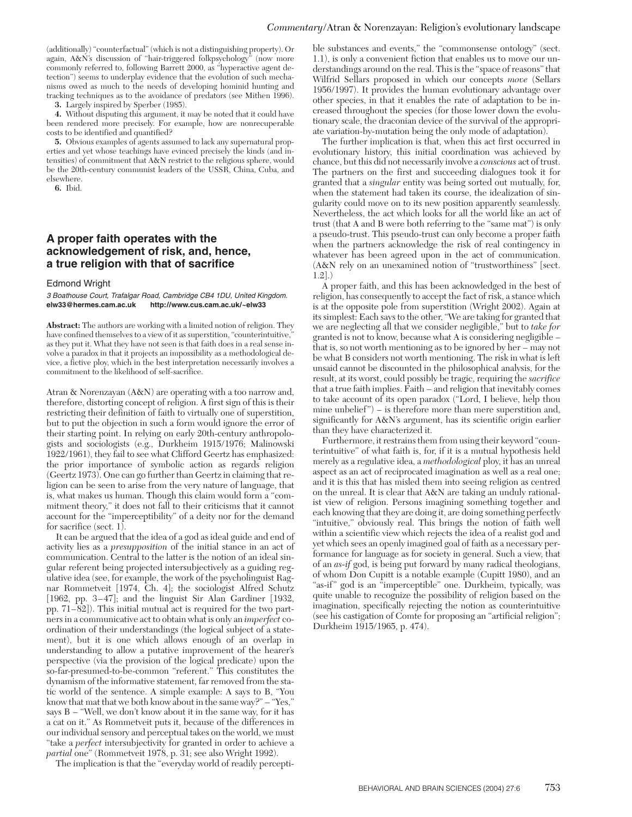(additionally) "counterfactual" (which is not a distinguishing property). Or again, A&N's discussion of "hair-triggered folkpsychology" (now more commonly referred to, following Barrett 2000, as "hyperactive agent detection") seems to underplay evidence that the evolution of such mechanisms owed as much to the needs of developing hominid hunting and tracking techniques as to the avoidance of predators (see Mithen 1996).

**3.** Largely inspired by Sperber (1985).

**4.** Without disputing this argument, it may be noted that it could have been rendered more precisely. For example, how are nonrecuperable costs to be identified and quantified?

**5.** Obvious examples of agents assumed to lack any supernatural properties and yet whose teachings have evinced precisely the kinds (and intensities) of commitment that A&N restrict to the religious sphere, would be the 20th-century communist leaders of the USSR, China, Cuba, and elsewhere.

**6.** Ibid.

## **A proper faith operates with the acknowledgement of risk, and, hence, a true religion with that of sacrifice**

#### Edmond Wright

*3 Boathouse Court, Trafalgar Road, Cambridge CB4 1DU, United Kingdom.* **elw33@hermes.cam.ac.uk http://www.cus.cam.ac.uk/~elw33**

**Abstract:** The authors are working with a limited notion of religion. They have confined themselves to a view of it as superstition, "counterintuitive," as they put it. What they have not seen is that faith does in a real sense involve a paradox in that it projects an impossibility as a methodological device, a fictive ploy, which in the best interpretation necessarily involves a commitment to the likelihood of self-sacrifice.

Atran & Norenzayan (A&N) are operating with a too narrow and, therefore, distorting concept of religion. A first sign of this is their restricting their definition of faith to virtually one of superstition, but to put the objection in such a form would ignore the error of their starting point. In relying on early 20th-century anthropologists and sociologists (e.g., Durkheim 1915/1976; Malinowski 1922/1961), they fail to see what Clifford Geertz has emphasized: the prior importance of symbolic action as regards religion (Geertz 1973). One can go further than Geertz in claiming that religion can be seen to arise from the very nature of language, that is, what makes us human. Though this claim would form a "commitment theory," it does not fall to their criticisms that it cannot account for the "imperceptibility" of a deity nor for the demand for sacrifice (sect.  $1)$ .

It can be argued that the idea of a god as ideal guide and end of activity lies as a *presupposition* of the initial stance in an act of communication. Central to the latter is the notion of an ideal singular referent being projected intersubjectively as a guiding regulative idea (see, for example, the work of the psycholinguist Ragnar Rommetveit [1974, Ch. 4]; the sociologist Alfred Schutz [1962, pp. 3–47]; and the linguist Sir Alan Gardiner [1932, pp. 71–82]). This initial mutual act is required for the two partners in a communicative act to obtain what is only an *imperfect* coordination of their understandings (the logical subject of a statement), but it is one which allows enough of an overlap in understanding to allow a putative improvement of the hearer's perspective (via the provision of the logical predicate) upon the so-far-presumed-to-be-common "referent." This constitutes the dynamism of the informative statement, far removed from the static world of the sentence. A simple example: A says to B, "You know that mat that we both know about in the same way?" – "Yes," says B – "Well, we don't know about it in the same way, for it has a cat on it." As Rommetveit puts it, because of the differences in our individual sensory and perceptual takes on the world, we must "take a *perfect* intersubjectivity for granted in order to achieve a *partial* one" (Rommetveit 1978, p. 31; see also Wright 1992).

The implication is that the "everyday world of readily percepti-

ble substances and events," the "commonsense ontology" (sect. 1.1), is only a convenient fiction that enables us to move our understandings around on the real. This is the "space of reasons" that Wilfrid Sellars proposed in which our concepts *move* (Sellars 1956/1997). It provides the human evolutionary advantage over other species, in that it enables the rate of adaptation to be increased throughout the species (for those lower down the evolutionary scale, the draconian device of the survival of the appropriate variation-by-mutation being the only mode of adaptation).

The further implication is that, when this act first occurred in evolutionary history, this initial coordination was achieved by chance, but this did not necessarily involve a *conscious* act of trust. The partners on the first and succeeding dialogues took it for granted that a *singular* entity was being sorted out mutually, for, when the statement had taken its course, the idealization of singularity could move on to its new position apparently seamlessly. Nevertheless, the act which looks for all the world like an act of trust (that A and B were both referring to the "same mat") is only a pseudo-trust. This pseudo-trust can only become a proper faith when the partners acknowledge the risk of real contingency in whatever has been agreed upon in the act of communication. (A&N rely on an unexamined notion of "trustworthiness" [sect. 1.2].)

A proper faith, and this has been acknowledged in the best of religion, has consequently to accept the fact of risk, a stance which is at the opposite pole from superstition (Wright 2002). Again at its simplest: Each says to the other, "We are taking for granted that we are neglecting all that we consider negligible," but to *take for* granted is not to know, because what A is considering negligible – that is, so not worth mentioning as to be ignored by her – may not be what B considers not worth mentioning. The risk in what is left unsaid cannot be discounted in the philosophical analysis, for the result, at its worst, could possibly be tragic, requiring the *sacrifice* that a true faith implies. Faith – and religion that inevitably comes to take account of its open paradox ("Lord, I believe, help thou mine unbelief") – is therefore more than mere superstition and, significantly for A&N's argument, has its scientific origin earlier than they have characterized it.

Furthermore, it restrains them from using their keyword "counterintuitive" of what faith is, for, if it is a mutual hypothesis held merely as a regulative idea, a *methodological* ploy, it has an unreal aspect as an act of reciprocated imagination as well as a real one; and it is this that has misled them into seeing religion as centred on the unreal. It is clear that A&N are taking an unduly rationalist view of religion. Persons imagining something together and each knowing that they are doing it, are doing something perfectly "intuitive," obviously real. This brings the notion of faith well within a scientific view which rejects the idea of a realist god and yet which sees an openly imagined goal of faith as a necessary performance for language as for society in general. Such a view, that of an *as-if* god, is being put forward by many radical theologians, of whom Don Cupitt is a notable example (Cupitt 1980), and an "as-if" god is an "imperceptible" one. Durkheim, typically, was quite unable to recognize the possibility of religion based on the imagination, specifically rejecting the notion as counterintuitive (see his castigation of Comte for proposing an "artificial religion"; Durkheim 1915/1965, p. 474).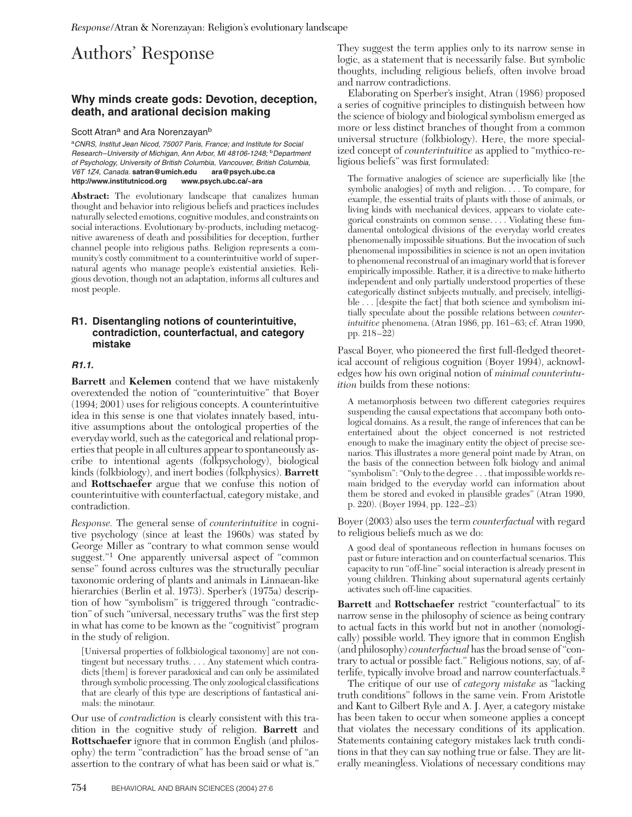## Authors' Response

## **Why minds create gods: Devotion, deception, death, and arational decision making**

Scott Atran<sup>a</sup> and Ara Norenzayan<sup>b</sup>

<sup>a</sup>*CNRS, Institut Jean Nicod, 75007 Paris, France; and Institute for Social Research–University of Michigan, Ann Arbor, MI 48106-1248;* b*Department of Psychology, University of British Columbia, Vancouver, British Columbia, V6T 1Z4, Canada.* **satran@umich.edu ara@psych.ubc.ca http://www.institutnicod.org www.psych.ubc.ca/~ara**

**Abstract:** The evolutionary landscape that canalizes human thought and behavior into religious beliefs and practices includes naturally selected emotions, cognitive modules, and constraints on social interactions. Evolutionary by-products, including metacognitive awareness of death and possibilities for deception, further channel people into religious paths. Religion represents a community's costly commitment to a counterintuitive world of supernatural agents who manage people's existential anxieties. Religious devotion, though not an adaptation, informs all cultures and most people.

## **R1. Disentangling notions of counterintuitive, contradiction, counterfactual, and category mistake**

## *R1.1.*

**Barrett** and **Kelemen** contend that we have mistakenly overextended the notion of "counterintuitive" that Boyer (1994; 2001) uses for religious concepts. A counterintuitive idea in this sense is one that violates innately based, intuitive assumptions about the ontological properties of the everyday world, such as the categorical and relational properties that people in all cultures appear to spontaneously ascribe to intentional agents (folkpsychology), biological kinds (folkbiology), and inert bodies (folkphysics). **Barrett** and **Rottschaefer** argue that we confuse this notion of counterintuitive with counterfactual, category mistake, and contradiction.

*Response.* The general sense of *counterintuitive* in cognitive psychology (since at least the 1960s) was stated by George Miller as "contrary to what common sense would suggest."<sup>1</sup> One apparently universal aspect of "common sense" found across cultures was the structurally peculiar taxonomic ordering of plants and animals in Linnaean-like hierarchies (Berlin et al. 1973). Sperber's (1975a) description of how "symbolism" is triggered through "contradiction" of such "universal, necessary truths" was the first step in what has come to be known as the "cognitivist" program in the study of religion.

[Universal properties of folkbiological taxonomy] are not contingent but necessary truths. . . . Any statement which contradicts [them] is forever paradoxical and can only be assimilated through symbolic processing. The only zoological classifications that are clearly of this type are descriptions of fantastical animals: the minotaur.

Our use of *contradiction* is clearly consistent with this tradition in the cognitive study of religion. **Barrett** and **Rottschaefer** ignore that in common English (and philosophy) the term "contradiction" has the broad sense of "an assertion to the contrary of what has been said or what is."

They suggest the term applies only to its narrow sense in logic, as a statement that is necessarily false. But symbolic thoughts, including religious beliefs, often involve broad and narrow contradictions.

Elaborating on Sperber's insight, Atran (1986) proposed a series of cognitive principles to distinguish between how the science of biology and biological symbolism emerged as more or less distinct branches of thought from a common universal structure (folkbiology). Here, the more specialized concept of *counterintuitive* as applied to "mythico-religious beliefs" was first formulated:

The formative analogies of science are superficially like [the symbolic analogies] of myth and religion. . . . To compare, for example, the essential traits of plants with those of animals, or living kinds with mechanical devices, appears to violate categorical constraints on common sense. . . . Violating these fundamental ontological divisions of the everyday world creates phenomenally impossible situations. But the invocation of such phenomenal impossibilities in science is not an open invitation to phenomenal reconstrual of an imaginary world that is forever empirically impossible. Rather, it is a directive to make hitherto independent and only partially understood properties of these categorically distinct subjects mutually, and precisely, intelligible . . . [despite the fact] that both science and symbolism initially speculate about the possible relations between *counterintuitive* phenomena. (Atran 1986, pp. 161–63; cf. Atran 1990, pp. 218–22)

Pascal Boyer, who pioneered the first full-fledged theoretical account of religious cognition (Boyer 1994), acknowledges how his own original notion of *minimal counterintuition* builds from these notions:

A metamorphosis between two different categories requires suspending the causal expectations that accompany both ontological domains. As a result, the range of inferences that can be entertained about the object concerned is not restricted enough to make the imaginary entity the object of precise scenarios. This illustrates a more general point made by Atran, on the basis of the connection between folk biology and animal "symbolism": "Only to the degree . . . that impossible worlds remain bridged to the everyday world can information about them be stored and evoked in plausible grades" (Atran 1990, p. 220). (Boyer 1994, pp. 122–23)

Boyer (2003) also uses the term *counterfactual* with regard to religious beliefs much as we do:

A good deal of spontaneous reflection in humans focuses on past or future interaction and on counterfactual scenarios. This capacity to run "off-line" social interaction is already present in young children. Thinking about supernatural agents certainly activates such off-line capacities.

**Barrett** and **Rottschaefer** restrict "counterfactual" to its narrow sense in the philosophy of science as being contrary to actual facts in this world but not in another (nomologically) possible world. They ignore that in common English (and philosophy) *counterfactual* has the broad sense of "contrary to actual or possible fact." Religious notions, say, of afterlife, typically involve broad and narrow counterfactuals.<sup>2</sup>

The critique of our use of *category mistake* as "lacking truth conditions" follows in the same vein. From Aristotle and Kant to Gilbert Ryle and A. J. Ayer, a category mistake has been taken to occur when someone applies a concept that violates the necessary conditions of its application. Statements containing category mistakes lack truth conditions in that they can say nothing true or false. They are literally meaningless. Violations of necessary conditions may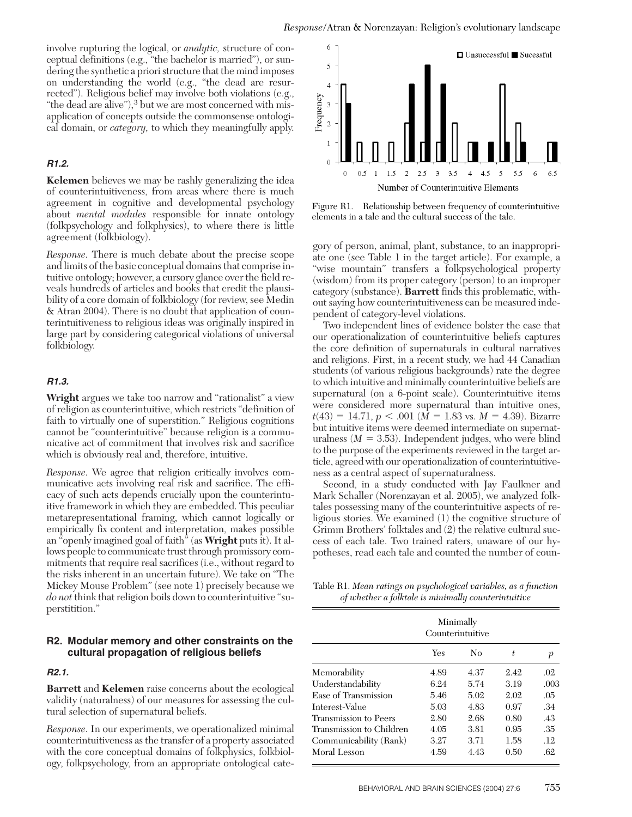involve rupturing the logical, or *analytic,* structure of conceptual definitions (e.g., "the bachelor is married"), or sundering the synthetic a priori structure that the mind imposes on understanding the world (e.g., "the dead are resurrected"). Religious belief may involve both violations (e.g., "the dead are alive"),<sup>3</sup> but we are most concerned with misapplication of concepts outside the commonsense ontological domain, or *category,* to which they meaningfully apply.

## *R1.2.*

**Kelemen** believes we may be rashly generalizing the idea of counterintuitiveness, from areas where there is much agreement in cognitive and developmental psychology about *mental modules* responsible for innate ontology (folkpsychology and folkphysics), to where there is little agreement (folkbiology).

*Response.* There is much debate about the precise scope and limits of the basic conceptual domains that comprise intuitive ontology; however, a cursory glance over the field reveals hundreds of articles and books that credit the plausibility of a core domain of folkbiology (for review, see Medin & Atran 2004). There is no doubt that application of counterintuitiveness to religious ideas was originally inspired in large part by considering categorical violations of universal folkbiology.

## *R1.3.*

**Wright** argues we take too narrow and "rationalist" a view of religion as counterintuitive, which restricts "definition of faith to virtually one of superstition." Religious cognitions cannot be "counterintuitive" because religion is a communicative act of commitment that involves risk and sacrifice which is obviously real and, therefore, intuitive.

*Response.* We agree that religion critically involves communicative acts involving real risk and sacrifice. The efficacy of such acts depends crucially upon the counterintuitive framework in which they are embedded. This peculiar metarepresentational framing, which cannot logically or empirically fix content and interpretation, makes possible an "openly imagined goal of faith" (as **Wright** puts it). It allows people to communicate trust through promissory commitments that require real sacrifices (i.e., without regard to the risks inherent in an uncertain future). We take on "The Mickey Mouse Problem" (see note 1) precisely because we *do not* think that religion boils down to counterintuitive "superstitition."

## **R2. Modular memory and other constraints on the cultural propagation of religious beliefs**

## *R2.1.*

**Barrett** and **Kelemen** raise concerns about the ecological validity (naturalness) of our measures for assessing the cultural selection of supernatural beliefs.

*Response.* In our experiments, we operationalized minimal counterintuitiveness as the transfer of a property associated with the core conceptual domains of folkphysics, folkbiology, folkpsychology, from an appropriate ontological cate-



Figure R1. Relationship between frequency of counterintuitive elements in a tale and the cultural success of the tale.

gory of person, animal, plant, substance, to an inappropriate one (see Table 1 in the target article). For example, a "wise mountain" transfers a folkpsychological property (wisdom) from its proper category (person) to an improper category (substance). **Barrett** finds this problematic, without saying how counterintuitiveness can be measured independent of category-level violations.

Two independent lines of evidence bolster the case that our operationalization of counterintuitive beliefs captures the core definition of supernaturals in cultural narratives and religions. First, in a recent study, we had 44 Canadian students (of various religious backgrounds) rate the degree to which intuitive and minimally counterintuitive beliefs are supernatural (on a 6-point scale). Counterintuitive items were considered more supernatural than intuitive ones,  $t(43) = 14.71, p < .001 (M = 1.83 \text{ vs. } M = 4.39)$ . Bizarre but intuitive items were deemed intermediate on supernaturalness  $(M = 3.53)$ . Independent judges, who were blind to the purpose of the experiments reviewed in the target article, agreed with our operationalization of counterintuitiveness as a central aspect of supernaturalness.

Second, in a study conducted with Jay Faulkner and Mark Schaller (Norenzayan et al. 2005), we analyzed folktales possessing many of the counterintuitive aspects of religious stories. We examined (1) the cognitive structure of Grimm Brothers' folktales and (2) the relative cultural success of each tale. Two trained raters, unaware of our hypotheses, read each tale and counted the number of coun-

Table R1. *Mean ratings on psychological variables, as a function of whether a folktale is minimally counterintuitive*

|                              | Minimally<br>Counterintuitive |      |      |      |
|------------------------------|-------------------------------|------|------|------|
|                              | Yes                           | No   | t    | р    |
| Memorability                 | 4.89                          | 4.37 | 2.42 | .02  |
| Understandability            | 6.24                          | 5.74 | 3.19 | .003 |
| Ease of Transmission         | 5.46                          | 5.02 | 2.02 | .05  |
| Interest-Value               | 5.03                          | 4.83 | 0.97 | .34  |
| <b>Transmission to Peers</b> | 2.80                          | 2.68 | 0.80 | .43  |
| Transmission to Children     | 4.05                          | 3.81 | 0.95 | .35  |
| Communicability (Rank)       | 3.27                          | 3.71 | 1.58 | .12  |
| Moral Lesson                 | 4.59                          | 4.43 | 0.50 | .62  |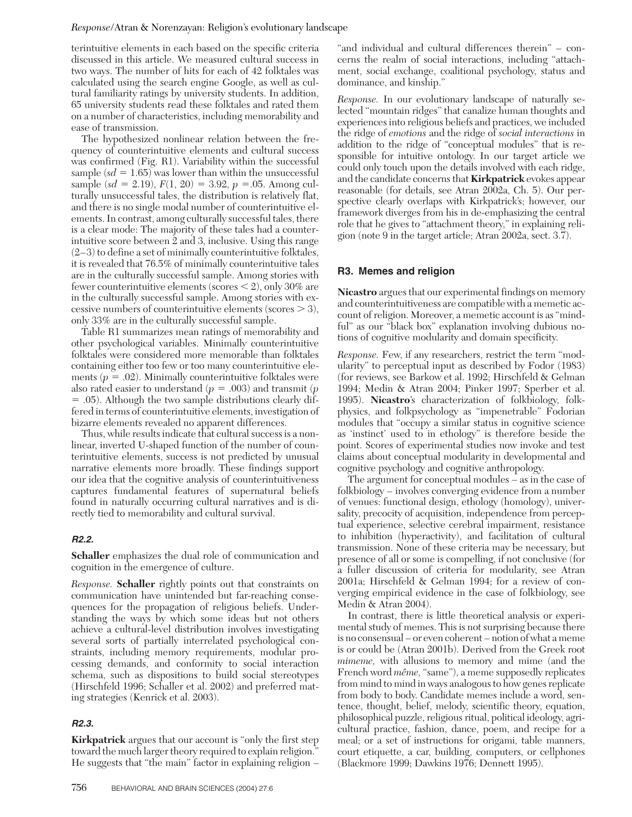terintuitive elements in each based on the specific criteria discussed in this article. We measured cultural success in two ways. The number of hits for each of 42 folktales was calculated using the search engine Google, as well as cultural familiarity ratings by university students. In addition, 65 university students read these folktales and rated them on a number of characteristics, including memorability and ease of transmission.

The hypothesized nonlinear relation between the frequency of counterintuitive elements and cultural success was confirmed (Fig. R1). Variability within the successful sample  $(sd = 1.65)$  was lower than within the unsuccessful sample ( $sd = 2.19$ ),  $F(1, 20) = 3.92$ ,  $p = 0.05$ . Among culturally unsuccessful tales, the distribution is relatively flat, and there is no single modal number of counterintuitive elements. In contrast, among culturally successful tales, there is a clear mode: The majority of these tales had a counterintuitive score between 2 and 3, inclusive. Using this range (2–3) to define a set of minimally counterintuitive folktales, it is revealed that 76.5% of minimally counterintuitive tales are in the culturally successful sample. Among stories with fewer counterintuitive elements (scores  $\lt 2$ ), only 30% are in the culturally successful sample. Among stories with excessive numbers of counterintuitive elements (scores  $>$  3), only 33% are in the culturally successful sample.

Table R1 summarizes mean ratings of memorability and other psychological variables. Minimally counterintuitive folktales were considered more memorable than folktales containing either too few or too many counterintuitive elements ( $p = .02$ ). Minimally counterintuitive folktales were also rated easier to understand ( $p = .003$ ) and transmit ( $p$ - .05). Although the two sample distributions clearly differed in terms of counterintuitive elements, investigation of bizarre elements revealed no apparent differences.

Thus, while results indicate that cultural success is a nonlinear, inverted U-shaped function of the number of counterintuitive elements, success is not predicted by unusual narrative elements more broadly. These findings support our idea that the cognitive analysis of counterintuitiveness captures fundamental features of supernatural beliefs found in naturally occurring cultural narratives and is directly tied to memorability and cultural survival.

## *R2.2.*

**Schaller** emphasizes the dual role of communication and cognition in the emergence of culture.

*Response.* **Schaller** rightly points out that constraints on communication have unintended but far-reaching consequences for the propagation of religious beliefs. Understanding the ways by which some ideas but not others achieve a cultural-level distribution involves investigating several sorts of partially interrelated psychological constraints, including memory requirements, modular processing demands, and conformity to social interaction schema, such as dispositions to build social stereotypes (Hirschfeld 1996; Schaller et al. 2002) and preferred mating strategies (Kenrick et al. 2003).

## *R2.3.*

**Kirkpatrick** argues that our account is "only the first step toward the much larger theory required to explain religion." He suggests that "the main" factor in explaining religion –

"and individual and cultural differences therein" – concerns the realm of social interactions, including "attachment, social exchange, coalitional psychology, status and dominance, and kinship."

*Response.* In our evolutionary landscape of naturally selected "mountain ridges" that canalize human thoughts and experiences into religious beliefs and practices, we included the ridge of *emotions* and the ridge of *social interactions* in addition to the ridge of "conceptual modules" that is responsible for intuitive ontology. In our target article we could only touch upon the details involved with each ridge, and the candidate concerns that **Kirkpatrick** evokes appear reasonable (for details, see Atran 2002a, Ch. 5). Our perspective clearly overlaps with Kirkpatrick's; however, our framework diverges from his in de-emphasizing the central role that he gives to "attachment theory," in explaining religion (note 9 in the target article; Atran 2002a, sect. 3.7).

## **R3. Memes and religion**

**Nicastro** argues that our experimental findings on memory and counterintuitiveness are compatible with a memetic account of religion. Moreover, a memetic account is as "mindful" as our "black box" explanation involving dubious notions of cognitive modularity and domain specificity.

*Response.* Few, if any researchers, restrict the term "modularity" to perceptual input as described by Fodor (1983) (for reviews, see Barkow et al. 1992; Hirschfeld & Gelman 1994; Medin & Atran 2004; Pinker 1997; Sperber et al. 1995). **Nicastro**'s characterization of folkbiology, folkphysics, and folkpsychology as "impenetrable" Fodorian modules that "occupy a similar status in cognitive science as 'instinct' used to in ethology" is therefore beside the point. Scores of experimental studies now invoke and test claims about conceptual modularity in developmental and cognitive psychology and cognitive anthropology.

The argument for conceptual modules – as in the case of folkbiology – involves converging evidence from a number of venues: functional design, ethology (homology), universality, precocity of acquisition, independence from perceptual experience, selective cerebral impairment, resistance to inhibition (hyperactivity), and facilitation of cultural transmission. None of these criteria may be necessary, but presence of all or some is compelling, if not conclusive (for a fuller discussion of criteria for modularity, see Atran 2001a; Hirschfeld & Gelman 1994; for a review of converging empirical evidence in the case of folkbiology, see Medin & Atran 2004).

In contrast, there is little theoretical analysis or experimental study of memes. This is not surprising because there is no consensual – or even coherent – notion of what a meme is or could be (Atran 2001b). Derived from the Greek root *mimeme,* with allusions to memory and mime (and the French word *même,* "same"), a meme supposedly replicates from mind to mind in ways analogous to how genes replicate from body to body. Candidate memes include a word, sentence, thought, belief, melody, scientific theory, equation, philosophical puzzle, religious ritual, political ideology, agricultural practice, fashion, dance, poem, and recipe for a meal; or a set of instructions for origami, table manners, court etiquette, a car, building, computers, or cellphones (Blackmore 1999; Dawkins 1976; Dennett 1995).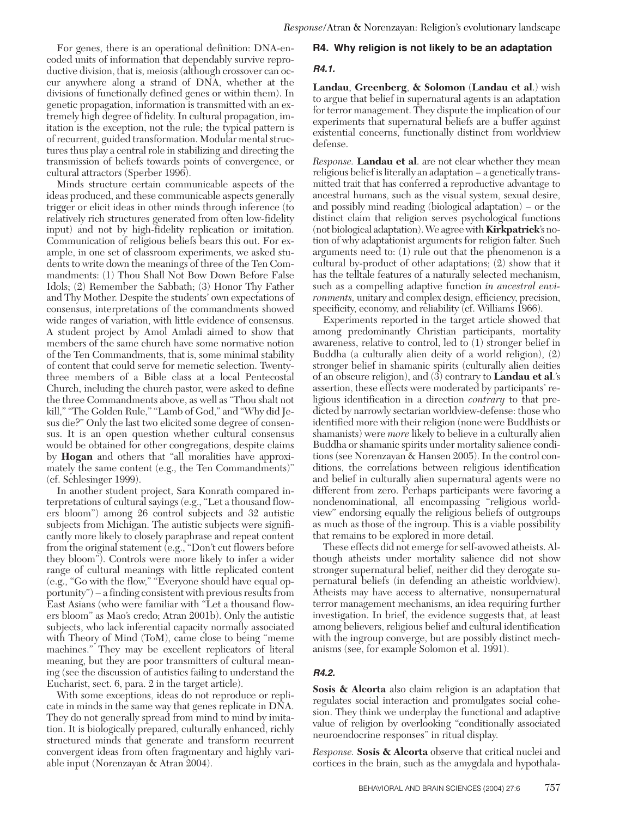For genes, there is an operational definition: DNA-encoded units of information that dependably survive reproductive division, that is, meiosis (although crossover can occur anywhere along a strand of DNA, whether at the divisions of functionally defined genes or within them). In genetic propagation, information is transmitted with an extremely high degree of fidelity. In cultural propagation, imitation is the exception, not the rule; the typical pattern is of recurrent, guided transformation. Modular mental structures thus play a central role in stabilizing and directing the transmission of beliefs towards points of convergence, or cultural attractors (Sperber 1996).

Minds structure certain communicable aspects of the ideas produced, and these communicable aspects generally trigger or elicit ideas in other minds through inference (to relatively rich structures generated from often low-fidelity input) and not by high-fidelity replication or imitation. Communication of religious beliefs bears this out. For example, in one set of classroom experiments, we asked students to write down the meanings of three of the Ten Commandments: (1) Thou Shall Not Bow Down Before False Idols; (2) Remember the Sabbath; (3) Honor Thy Father and Thy Mother. Despite the students' own expectations of consensus, interpretations of the commandments showed wide ranges of variation, with little evidence of consensus. A student project by Amol Amladi aimed to show that members of the same church have some normative notion of the Ten Commandments, that is, some minimal stability of content that could serve for memetic selection. Twentythree members of a Bible class at a local Pentecostal Church, including the church pastor, were asked to define the three Commandments above, as well as "Thou shalt not kill," "The Golden Rule," "Lamb of God," and "Why did Jesus die?" Only the last two elicited some degree of consensus. It is an open question whether cultural consensus would be obtained for other congregations, despite claims by **Hogan** and others that "all moralities have approximately the same content (e.g., the Ten Commandments)" (cf. Schlesinger 1999).

In another student project, Sara Konrath compared interpretations of cultural sayings (e.g., "Let a thousand flowers bloom") among 26 control subjects and 32 autistic subjects from Michigan. The autistic subjects were significantly more likely to closely paraphrase and repeat content from the original statement (e.g., "Don't cut flowers before they bloom"). Controls were more likely to infer a wider range of cultural meanings with little replicated content (e.g., "Go with the flow," "Everyone should have equal opportunity") – a finding consistent with previous results from East Asians (who were familiar with "Let a thousand flowers bloom" as Mao's credo; Atran 2001b). Only the autistic subjects, who lack inferential capacity normally associated with Theory of Mind (ToM), came close to being "meme machines." They may be excellent replicators of literal meaning, but they are poor transmitters of cultural meaning (see the discussion of autistics failing to understand the Eucharist, sect. 6, para. 2 in the target article).

With some exceptions, ideas do not reproduce or replicate in minds in the same way that genes replicate in DNA. They do not generally spread from mind to mind by imitation. It is biologically prepared, culturally enhanced, richly structured minds that generate and transform recurrent convergent ideas from often fragmentary and highly variable input (Norenzayan & Atran 2004).

## **R4. Why religion is not likely to be an adaptation**

## *R4.1.*

**Landau**, **Greenberg**, **& Solomon** (**Landau et al**.) wish to argue that belief in supernatural agents is an adaptation for terror management. They dispute the implication of our experiments that supernatural beliefs are a buffer against existential concerns, functionally distinct from worldview defense.

*Response.* **Landau et al**. are not clear whether they mean religious belief is literally an adaptation – a genetically transmitted trait that has conferred a reproductive advantage to ancestral humans, such as the visual system, sexual desire, and possibly mind reading (biological adaptation) – or the distinct claim that religion serves psychological functions (not biological adaptation). We agree with **Kirkpatrick**'s notion of why adaptationist arguments for religion falter. Such arguments need to: (1) rule out that the phenomenon is a cultural by-product of other adaptations; (2) show that it has the telltale features of a naturally selected mechanism, such as a compelling adaptive function *in ancestral environments,* unitary and complex design, efficiency, precision, specificity, economy, and reliability (cf. Williams 1966).

Experiments reported in the target article showed that among predominantly Christian participants, mortality awareness, relative to control, led to (1) stronger belief in Buddha (a culturally alien deity of a world religion), (2) stronger belief in shamanic spirits (culturally alien deities of an obscure religion), and (3) contrary to **Landau et al**.'s assertion, these effects were moderated by participants' religious identification in a direction *contrary* to that predicted by narrowly sectarian worldview-defense: those who identified more with their religion (none were Buddhists or shamanists) were *more* likely to believe in a culturally alien Buddha or shamanic spirits under mortality salience conditions (see Norenzayan & Hansen 2005). In the control conditions, the correlations between religious identification and belief in culturally alien supernatural agents were no different from zero. Perhaps participants were favoring a nondenominational, all encompassing "religious worldview" endorsing equally the religious beliefs of outgroups as much as those of the ingroup. This is a viable possibility that remains to be explored in more detail.

These effects did not emerge for self-avowed atheists. Although atheists under mortality salience did not show stronger supernatural belief, neither did they derogate supernatural beliefs (in defending an atheistic worldview). Atheists may have access to alternative, nonsupernatural terror management mechanisms, an idea requiring further investigation. In brief, the evidence suggests that, at least among believers, religious belief and cultural identification with the ingroup converge, but are possibly distinct mechanisms (see, for example Solomon et al. 1991).

## *R4.2.*

**Sosis & Alcorta** also claim religion is an adaptation that regulates social interaction and promulgates social cohesion. They think we underplay the functional and adaptive value of religion by overlooking "conditionally associated neuroendocrine responses" in ritual display.

*Response.* **Sosis & Alcorta** observe that critical nuclei and cortices in the brain, such as the amygdala and hypothala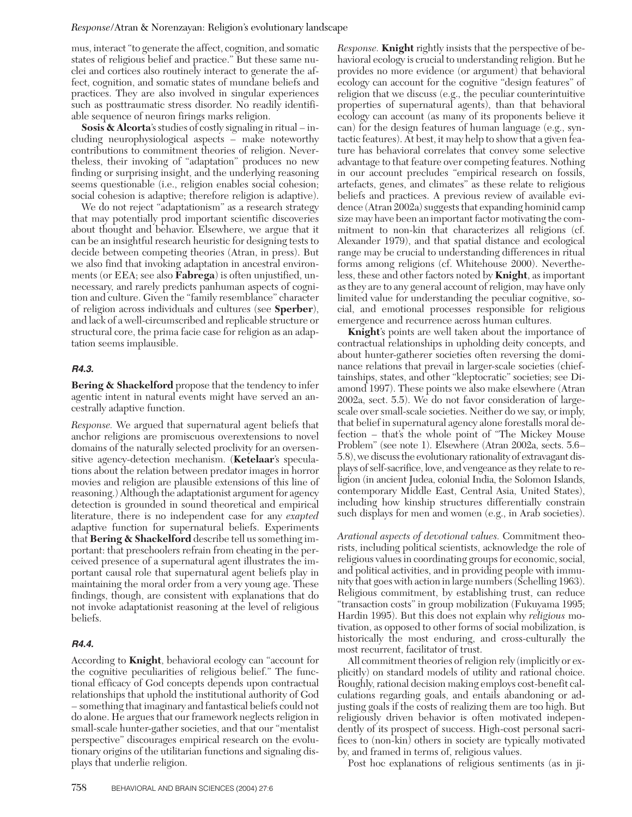mus, interact "to generate the affect, cognition, and somatic states of religious belief and practice." But these same nuclei and cortices also routinely interact to generate the affect, cognition, and somatic states of mundane beliefs and practices. They are also involved in singular experiences such as posttraumatic stress disorder. No readily identifiable sequence of neuron firings marks religion.

**Sosis & Alcorta**'s studies of costly signaling in ritual – including neurophysiological aspects – make noteworthy contributions to commitment theories of religion. Nevertheless, their invoking of "adaptation" produces no new finding or surprising insight, and the underlying reasoning seems questionable (i.e., religion enables social cohesion; social cohesion is adaptive; therefore religion is adaptive).

We do not reject "adaptationism" as a research strategy that may potentially prod important scientific discoveries about thought and behavior. Elsewhere, we argue that it can be an insightful research heuristic for designing tests to decide between competing theories (Atran, in press). But we also find that invoking adaptation in ancestral environments (or EEA; see also **Fabrega**) is often unjustified, unnecessary, and rarely predicts panhuman aspects of cognition and culture. Given the "family resemblance" character of religion across individuals and cultures (see **Sperber**), and lack of a well-circumscribed and replicable structure or structural core, the prima facie case for religion as an adaptation seems implausible.

## *R4.3.*

**Bering & Shackelford** propose that the tendency to infer agentic intent in natural events might have served an ancestrally adaptive function.

*Response.* We argued that supernatural agent beliefs that anchor religions are promiscuous overextensions to novel domains of the naturally selected proclivity for an oversensitive agency-detection mechanism. (**Ketelaar**'s speculations about the relation between predator images in horror movies and religion are plausible extensions of this line of reasoning.) Although the adaptationist argument for agency detection is grounded in sound theoretical and empirical literature, there is no independent case for any *exapted* adaptive function for supernatural beliefs. Experiments that **Bering & Shackelford** describe tell us something important: that preschoolers refrain from cheating in the perceived presence of a supernatural agent illustrates the important causal role that supernatural agent beliefs play in maintaining the moral order from a very young age. These findings, though, are consistent with explanations that do not invoke adaptationist reasoning at the level of religious beliefs.

## *R4.4.*

According to **Knight**, behavioral ecology can "account for the cognitive peculiarities of religious belief." The functional efficacy of God concepts depends upon contractual relationships that uphold the institutional authority of God – something that imaginary and fantastical beliefs could not do alone. He argues that our framework neglects religion in small-scale hunter-gather societies, and that our "mentalist perspective" discourages empirical research on the evolutionary origins of the utilitarian functions and signaling displays that underlie religion.

*Response.* **Knight** rightly insists that the perspective of behavioral ecology is crucial to understanding religion. But he provides no more evidence (or argument) that behavioral ecology can account for the cognitive "design features" of religion that we discuss (e.g., the peculiar counterintuitive properties of supernatural agents), than that behavioral ecology can account (as many of its proponents believe it can) for the design features of human language (e.g., syntactic features). At best, it may help to show that a given feature has behavioral correlates that convey some selective advantage to that feature over competing features. Nothing in our account precludes "empirical research on fossils, artefacts, genes, and climates" as these relate to religious beliefs and practices. A previous review of available evidence (Atran 2002a) suggests that expanding hominid camp size may have been an important factor motivating the commitment to non-kin that characterizes all religions (cf. Alexander 1979), and that spatial distance and ecological range may be crucial to understanding differences in ritual forms among religions (cf. Whitehouse 2000). Nevertheless, these and other factors noted by **Knight**, as important as they are to any general account of religion, may have only limited value for understanding the peculiar cognitive, social, and emotional processes responsible for religious emergence and recurrence across human cultures.

**Knight**'s points are well taken about the importance of contractual relationships in upholding deity concepts, and about hunter-gatherer societies often reversing the dominance relations that prevail in larger-scale societies (chieftainships, states, and other "kleptocratic" societies; see Diamond 1997). These points we also make elsewhere (Atran 2002a, sect. 5.5). We do not favor consideration of largescale over small-scale societies. Neither do we say, or imply, that belief in supernatural agency alone forestalls moral defection – that's the whole point of "The Mickey Mouse Problem" (see note 1). Elsewhere (Atran 2002a, sects. 5.6– 5.8), we discuss the evolutionary rationality of extravagant displays of self-sacrifice, love, and vengeance as they relate to religion (in ancient Judea, colonial India, the Solomon Islands, contemporary Middle East, Central Asia, United States), including how kinship structures differentially constrain such displays for men and women (e.g., in Arab societies).

*Arational aspects of devotional values.* Commitment theorists, including political scientists, acknowledge the role of religious values in coordinating groups for economic, social, and political activities, and in providing people with immunity that goes with action in large numbers (Schelling 1963). Religious commitment, by establishing trust, can reduce "transaction costs" in group mobilization (Fukuyama 1995; Hardin 1995). But this does not explain why *religious* motivation, as opposed to other forms of social mobilization, is historically the most enduring, and cross-culturally the most recurrent, facilitator of trust.

All commitment theories of religion rely (implicitly or explicitly) on standard models of utility and rational choice. Roughly, rational decision making employs cost-benefit calculations regarding goals, and entails abandoning or adjusting goals if the costs of realizing them are too high. But religiously driven behavior is often motivated independently of its prospect of success. High-cost personal sacrifices to (non-kin) others in society are typically motivated by, and framed in terms of, religious values.

Post hoc explanations of religious sentiments (as in ji-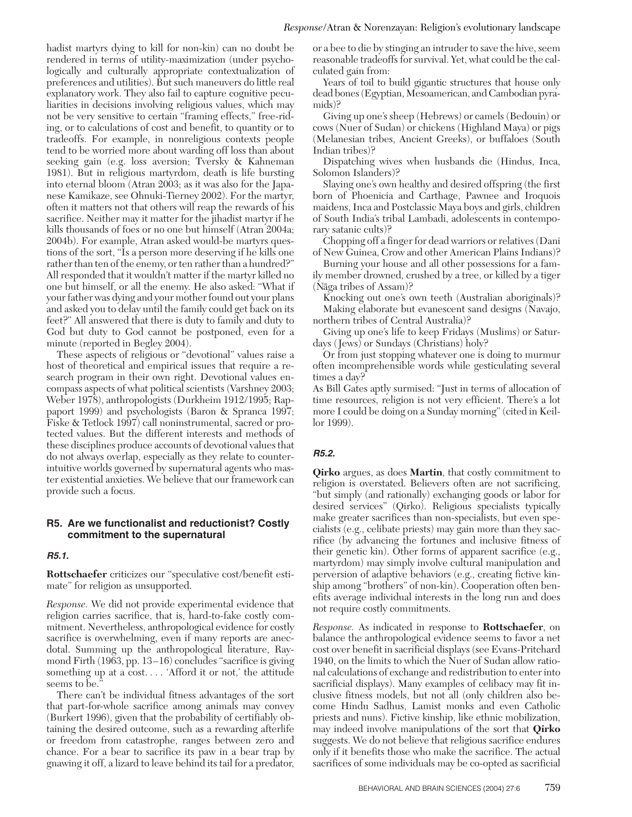hadist martyrs dying to kill for non-kin) can no doubt be rendered in terms of utility-maximization (under psychologically and culturally appropriate contextualization of preferences and utilities). But such maneuvers do little real explanatory work. They also fail to capture cognitive peculiarities in decisions involving religious values, which may not be very sensitive to certain "framing effects," free-riding, or to calculations of cost and benefit, to quantity or to tradeoffs. For example, in nonreligious contexts people tend to be worried more about warding off loss than about seeking gain (e.g. loss aversion; Tversky & Kahneman 1981). But in religious martyrdom, death is life bursting into eternal bloom (Atran 2003; as it was also for the Japanese Kamikaze, see Ohnuki-Tierney 2002). For the martyr, often it matters not that others will reap the rewards of his sacrifice. Neither may it matter for the jihadist martyr if he kills thousands of foes or no one but himself (Atran 2004a; 2004b). For example, Atran asked would-be martyrs questions of the sort, "Is a person more deserving if he kills one rather than ten of the enemy, or ten rather than a hundred?" All responded that it wouldn't matter if the martyr killed no one but himself, or all the enemy. He also asked: "What if your father was dying and your mother found out your plans and asked you to delay until the family could get back on its feet?" All answered that there is duty to family and duty to God but duty to God cannot be postponed, even for a minute (reported in Begley 2004).

These aspects of religious or "devotional" values raise a host of theoretical and empirical issues that require a research program in their own right. Devotional values encompass aspects of what political scientists (Varshney 2003; Weber 1978), anthropologists (Durkheim 1912/1995; Rappaport 1999) and psychologists (Baron & Spranca 1997; Fiske & Tetlock 1997) call noninstrumental, sacred or protected values. But the different interests and methods of these disciplines produce accounts of devotional values that do not always overlap, especially as they relate to counterintuitive worlds governed by supernatural agents who master existential anxieties. We believe that our framework can provide such a focus.

## **R5. Are we functionalist and reductionist? Costly commitment to the supernatural**

## *R5.1.*

**Rottschaefer** criticizes our "speculative cost/benefit estimate" for religion as unsupported.

*Response.* We did not provide experimental evidence that religion carries sacrifice, that is, hard-to-fake costly commitment. Nevertheless, anthropological evidence for costly sacrifice is overwhelming, even if many reports are anecdotal. Summing up the anthropological literature, Raymond Firth (1963, pp. 13–16) concludes "sacrifice is giving something up at a cost. . . . 'Afford it or not,' the attitude seems to be."

There can't be individual fitness advantages of the sort that part-for-whole sacrifice among animals may convey (Burkert 1996), given that the probability of certifiably obtaining the desired outcome, such as a rewarding afterlife or freedom from catastrophe, ranges between zero and chance. For a bear to sacrifice its paw in a bear trap by gnawing it off, a lizard to leave behind its tail for a predator,

or a bee to die by stinging an intruder to save the hive, seem reasonable tradeoffs for survival. Yet, what could be the calculated gain from:

Years of toil to build gigantic structures that house only dead bones (Egyptian, Mesoamerican, and Cambodian pyramids)?

Giving up one's sheep (Hebrews) or camels (Bedouin) or cows (Nuer of Sudan) or chickens (Highland Maya) or pigs (Melanesian tribes, Ancient Greeks), or buffaloes (South Indian tribes)?

Dispatching wives when husbands die (Hindus, Inca, Solomon Islanders)?

Slaying one's own healthy and desired offspring (the first born of Phoenicia and Carthage, Pawnee and Iroquois maidens, Inca and Postclassic Maya boys and girls, children of South India's tribal Lambadi, adolescents in contemporary satanic cults)?

Chopping off a finger for dead warriors or relatives (Dani of New Guinea, Crow and other American Plains Indians)?

Burning your house and all other possessions for a family member drowned, crushed by a tree, or killed by a tiger  $(Nāga$  tribes of Assam)?

Knocking out one's own teeth (Australian aboriginals)? Making elaborate but evanescent sand designs (Navajo, northern tribes of Central Australia)?

Giving up one's life to keep Fridays (Muslims) or Saturdays (Jews) or Sundays (Christians) holy?

Or from just stopping whatever one is doing to murmur often incomprehensible words while gesticulating several times a day?

As Bill Gates aptly surmised: "Just in terms of allocation of time resources, religion is not very efficient. There's a lot more I could be doing on a Sunday morning" (cited in Keillor 1999).

## *R5.2.*

**Qirko** argues, as does **Martin**, that costly commitment to religion is overstated. Believers often are not sacrificing, "but simply (and rationally) exchanging goods or labor for desired services" (Qirko). Religious specialists typically make greater sacrifices than non-specialists, but even specialists (e.g., celibate priests) may gain more than they sacrifice (by advancing the fortunes and inclusive fitness of their genetic kin). Other forms of apparent sacrifice (e.g., martyrdom) may simply involve cultural manipulation and perversion of adaptive behaviors (e.g., creating fictive kinship among "brothers" of non-kin). Cooperation often benefits average individual interests in the long run and does not require costly commitments.

*Response.* As indicated in response to **Rottschaefer**, on balance the anthropological evidence seems to favor a net cost over benefit in sacrificial displays (see Evans-Pritchard 1940, on the limits to which the Nuer of Sudan allow rational calculations of exchange and redistribution to enter into sacrificial displays). Many examples of celibacy may fit inclusive fitness models, but not all (only children also become Hindu Sadhus, Lamist monks and even Catholic priests and nuns). Fictive kinship, like ethnic mobilization, may indeed involve manipulations of the sort that **Qirko** suggests. We do not believe that religious sacrifice endures only if it benefits those who make the sacrifice. The actual sacrifices of some individuals may be co-opted as sacrificial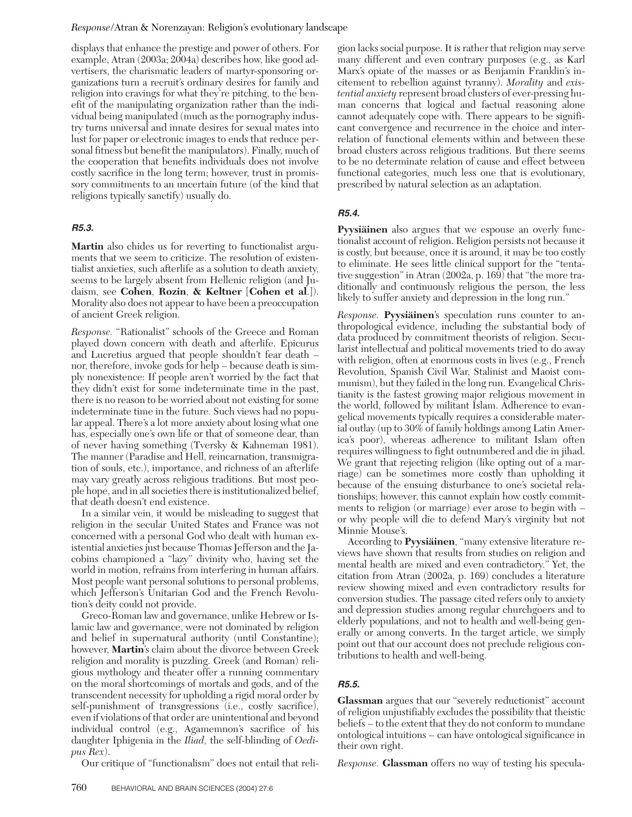displays that enhance the prestige and power of others. For example, Atran (2003a; 2004a) describes how, like good advertisers, the charismatic leaders of martyr-sponsoring organizations turn a recruit's ordinary desires for family and religion into cravings for what they're pitching, to the benefit of the manipulating organization rather than the individual being manipulated (much as the pornography industry turns universal and innate desires for sexual mates into lust for paper or electronic images to ends that reduce personal fitness but benefit the manipulators). Finally, much of the cooperation that benefits individuals does not involve costly sacrifice in the long term; however, trust in promissory commitments to an uncertain future (of the kind that religions typically sanctify) usually do.

## *R5.3.*

**Martin** also chides us for reverting to functionalist arguments that we seem to criticize. The resolution of existentialist anxieties, such afterlife as a solution to death anxiety, seems to be largely absent from Hellenic religion (and Judaism, see **Cohen**, **Rozin**, **& Keltner** [**Cohen et al**.]). Morality also does not appear to have been a preoccupation of ancient Greek religion.

*Response.* "Rationalist" schools of the Greece and Roman played down concern with death and afterlife. Epicurus and Lucretius argued that people shouldn't fear death – nor, therefore, invoke gods for help – because death is simply nonexistence: If people aren't worried by the fact that they didn't exist for some indeterminate time in the past, there is no reason to be worried about not existing for some indeterminate time in the future. Such views had no popular appeal. There's a lot more anxiety about losing what one has, especially one's own life or that of someone dear, than of never having something (Tversky & Kahneman 1981). The manner (Paradise and Hell, reincarnation, transmigration of souls, etc.), importance, and richness of an afterlife may vary greatly across religious traditions. But most people hope, and in all societies there is institutionalized belief, that death doesn't end existence.

In a similar vein, it would be misleading to suggest that religion in the secular United States and France was not concerned with a personal God who dealt with human existential anxieties just because Thomas Jefferson and the Jacobins championed a "lazy" divinity who, having set the world in motion, refrains from interfering in human affairs. Most people want personal solutions to personal problems, which Jefferson's Unitarian God and the French Revolution's deity could not provide.

Greco-Roman law and governance, unlike Hebrew or Islamic law and governance, were not dominated by religion and belief in supernatural authority (until Constantine); however, **Martin**'s claim about the divorce between Greek religion and morality is puzzling. Greek (and Roman) religious mythology and theater offer a running commentary on the moral shortcomings of mortals and gods, and of the transcendent necessity for upholding a rigid moral order by self-punishment of transgressions (i.e., costly sacrifice), even if violations of that order are unintentional and beyond individual control (e.g., Agamemnon's sacrifice of his daughter Iphigenia in the *Iliad,* the self-blinding of *Oedipus Rex*).

Our critique of "functionalism" does not entail that reli-

gion lacks social purpose. It is rather that religion may serve many different and even contrary purposes (e.g., as Karl Marx's opiate of the masses or as Benjamin Franklin's incitement to rebellion against tyranny). *Morality* and *existential anxiety* represent broad clusters of ever-pressing human concerns that logical and factual reasoning alone cannot adequately cope with. There appears to be significant convergence and recurrence in the choice and interrelation of functional elements within and between these broad clusters across religious traditions. But there seems to be no determinate relation of cause and effect between functional categories, much less one that is evolutionary, prescribed by natural selection as an adaptation.

## *R5.4.*

**Pyysiäinen** also argues that we espouse an overly functionalist account of religion. Religion persists not because it is costly, but because, once it is around, it may be too costly to eliminate. He sees little clinical support for the "tentative suggestion" in Atran  $(2002a, p. 169)$  that "the more traditionally and continuously religious the person, the less likely to suffer anxiety and depression in the long run."

*Response.* **Pyysiäinen**'s speculation runs counter to anthropological evidence, including the substantial body of data produced by commitment theorists of religion. Secularist intellectual and political movements tried to do away with religion, often at enormous costs in lives (e.g., French Revolution, Spanish Civil War, Stalinist and Maoist communism), but they failed in the long run. Evangelical Christianity is the fastest growing major religious movement in the world, followed by militant Islam. Adherence to evangelical movements typically requires a considerable material outlay (up to 30% of family holdings among Latin America's poor), whereas adherence to militant Islam often requires willingness to fight outnumbered and die in jihad. We grant that rejecting religion (like opting out of a marriage) can be sometimes more costly than upholding it because of the ensuing disturbance to one's societal relationships; however, this cannot explain how costly commitments to religion (or marriage) ever arose to begin with – or why people will die to defend Mary's virginity but not Minnie Mouse's.

According to **Pyysiäinen**, "many extensive literature reviews have shown that results from studies on religion and mental health are mixed and even contradictory." Yet, the citation from Atran (2002a, p. 169) concludes a literature review showing mixed and even contradictory results for conversion studies. The passage cited refers only to anxiety and depression studies among regular churchgoers and to elderly populations, and not to health and well-being generally or among converts. In the target article, we simply point out that our account does not preclude religious contributions to health and well-being.

## *R5.5.*

**Glassman** argues that our "severely reductionist" account of religion unjustifiably excludes the possibility that theistic beliefs – to the extent that they do not conform to mundane ontological intuitions – can have ontological significance in their own right.

*Response.* **Glassman** offers no way of testing his specula-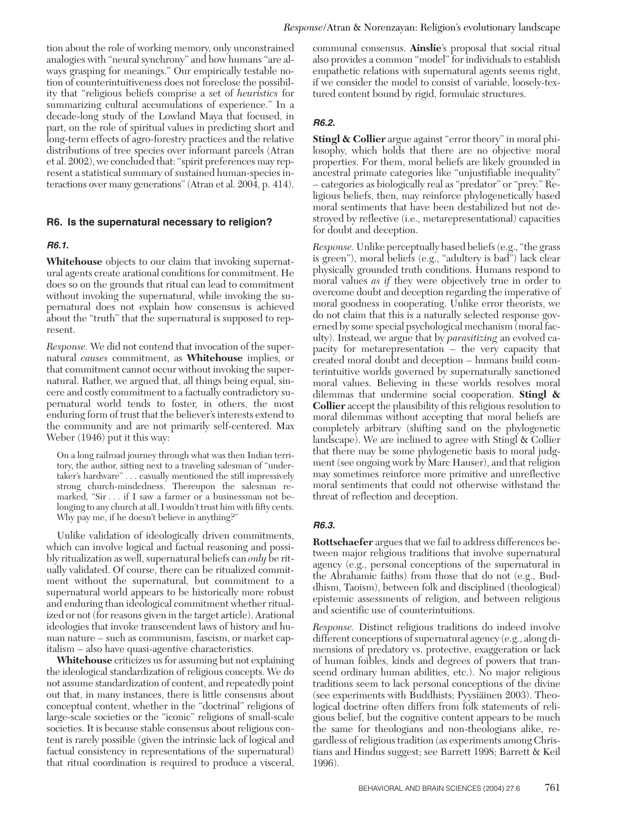tion about the role of working memory, only unconstrained analogies with "neural synchrony" and how humans "are always grasping for meanings." Our empirically testable notion of counterintuitiveness does not foreclose the possibility that "religious beliefs comprise a set of *heuristics* for summarizing cultural accumulations of experience." In a decade-long study of the Lowland Maya that focused, in part, on the role of spiritual values in predicting short and long-term effects of agro-forestry practices and the relative distributions of tree species over informant parcels (Atran et al. 2002), we concluded that: "spirit preferences may represent a statistical summary of sustained human-species interactions over many generations" (Atran et al. 2004, p. 414).

## **R6. Is the supernatural necessary to religion?**

## *R6.1.*

**Whitehouse** objects to our claim that invoking supernatural agents create arational conditions for commitment. He does so on the grounds that ritual can lead to commitment without invoking the supernatural, while invoking the supernatural does not explain how consensus is achieved about the "truth" that the supernatural is supposed to represent.

*Response.* We did not contend that invocation of the supernatural *causes* commitment, as **Whitehouse** implies, or that commitment cannot occur without invoking the supernatural. Rather, we argued that, all things being equal, sincere and costly commitment to a factually contradictory supernatural world tends to foster, in others, the most enduring form of trust that the believer's interests extend to the community and are not primarily self-centered. Max Weber (1946) put it this way:

On a long railroad journey through what was then Indian territory, the author, sitting next to a traveling salesman of "undertaker's hardware" . . . casually mentioned the still impressively strong church-mindedness. Thereupon the salesman remarked, "Sir . . . if I saw a farmer or a businessman not belonging to any church at all, I wouldn't trust him with fifty cents. Why pay me, if he doesn't believe in anything?"

Unlike validation of ideologically driven commitments, which can involve logical and factual reasoning and possibly ritualization as well, supernatural beliefs can *only* be ritually validated. Of course, there can be ritualized commitment without the supernatural, but commitment to a supernatural world appears to be historically more robust and enduring than ideological commitment whether ritualized or not (for reasons given in the target article). Arational ideologies that invoke transcendent laws of history and human nature – such as communism, fascism, or market capitalism – also have quasi-agentive characteristics.

**Whitehouse** criticizes us for assuming but not explaining the ideological standardization of religious concepts. We do not assume standardization of content, and repeatedly point out that, in many instances, there is little consensus about conceptual content, whether in the "doctrinal" religions of large-scale societies or the "iconic" religions of small-scale societies. It is because stable consensus about religious content is rarely possible (given the intrinsic lack of logical and factual consistency in representations of the supernatural) that ritual coordination is required to produce a visceral,

communal consensus. **Ainslie**'s proposal that social ritual also provides a common "model" for individuals to establish empathetic relations with supernatural agents seems right, if we consider the model to consist of variable, loosely-textured content bound by rigid, formulaic structures.

## *R6.2.*

**Stingl & Collier** argue against "error theory" in moral philosophy, which holds that there are no objective moral properties. For them, moral beliefs are likely grounded in ancestral primate categories like "unjustifiable inequality" – categories as biologically real as "predator" or "prey." Religious beliefs, then, may reinforce phylogenetically based moral sentiments that have been destabilized but not destroyed by reflective (i.e., metarepresentational) capacities for doubt and deception.

*Response.* Unlike perceptually based beliefs (e.g., "the grass is green"), moral beliefs (e.g., "adultery is bad") lack clear physically grounded truth conditions. Humans respond to moral values *as if* they were objectively true in order to overcome doubt and deception regarding the imperative of moral goodness in cooperating. Unlike error theorists, we do not claim that this is a naturally selected response governed by some special psychological mechanism (moral faculty). Instead, we argue that by *parasitizing* an evolved capacity for metarepresentation – the very capacity that created moral doubt and deception – humans build counterintuitive worlds governed by supernaturally sanctioned moral values. Believing in these worlds resolves moral dilemmas that undermine social cooperation. **Stingl & Collier** accept the plausibility of this religious resolution to moral dilemmas without accepting that moral beliefs are completely arbitrary (shifting sand on the phylogenetic landscape). We are inclined to agree with Stingl & Collier that there may be some phylogenetic basis to moral judgment (see ongoing work by Marc Hauser), and that religion may sometimes reinforce more primitive and unreflective moral sentiments that could not otherwise withstand the threat of reflection and deception.

## *R6.3.*

**Rottschaefer** argues that we fail to address differences between major religious traditions that involve supernatural agency (e.g., personal conceptions of the supernatural in the Abrahamic faiths) from those that do not (e.g., Buddhism, Taoism), between folk and disciplined (theological) epistemic assessments of religion, and between religious and scientific use of counterintuitions.

*Response.* Distinct religious traditions do indeed involve different conceptions of supernatural agency (e.g., along dimensions of predatory vs. protective, exaggeration or lack of human foibles, kinds and degrees of powers that transcend ordinary human abilities, etc.). No major religious traditions seem to lack personal conceptions of the divine (see experiments with Buddhists; Pyysiäinen 2003). Theological doctrine often differs from folk statements of religious belief, but the cognitive content appears to be much the same for theologians and non-theologians alike, regardless of religious tradition (as experiments among Christians and Hindus suggest; see Barrett 1998; Barrett & Keil 1996).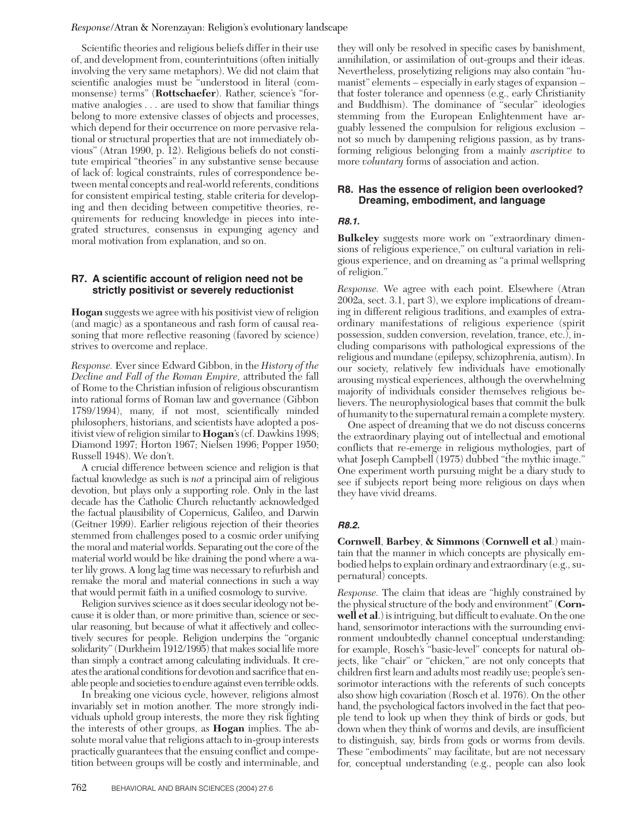Scientific theories and religious beliefs differ in their use of, and development from, counterintuitions (often initially involving the very same metaphors). We did not claim that scientific analogies must be "understood in literal (commonsense) terms" (**Rottschaefer**). Rather, science's "formative analogies . . . are used to show that familiar things belong to more extensive classes of objects and processes, which depend for their occurrence on more pervasive relational or structural properties that are not immediately obvious" (Atran 1990, p. 12). Religious beliefs do not constitute empirical "theories" in any substantive sense because of lack of: logical constraints, rules of correspondence between mental concepts and real-world referents, conditions for consistent empirical testing, stable criteria for developing and then deciding between competitive theories, requirements for reducing knowledge in pieces into integrated structures, consensus in expunging agency and moral motivation from explanation, and so on.

## **R7. A scientific account of religion need not be strictly positivist or severely reductionist**

**Hogan** suggests we agree with his positivist view of religion (and magic) as a spontaneous and rash form of causal reasoning that more reflective reasoning (favored by science) strives to overcome and replace.

*Response.* Ever since Edward Gibbon, in the *History of the Decline and Fall of the Roman Empire,* attributed the fall of Rome to the Christian infusion of religious obscurantism into rational forms of Roman law and governance (Gibbon 1789/1994), many, if not most, scientifically minded philosophers, historians, and scientists have adopted a positivist view of religion similar to **Hogan**'s (cf. Dawkins 1998; Diamond 1997; Horton 1967; Nielsen 1996; Popper 1950; Russell 1948). We don't.

A crucial difference between science and religion is that factual knowledge as such is *not* a principal aim of religious devotion, but plays only a supporting role. Only in the last decade has the Catholic Church reluctantly acknowledged the factual plausibility of Copernicus, Galileo, and Darwin (Geitner 1999). Earlier religious rejection of their theories stemmed from challenges posed to a cosmic order unifying the moral and material worlds. Separating out the core of the material world would be like draining the pond where a water lily grows. A long lag time was necessary to refurbish and remake the moral and material connections in such a way that would permit faith in a unified cosmology to survive.

Religion survives science as it does secular ideology not because it is older than, or more primitive than, science or secular reasoning, but because of what it affectively and collectively secures for people. Religion underpins the "organic solidarity" (Durkheim 1912/1995) that makes social life more than simply a contract among calculating individuals. It creates the arational conditions for devotion and sacrifice that enable people and societies to endure against even terrible odds.

In breaking one vicious cycle, however, religions almost invariably set in motion another. The more strongly individuals uphold group interests, the more they risk fighting the interests of other groups, as **Hogan** implies. The absolute moral value that religions attach to in-group interests practically guarantees that the ensuing conflict and competition between groups will be costly and interminable, and

they will only be resolved in specific cases by banishment, annihilation, or assimilation of out-groups and their ideas. Nevertheless, proselytizing religions may also contain "humanist" elements – especially in early stages of expansion – that foster tolerance and openness (e.g., early Christianity and Buddhism). The dominance of "secular" ideologies stemming from the European Enlightenment have arguably lessened the compulsion for religious exclusion – not so much by dampening religious passion, as by transforming religious belonging from a mainly *ascriptive* to more *voluntary* forms of association and action.

## **R8. Has the essence of religion been overlooked? Dreaming, embodiment, and language**

## *R8.1.*

**Bulkeley** suggests more work on "extraordinary dimensions of religious experience," on cultural variation in religious experience, and on dreaming as "a primal wellspring of religion."

*Response.* We agree with each point. Elsewhere (Atran 2002a, sect. 3.1, part 3), we explore implications of dreaming in different religious traditions, and examples of extraordinary manifestations of religious experience (spirit possession, sudden conversion, revelation, trance, etc.), including comparisons with pathological expressions of the religious and mundane (epilepsy, schizophrenia, autism). In our society, relatively few individuals have emotionally arousing mystical experiences, although the overwhelming majority of individuals consider themselves religious believers. The neurophysiological bases that commit the bulk of humanity to the supernatural remain a complete mystery.

One aspect of dreaming that we do not discuss concerns the extraordinary playing out of intellectual and emotional conflicts that re-emerge in religious mythologies, part of what Joseph Campbell (1975) dubbed "the mythic image." One experiment worth pursuing might be a diary study to see if subjects report being more religious on days when they have vivid dreams.

## *R8.2.*

**Cornwell**, **Barbey**, **& Simmons** (**Cornwell et al**.) maintain that the manner in which concepts are physically embodied helps to explain ordinary and extraordinary (e.g., supernatural) concepts.

*Response.* The claim that ideas are "highly constrained by the physical structure of the body and environment" (**Cornwell et al**.) is intriguing, but difficult to evaluate. On the one hand, sensorimotor interactions with the surrounding environment undoubtedly channel conceptual understanding: for example, Rosch's "basic-level" concepts for natural objects, like "chair" or "chicken," are not only concepts that children first learn and adults most readily use; people's sensorimotor interactions with the referents of such concepts also show high covariation (Rosch et al. 1976). On the other hand, the psychological factors involved in the fact that people tend to look up when they think of birds or gods, but down when they think of worms and devils, are insufficient to distinguish, say, birds from gods or worms from devils. These "embodiments" may facilitate, but are not necessary for, conceptual understanding (e.g., people can also look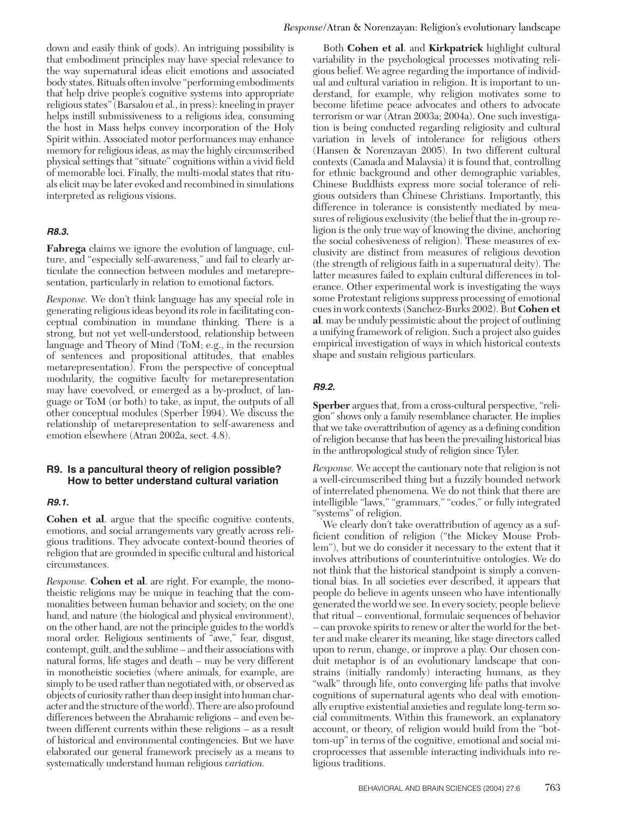down and easily think of gods). An intriguing possibility is that embodiment principles may have special relevance to the way supernatural ideas elicit emotions and associated body states. Rituals often involve "performing embodiments that help drive people's cognitive systems into appropriate religious states" (Barsalou et al., in press): kneeling in prayer helps instill submissiveness to a religious idea, consuming the host in Mass helps convey incorporation of the Holy Spirit within. Associated motor performances may enhance memory for religious ideas, as may the highly circumscribed physical settings that "situate" cognitions within a vivid field of memorable loci. Finally, the multi-modal states that rituals elicit may be later evoked and recombined in simulations interpreted as religious visions.

## *R8.3.*

**Fabrega** claims we ignore the evolution of language, culture, and "especially self-awareness," and fail to clearly articulate the connection between modules and metarepresentation, particularly in relation to emotional factors.

*Response.* We don't think language has any special role in generating religious ideas beyond its role in facilitating conceptual combination in mundane thinking. There is a strong, but not yet well-understood, relationship between language and Theory of Mind (ToM; e.g., in the recursion of sentences and propositional attitudes, that enables metarepresentation). From the perspective of conceptual modularity, the cognitive faculty for metarepresentation may have coevolved, or emerged as a by-product, of language or ToM (or both) to take, as input, the outputs of all other conceptual modules (Sperber 1994). We discuss the relationship of metarepresentation to self-awareness and emotion elsewhere (Atran 2002a, sect. 4.8).

## **R9. Is a pancultural theory of religion possible? How to better understand cultural variation**

## *R9.1.*

**Cohen et al**. argue that the specific cognitive contents, emotions, and social arrangements vary greatly across religious traditions. They advocate context-bound theories of religion that are grounded in specific cultural and historical circumstances.

*Response.* **Cohen et al**. are right. For example, the monotheistic religions may be unique in teaching that the commonalities between human behavior and society, on the one hand, and nature (the biological and physical environment), on the other hand, are not the principle guides to the world's moral order. Religious sentiments of "awe," fear, disgust, contempt, guilt, and the sublime – and their associations with natural forms, life stages and death – may be very different in monotheistic societies (where animals, for example, are simply to be used rather than negotiated with, or observed as objects of curiosity rather than deep insight into human character and the structure of the world). There are also profound differences between the Abrahamic religions – and even between different currents within these religions – as a result of historical and environmental contingencies. But we have elaborated our general framework precisely as a means to systematically understand human religious *variation.*

Both **Cohen et al**. and **Kirkpatrick** highlight cultural variability in the psychological processes motivating religious belief. We agree regarding the importance of individual and cultural variation in religion. It is important to understand, for example, why religion motivates some to become lifetime peace advocates and others to advocate terrorism or war (Atran 2003a; 2004a). One such investigation is being conducted regarding religiosity and cultural variation in levels of intolerance for religious others (Hansen & Norenzayan 2005). In two different cultural contexts (Canada and Malaysia) it is found that, controlling for ethnic background and other demographic variables, Chinese Buddhists express more social tolerance of religious outsiders than Chinese Christians. Importantly, this difference in tolerance is consistently mediated by measures of religious exclusivity (the belief that the in-group religion is the only true way of knowing the divine, anchoring the social cohesiveness of religion). These measures of exclusivity are distinct from measures of religious devotion (the strength of religious faith in a supernatural deity). The latter measures failed to explain cultural differences in tolerance. Other experimental work is investigating the ways some Protestant religions suppress processing of emotional cues in work contexts (Sanchez-Burks 2002). But **Cohen et al**. may be unduly pessimistic about the project of outlining a unifying framework of religion. Such a project also guides empirical investigation of ways in which historical contexts shape and sustain religious particulars.

## *R9.2.*

**Sperber** argues that, from a cross-cultural perspective, "religion" shows only a family resemblance character. He implies that we take overattribution of agency as a defining condition of religion because that has been the prevailing historical bias in the anthropological study of religion since Tyler.

*Response.* We accept the cautionary note that religion is not a well-circumscribed thing but a fuzzily bounded network of interrelated phenomena. We do not think that there are intelligible "laws," "grammars," "codes," or fully integrated "systems" of religion.

We clearly don't take overattribution of agency as a sufficient condition of religion ("the Mickey Mouse Problem"), but we do consider it necessary to the extent that it involves attributions of counterintuitive ontologies. We do not think that the historical standpoint is simply a conventional bias. In all societies ever described, it appears that people do believe in agents unseen who have intentionally generated the world we see. In every society, people believe that ritual – conventional, formulaic sequences of behavior – can provoke spirits to renew or alter the world for the better and make clearer its meaning, like stage directors called upon to rerun, change, or improve a play. Our chosen conduit metaphor is of an evolutionary landscape that constrains (initially randomly) interacting humans, as they "walk" through life, onto converging life paths that involve cognitions of supernatural agents who deal with emotionally eruptive existential anxieties and regulate long-term social commitments. Within this framework, an explanatory account, or theory, of religion would build from the "bottom-up" in terms of the cognitive, emotional and social microprocesses that assemble interacting individuals into religious traditions.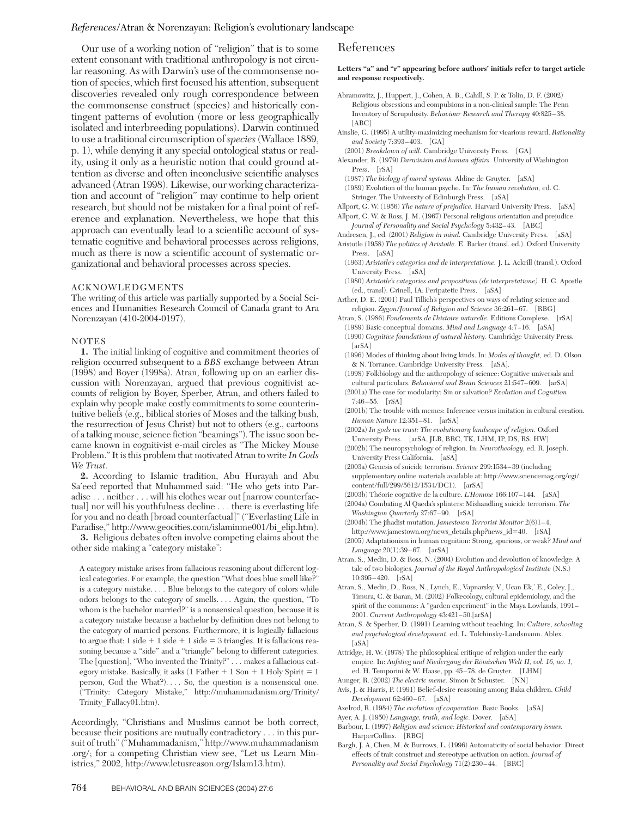Our use of a working notion of "religion" that is to some extent consonant with traditional anthropology is not circular reasoning. As with Darwin's use of the commonsense notion of species, which first focused his attention, subsequent discoveries revealed only rough correspondence between the commonsense construct (species) and historically contingent patterns of evolution (more or less geographically isolated and interbreeding populations). Darwin continued to use a traditional circumscription of *species*(Wallace 1889, p. 1), while denying it any special ontological status or reality, using it only as a heuristic notion that could ground attention as diverse and often inconclusive scientific analyses advanced (Atran 1998). Likewise, our working characterization and account of "religion" may continue to help orient research, but should not be mistaken for a final point of reference and explanation. Nevertheless, we hope that this approach can eventually lead to a scientific account of systematic cognitive and behavioral processes across religions, much as there is now a scientific account of systematic organizational and behavioral processes across species.

#### ACKNOWLEDGMENTS

The writing of this article was partially supported by a Social Sciences and Humanities Research Council of Canada grant to Ara Norenzayan (410-2004-0197).

#### NOTES

**1.** The initial linking of cognitive and commitment theories of religion occurred subsequent to a *BBS* exchange between Atran (1998) and Boyer (1998a). Atran, following up on an earlier discussion with Norenzayan, argued that previous cognitivist accounts of religion by Boyer, Sperber, Atran, and others failed to explain why people make costly commitments to some counterintuitive beliefs (e.g., biblical stories of Moses and the talking bush, the resurrection of Jesus Christ) but not to others (e.g., cartoons of a talking mouse, science fiction "beamings"). The issue soon became known in cognitivist e-mail circles as "The Mickey Mouse Problem." It is this problem that motivated Atran to write *In Gods We Trust.*

**2.** According to Islamic tradition, Abu Hurayah and Abu Sa'eed reported that Muhammed said: "He who gets into Paradise . . . neither . . . will his clothes wear out [narrow counterfactual] nor will his youthfulness decline . . . there is everlasting life for you and no death [broad counterfactual]" ("Everlasting Life in Paradise," http://www.geocities.com/islaminme001/bi\_elip.htm).

**3.** Religious debates often involve competing claims about the other side making a "category mistake":

A category mistake arises from fallacious reasoning about different logical categories. For example, the question "What does blue smell like?" is a category mistake. . . . Blue belongs to the category of colors while odors belongs to the category of smells. . . . Again, the question, "To whom is the bachelor married?" is a nonsensical question, because it is a category mistake because a bachelor by definition does not belong to the category of married persons. Furthermore, it is logically fallacious to argue that:  $1$  side  $+1$  side  $+1$  side  $=3$  triangles. It is fallacious reasoning because a "side" and a "triangle" belong to different categories. The [question], "Who invented the Trinity?" . . . makes a fallacious category mistake. Basically, it asks  $(1 \text{ Father} + 1 \text{ Son} + 1 \text{ Holy Spirit} = 1$ person, God the What?). . . . So, the question is a nonsensical one. ("Trinity: Category Mistake," http://muhammadanism.org/Trinity/ Trinity\_Fallacy01.htm).

Accordingly, "Christians and Muslims cannot be both correct, because their positions are mutually contradictory . . . in this pursuit of truth" ("Muhammadanism," http://www.muhammadanism .org/; for a competing Christian view see, "Let us Learn Ministries," 2002, http://www.letusreason.org/Islam13.htm).

## References

#### **Letters "a" and "r" appearing before authors' initials refer to target article and response respectively.**

Abramowitz, J., Huppert, J., Cohen, A. B., Cahill, S. P. & Tolin, D. F. (2002) Religious obsessions and compulsions in a non-clinical sample: The Penn Inventory of Scrupulosity. *Behaviour Research and Therapy* 40:825–38. [ABC]

Ainslie, G. (1995) A utility-maximizing mechanism for vicarious reward. *Rationality and Society* 7:393–403. [GA]

(2001) *Breakdown of will.* Cambridge University Press. [GA]

Alexander, R. (1979) *Darwinism and human affairs.* University of Washington Press. [rSA]

(1987) *The biology of moral systems.* Aldine de Gruyter. [aSA] (1989) Evolution of the human psyche. In: *The human revolution,* ed. C. Stringer. The University of Edinburgh Press. [aSA]

- Allport, G. W. (1956) *The nature of prejudice.* Harvard University Press. [aSA]
- Allport, G. W. & Ross, J. M. (1967) Personal religious orientation and prejudice. *Journal of Personality and Social Psychology* 5:432–43. [ABC]

Andresen, J., ed. (2001) *Religion in mind.* Cambridge University Press. [aSA] Aristotle (1958) *The politics of Aristotle.* E. Barker (transl. ed.). Oxford University

- Press. [aSA]
- (1963) *Aristotle's categories and de interpretatione.* J. L. Ackrill (transl.). Oxford University Press. [aSA]
- (1980) *Aristotle's categories and propositions (de interpretatione).* H. G. Apostle (ed., transl). Grinell, IA: Peripatetic Press. [aSA]

Arther, D. E. (2001) Paul Tillich's perspectives on ways of relating science and religion. *Zygon/Journal of Religion and Science* 36:261–67. [RBG]

Atran, S. (1986) *Fondements de l'histoire naturelle.* Editions Complexe. [rSA]

(1989) Basic conceptual domains. *Mind and Language* 4:7–16. [aSA] (1990) *Cognitive foundations of natural history.* Cambridge University Press. [arSA]

(1996) Modes of thinking about living kinds. In: *Modes of thought,* ed. D. Olson & N. Torrance. Cambridge University Press. [aSA].

(1998) Folkbiology and the anthropology of science: Cognitive universals and cultural particulars. *Behavioral and Brain Sciences* 21:547–609. [arSA]

- (2001a) The case for modularity: Sin or salvation? *Evolution and Cognition* 7:46–55. [rSA]
- (2001b) The trouble with memes: Inference versus imitation in cultural creation. *Human Nature* 12:351–81. [arSA]
- (2002a) *In gods we trust: The evolutionary landscape of religion.* Oxford University Press. [arSA, JLB, BRC, TK, LHM, IP, DS, RS, HW]
- (2002b) The neuropsychology of religion. In: *Neurotheology,* ed. R. Joseph. University Press California. [aSA]

(2003a) Genesis of suicide terrorism. *Science* 299:1534–39 (including supplementary online materials available at: http://www.sciencemag.org/cgi/ content/full/299/5612/1534/DC1). [arSA]

- (2003b) Théorie cognitive de la culture. *L'Homme* 166:107–144. [aSA] (2004a) Combating Al Qaeda's splinters: Mishandling suicide terrorism. *The Washington Quarterly* 27:67–90. [rSA]
- (2004b) The jihadist mutation. *Jamestown Terrorist Monitor* 2(6)1–4,

http://www.jamestown.org/news\_details.php?news\_id-40. [rSA] (2005) Adaptationism in human cognition: Strong, spurious, or weak? *Mind and Language* 20(1):39–67*.* [arSA]

- Atran, S., Medin, D. & Ross, N. (2004) Evolution and devolution of knowledge: A tale of two biologies. *Journal of the Royal Anthropological Institute* (N.S.) 10:395–420. [rSA]
- Atran, S., Medin, D., Ross, N., Lynch, E., Vapnarsky, V., Ucan Ek,' E., Coley, J., Timura, C. & Baran, M. (2002) Folkecology, cultural epidemiology, and the spirit of the commons: A "garden experiment" in the Maya Lowlands, 1991– 2001. *Current Anthropology* 43:421–50.[arSA]
- Atran, S. & Sperber, D. (1991) Learning without teaching. In: *Culture, schooling and psychological development,* ed. L. Tolchinsky-Landsmann. Ablex. [aSA]

Attridge, H. W. (1978) The philosophical critique of religion under the early empire. In: *Aufstieg und Niedergang der Römischen Welt II, vol. 16, no. 1,* ed. H. Temporini & W. Haase, pp. 45–78. de Gruyter. [LHM]

Aunger, R. (2002) *The electric meme.* Simon & Schuster. [NN]

Avis, J. & Harris, P. (1991) Belief-desire reasoning among Baka children. *Child Development* 62:460–67. [aSA]

Axelrod, R. (1984) *The evolution of cooperation.* Basic Books. [aSA]

Ayer, A. J. (1950) *Language, truth, and logic.* Dover. [aSA]

- Barbour, I. (1997) *Religion and science: Historical and contemporary issues.* HarperCollins. [RBG]
- Bargh, J. A, Chen, M. & Burrows, L. (1996) Automaticity of social behavior: Direct effects of trait construct and stereotype activation on action. *Journal of Personality and Social Psychology* 71(2):230–44. [BRC]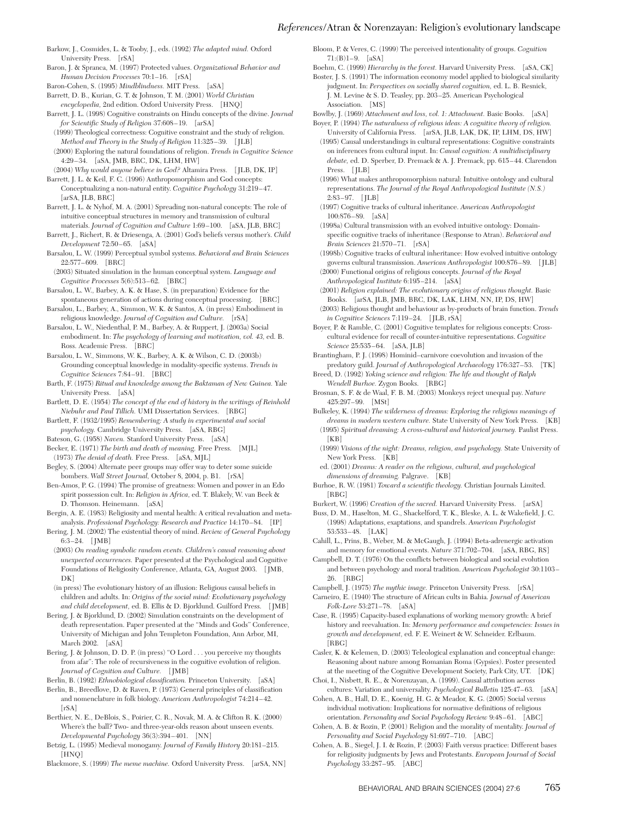- Barkow, J., Cosmides, L. & Tooby, J., eds. (1992) *The adapted mind.* Oxford University Press. [rSA]
- Baron, J. & Spranca, M. (1997) Protected values. *Organizational Behavior and Human Decision Processes* 70:1–16. [rSA]
- Baron-Cohen, S. (1995) *Mindblindness.* MIT Press. [aSA]
- Barrett, D. B., Kurian, G. T. & Johnson, T. M. (2001) *World Christian encyclopedia,* 2nd edition. Oxford University Press. [HNQ]
- Barrett, J. L. (1998) Cognitive constraints on Hindu concepts of the divine. *Journal for Scientific Study of Religion* 37:608–19. [arSA]
- (1999) Theological correctness: Cognitive constraint and the study of religion. *Method and Theory in the Study of Religion* 11:325–39. [JLB] (2000) Exploring the natural foundations of religion. *Trends in Cognitive Science*
- 4:29–34. [aSA, JMB, BRC, DK, LHM, HW] (2004) *Why would anyone believe in God?* Altamira Press. [JLB, DK, IP]
- Barrett, J. L. & Keil, F. C. (1996) Anthropomorphism and God concepts: Conceptualizing a non-natural entity. *Cognitive Psychology* 31:219–47. [arSA, JLB, BRC]
- Barrett, J. L. & Nyhof, M. A. (2001) Spreading non-natural concepts: The role of intuitive conceptual structures in memory and transmission of cultural materials. *Journal of Cognition and Culture* 1:69–100. [aSA, JLB, BRC]
- Barrett, J., Richert, R. & Driesenga, A. (2001) God's beliefs versus mother's. *Child Development* 72:50–65. [aSA]
- Barsalou, L. W. (1999) Perceptual symbol systems. *Behavioral and Brain Sciences* 22:577–609. [BRC]
- (2003) Situated simulation in the human conceptual system. *Language and Cognitive Processes* 5(6):513–62. [BRC]
- Barsalou, L. W., Barbey, A. K. & Hase, S. (in preparation) Evidence for the spontaneous generation of actions during conceptual processing. [BRC]
- Barsalou, L., Barbey, A., Simmon, W. K. & Santos, A. (in press) Embodiment in religious knowledge. *Journal of Cognition and Culture.* [rSA]
- Barsalou, L. W., Niedenthal, P. M., Barbey, A. & Ruppert, J. (2003a) Social embodiment. In: *The psychology of learning and motivation, vol. 43,* ed. B. Ross. Academic Press. [BRC]
- Barsalou, L. W., Simmons, W. K., Barbey, A. K. & Wilson, C. D. (2003b) Grounding conceptual knowledge in modality-specific systems. *Trends in Cognitive Sciences* 7:84–91. [BRC]
- Barth, F. (1975) *Ritual and knowledge among the Baktaman of New Guinea.* Yale University Press. [aSA]
- Bartlett, D. E. (1954) *The concept of the end of history in the writings of Reinhold Niebuhr and Paul Tillich.* UMI Dissertation Services. [RBG]
- Bartlett, F. (1932/1995) *Remembering: A study in experimental and social psychology.* Cambridge University Press. [aSA, RBG]
- Bateson, G. (1958) *Naven.* Stanford University Press. [aSA]
- Becker, E. (1971) *The birth and death of meaning.* Free Press. [MJL] (1973) *The denial of death.* Free Press. [aSA, MJL]
- Begley, S. (2004) Alternate peer groups may offer way to deter some suicide bombers. *Wall Street Journal,* October 8, 2004, p. B1. [rSA]
- Ben-Amos, P. G. (1994) The promise of greatness: Women and power in an Edo spirit possession cult. In: *Religion in Africa,* ed. T. Blakely, W. van Beek & D. Thomson. Heinemann. [aSA]
- Bergin, A. E. (1983) Religiosity and mental health: A critical revaluation and metaanalysis. *Professional Psychology: Research and Practice* 14:170–84. [IP]
- Bering, J. M. (2002) The existential theory of mind. *Review of General Psychology* 6:3–24. [JMB]
- (2003) *On reading symbolic random events. Children's causal reasoning about unexpected occurrences.* Paper presented at the Psychological and Cognitive Foundations of Religiosity Conference, Atlanta, GA, August 2003. [JMB, DK]
- (in press) The evolutionary history of an illusion: Religious causal beliefs in children and adults. In: *Origins of the social mind: Evolutionary psychology and child development,* ed. B. Ellis & D. Bjorklund. Guilford Press. [JMB]
- Bering, J. & Bjorklund, D. (2002) Simulation constraints on the development of death representation. Paper presented at the "Minds and Gods" Conference, University of Michigan and John Templeton Foundation, Ann Arbor, MI, March 2002. [aSA]
- Bering, J. & Johnson, D. D. P. (in press) "O Lord . . . you perceive my thoughts from afar": The role of recursiveness in the cognitive evolution of religion. *Journal of Cognition and Culture.* [JMB]
- Berlin, B. (1992) *Ethnobiological classification.* Princeton University. [aSA]
- Berlin, B., Breedlove, D. & Raven, P. (1973) General principles of classification and nomenclature in folk biology. *American Anthropologist* 74:214–42.  $\vert$ rSA $\vert$
- Berthier, N. E., DeBlois, S., Poirier, C. R., Novak, M. A. & Clifton R. K. (2000) Where's the ball? Two- and three-year-olds reason about unseen events. *Developmental Psychology* 36(3):394–401. [NN]
- Betzig, L. (1995) Medieval monogamy. *Journal of Family History* 20:181–215. [HNQ]
- Blackmore, S. (1999) *The meme machine.* Oxford University Press. [arSA, NN]
- Bloom, P. & Veres, C. (1999) The perceived intentionality of groups. *Cognition* 71:(B)1–9. [aSA]
- Boehm, C. (1999) *Hierarchy in the forest.* Harvard University Press. [aSA, CK]
- Boster, J. S. (1991) The information economy model applied to biological similarity judgment. In: *Perspectives on socially shared cognition,* ed. L. B. Resnick, J. M. Levine & S. D. Teasley, pp. 203–25. American Psychological Association. [MS]
- Bowlby, J. (1969) *Attachment and loss, vol. 1: Attachment.* Basic Books. [aSA]
- Boyer, P. (1994) *The naturalness of religious ideas: A cognitive theory of religion.* University of California Press. [arSA, JLB, LAK, DK, IP, LHM, DS, HW]
- (1995) Causal understandings in cultural representations: Cognitive constraints on inferences from cultural input. In: *Causal cognition: A multidisciplinary debate,* ed. D. Sperber, D. Premack & A. J. Premack, pp. 615–44. Clarendon Press. [JLB]
- (1996) What makes anthropomorphism natural: Intuitive ontology and cultural representations. *The Journal of the Royal Anthropological Institute (N.S.)* 2:83–97. [JLB]
- (1997) Cognitive tracks of cultural inheritance. *American Anthropologist* 100:876–89. [aSA]
- (1998a) Cultural transmission with an evolved intuitive ontology: Domainspecific cognitive tracks of inheritance (Response to Atran). *Behavioral and Brain Sciences* 21:570–71. [rSA]
- (1998b) Cognitive tracks of cultural inheritance: How evolved intuitive ontology governs cultural transmission. *American Anthropologist* 100:876–89. [JLB] (2000) Functional origins of religious concepts. *Journal of the Royal*
- *Anthropological Institute* 6:195–214. [aSA]
- (2001) *Religion explained: The evolutionary origins of religious thought.* Basic Books. [arSA, JLB, JMB, BRC, DK, LAK, LHM, NN, IP, DS, HW]
- (2003) Religious thought and behaviour as by-products of brain function. *Trends in Cognitive Sciences* 7:119–24. [JLB, rSA]
- Boyer, P. & Ramble, C. (2001) Cognitive templates for religious concepts: Crosscultural evidence for recall of counter-intuitive representations. *Cognitive Science* 25:535–64. [aSA, JLB]
- Brantingham, P. J. (1998) Hominid–carnivore coevolution and invasion of the predatory guild. *Journal of Anthropological Archaeology* 176:327–53. [TK]
- Breed, D. (1992) *Yoking science and religion: The life and thought of Ralph Wendell Burhoe.* Zygon Books. [RBG]
- Brosnan, S. F. & de Waal, F. B. M. (2003) Monkeys reject unequal pay. *Nature* 425:297–99. [MSt]
- Bulkeley, K. (1994) *The wilderness of dreams: Exploring the religious meanings of dreams in modern western culture.* State University of New York Press. [KB] (1995) *Spiritual dreaming: A cross-cultural and historical journey.* Paulist Press.
	- [KB] (1999) *Visions of the night: Dreams, religion, and psychology.* State University of New York Press. [KB]
	- ed. (2001) *Dreams: A reader on the religious, cultural, and psychological dimensions of dreaming.* Palgrave. [KB]
- Burhoe, R. W. (1981) *Toward a scientific theology.* Christian Journals Limited. [RBG]
- Burkert, W. (1996) *Creation of the sacred.* Harvard University Press. [arSA]

Buss, D. M., Haselton, M. G., Shackelford, T. K., Bleske, A. L. & Wakefield, J. C. (1998) Adaptations, exaptations, and spandrels. *American Psychologist* 53:533–48. [LAK]

- Cahill, L., Prins, B., Weber, M. & McGaugh, J. (1994) Beta-adrenergic activation and memory for emotional events. *Nature* 371:702–704. [aSA, RBG, RS]
- Campbell, D. T. (1976) On the conflicts between biological and social evolution and between psychology and moral tradition. *American Psychologist* 30:1103– 26. [RBG]
- Campbell, J. (1975) *The mythic image.* Princeton University Press. [rSA]
- Carneiro, E. (1940) The structure of African cults in Bahia. *Journal of American Folk-Lore* 53:271–78. [aSA]
- Case, R. (1995) Capacity-based explanations of working memory growth: A brief history and reevaluation. In: *Memory performance and competencies: Issues in growth and development,* ed. F. E. Weinert & W. Schneider. Erlbaum. [RBG]

Casler, K. & Kelemen, D. (2003) Teleological explanation and conceptual change: Reasoning about nature among Romanian Roma (Gypsies). Poster presented at the meeting of the Cognitive Development Society, Park City, UT. [DK]

Choi, I., Nisbett, R. E., & Norenzayan, A. (1999). Causal attribution across cultures: Variation and universality. *Psychological Bulletin* 125:47–63. [aSA]

Cohen, A. B., Hall, D. E., Koenig, H. G. & Meador, K. G. (2005) Social versus individual motivation: Implications for normative definitions of religious orientation. *Personality and Social Psychology Review* 9:48–61. [ABC]

- Cohen, A. B. & Rozin, P. (2001) Religion and the morality of mentality. *Journal of Personality and Social Psychology* 81:697–710. [ABC]
- Cohen, A. B., Siegel, J. I. & Rozin, P. (2003) Faith versus practice: Different bases for religiosity judgments by Jews and Protestants. *European Journal of Social Psychology* 33:287–95. [ABC]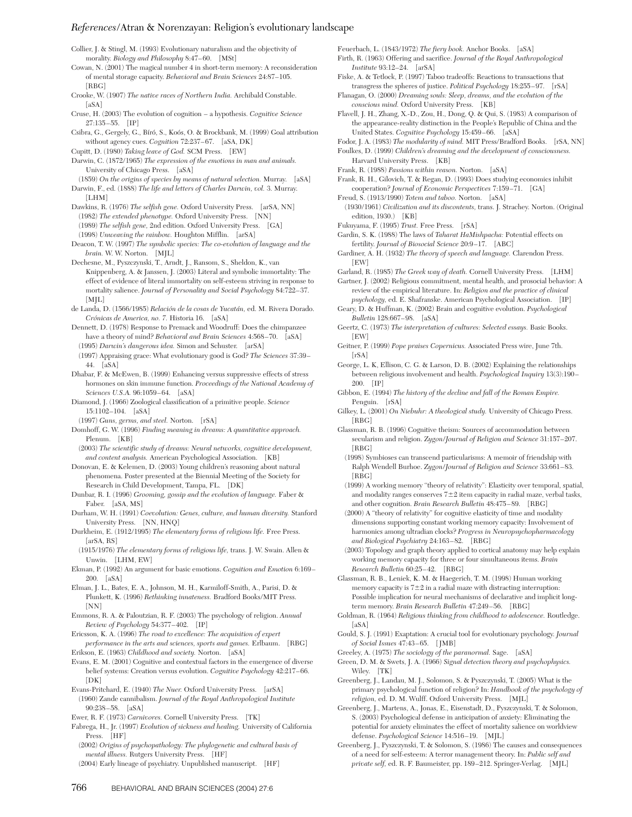Collier, J. & Stingl, M. (1993) Evolutionary naturalism and the objectivity of morality. *Biology and Philosophy* 8:47–60. [MSt]

Cowan, N. (2001) The magical number 4 in short-term memory: A reconsideration of mental storage capacity. *Behavioral and Brain Sciences* 24:87–105. [RBG]

Crooke, W. (1907) *The native races of Northern India.* Archibald Constable. [aSA]

- Cruse, H. (2003) The evolution of cognition a hypothesis. *Cognitive Science* 27:135–55. [IP]
- Csibra, G., Gergely, G., Bíró, S., Koós, O. & Brockbank, M. (1999) Goal attribution without agency cues. *Cognition* 72:237–67. [aSA, DK]
- Cupitt, D. (1980) *Taking leave of God.* SCM Press. [EW]

Darwin, C. (1872/1965) *The expression of the emotions in man and animals.* University of Chicago Press. [aSA]

(1859) *On the origins of species by means of natural selection.* Murray. [aSA] Darwin, F., ed. (1888) *The life and letters of Charles Darwin, vol.* 3. Murray. [LHM]

- Dawkins, R. (1976) *The selfish gene.* Oxford University Press. [arSA, NN] (1982) *The extended phenotype.* Oxford University Press. [NN] (1989) *The selfish gene,* 2nd edition. Oxford University Press. [GA] (1998) *Unweaving the rainbow.* Houghton Mifflin. [arSA]
- Deacon, T. W. (1997) *The symbolic species: The co-evolution of language and the brain.* W. W. Norton. [MJL]

Dechesne, M., Pyszczynski, T., Arndt, J., Ransom, S., Sheldon, K., van Knippenberg, A. & Janssen, J. (2003) Literal and symbolic immortality: The effect of evidence of literal immortality on self-esteem striving in response to mortality salience. *Journal of Personality and Social Psychology* 84:722–37.  $[MIL]$ 

- de Landa, D. (1566/1985) *Relación de la cosas de Yucatán,* ed. M. Rivera Dorado. *Crónicas de America, no. 7.* Historia 16. [aSA]
- Dennett, D. (1978) Response to Premack and Woodruff: Does the chimpanzee have a theory of mind? *Behavioral and Brain Sciences* 4:568–70. [aSA] (1995) *Darwin's dangerous idea.* Simon and Schuster. [arSA]

(1997) Appraising grace: What evolutionary good is God? *The Sciences* 37:39– 44. [aSA]

- Dhabar, F. & McEwen, B. (1999) Enhancing versus suppressive effects of stress hormones on skin immune function. *Proceedings of the National Academy of Sciences U.S.A.* 96:1059–64. [aSA]
- Diamond, J. (1966) Zoological classification of a primitive people. *Science* 15:1102–104. [aSA]

(1997) *Guns, germs, and steel.* Norton. [rSA]

Domhoff, G. W. (1996) *Finding meaning in dreams: A quantitative approach.* Plenum. [KB]

(2003) *The scientific study of dreams: Neural networks, cognitive development, and content analysis.* American Psychological Association. [KB]

Donovan, E. & Kelemen, D. (2003) Young children's reasoning about natural phenomena. Poster presented at the Biennial Meeting of the Society for Research in Child Development, Tampa, FL. [DK]

Dunbar, R. I. (1996) *Grooming, gossip and the evolution of language.* Faber & Faber. [aSA, MS]

- Durham, W. H. (1991) *Coevolution: Genes, culture, and human diversity.* Stanford University Press. [NN, HNQ]
- Durkheim, E. (1912/1995) *The elementary forms of religious life.* Free Press. [arSA, RS]
- (1915/1976) *The elementary forms of religious life,* trans. J. W. Swain. Allen & Unwin. [LHM, EW]

Ekman, P. (1992) An argument for basic emotions. *Cognition and Emotion* 6:169– 200. [aSA]

Elman, J. L., Bates, E. A., Johnson, M. H., Karmiloff-Smith, A., Parisi, D. & Plunkett, K. (1996) *Rethinking innateness.* Bradford Books/MIT Press. [NN]

Emmons, R. A. & Paloutzian, R. F. (2003) The psychology of religion. *Annual Review of Psychology* 54:377–402. [IP]

Ericsson, K. A. (1996) *The road to excellence: The acquisition of expert performance in the arts and sciences, sports and games.* Erlbaum. [RBG]

Erikson, E. (1963) *Childhood and society.* Norton. [aSA]

Evans, E. M. (2001) Cognitive and contextual factors in the emergence of diverse belief systems: Creation versus evolution. *Cognitive Psychology* 42:217–66.  $[DK]$ 

Evans-Pritchard, E. (1940) *The Nuer.* Oxford University Press. [arSA]

(1960) Zande cannibalism. *Journal of the Royal Anthropological Institute* 90:238–58. [aSA]

Ewer, R. F. (1973) *Carnivores.* Cornell University Press. [TK]

Fabrega, H., Jr. (1997) *Evolution of sickness and healing.* University of California Press. [HF]

(2002) *Origins of psychopathology: The phylogenetic and cultural basis of mental illness.* Rutgers University Press. [HF]

(2004) Early lineage of psychiatry. Unpublished manuscript. [HF]

Feuerbach, L. (1843/1972) *The fiery book.* Anchor Books. [aSA]

Firth, R. (1963) Offering and sacrifice. *Journal of the Royal Anthropological Institute* 93:12–24. [arSA]

Fiske, A. & Tetlock, P. (1997) Taboo tradeoffs: Reactions to transactions that transgress the spheres of justice. *Political Psychology* 18:255–97. [rSA]

Flanagan, O. (2000) *Dreaming souls: Sleep, dreams, and the evolution of the conscious mind.* Oxford University Press. [KB]

- Flavell, J. H., Zhang, X.-D., Zou, H., Dong, Q. & Qui, S. (1983) A comparison of the appearance-reality distinction in the People's Republic of China and the United States. *Cognitive Psychology* 15:459–66. [aSA]
- Fodor, J. A. (1983) *The modularity of mind.* MIT Press/Bradford Books. [rSA, NN] Foulkes, D. (1999) *Children's dreaming and the development of consciousness.*

Harvard University Press. [KB]

Frank, R. (1988) *Passions within reason.* Norton. [aSA]

Frank, R. H., Gilovich, T. & Regan, D. (1993) Does studying economics inhibit cooperation? *Journal of Economic Perspectives* 7:159–71. [GA] Freud, S. (1913/1990) *Totem and taboo.* Norton. [aSA]

- (1930/1961) *Civilization and its discontents,* trans. J. Strachey. Norton. (Original edition, 1930.) [KB]
- Fukuyama, F. (1995) *Trust.* Free Press. [rSA]

Gardin, S. K. (1988) The laws of *Taharat HaMishpacha:* Potential effects on fertility. *Journal of Biosocial Science* 20:9–17. [ABC]

- Gardiner, A. H. (1932) *The theory of speech and language.* Clarendon Press. [EW]
- Garland, R. (1985) *The Greek way of death.* Cornell University Press. [LHM]

Gartner, J. (2002) Religious commitment, mental health, and prosocial behavior: A review of the empirical literature. In: *Religion and the practice of clinical psychology,* ed. E. Shafranske. American Psychological Association. [IP]

Geary, D. & Huffman, K. (2002) Brain and cognitive evolution. *Psychological Bulletin* 128:667–98. [aSA]

- Geertz, C. (1973) *The interpretation of cultures: Selected essays.* Basic Books. [EW]
- Geitner, P. (1999) *Pope praises Copernicus.* Associated Press wire, June 7th. [rSA]
- George, L. K, Ellison, C. G. & Larson, D. B. (2002) Explaining the relationships between religious involvement and health. *Psychological Inquiry* 13(3):190– 200. [IP]
- Gibbon, E. (1994) *The history of the decline and fall of the Roman Empire.* Penguin. [rSA]
- Gilkey, L. (2001) *On Niebuhr: A theological study.* University of Chicago Press. [RBG]

Glassman, R. B. (1996) Cognitive theism: Sources of accommodation between secularism and religion. *Zygon/Journal of Religion and Science* 31:157–207. [RBG]

(1998) Symbioses can transcend particularisms: A memoir of friendship with Ralph Wendell Burhoe. *Zygon/Journal of Religion and Science* 33:661–83. [RBG]

(1999) A working memory "theory of relativity": Elasticity over temporal, spatial, and modality ranges conserves  $7\pm2$  item capacity in radial maze, verbal tasks, and other cognition. *Brain Research Bulletin* 48:475–89. [RBG]

(2000) A "theory of relativity" for cognitive elasticity of time and modality dimensions supporting constant working memory capacity: Involvement of harmonics among ultradian clocks? *Progress in Neuropsychopharmacology and Biological Psychiatry* 24:163–82. [RBG]

(2003) Topology and graph theory applied to cortical anatomy may help explain working memory capacity for three or four simultaneous items. *Brain Research Bulletin* 60:25–42. [RBG]

Glassman, R. B., Leniek, K. M. & Haegerich, T. M. (1998) Human working memory capacity is  $7\pm2$  in a radial maze with distracting interruption: Possible implication for neural mechanisms of declarative and implicit longterm memory. *Brain Research Bulletin* 47:249–56. [RBG]

Goldman, R. (1964) *Religious thinking from childhood to adolescence.* Routledge. [aSA]

Gould, S. J. (1991) Exaptation: A crucial tool for evolutionary psychology. *Journal of Social Issues* 47:43–65. [JMB]

Greeley, A. (1975) *The sociology of the paranormal.* Sage. [aSA]

- Green, D. M. & Swets, J. A. (1966) *Signal detection theory and psychophysics.* Wiley. [TK]
- Greenberg, J., Landau, M. J., Solomon, S. & Pyszczynski, T. (2005) What is the primary psychological function of religion? In: *Handbook of the psychology of religion,* ed. D. M. Wulff. Oxford University Press. [MJL]

Greenberg, J., Martens, A., Jonas, E., Eisenstadt, D., Pyszczynski, T. & Solomon, S. (2003) Psychological defense in anticipation of anxiety: Eliminating the potential for anxiety eliminates the effect of mortality salience on worldview defense. *Psychological Science* 14:516–19. [MJL]

Greenberg, J., Pyszczynski, T. & Solomon, S. (1986) The causes and consequences of a need for self-esteem: A terror management theory. In: *Public self and private self,* ed. R. F. Baumeister, pp. 189–212. Springer-Verlag. [MJL]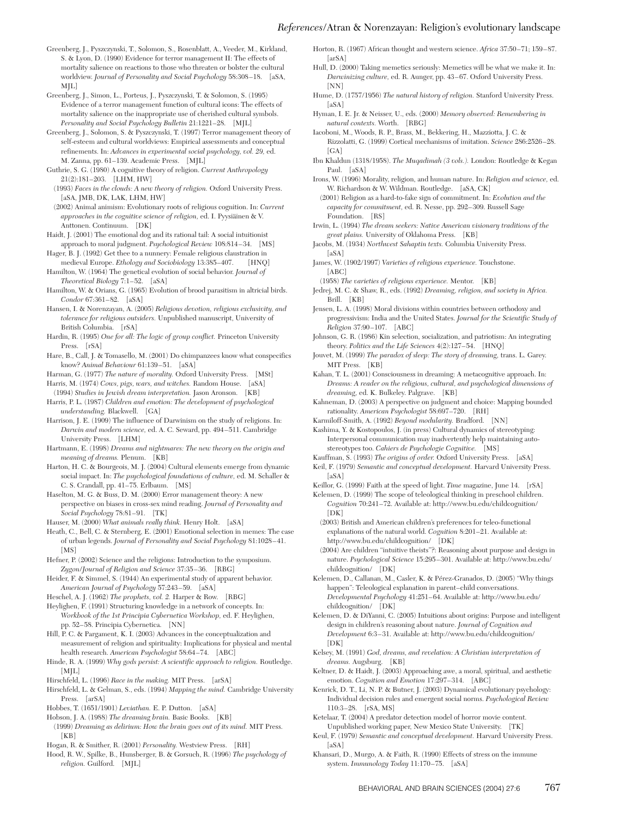- Greenberg, J., Pyszczynski, T., Solomon, S., Rosenblatt, A., Veeder, M., Kirkland, S. & Lyon, D. (1990) Evidence for terror management II: The effects of mortality salience on reactions to those who threaten or bolster the cultural worldview. *Journal of Personality and Social Psychology* 58:308–18. [aSA, MJL]
- Greenberg, J., Simon, L., Porteus, J., Pyszczynski, T. & Solomon, S. (1995) Evidence of a terror management function of cultural icons: The effects of mortality salience on the inappropriate use of cherished cultural symbols. *Personality and Social Psychology Bulletin* 21:1221–28. [MJL]

Greenberg, J., Solomon, S. & Pyszczynski, T. (1997) Terror management theory of self-esteem and cultural worldviews: Empirical assessments and conceptual refinements. In: *Advances in experimental social psychology, vol. 29,* ed. M. Zanna, pp. 61–139. Academic Press. [MJL]

- Guthrie, S. G. (1980) A cognitive theory of religion. *Current Anthropology* 21(2):181–203. [LHM, HW]
- (1993) *Faces in the clouds: A new theory of religion.* Oxford University Press. [aSA, JMB, DK, LAK, LHM, HW]

(2002) Animal animism: Evolutionary roots of religious cognition. In: *Current approaches in the cognitive science of religion,* ed. I. Pyysiäinen & V. Anttonen. Continuum. [DK]

Haidt, J. (2001) The emotional dog and its rational tail: A social intuitionist approach to moral judgment. *Psychological Review* 108:814–34. [MS]

Hager, B. J. (1992) Get thee to a nunnery: Female religious claustration in medieval Europe. *Ethology and Sociobiology* 13:385–407. [HNQ] Hamilton, W. (1964) The genetical evolution of social behavior. *Journal of*

*Theoretical Biology* 7:1–52. [aSA]

Hamilton, W. & Orians, G. (1965) Evolution of brood parasitism in altricial birds. *Condor* 67:361–82. [aSA]

Hansen, I. & Norenzayan, A. (2005) *Religious devotion, religious exclusivity, and tolerance for religious outsiders.* Unpublished manuscript, University of British Columbia. [rSA]

- Hardin, R. (1995) *One for all: The logic of group conflict.* Princeton University Press. [rSA]
- Hare, B., Call, J. & Tomasello, M. (2001) Do chimpanzees know what conspecifics know? *Animal Behaviour* 61:139–51. [aSA]
- Harman, G. (1977) *The nature of morality.* Oxford University Press. [MSt]

Harris, M. (1974) *Cows, pigs, wars, and witches.* Random House. [aSA] (1994) *Studies in Jewish dream interpretation.* Jason Aronson. [KB]

Harris, P. L. (1987) *Children and emotion: The development of psychological understanding.* Blackwell. [GA]

Harrison, J. E. (1909) The influence of Darwinism on the study of religions. In: *Darwin and modern science,* ed. A. C. Seward, pp. 494–511. Cambridge University Press. [LHM]

Hartmann, E. (1998) *Dreams and nightmares: The new theory on the origin and meaning of dreams.* Plenum. [KB]

Harton, H. C. & Bourgeois, M. J. (2004) Cultural elements emerge from dynamic social impact. In: *The psychological foundations of culture,* ed. M. Schaller & C. S. Crandall, pp. 41–75. Erlbaum. [MS]

Haselton, M. G. & Buss, D. M. (2000) Error management theory: A new perspective on biases in cross-sex mind reading. *Journal of Personality and Social Psychology* 78:81–91. [TK]

Hauser, M. (2000) *What animals really think.* Henry Holt. [aSA]

Heath, C., Bell, C. & Sternberg, E. (2001) Emotional selection in memes: The case of urban legends. *Journal of Personality and Social Psychology* 81:1028–41. [MS]

Hefner, P. (2002) Science and the religions: Introduction to the symposium. *Zygon/Journal of Religion and Science* 37:35–36. [RBG]

Heider, F. & Simmel, S. (1944) An experimental study of apparent behavior. *American Journal of Psychology* 57:243–59. [aSA]

Heschel, A. J. (1962) *The prophets, vol. 2.* Harper & Row. [RBG]

Heylighen, F. (1991) Structuring knowledge in a network of concepts. In: *Workbook of the 1st Principia Cybernetica Workshop,* ed. F. Heylighen, pp. 52–58. Principia Cybernetica. [NN]

Hill, P. C. & Pargament, K. I. (2003) Advances in the conceptualization and measurement of religion and spirituality: Implications for physical and mental health research. *American Psychologist* 58:64–74. [ABC]

Hinde, R. A. (1999) *Why gods persist: A scientific approach to religion.* Routledge. [MJL]

- Hirschfeld, L. (1996) *Race in the making.* MIT Press. [arSA]
- Hirschfeld, L. & Gelman, S., eds. (1994) *Mapping the mind.* Cambridge University Press. [arSA]

Hobbes, T. (1651/1901) *Leviathan.* E. P. Dutton. [aSA]

Hobson, J. A. (1988) *The dreaming brain.* Basic Books. [KB] (1999) *Dreaming as delirium: How the brain goes out of its mind.* MIT Press.  $[KB]$ 

Hogan, R. & Smither, R. (2001) *Personality.* Westview Press. [RH]

Hood, R. W., Spilke, B., Hunsberger, B. & Gorsuch, R. (1996) *The psychology of religion.* Guilford. [MJL]

Horton, R. (1967) African thought and western science. *Africa* 37:50–71; 159–87. [arSA]

Hull, D. (2000) Taking memetics seriously: Memetics will be what we make it. In: *Darwinizing culture,* ed. R. Aunger, pp. 43–67. Oxford University Press. [NN]

- Hume, D. (1757/1956) *The natural history of religion.* Stanford University Press. [aSA]
- Hyman, I. E. Jr. & Neisser, U., eds. (2000) *Memory observed: Remembering in natural contexts.* Worth. [RBG]
- Iacoboni, M., Woods, R. P., Brass, M., Bekkering, H., Mazziotta, J. C. & Rizzolatti, G. (1999) Cortical mechanisms of imitation. *Science* 286:2526–28. [GA]
- Ibn Khaldun (1318/1958). *The Muqadimah (3 vols.).* London: Routledge & Kegan Paul. [aSA]
- Irons, W. (1996) Morality, religion, and human nature. In: *Religion and science,* ed. W. Richardson & W. Wildman. Routledge. [aSA, CK]
- (2001) Religion as a hard-to-fake sign of commitment. In: *Evolution and the capacity for commitment,* ed. R. Nesse, pp. 292–309. Russell Sage Foundation. [RS]
- Irwin, L. (1994) *The dream seekers: Native American visionary traditions of the great plains.* University of Oklahoma Press. [KB]
- Jacobs, M. (1934) *Northwest Sahaptin texts.* Columbia University Press. [aSA]
- James, W. (1902/1997) *Varieties of religious experience.* Touchstone. [ABC]

(1958) *The varieties of religious experience.* Mentor. [KB]

Jedrej, M. C. & Shaw, R., eds. (1992) *Dreaming, religion, and society in Africa.* Brill. [KB]

- Jensen, L. A. (1998) Moral divisions within countries between orthodoxy and progressivism: India and the United States. *Journal for the Scientific Study of Religion* 37:90–107. [ABC]
- Johnson, G. R. (1986) Kin selection, socialization, and patriotism: An integrating theory. *Politics and the Life Sciences* 4(2):127–54. [HNQ]
- Jouvet, M. (1999) *The paradox of sleep: The story of dreaming,* trans. L. Garey. MIT Press. [KB]
- Kahan, T. L. (2001) Consciousness in dreaming: A metacognitive approach. In: *Dreams: A reader on the religious, cultural, and psychological dimensions of dreaming,* ed. K. Bulkeley. Palgrave. [KB]
- Kahneman, D. (2003) A perspective on judgment and choice: Mapping bounded rationality. *American Psychologist* 58:697–720. [RH]

Karmiloff-Smith, A. (1992) *Beyond modularity.* Bradford. [NN]

Kashima, Y. & Kostopoulos, J. (in press) Cultural dynamics of stereotyping: Interpersonal communication may inadvertently help maintaining autostereotypes too. *Cahiers de Psychologie Cognitive.* [MS]

Kauffman, S. (1993) *The origins of order.* Oxford University Press. [aSA]

Keil, F. (1979) *Semantic and conceptual development.* Harvard University Press. [aSA]

Keillor, G. (1999) Faith at the speed of light. *Time* magazine, June 14. [rSA]

Kelemen, D. (1999) The scope of teleological thinking in preschool children. *Cognition* 70:241–72. Available at: http://www.bu.edu/childcognition/  $[DK]$ 

(2003) British and American children's preferences for teleo-functional explanations of the natural world. *Cognition* 8:201–21. Available at: http://www.bu.edu/childcognition/ [DK]

- (2004) Are children "intuitive theists"?: Reasoning about purpose and design in nature. *Psychological Science* 15:295–301. Available at: http://www.bu.edu/ childcognition/ [DK]
- Kelemen, D., Callanan, M., Casler, K. & Pérez-Granados, D. (2005) "Why things happen": Teleological explanation in parent–child conversations. *Developmental Psychology* 41:251–64. Available at: http://www.bu.edu/ childcognition/ [DK]
- Kelemen, D. & DiYanni, C. (2005) Intuitions about origins: Purpose and intelligent design in children's reasoning about nature. *Journal of Cognition and Development* 6:3–31. Available at: http://www.bu.edu/childcognition/  $[DK]$
- Kelsey, M. (1991) *God, dreams, and revelation: A Christian interpretation of dreams.* Augsburg. [KB]
- Keltner, D. & Haidt, J. (2003) Approaching awe, a moral, spiritual, and aesthetic emotion. *Cognition and Emotion* 17:297–314. [ABC]
- Kenrick, D. T., Li, N. P. & Butner, J. (2003) Dynamical evolutionary psychology: Individual decision rules and emergent social norms. *Psychological Review* 110:3–28. [rSA, MS]

Ketelaar, T. (2004) A predator detection model of horror movie content. Unpublished working paper, New Mexico State University. [TK]

- Keul, F. (1979) *Semantic and conceptual development.* Harvard University Press. [aSA]
- Khansari, D., Murgo, A. & Faith, R. (1990) Effects of stress on the immune system. *Immunology Today* 11:170–75. [aSA]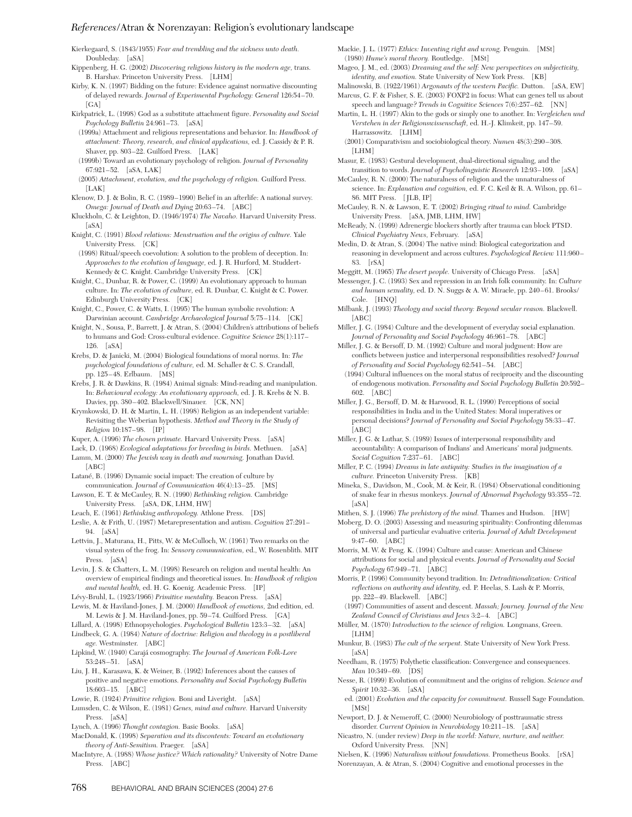Kierkegaard, S. (1843/1955) *Fear and trembling and the sickness unto death.* Doubleday. [aSA]

Kippenberg, H. G. (2002) *Discovering religious history in the modern age,* trans. B. Harshav. Princeton University Press. [LHM]

- Kirby, K. N. (1997) Bidding on the future: Evidence against normative discounting of delayed rewards. *Journal of Experimental Psychology: General* 126:54–70.  $\lceil GA \rceil$
- Kirkpatrick, L. (1998) God as a substitute attachment figure. *Personality and Social Psychology Bulletin* 24:961–73. [aSA]
- (1999a) Attachment and religious representations and behavior. In: *Handbook of attachment: Theory, research, and clinical applications,* ed. J. Cassidy & P. R. Shaver, pp. 803–22. Guilford Press. [LAK]
- (1999b) Toward an evolutionary psychology of religion. *Journal of Personality* 67:921–52. [aSA, LAK]
- (2005) *Attachment, evolution, and the psychology of religion.* Guilford Press.  $|LAK|$
- Klenow, D. J. & Bolin, R. C. (1989–1990) Belief in an afterlife: A national survey. *Omega: Journal of Death and Dying* 20:63–74. [ABC]
- Kluckholn, C. & Leighton, D. (1946/1974) *The Navaho.* Harvard University Press. [aSA]
- Knight, C. (1991) *Blood relations: Menstruation and the origins of culture.* Yale University Press. [CK]
- (1998) Ritual/speech coevolution: A solution to the problem of deception. In: *Approaches to the evolution of language,* ed. J. R. Hurford, M. Studdert-Kennedy & C. Knight. Cambridge University Press. [CK]
- Knight, C., Dunbar, R. & Power, C. (1999) An evolutionary approach to human culture. In: *The evolution of culture,* ed. R. Dunbar, C. Knight & C. Power. Edinburgh University Press. [CK]
- Knight, C., Power, C. & Watts, I. (1995) The human symbolic revolution: A Darwinian account. *Cambridge Archaeological Journal* 5:75–114. [CK]
- Knight, N., Sousa, P., Barrett, J. & Atran, S. (2004) Children's attributions of beliefs to humans and God: Cross-cultural evidence. *Cognitive Science* 28(1):117– 126. [aSA]
- Krebs, D. & Janicki, M. (2004) Biological foundations of moral norms. In: *The psychological foundations of culture,* ed. M. Schaller & C. S. Crandall, pp. 125–48. Erlbaum. [MS]
- Krebs, J. R. & Dawkins, R. (1984) Animal signals: Mind-reading and manipulation. In: *Behavioural ecology: An evolutionary approach,* ed. J. R. Krebs & N. B. Davies, pp. 380–402. Blackwell/Sinauer. [CK, NN]
- Krymkowski, D. H. & Martin, L. H. (1998) Religion as an independent variable: Revisiting the Weberian hypothesis. *Method and Theory in the Study of Religion* 10:187–98. [IP]
- Kuper, A. (1996) *The chosen primate.* Harvard University Press. [aSA]
- Lack, D. (1968) *Ecological adaptations for breeding in birds.* Methuen. [aSA]
- Lamm, M. (2000) *The Jewish way in death and mourning.* Jonathan David. [ABC]
- Latané, B. (1996) Dynamic social impact: The creation of culture by communication. *Journal of Communication* 46(4):13–25. [MS]
- Lawson, E. T. & McCauley, R. N. (1990) *Rethinking religion.* Cambridge University Press. [aSA, DK, LHM, HW]
- Leach, E. (1961) *Rethinking anthropology.* Athlone Press. [DS]
- Leslie, A. & Frith, U. (1987) Metarepresentation and autism. *Cognition* 27:291– 94. [aSA]
- Lettvin, J., Maturana, H., Pitts, W. & McCulloch, W. (1961) Two remarks on the visual system of the frog. In: *Sensory communication,* ed., W. Rosenblith. MIT Press. [aSA]
- Levin, J. S. & Chatters, L. M. (1998) Research on religion and mental health: An overview of empirical findings and theoretical issues. In: *Handbook of religion and mental health,* ed. H. G. Koenig. Academic Press. [IP]
- Lévy-Bruhl, L. (1923/1966) *Primitive mentality.* Beacon Press. [aSA]
- Lewis, M. & Haviland-Jones, J. M. (2000) *Handbook of emotions,* 2nd edition, ed. M. Lewis & J. M. Haviland-Jones, pp. 59–74. Guilford Press. [GA]
- Lillard, A. (1998) Ethnopsychologies. *Psychological Bulletin* 123:3–32. [aSA]
- Lindbeck, G. A. (1984) *Nature of doctrine: Religion and theology in a postliberal age.* Westminster. [ABC]
- Lipkind, W. (1940) Carajá cosmography. *The Journal of American Folk-Lore* 53:248–51. [aSA]
- Liu, J. H., Karasawa, K. & Weiner, B. (1992) Inferences about the causes of positive and negative emotions. *Personality and Social Psychology Bulletin* 18:603–15. [ABC]
- Lowie, R. (1924) *Primitive religion.* Boni and Liveright. [aSA]
- Lumsden, C. & Wilson, E. (1981) *Genes, mind and culture.* Harvard University Press. [aSA]
- Lynch, A. (1996) *Thought contagion.* Basic Books. [aSA]
- MacDonald, K. (1998) *Separation and its discontents: Toward an evolutionary theory of Anti-Semitism.* Praeger. [aSA]
- MacIntyre, A. (1988) *Whose justice? Which rationality?* University of Notre Dame Press. [ABC]
- Mackie, J. L. (1977) *Ethics: Inventing right and wrong.* Penguin. [MSt] (1980) *Hume's moral theory.* Routledge. [MSt]
- Mageo, J. M., ed. (2003) *Dreaming and the self: New perspectives on subjectivity, identity, and emotion.* State University of New York Press. [KB]
- Malinowski, B. (1922/1961) *Argonauts of the western Pacific.* Dutton. [aSA, EW] Marcus, G. F. & Fisher, S. E. (2003) FOXP2 in focus: What can genes tell us about
- speech and language? *Trends in Cognitive Sciences* 7(6):257–62. [NN]
- Martin, L. H. (1997) Akin to the gods or simply one to another. In: *Vergleichen und Verstehen in der Religionswissenschaft,* ed. H.-J. Klimkeit, pp. 147–59. Harrassowitz. [LHM]
- (2001) Comparativism and sociobiological theory. *Numen* 48(3):290–308. [LHM]
- Masur, E. (1983) Gestural development, dual-directional signaling, and the transition to words. *Journal of Psycholinguistic Research* 12:93–109. [aSA]
- McCauley, R. N. (2000) The naturalness of religion and the unnaturalness of science. In: *Explanation and cognition,* ed. F. C. Keil & R. A. Wilson, pp. 61– 86. MIT Press. [JLB, IP]
- McCauley, R. N. & Lawson, E. T. (2002) *Bringing ritual to mind.* Cambridge University Press. [aSA, JMB, LHM, HW]
- McReady, N. (1999) Adrenergic blockers shortly after trauma can block PTSD. *Clinical Psychiatry News,* February. [aSA]
- Medin, D. & Atran, S. (2004) The native mind: Biological categorization and reasoning in development and across cultures. *Psychological Review* 111:960– 83. [rSA]
- Meggitt, M. (1965) *The desert people.* University of Chicago Press. [aSA]
- Messenger, J. C. (1993) Sex and repression in an Irish folk community. In: *Culture and human sexuality,* ed. D. N. Suggs & A. W. Miracle, pp. 240–61. Brooks/ Cole. [HNQ]
- Milbank, J. (1993) *Theology and social theory: Beyond secular reason.* Blackwell. [ABC]
- Miller, J. G. (1984) Culture and the development of everyday social explanation. *Journal of Personality and Social Psychology* 46:961–78. [ABC]
- Miller, J. G. & Bersoff, D. M. (1992) Culture and moral judgment: How are conflicts between justice and interpersonal responsibilities resolved? *Journal of Personality and Social Psychology* 62:541–54. [ABC]
- (1994) Cultural influences on the moral status of reciprocity and the discounting of endogenous motivation. *Personality and Social Psychology Bulletin* 20:592– 602. [ABC]
- Miller, J. G., Bersoff, D. M. & Harwood, R. L. (1990) Perceptions of social responsibilities in India and in the United States: Moral imperatives or personal decisions? *Journal of Personality and Social Psychology* 58:33–47. [ABC]
- Miller, J. G. & Luthar, S. (1989) Issues of interpersonal responsibility and accountability: A comparison of Indians' and Americans' moral judgments. *Social Cognition* 7:237–61. [ABC]
- Miller, P. C. (1994) *Dreams in late antiquity: Studies in the imagination of a culture.* Princeton University Press. [KB]
- Mineka, S., Davidson, M., Cook, M. & Keir, R. (1984) Observational conditioning of snake fear in rhesus monkeys. *Journal of Abnormal Psychology* 93:355–72. [aSA]
- Mithen, S. J. (1996) *The prehistory of the mind.* Thames and Hudson. [HW]
- Moberg, D. O. (2003) Assessing and measuring spirituality: Confronting dilemmas of universal and particular evaluative criteria. *Journal of Adult Development* 9:47–60. [ABC]
- Morris, M. W. & Peng. K. (1994) Culture and cause: American and Chinese attributions for social and physical events. *Journal of Personality and Social Psychology* 67:949–71. [ABC]
- Morris, P. (1996) Community beyond tradition. In: *Detraditionalization: Critical reflections on authority and identity,* ed. P. Heelas, S. Lash & P. Morris, pp. 222–49. Blackwell. [ABC]
- (1997) Communities of assent and descent. *Massah; Journey. Journal of the New Zealand Council of Christians and Jews* 3:2–4. [ABC]
- Müller, M. (1870) *Introduction to the science of religion.* Longmans, Green. [LHM]
- Munkur, B. (1983) *The cult of the serpent.* State University of New York Press. [aSA]
- Needham, R. (1975) Polythetic classification: Convergence and consequences. *Man* 10:349–69. [DS]
- Nesse, R. (1999) Evolution of commitment and the origins of religion. *Science and Spirit* 10:32–36. [aSA]
- ed. (2001) *Evolution and the capacity for commitment.* Russell Sage Foundation.  $|MSt|$
- Newport, D. J. & Nemeroff, C. (2000) Neurobiology of posttraumatic stress disorder. *Current Opinion in Neurobiology* 10:211–18. [aSA]
- Nicastro, N. (under review) *Deep in the world: Nature, nurture, and neither.* Oxford University Press. [NN]
- Nielsen, K. (1996) *Naturalism without foundations.* Prometheus Books. [rSA] Norenzayan, A. & Atran, S. (2004) Cognitive and emotional processes in the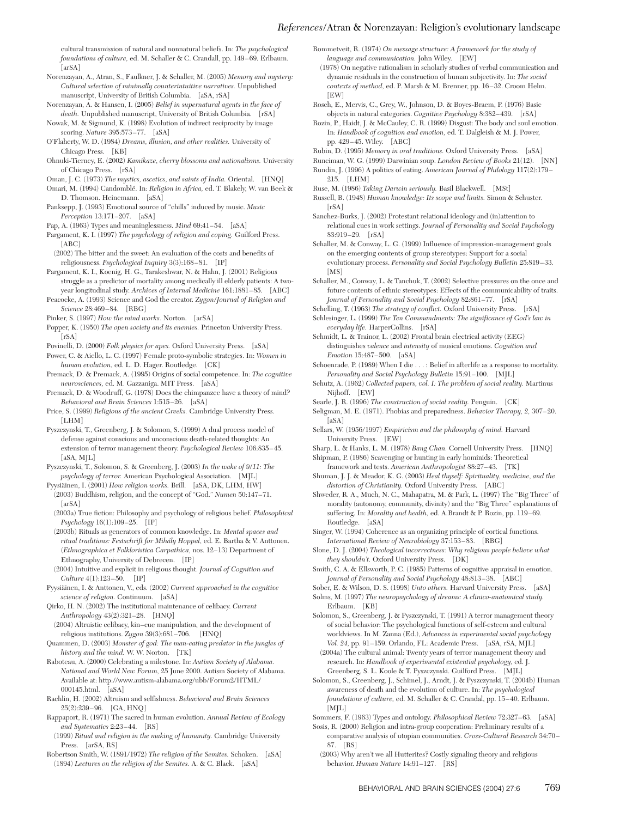cultural transmission of natural and nonnatural beliefs. In: *The psychological foundations of culture,* ed. M. Schaller & C. Crandall, pp. 149–69. Erlbaum. [arSA]

- Norenzayan, A., Atran, S., Faulkner, J. & Schaller, M. (2005) *Memory and mystery: Cultural selection of minimally counterintuitive narratives.* Unpublished manuscript, University of British Columbia. [aSA, rSA]
- Norenzayan, A. & Hansen, I. (2005) *Belief in supernatural agents in the face of death.* Unpublished manuscript, University of British Columbia. [rSA]
- Nowak, M. & Sigmund, K. (1998) Evolution of indirect reciprocity by image scoring. *Nature* 395:573–77. [aSA]
- O'Flaherty, W. D. (1984) *Dreams, illusion, and other realities.* University of Chicago Press. [KB]
- Ohnuki-Tierney, E. (2002) *Kamikaze, cherry blossoms and nationalisms.* University of Chicago Press. [rSA]
- Oman, J. C. (1973) *The mystics, ascetics, and saints of India.* Oriental. [HNQ]
- Omari, M. (1994) Candomblé. In: *Religion in Africa,* ed. T. Blakely, W. van Beek & D. Thomson. Heinemann. [aSA]
- Panksepp, J. (1993) Emotional source of "chills" induced by music. *Music Perception* 13:171–207. [aSA]
- Pap, A. (1963) Types and meaninglessness. *Mind* 69:41–54. [aSA]

Pargament, K. I. (1997) *The psychology of religion and coping.* Guilford Press. [ABC]

(2002) The bitter and the sweet: An evaluation of the costs and benefits of religiousness. *Psychological Inquiry* 3(3):168–81. [IP]

Pargament, K. I., Koenig, H. G., Tarakeshwar, N. & Hahn, J. (2001) Religious struggle as a predictor of mortality among medically ill elderly patients: A twoyear longitudinal study. *Archives of Internal Medicine* 161:1881–85. [ABC]

Peacocke, A. (1993) Science and God the creator. *Zygon/Journal of Religion and Science* 28:469–84. [RBG]

- Pinker, S. (1997) *How the mind works.* Norton. [arSA]
- Popper, K. (1950) *The open society and its enemies.* Princeton University Press. [rSA]
- Povinelli, D. (2000) *Folk physics for apes.* Oxford University Press. [aSA]
- Power, C. & Aiello, L. C. (1997) Female proto-symbolic strategies. In: *Women in human evolution,* ed. L. D. Hager. Routledge. [CK]
- Premack, D. & Premack, A. (1995) Origins of social competence. In: *The cognitive neurosciences,* ed. M. Gazzaniga. MIT Press. [aSA]
- Premack, D. & Woodruff, G. (1978) Does the chimpanzee have a theory of mind? *Behavioral and Brain Sciences* 1:515–26. [aSA]
- Price, S. (1999) *Religions of the ancient Greeks.* Cambridge University Press. [LHM]
- Pyszczynski, T., Greenberg, J. & Solomon, S. (1999) A dual process model of defense against conscious and unconscious death-related thoughts: An extension of terror management theory. *Psychological Review* 106:835–45.  $[aSA, MIL]$
- Pyszczynski, T., Solomon, S. & Greenberg, J. (2003) *In the wake of 9/11: The psychology of terror.* American Psychological Association. [MJL]
- Pyysiäinen, I. (2001) *How religion works.* Brill. [aSA, DK, LHM, HW] (2003) Buddhism, religion, and the concept of "God." *Numen* 50:147–71. [arSA]
- (2003a) True fiction: Philosophy and psychology of religious belief. *Philosophical Psychology* 16(1):109–25. [IP]
- (2003b) Rituals as generators of common knowledge. In: *Mental spaces and ritual traditions: Festschrift for Mihály Hoppal,* ed. E. Bartha & V. Anttonen. (*Ethnographica et Folkloristica Carpathica,* nos. 12–13) Department of Ethnography, University of Debrecen. [IP]
- (2004) Intuitive and explicit in religious thought. *Journal of Cognition and Culture* 4(1):123–50. [IP]
- Pyysiäinen, I. & Anttonen, V., eds. (2002) *Current approached in the cognitive science of religion.* Continuum. [aSA]

Qirko, H. N. (2002) The institutional maintenance of celibacy. *Current Anthropology* 43(2):321–28. [HNQ] (2004) Altruistic celibacy, kin–cue manipulation, and the development of

religious institutions. *Zygon* 39(3):681–706. [HNQ]

- Quammen, D. (2003) *Monster of god: The man-eating predator in the jungles of history and the mind.* W. W. Norton. [TK]
- Raboteau, A. (2000) Celebrating a milestone. In: *Autism Society of Alabama. National and World New Forum,* 25 June 2000. Autism Society of Alabama. Available at: http://www.autism-alabama.org/ubb/Forum2/HTML/ 000145.html. [aSA]

Rachlin, H. (2002) Altruism and selfishness. *Behavioral and Brain Sciences* 25(2):239–96. [GA, HNQ]

- Rappaport, R. (1971) The sacred in human evolution. *Annual Review of Ecology and Systematics* 2:23–44. [RS]
- (1999) *Ritual and religion in the making of humanity.* Cambridge University Press. [arSA, RS]
- Robertson Smith, W. (1891/1972) *The religion of the Semites.* Schoken. [aSA] (1894) *Lectures on the religion of the Semites.* A. & C. Black. [aSA]

Rommetveit, R. (1974) *On message structure: A framework for the study of language and communication.* John Wiley. [EW]

- (1978) On negative rationalism in scholarly studies of verbal communication and dynamic residuals in the construction of human subjectivity. In: *The social contexts of method,* ed. P. Marsh & M. Brenner, pp. 16–32. Croom Helm. [EW]
- Rosch, E., Mervis, C., Grey, W., Johnson, D. & Boyes-Braem, P. (1976) Basic objects in natural categories. *Cognitive Psychology* 8:382–439. [rSA]
- Rozin, P., Haidt, J. & McCauley, C. R. (1999) Disgust: The body and soul emotion. In: *Handbook of cognition and emotion,* ed. T. Dalgleish & M. J. Power, pp. 429–45. Wiley. [ABC]
- Rubin, D. (1995) *Memory in oral traditions.* Oxford University Press. [aSA]
- Runciman, W. G. (1999) Darwinian soup. *London Review of Books* 21(12). [NN]
- Rundin, J. (1996) A politics of eating. *American Journal of Philology* 117(2):179– 215. [LHM]
- Ruse, M. (1986) *Taking Darwin seriously.* Basil Blackwell. [MSt]
- Russell, B. (1948) *Human knowledge: Its scope and limits.* Simon & Schuster.  $[rSA]$
- Sanchez-Burks, J. (2002) Protestant relational ideology and (in)attention to relational cues in work settings. *Journal of Personality and Social Psychology* 83:919–29. [rSA]
- Schaller, M. & Conway, L. G. (1999) Influence of impression-management goals on the emerging contents of group stereotypes: Support for a social evolutionary process. *Personality and Social Psychology Bulletin* 25:819–33. [MS]
- Schaller, M., Conway, L. & Tanchuk, T. (2002) Selective pressures on the once and future contents of ethnic stereotypes: Effects of the communicability of traits. *Journal of Personality and Social Psychology* 82:861–77. [rSA]
- Schelling, T. (1963) *The strategy of conflict.* Oxford University Press. [rSA]
- Schlesinger, L. (1999) *The Ten Commandments: The significance of God's law in everyday life.* HarperCollins. [rSA]

Schmidt, L. & Trainor, L. (2002) Frontal brain electrical activity (EEG) distinguishes *valence* and *intensity* of musical emotions. *Cognition and Emotion* 15:487–500. [aSA]

- Schoenrade, P. (1989) When I die... : Belief in afterlife as a response to mortality. *Personality and Social Psychology Bulletin* 15:91–100. [MJL]
- Schutz, A. (1962) *Collected papers, vol. I: The problem of social reality.* Martinus Nijhoff. [EW]
- Searle, J. R. (1996) *The construction of social reality.* Penguin. [CK]
- Seligman, M. E. (1971). Phobias and preparedness. *Behavior Therapy, 2,* 307–20. [aSA]
- Sellars, W. (1956/1997) *Empiricism and the philosophy of mind.* Harvard University Press. [EW]
- Sharp, L. & Hanks, L. M. (1978) *Bang Chan.* Cornell University Press. [HNQ]
- Shipman, P. (1986) Scavenging or hunting in early hominids: Theoretical framework and tests. *American Anthropologist* 88:27–43. [TK]
- Shuman, J. J. & Meador, K. G. (2003) *Heal thyself: Spirituality, medicine, and the distortion of Christianity.* Oxford University Press. [ABC]
- Shweder, R. A., Much, N. C., Mahapatra, M. & Park, L. (1997) The "Big Three" of morality (autonomy, community, divinity) and the "Big Three" explanations of suffering. In: *Morality and health,* ed. A.Brandt & P. Rozin, pp. 119–69. Routledge. [aSA]
- Singer, W. (1994) Coherence as an organizing principle of cortical functions. *International Review of Neurobiology* 37:153–83. [RBG]
- Slone, D. J. (2004) *Theological incorrectness: Why religious people believe what they shouldn't.* Oxford University Press. [DK]
- Smith, C. A. & Ellsworth, P. C. (1985) Patterns of cognitive appraisal in emotion. *Journal of Personality and Social Psychology* 48:813–38. [ABC]
- Sober, E. & Wilson, D. S. (1998) *Unto others.* Harvard University Press. [aSA] Solms, M. (1997) *The neuropsychology of dreams: A clinico-anatomical study.* Erlbaum. [KB]
- Solomon, S., Greenberg, J. & Pyszczynski, T. (1991) A terror management theory of social behavior: The psychological functions of self-esteem and cultural worldviews. In M. Zanna (Ed.), *Advances in experimental social psychology Vol. 24,* pp. 91–159. Orlando, FL: Academic Press. [aSA, rSA, MJL]
- (2004a) The cultural animal: Twenty years of terror management theory and research. In: *Handbook of experimental existential psychology,* ed. J. Greenberg, S. L. Koole & T. Pyszczynski. Guilford Press. [MJL]
- Solomon, S., Greenberg, J., Schimel, J., Arndt, J. & Pyszczynski, T. (2004b) Human awareness of death and the evolution of culture. In: *The psychological foundations of culture,* ed. M. Schaller & C. Crandal, pp. 15–40. Erlbaum.  $[MIL]$
- Sommers, F. (1963) Types and ontology. *Philosophical Review* 72:327–63. [aSA]
- Sosis, R. (2000) Religion and intra-group cooperation: Preliminary results of a comparative analysis of utopian communities. *Cross-Cultural Research* 34:70– 87. [RS]
- (2003) Why aren't we all Hutterites? Costly signaling theory and religious behavior. *Human Nature* 14:91–127. [RS]